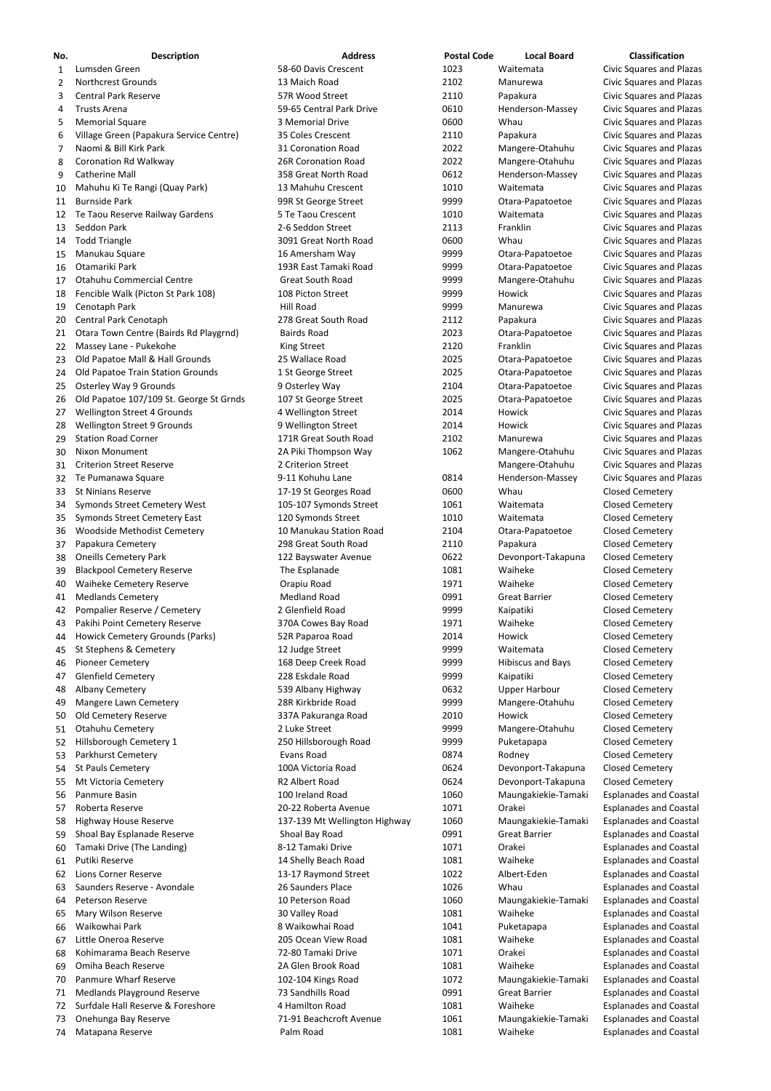| No.      | <b>Description</b>                                     | <b>Address</b>                             | <b>Postal Code</b> | <b>Local Board</b>                  | Classification                                                     |
|----------|--------------------------------------------------------|--------------------------------------------|--------------------|-------------------------------------|--------------------------------------------------------------------|
| 1        | Lumsden Green                                          | 58-60 Davis Crescent                       | 1023               | Waitemata                           | <b>Civic Squares and Plazas</b>                                    |
| 2        | <b>Northcrest Grounds</b>                              | 13 Maich Road                              | 2102               | Manurewa                            | <b>Civic Squares and Plazas</b>                                    |
| 3        | <b>Central Park Reserve</b>                            | 57R Wood Street                            | 2110               | Papakura                            | <b>Civic Squares and Plazas</b>                                    |
| 4        | <b>Trusts Arena</b>                                    | 59-65 Central Park Drive                   | 0610               | Henderson-Massey                    | <b>Civic Squares and Plazas</b>                                    |
| 5        | <b>Memorial Square</b>                                 | 3 Memorial Drive                           | 0600               | Whau                                | <b>Civic Squares and Plazas</b>                                    |
| 6        | Village Green (Papakura Service Centre)                | 35 Coles Crescent                          | 2110               | Papakura                            | <b>Civic Squares and Plazas</b>                                    |
| 7        | Naomi & Bill Kirk Park                                 | 31 Coronation Road                         | 2022               | Mangere-Otahuhu                     | <b>Civic Squares and Plazas</b>                                    |
| 8        | <b>Coronation Rd Walkway</b>                           | <b>26R Coronation Road</b>                 | 2022               | Mangere-Otahuhu                     | <b>Civic Squares and Plazas</b>                                    |
| 9        | <b>Catherine Mall</b>                                  | 358 Great North Road                       | 0612               | Henderson-Massey                    | <b>Civic Squares and Plazas</b>                                    |
| 10       | Mahuhu Ki Te Rangi (Quay Park)                         | 13 Mahuhu Crescent                         | 1010               | Waitemata                           | <b>Civic Squares and Plazas</b>                                    |
| 11       | <b>Burnside Park</b>                                   | 99R St George Street<br>5 Te Taou Crescent | 9999<br>1010       | Otara-Papatoetoe<br>Waitemata       | <b>Civic Squares and Plazas</b>                                    |
| 12<br>13 | Te Taou Reserve Railway Gardens<br>Seddon Park         | 2-6 Seddon Street                          | 2113               | Franklin                            | <b>Civic Squares and Plazas</b><br>Civic Squares and Plazas        |
| 14       | <b>Todd Triangle</b>                                   | 3091 Great North Road                      | 0600               | Whau                                | Civic Squares and Plazas                                           |
| 15       | Manukau Square                                         | 16 Amersham Way                            | 9999               | Otara-Papatoetoe                    | <b>Civic Squares and Plazas</b>                                    |
| 16       | Otamariki Park                                         | 193R East Tamaki Road                      | 9999               | Otara-Papatoetoe                    | <b>Civic Squares and Plazas</b>                                    |
| 17       | <b>Otahuhu Commercial Centre</b>                       | <b>Great South Road</b>                    | 9999               | Mangere-Otahuhu                     | <b>Civic Squares and Plazas</b>                                    |
| 18       | Fencible Walk (Picton St Park 108)                     | 108 Picton Street                          | 9999               | Howick                              | <b>Civic Squares and Plazas</b>                                    |
| 19       | Cenotaph Park                                          | <b>Hill Road</b>                           | 9999               | Manurewa                            | Civic Squares and Plazas                                           |
| 20       | Central Park Cenotaph                                  | 278 Great South Road                       | 2112               | Papakura                            | <b>Civic Squares and Plazas</b>                                    |
| 21       | Otara Town Centre (Bairds Rd Playgrnd)                 | <b>Bairds Road</b>                         | 2023               | Otara-Papatoetoe                    | <b>Civic Squares and Plazas</b>                                    |
| 22       | Massey Lane - Pukekohe                                 | <b>King Street</b>                         | 2120               | Franklin                            | <b>Civic Squares and Plazas</b>                                    |
| 23       | Old Papatoe Mall & Hall Grounds                        | 25 Wallace Road                            | 2025               | Otara-Papatoetoe                    | <b>Civic Squares and Plazas</b>                                    |
| 24       | Old Papatoe Train Station Grounds                      | 1 St George Street                         | 2025               | Otara-Papatoetoe                    | <b>Civic Squares and Plazas</b>                                    |
| 25       | <b>Osterley Way 9 Grounds</b>                          | 9 Osterley Way                             | 2104               | Otara-Papatoetoe                    | <b>Civic Squares and Plazas</b>                                    |
| 26       | Old Papatoe 107/109 St. George St Grnds                | 107 St George Street                       | 2025               | Otara-Papatoetoe                    | <b>Civic Squares and Plazas</b>                                    |
| 27       | Wellington Street 4 Grounds                            | 4 Wellington Street                        | 2014               | Howick                              | <b>Civic Squares and Plazas</b>                                    |
| 28       | Wellington Street 9 Grounds                            | 9 Wellington Street                        | 2014               | Howick                              | <b>Civic Squares and Plazas</b>                                    |
| 29       | <b>Station Road Corner</b>                             | 171R Great South Road                      | 2102               | Manurewa                            | <b>Civic Squares and Plazas</b>                                    |
|          | 30 Nixon Monument<br><b>Criterion Street Reserve</b>   | 2A Piki Thompson Way<br>2 Criterion Street | 1062               | Mangere-Otahuhu                     | <b>Civic Squares and Plazas</b><br><b>Civic Squares and Plazas</b> |
| 31<br>32 | Te Pumanawa Square                                     | 9-11 Kohuhu Lane                           | 0814               | Mangere-Otahuhu<br>Henderson-Massey | <b>Civic Squares and Plazas</b>                                    |
| 33       | <b>St Ninians Reserve</b>                              | 17-19 St Georges Road                      | 0600               | Whau                                | <b>Closed Cemetery</b>                                             |
| 34       | <b>Symonds Street Cemetery West</b>                    | 105-107 Symonds Street                     | 1061               | Waitemata                           | <b>Closed Cemetery</b>                                             |
| 35       | <b>Symonds Street Cemetery East</b>                    | 120 Symonds Street                         | 1010               | Waitemata                           | <b>Closed Cemetery</b>                                             |
| 36       | Woodside Methodist Cemetery                            | 10 Manukau Station Road                    | 2104               | Otara-Papatoetoe                    | <b>Closed Cemetery</b>                                             |
| 37       | Papakura Cemetery                                      | 298 Great South Road                       | 2110               | Papakura                            | <b>Closed Cemetery</b>                                             |
| 38       | <b>Oneills Cemetery Park</b>                           | 122 Bayswater Avenue                       | 0622               | Devonport-Takapuna                  | <b>Closed Cemetery</b>                                             |
| 39       | <b>Blackpool Cemetery Reserve</b>                      | The Esplanade                              | 1081               | Waiheke                             | <b>Closed Cemetery</b>                                             |
| 40       | Waiheke Cemetery Reserve                               | Orapiu Road                                | 1971               | Waiheke                             | <b>Closed Cemetery</b>                                             |
| 41       | <b>Medlands Cemetery</b>                               | <b>Medland Road</b>                        | 0991               | <b>Great Barrier</b>                | <b>Closed Cemetery</b>                                             |
| 42       | Pompalier Reserve / Cemetery                           | 2 Glenfield Road                           | 9999               | Kaipatiki                           | <b>Closed Cemetery</b>                                             |
| 43       | Pakihi Point Cemetery Reserve                          | 370A Cowes Bay Road                        | 1971               | Waiheke                             | <b>Closed Cemetery</b>                                             |
| 44       | Howick Cemetery Grounds (Parks)                        | 52R Paparoa Road                           | 2014               | Howick                              | <b>Closed Cemetery</b>                                             |
| 45       | St Stephens & Cemetery                                 | 12 Judge Street                            | 9999               | Waitemata                           | <b>Closed Cemetery</b>                                             |
| 46       | <b>Pioneer Cemetery</b><br><b>Glenfield Cemetery</b>   | 168 Deep Creek Road<br>228 Eskdale Road    | 9999<br>9999       | <b>Hibiscus and Bays</b>            | <b>Closed Cemetery</b><br><b>Closed Cemetery</b>                   |
| 47<br>48 | Albany Cemetery                                        | 539 Albany Highway                         | 0632               | Kaipatiki<br><b>Upper Harbour</b>   | <b>Closed Cemetery</b>                                             |
| 49       | Mangere Lawn Cemetery                                  | 28R Kirkbride Road                         | 9999               | Mangere-Otahuhu                     | <b>Closed Cemetery</b>                                             |
| 50       | Old Cemetery Reserve                                   | 337A Pakuranga Road                        | 2010               | Howick                              | <b>Closed Cemetery</b>                                             |
| 51       | Otahuhu Cemetery                                       | 2 Luke Street                              | 9999               | Mangere-Otahuhu                     | <b>Closed Cemetery</b>                                             |
| 52       | Hillsborough Cemetery 1                                | 250 Hillsborough Road                      | 9999               | Puketapapa                          | <b>Closed Cemetery</b>                                             |
| 53       | Parkhurst Cemetery                                     | <b>Evans Road</b>                          | 0874               | Rodney                              | <b>Closed Cemetery</b>                                             |
| 54       | <b>St Pauls Cemetery</b>                               | 100A Victoria Road                         | 0624               | Devonport-Takapuna                  | <b>Closed Cemetery</b>                                             |
| 55       | Mt Victoria Cemetery                                   | R2 Albert Road                             | 0624               | Devonport-Takapuna                  | <b>Closed Cemetery</b>                                             |
| 56       | Panmure Basin                                          | 100 Ireland Road                           | 1060               | Maungakiekie-Tamaki                 | <b>Esplanades and Coastal</b>                                      |
| 57       | Roberta Reserve                                        | 20-22 Roberta Avenue                       | 1071               | Orakei                              | <b>Esplanades and Coastal</b>                                      |
| 58       | <b>Highway House Reserve</b>                           | 137-139 Mt Wellington Highway              | 1060               | Maungakiekie-Tamaki                 | <b>Esplanades and Coastal</b>                                      |
| 59       | Shoal Bay Esplanade Reserve                            | Shoal Bay Road                             | 0991               | <b>Great Barrier</b>                | <b>Esplanades and Coastal</b>                                      |
| 60       | Tamaki Drive (The Landing)                             | 8-12 Tamaki Drive                          | 1071               | Orakei                              | <b>Esplanades and Coastal</b>                                      |
| 61       | Putiki Reserve                                         | 14 Shelly Beach Road                       | 1081               | Waiheke                             | <b>Esplanades and Coastal</b>                                      |
| 62       | <b>Lions Corner Reserve</b>                            | 13-17 Raymond Street                       | 1022               | Albert-Eden                         | <b>Esplanades and Coastal</b>                                      |
| 63       | Saunders Reserve - Avondale<br><b>Peterson Reserve</b> | 26 Saunders Place<br>10 Peterson Road      | 1026<br>1060       | Whau                                | <b>Esplanades and Coastal</b><br><b>Esplanades and Coastal</b>     |
| 64       | Mary Wilson Reserve                                    | 30 Valley Road                             | 1081               | Maungakiekie-Tamaki<br>Waiheke      | <b>Esplanades and Coastal</b>                                      |
| 65<br>66 | Waikowhai Park                                         | 8 Waikowhai Road                           | 1041               | Puketapapa                          | <b>Esplanades and Coastal</b>                                      |
| 67       | Little Oneroa Reserve                                  | 205 Ocean View Road                        | 1081               | Waiheke                             | <b>Esplanades and Coastal</b>                                      |
| 68       | Kohimarama Beach Reserve                               | 72-80 Tamaki Drive                         | 1071               | Orakei                              | <b>Esplanades and Coastal</b>                                      |
| 69       | Omiha Beach Reserve                                    | 2A Glen Brook Road                         | 1081               | Waiheke                             | <b>Esplanades and Coastal</b>                                      |
| 70       | <b>Panmure Wharf Reserve</b>                           | 102-104 Kings Road                         | 1072               | Maungakiekie-Tamaki                 | <b>Esplanades and Coastal</b>                                      |
| 71       | <b>Medlands Playground Reserve</b>                     | 73 Sandhills Road                          | 0991               | <b>Great Barrier</b>                | <b>Esplanades and Coastal</b>                                      |
| 72       | Surfdale Hall Reserve & Foreshore                      | 4 Hamilton Road                            | 1081               | Waiheke                             | <b>Esplanades and Coastal</b>                                      |
| 73       | Onehunga Bay Reserve                                   | 71-91 Beachcroft Avenue                    | 1061               | Maungakiekie-Tamaki                 | <b>Esplanades and Coastal</b>                                      |
| 74       | Matapana Reserve                                       | Palm Road                                  | 1081               | Waiheke                             | <b>Esplanades and Coastal</b>                                      |

- 
- 
- 
- 
- 
- 
- 
- 
- 
- 
-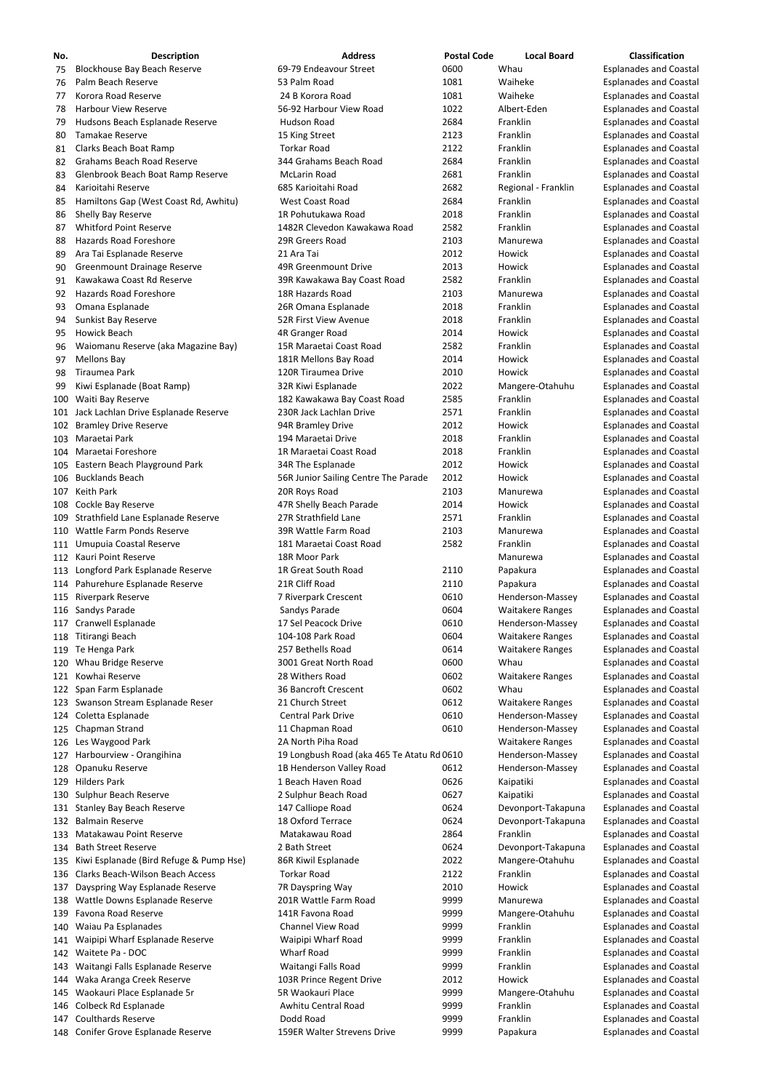| No. | <b>Description</b>                          | <b>Address</b>                             | <b>Postal Code</b> | <b>Local Board</b>      | <b>Classification</b>         |
|-----|---------------------------------------------|--------------------------------------------|--------------------|-------------------------|-------------------------------|
| 75  | <b>Blockhouse Bay Beach Reserve</b>         | 69-79 Endeavour Street                     | 0600               | Whau                    | <b>Esplanades and Coastal</b> |
| 76  | Palm Beach Reserve                          | 53 Palm Road                               | 1081               | Waiheke                 | <b>Esplanades and Coastal</b> |
| 77  | Korora Road Reserve                         | 24 B Korora Road                           | 1081               | Waiheke                 | <b>Esplanades and Coastal</b> |
| 78  | <b>Harbour View Reserve</b>                 | 56-92 Harbour View Road                    | 1022               | Albert-Eden             | <b>Esplanades and Coastal</b> |
| 79  | Hudsons Beach Esplanade Reserve             | Hudson Road                                | 2684               | Franklin                | <b>Esplanades and Coastal</b> |
| 80  | Tamakae Reserve                             | 15 King Street                             | 2123               | Franklin                | <b>Esplanades and Coastal</b> |
| 81  | Clarks Beach Boat Ramp                      | <b>Torkar Road</b>                         | 2122               | Franklin                | <b>Esplanades and Coastal</b> |
| 82  | <b>Grahams Beach Road Reserve</b>           | 344 Grahams Beach Road                     | 2684               | Franklin                | <b>Esplanades and Coastal</b> |
| 83  | Glenbrook Beach Boat Ramp Reserve           | McLarin Road                               | 2681               | Franklin                | <b>Esplanades and Coastal</b> |
| 84  | Karioitahi Reserve                          | 685 Karioitahi Road                        | 2682               | Regional - Franklin     | <b>Esplanades and Coastal</b> |
| 85  | Hamiltons Gap (West Coast Rd, Awhitu)       | West Coast Road                            | 2684               | Franklin                | <b>Esplanades and Coastal</b> |
| 86  | Shelly Bay Reserve                          | 1R Pohutukawa Road                         | 2018               | Franklin                | <b>Esplanades and Coastal</b> |
| 87  | <b>Whitford Point Reserve</b>               | 1482R Clevedon Kawakawa Road               | 2582               | Franklin                | <b>Esplanades and Coastal</b> |
| 88  | Hazards Road Foreshore                      | 29R Greers Road                            | 2103               | Manurewa                | <b>Esplanades and Coastal</b> |
|     |                                             | 21 Ara Tai                                 | 2012               | Howick                  |                               |
| 89  | Ara Tai Esplanade Reserve                   |                                            |                    |                         | <b>Esplanades and Coastal</b> |
| 90  | Greenmount Drainage Reserve                 | 49R Greenmount Drive                       | 2013               | Howick                  | <b>Esplanades and Coastal</b> |
| 91  | Kawakawa Coast Rd Reserve                   | 39R Kawakawa Bay Coast Road                | 2582               | Franklin                | <b>Esplanades and Coastal</b> |
| 92  | <b>Hazards Road Foreshore</b>               | 18R Hazards Road                           | 2103               | Manurewa                | <b>Esplanades and Coastal</b> |
| 93  | Omana Esplanade                             | 26R Omana Esplanade                        | 2018               | Franklin                | <b>Esplanades and Coastal</b> |
| 94  | Sunkist Bay Reserve                         | 52R First View Avenue                      | 2018               | Franklin                | <b>Esplanades and Coastal</b> |
| 95  | Howick Beach                                | 4R Granger Road                            | 2014               | Howick                  | <b>Esplanades and Coastal</b> |
| 96  | Waiomanu Reserve (aka Magazine Bay)         | 15R Maraetai Coast Road                    | 2582               | Franklin                | <b>Esplanades and Coastal</b> |
| 97  | <b>Mellons Bay</b>                          | 181R Mellons Bay Road                      | 2014               | Howick                  | <b>Esplanades and Coastal</b> |
| 98  | Tiraumea Park                               | 120R Tiraumea Drive                        | 2010               | Howick                  | <b>Esplanades and Coastal</b> |
| 99  | Kiwi Esplanade (Boat Ramp)                  | 32R Kiwi Esplanade                         | 2022               | Mangere-Otahuhu         | <b>Esplanades and Coastal</b> |
| 100 | Waiti Bay Reserve                           | 182 Kawakawa Bay Coast Road                | 2585               | Franklin                | <b>Esplanades and Coastal</b> |
| 101 | Jack Lachlan Drive Esplanade Reserve        | 230R Jack Lachlan Drive                    | 2571               | Franklin                | <b>Esplanades and Coastal</b> |
| 102 | <b>Bramley Drive Reserve</b>                | 94R Bramley Drive                          | 2012               | Howick                  | <b>Esplanades and Coastal</b> |
|     | 103 Maraetai Park                           | 194 Maraetai Drive                         | 2018               | Franklin                | <b>Esplanades and Coastal</b> |
|     | 104 Maraetai Foreshore                      | 1R Maraetai Coast Road                     | 2018               | Franklin                | <b>Esplanades and Coastal</b> |
|     | 105 Eastern Beach Playground Park           | 34R The Esplanade                          | 2012               | Howick                  | <b>Esplanades and Coastal</b> |
|     | 106 Bucklands Beach                         | 56R Junior Sailing Centre The Parade       | 2012               | Howick                  | <b>Esplanades and Coastal</b> |
|     | 107 Keith Park                              | 20R Roys Road                              | 2103               | Manurewa                | <b>Esplanades and Coastal</b> |
|     | 108 Cockle Bay Reserve                      | 47R Shelly Beach Parade                    | 2014               | Howick                  | <b>Esplanades and Coastal</b> |
|     | 109 Strathfield Lane Esplanade Reserve      | 27R Strathfield Lane                       | 2571               | Franklin                | <b>Esplanades and Coastal</b> |
|     | 110 Wattle Farm Ponds Reserve               | 39R Wattle Farm Road                       | 2103               | Manurewa                | <b>Esplanades and Coastal</b> |
|     | 111 Umupuia Coastal Reserve                 | 181 Maraetai Coast Road                    | 2582               | Franklin                | <b>Esplanades and Coastal</b> |
|     | 112 Kauri Point Reserve                     | 18R Moor Park                              |                    |                         |                               |
|     |                                             | 1R Great South Road                        |                    | Manurewa                | <b>Esplanades and Coastal</b> |
|     | 113 Longford Park Esplanade Reserve         |                                            | 2110               | Papakura                | <b>Esplanades and Coastal</b> |
|     | 114 Pahurehure Esplanade Reserve            | 21R Cliff Road                             | 2110               | Papakura                | <b>Esplanades and Coastal</b> |
|     | 115 Riverpark Reserve                       | 7 Riverpark Crescent                       | 0610               | Henderson-Massey        | <b>Esplanades and Coastal</b> |
|     | 116 Sandys Parade                           | Sandys Parade                              | 0604               | <b>Waitakere Ranges</b> | <b>Esplanades and Coastal</b> |
|     | 117 Cranwell Esplanade                      | 17 Sel Peacock Drive                       | 0610               | Henderson-Massey        | <b>Esplanades and Coastal</b> |
|     | 118 Titirangi Beach                         | 104-108 Park Road                          | 0604               | <b>Waitakere Ranges</b> | <b>Esplanades and Coastal</b> |
|     | 119 Te Henga Park                           | 257 Bethells Road                          | 0614               | <b>Waitakere Ranges</b> | <b>Esplanades and Coastal</b> |
|     | 120 Whau Bridge Reserve                     | 3001 Great North Road                      | 0600               | Whau                    | <b>Esplanades and Coastal</b> |
| 121 | Kowhai Reserve                              | 28 Withers Road                            | 0602               | <b>Waitakere Ranges</b> | <b>Esplanades and Coastal</b> |
|     | 122 Span Farm Esplanade                     | 36 Bancroft Crescent                       | 0602               | Whau                    | <b>Esplanades and Coastal</b> |
|     | 123 Swanson Stream Esplanade Reser          | 21 Church Street                           | 0612               | <b>Waitakere Ranges</b> | <b>Esplanades and Coastal</b> |
|     | 124 Coletta Esplanade                       | <b>Central Park Drive</b>                  | 0610               | Henderson-Massey        | <b>Esplanades and Coastal</b> |
|     | 125 Chapman Strand                          | 11 Chapman Road                            | 0610               | Henderson-Massey        | <b>Esplanades and Coastal</b> |
|     | 126 Les Waygood Park                        | 2A North Piha Road                         |                    | <b>Waitakere Ranges</b> | <b>Esplanades and Coastal</b> |
| 127 | Harbourview - Orangihina                    | 19 Longbush Road (aka 465 Te Atatu Rd 0610 |                    | Henderson-Massey        | <b>Esplanades and Coastal</b> |
|     | 128 Opanuku Reserve                         | 1B Henderson Valley Road                   | 0612               | Henderson-Massey        | <b>Esplanades and Coastal</b> |
|     | 129 Hilders Park                            | 1 Beach Haven Road                         | 0626               | Kaipatiki               | <b>Esplanades and Coastal</b> |
|     | 130 Sulphur Beach Reserve                   | 2 Sulphur Beach Road                       | 0627               | Kaipatiki               | <b>Esplanades and Coastal</b> |
|     | 131 Stanley Bay Beach Reserve               | 147 Calliope Road                          | 0624               | Devonport-Takapuna      | <b>Esplanades and Coastal</b> |
|     | 132 Balmain Reserve                         | 18 Oxford Terrace                          | 0624               | Devonport-Takapuna      | <b>Esplanades and Coastal</b> |
|     | 133 Matakawau Point Reserve                 | Matakawau Road                             | 2864               | Franklin                | <b>Esplanades and Coastal</b> |
|     | 134 Bath Street Reserve                     | 2 Bath Street                              | 0624               | Devonport-Takapuna      | <b>Esplanades and Coastal</b> |
|     | 135 Kiwi Esplanade (Bird Refuge & Pump Hse) | 86R Kiwil Esplanade                        | 2022               | Mangere-Otahuhu         | <b>Esplanades and Coastal</b> |
|     | 136 Clarks Beach-Wilson Beach Access        | <b>Torkar Road</b>                         | 2122               | Franklin                | <b>Esplanades and Coastal</b> |
|     |                                             |                                            | 2010               |                         |                               |
| 137 | Dayspring Way Esplanade Reserve             | 7R Dayspring Way<br>201R Wattle Farm Road  |                    | Howick                  | <b>Esplanades and Coastal</b> |
|     | 138 Wattle Downs Esplanade Reserve          |                                            | 9999               | Manurewa                | <b>Esplanades and Coastal</b> |
|     | 139 Favona Road Reserve                     | 141R Favona Road                           | 9999               | Mangere-Otahuhu         | <b>Esplanades and Coastal</b> |
|     | 140 Waiau Pa Esplanades                     | <b>Channel View Road</b>                   | 9999               | Franklin                | <b>Esplanades and Coastal</b> |
| 141 | Waipipi Wharf Esplanade Reserve             | Waipipi Wharf Road                         | 9999               | Franklin                | <b>Esplanades and Coastal</b> |
|     | 142 Waitete Pa - DOC                        | Wharf Road                                 | 9999               | Franklin                | <b>Esplanades and Coastal</b> |
|     | 143 Waitangi Falls Esplanade Reserve        | Waitangi Falls Road                        | 9999               | Franklin                | <b>Esplanades and Coastal</b> |
|     | 144 Waka Aranga Creek Reserve               | 103R Prince Regent Drive                   | 2012               | Howick                  | <b>Esplanades and Coastal</b> |
|     | 145 Waokauri Place Esplanade 5r             | 5R Waokauri Place                          | 9999               | Mangere-Otahuhu         | <b>Esplanades and Coastal</b> |
|     | 146 Colbeck Rd Esplanade                    | Awhitu Central Road                        | 9999               | Franklin                | <b>Esplanades and Coastal</b> |
|     | 147 Coulthards Reserve                      | Dodd Road                                  | 9999               | Franklin                | <b>Esplanades and Coastal</b> |
|     | 148 Conifer Grove Esplanade Reserve         | 159ER Walter Strevens Drive                | 9999               | Papakura                | <b>Esplanades and Coastal</b> |

- 
- 
- 
- 
- 
- 
- 
- 
- 
- 
- 
- 
-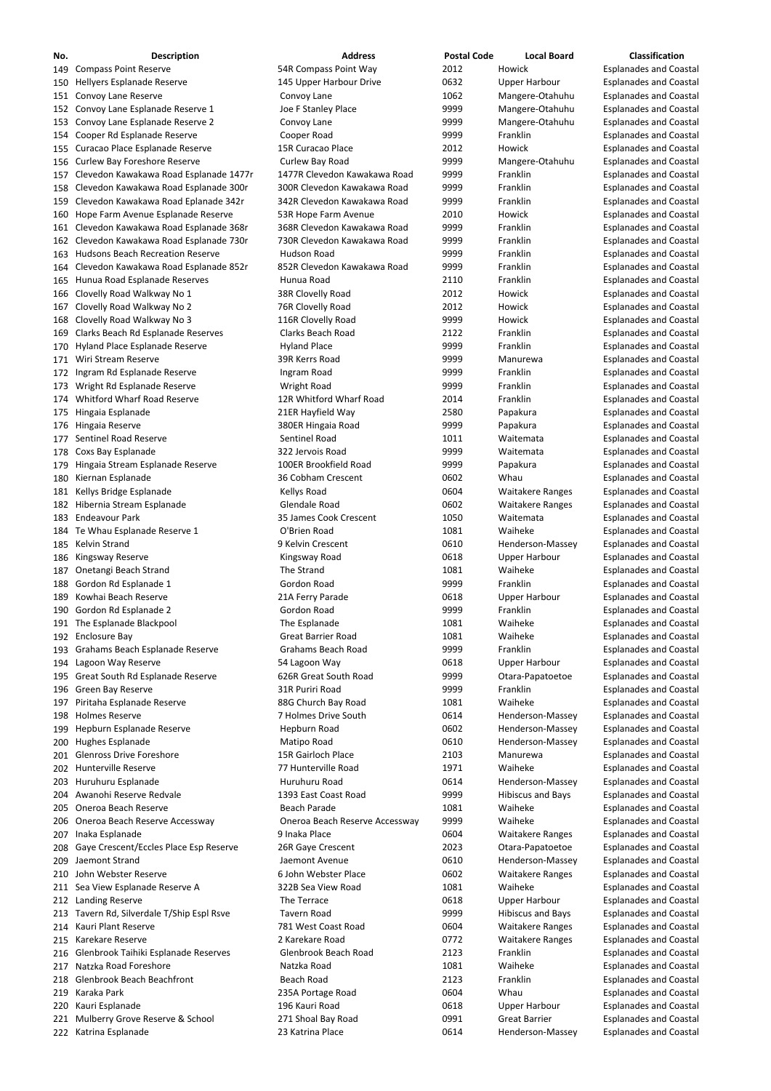| No. | <b>Description</b>                         | <b>Address</b>                 | <b>Postal Code</b> | <b>Local Board</b>       | <b>Classification</b>         |
|-----|--------------------------------------------|--------------------------------|--------------------|--------------------------|-------------------------------|
|     | 149 Compass Point Reserve                  | 54R Compass Point Way          | 2012               | Howick                   | <b>Esplanades and Coastal</b> |
|     | 150 Hellyers Esplanade Reserve             | 145 Upper Harbour Drive        | 0632               | <b>Upper Harbour</b>     | <b>Esplanades and Coastal</b> |
|     | 151 Convoy Lane Reserve                    | Convoy Lane                    | 1062               | Mangere-Otahuhu          | <b>Esplanades and Coastal</b> |
|     | 152 Convoy Lane Esplanade Reserve 1        | Joe F Stanley Place            | 9999               | Mangere-Otahuhu          | <b>Esplanades and Coastal</b> |
|     | 153 Convoy Lane Esplanade Reserve 2        | Convoy Lane                    | 9999               | Mangere-Otahuhu          | <b>Esplanades and Coastal</b> |
|     | 154 Cooper Rd Esplanade Reserve            | Cooper Road                    | 9999               | Franklin                 | <b>Esplanades and Coastal</b> |
|     | 155 Curacao Place Esplanade Reserve        | 15R Curacao Place              | 2012               | Howick                   | <b>Esplanades and Coastal</b> |
|     | 156 Curlew Bay Foreshore Reserve           | Curlew Bay Road                | 9999               | Mangere-Otahuhu          | <b>Esplanades and Coastal</b> |
|     | 157 Clevedon Kawakawa Road Esplanade 1477r | 1477R Clevedon Kawakawa Road   | 9999               | Franklin                 | <b>Esplanades and Coastal</b> |
|     | 158 Clevedon Kawakawa Road Esplanade 300r  | 300R Clevedon Kawakawa Road    | 9999               | Franklin                 | <b>Esplanades and Coastal</b> |
|     | 159 Clevedon Kawakawa Road Eplanade 342r   | 342R Clevedon Kawakawa Road    | 9999               | Franklin                 | <b>Esplanades and Coastal</b> |
|     | 160 Hope Farm Avenue Esplanade Reserve     | 53R Hope Farm Avenue           | 2010               | Howick                   | <b>Esplanades and Coastal</b> |
|     | 161 Clevedon Kawakawa Road Esplanade 368r  | 368R Clevedon Kawakawa Road    | 9999               | Franklin                 | <b>Esplanades and Coastal</b> |
|     |                                            | 730R Clevedon Kawakawa Road    | 9999               | Franklin                 |                               |
|     | 162 Clevedon Kawakawa Road Esplanade 730r  |                                |                    |                          | <b>Esplanades and Coastal</b> |
|     | 163 Hudsons Beach Recreation Reserve       | Hudson Road                    | 9999               | Franklin                 | <b>Esplanades and Coastal</b> |
|     | 164 Clevedon Kawakawa Road Esplanade 852r  | 852R Clevedon Kawakawa Road    | 9999               | Franklin                 | <b>Esplanades and Coastal</b> |
|     | 165 Hunua Road Esplanade Reserves          | Hunua Road                     | 2110               | Franklin                 | <b>Esplanades and Coastal</b> |
|     | 166 Clovelly Road Walkway No 1             | 38R Clovelly Road              | 2012               | Howick                   | <b>Esplanades and Coastal</b> |
|     | 167 Clovelly Road Walkway No 2             | 76R Clovelly Road              | 2012               | Howick                   | <b>Esplanades and Coastal</b> |
|     | 168 Clovelly Road Walkway No 3             | 116R Clovelly Road             | 9999               | Howick                   | <b>Esplanades and Coastal</b> |
|     | 169 Clarks Beach Rd Esplanade Reserves     | <b>Clarks Beach Road</b>       | 2122               | Franklin                 | <b>Esplanades and Coastal</b> |
|     | 170 Hyland Place Esplanade Reserve         | <b>Hyland Place</b>            | 9999               | Franklin                 | <b>Esplanades and Coastal</b> |
| 171 | Wiri Stream Reserve                        | 39R Kerrs Road                 | 9999               | Manurewa                 | <b>Esplanades and Coastal</b> |
|     | 172 Ingram Rd Esplanade Reserve            | Ingram Road                    | 9999               | Franklin                 | <b>Esplanades and Coastal</b> |
| 173 | Wright Rd Esplanade Reserve                | <b>Wright Road</b>             | 9999               | Franklin                 | <b>Esplanades and Coastal</b> |
|     | 174 Whitford Wharf Road Reserve            | 12R Whitford Wharf Road        | 2014               | Franklin                 | <b>Esplanades and Coastal</b> |
|     | 175 Hingaia Esplanade                      | 21ER Hayfield Way              | 2580               | Papakura                 | <b>Esplanades and Coastal</b> |
|     | 176 Hingaia Reserve                        | 380ER Hingaia Road             | 9999               | Papakura                 | <b>Esplanades and Coastal</b> |
|     | 177 Sentinel Road Reserve                  | <b>Sentinel Road</b>           | 1011               | Waitemata                | <b>Esplanades and Coastal</b> |
|     | 178 Coxs Bay Esplanade                     | 322 Jervois Road               | 9999               | Waitemata                | <b>Esplanades and Coastal</b> |
|     | 179 Hingaia Stream Esplanade Reserve       | 100ER Brookfield Road          | 9999               | Papakura                 | <b>Esplanades and Coastal</b> |
|     | 180 Kiernan Esplanade                      | 36 Cobham Crescent             | 0602               | Whau                     | <b>Esplanades and Coastal</b> |
|     | 181 Kellys Bridge Esplanade                | Kellys Road                    | 0604               | <b>Waitakere Ranges</b>  | <b>Esplanades and Coastal</b> |
|     | 182 Hibernia Stream Esplanade              | Glendale Road                  | 0602               | <b>Waitakere Ranges</b>  | <b>Esplanades and Coastal</b> |
|     | 183 Endeavour Park                         | 35 James Cook Crescent         | 1050               | Waitemata                | <b>Esplanades and Coastal</b> |
|     | 184 Te Whau Esplanade Reserve 1            | O'Brien Road                   | 1081               | Waiheke                  | <b>Esplanades and Coastal</b> |
|     |                                            | 9 Kelvin Crescent              | 0610               |                          |                               |
|     | 185 Kelvin Strand                          |                                |                    | Henderson-Massey         | <b>Esplanades and Coastal</b> |
|     | 186 Kingsway Reserve                       | Kingsway Road                  | 0618               | <b>Upper Harbour</b>     | <b>Esplanades and Coastal</b> |
|     | 187 Onetangi Beach Strand                  | The Strand                     | 1081               | Waiheke                  | <b>Esplanades and Coastal</b> |
|     | 188 Gordon Rd Esplanade 1                  | Gordon Road                    | 9999               | Franklin                 | <b>Esplanades and Coastal</b> |
|     | 189 Kowhai Beach Reserve                   | 21A Ferry Parade               | 0618               | <b>Upper Harbour</b>     | <b>Esplanades and Coastal</b> |
|     | 190 Gordon Rd Esplanade 2                  | Gordon Road                    | 9999               | Franklin                 | <b>Esplanades and Coastal</b> |
|     | 191 The Esplanade Blackpool                | The Esplanade                  | 1081               | Waiheke                  | <b>Esplanades and Coastal</b> |
|     | 192 Enclosure Bay                          | <b>Great Barrier Road</b>      | 1081               | Waiheke                  | <b>Esplanades and Coastal</b> |
|     | 193 Grahams Beach Esplanade Reserve        | <b>Grahams Beach Road</b>      | 9999               | Franklin                 | <b>Esplanades and Coastal</b> |
|     | 194 Lagoon Way Reserve                     | 54 Lagoon Way                  | 0618               | <b>Upper Harbour</b>     | <b>Esplanades and Coastal</b> |
|     | 195 Great South Rd Esplanade Reserve       | 626R Great South Road          | 9999               | Otara-Papatoetoe         | <b>Esplanades and Coastal</b> |
|     | 196 Green Bay Reserve                      | 31R Puriri Road                | 9999               | Franklin                 | <b>Esplanades and Coastal</b> |
| 197 | Piritaha Esplanade Reserve                 | 88G Church Bay Road            | 1081               | Waiheke                  | <b>Esplanades and Coastal</b> |
|     | 198 Holmes Reserve                         | 7 Holmes Drive South           | 0614               | Henderson-Massey         | <b>Esplanades and Coastal</b> |
|     | 199 Hepburn Esplanade Reserve              | Hepburn Road                   | 0602               | Henderson-Massey         | <b>Esplanades and Coastal</b> |
|     | 200 Hughes Esplanade                       | Matipo Road                    | 0610               | Henderson-Massey         | <b>Esplanades and Coastal</b> |
|     | 201 Glenross Drive Foreshore               | 15R Gairloch Place             | 2103               | Manurewa                 | <b>Esplanades and Coastal</b> |
|     | 202 Hunterville Reserve                    | 77 Hunterville Road            | 1971               | Waiheke                  | <b>Esplanades and Coastal</b> |
|     | 203 Huruhuru Esplanade                     | Huruhuru Road                  | 0614               | Henderson-Massey         | <b>Esplanades and Coastal</b> |
|     | 204 Awanohi Reserve Redvale                | 1393 East Coast Road           | 9999               | <b>Hibiscus and Bays</b> | <b>Esplanades and Coastal</b> |
|     | 205 Oneroa Beach Reserve                   | <b>Beach Parade</b>            | 1081               | Waiheke                  | <b>Esplanades and Coastal</b> |
|     | 206 Oneroa Beach Reserve Accessway         | Oneroa Beach Reserve Accessway | 9999               | Waiheke                  |                               |
|     |                                            |                                |                    |                          | <b>Esplanades and Coastal</b> |
|     | 207 Inaka Esplanade                        | 9 Inaka Place                  | 0604               | <b>Waitakere Ranges</b>  | <b>Esplanades and Coastal</b> |
|     | 208 Gaye Crescent/Eccles Place Esp Reserve | 26R Gaye Crescent              | 2023               | Otara-Papatoetoe         | <b>Esplanades and Coastal</b> |
|     | 209 Jaemont Strand                         | Jaemont Avenue                 | 0610               | Henderson-Massey         | <b>Esplanades and Coastal</b> |
|     | 210 John Webster Reserve                   | 6 John Webster Place           | 0602               | <b>Waitakere Ranges</b>  | <b>Esplanades and Coastal</b> |
|     | 211 Sea View Esplanade Reserve A           | 322B Sea View Road             | 1081               | Waiheke                  | <b>Esplanades and Coastal</b> |
|     | 212 Landing Reserve                        | The Terrace                    | 0618               | <b>Upper Harbour</b>     | <b>Esplanades and Coastal</b> |
|     | 213 Tavern Rd, Silverdale T/Ship Espl Rsve | Tavern Road                    | 9999               | <b>Hibiscus and Bays</b> | <b>Esplanades and Coastal</b> |
|     | 214 Kauri Plant Reserve                    | 781 West Coast Road            | 0604               | <b>Waitakere Ranges</b>  | <b>Esplanades and Coastal</b> |
|     | 215 Karekare Reserve                       | 2 Karekare Road                | 0772               | <b>Waitakere Ranges</b>  | <b>Esplanades and Coastal</b> |
|     | 216 Glenbrook Taihiki Esplanade Reserves   | Glenbrook Beach Road           | 2123               | Franklin                 | <b>Esplanades and Coastal</b> |
|     | 217 Natzka Road Foreshore                  | Natzka Road                    | 1081               | Waiheke                  | <b>Esplanades and Coastal</b> |
|     | 218 Glenbrook Beach Beachfront             | <b>Beach Road</b>              | 2123               | Franklin                 | <b>Esplanades and Coastal</b> |
|     | 219 Karaka Park                            | 235A Portage Road              | 0604               | Whau                     | <b>Esplanades and Coastal</b> |
|     | 220 Kauri Esplanade                        | 196 Kauri Road                 | 0618               | <b>Upper Harbour</b>     | <b>Esplanades and Coastal</b> |
|     | 221 Mulberry Grove Reserve & School        | 271 Shoal Bay Road             | 0991               | <b>Great Barrier</b>     | <b>Esplanades and Coastal</b> |
|     | 222 Katrina Esplanade                      | 23 Katrina Place               | 0614               | Henderson-Massey         | <b>Esplanades and Coastal</b> |
|     |                                            |                                |                    |                          |                               |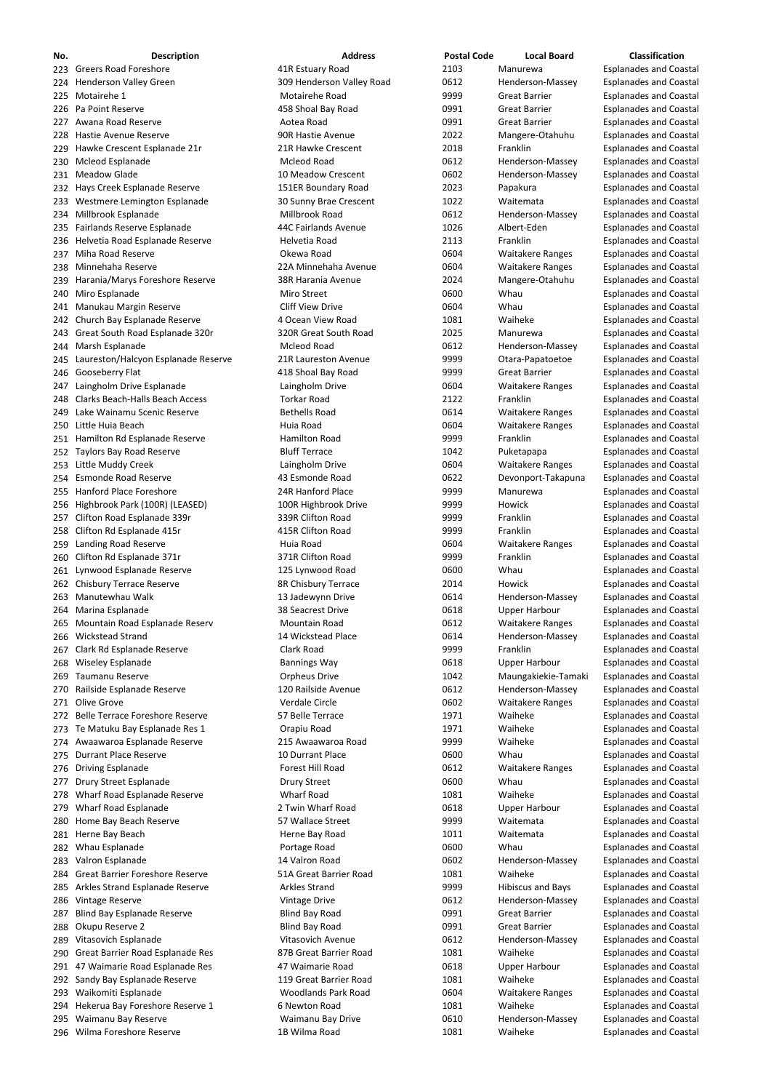| No. | <b>Description</b>                      | <b>Address</b>            | <b>Postal Code</b> | <b>Local Board</b>      | <b>Classification</b>         |
|-----|-----------------------------------------|---------------------------|--------------------|-------------------------|-------------------------------|
|     | 223 Greers Road Foreshore               | 41R Estuary Road          | 2103               | Manurewa                | <b>Esplanades and Coastal</b> |
|     | 224 Henderson Valley Green              | 309 Henderson Valley Road | 0612               | Henderson-Massey        | <b>Esplanades and Coastal</b> |
|     | 225 Motairehe 1                         | Motairehe Road            | 9999               | <b>Great Barrier</b>    | <b>Esplanades and Coastal</b> |
|     | 226 Pa Point Reserve                    | 458 Shoal Bay Road        | 0991               | <b>Great Barrier</b>    | <b>Esplanades and Coastal</b> |
|     | 227 Awana Road Reserve                  | Aotea Road                | 0991               | <b>Great Barrier</b>    | <b>Esplanades and Coastal</b> |
|     | 228 Hastie Avenue Reserve               | 90R Hastie Avenue         | 2022               | Mangere-Otahuhu         | <b>Esplanades and Coastal</b> |
|     | 229 Hawke Crescent Esplanade 21r        | 21R Hawke Crescent        | 2018               | Franklin                | <b>Esplanades and Coastal</b> |
|     | 230 Mcleod Esplanade                    | <b>Mcleod Road</b>        | 0612               | Henderson-Massey        | <b>Esplanades and Coastal</b> |
|     | 231 Meadow Glade                        | 10 Meadow Crescent        | 0602               | Henderson-Massey        | <b>Esplanades and Coastal</b> |
|     | 232 Hays Creek Esplanade Reserve        | 151ER Boundary Road       | 2023               | Papakura                | <b>Esplanades and Coastal</b> |
|     | 233 Westmere Lemington Esplanade        | 30 Sunny Brae Crescent    | 1022               | Waitemata               | <b>Esplanades and Coastal</b> |
|     | 234 Millbrook Esplanade                 | Millbrook Road            | 0612               | Henderson-Massey        | <b>Esplanades and Coastal</b> |
|     | 235 Fairlands Reserve Esplanade         | 44C Fairlands Avenue      | 1026               | Albert-Eden             | <b>Esplanades and Coastal</b> |
|     | 236 Helvetia Road Esplanade Reserve     | Helvetia Road             | 2113               | Franklin                | <b>Esplanades and Coastal</b> |
|     | 237 Miha Road Reserve                   | Okewa Road                | 0604               | <b>Waitakere Ranges</b> | <b>Esplanades and Coastal</b> |
|     | 238 Minnehaha Reserve                   | 22A Minnehaha Avenue      | 0604               | <b>Waitakere Ranges</b> | <b>Esplanades and Coastal</b> |
|     | 239 Harania/Marys Foreshore Reserve     | 38R Harania Avenue        | 2024               | Mangere-Otahuhu         | <b>Esplanades and Coastal</b> |
|     | 240 Miro Esplanade                      | Miro Street               | 0600               | Whau                    | <b>Esplanades and Coastal</b> |
|     | 241 Manukau Margin Reserve              | <b>Cliff View Drive</b>   | 0604               | Whau                    | <b>Esplanades and Coastal</b> |
|     | 242 Church Bay Esplanade Reserve        | 4 Ocean View Road         | 1081               | Waiheke                 | <b>Esplanades and Coastal</b> |
|     | 243 Great South Road Esplanade 320r     | 320R Great South Road     | 2025               | Manurewa                | <b>Esplanades and Coastal</b> |
|     | 244 Marsh Esplanade                     | <b>Mcleod Road</b>        | 0612               | Henderson-Massey        | <b>Esplanades and Coastal</b> |
|     | 245 Laureston/Halcyon Esplanade Reserve | 21R Laureston Avenue      | 9999               | Otara-Papatoetoe        | <b>Esplanades and Coastal</b> |
|     | 246 Gooseberry Flat                     | 418 Shoal Bay Road        | 9999               | <b>Great Barrier</b>    | <b>Esplanades and Coastal</b> |
|     | 247 Laingholm Drive Esplanade           | Laingholm Drive           | 0604               | <b>Waitakere Ranges</b> | <b>Esplanades and Coastal</b> |
|     | 248 Clarks Beach-Halls Beach Access     | <b>Torkar Road</b>        | 2122               | Franklin                | <b>Esplanades and Coastal</b> |
|     | 249 Lake Wainamu Scenic Reserve         | <b>Bethells Road</b>      | 0614               | <b>Waitakere Ranges</b> | <b>Esplanades and Coastal</b> |
|     | 250 Little Huia Beach                   | Huia Road                 | 0604               | <b>Waitakere Ranges</b> | <b>Esplanades and Coastal</b> |
|     | 251 Hamilton Rd Esplanade Reserve       | <b>Hamilton Road</b>      | 9999               | Franklin                | <b>Esplanades and Coastal</b> |
|     | 252 Taylors Bay Road Reserve            | <b>Bluff Terrace</b>      | 1042               | Puketapapa              | <b>Esplanades and Coastal</b> |
|     | 253 Little Muddy Creek                  | Laingholm Drive           | 0604               | <b>Waitakere Ranges</b> | <b>Esplanades and Coastal</b> |
|     | 254 Esmonde Road Reserve                | 43 Esmonde Road           | 0622               | Devonport-Takapuna      | <b>Esplanades and Coastal</b> |
|     | 255 Hanford Place Foreshore             | 24R Hanford Place         | 9999               | Manurewa                | <b>Esplanades and Coastal</b> |
|     | 256 Highbrook Park (100R) (LEASED)      | 100R Highbrook Drive      | 9999               | Howick                  | <b>Esplanades and Coastal</b> |
|     | 257 Clifton Road Esplanade 339r         | 339R Clifton Road         | 9999               | Franklin                | <b>Esplanades and Coastal</b> |
|     | 258 Clifton Rd Esplanade 415r           | 415R Clifton Road         | 9999               | Franklin                | <b>Esplanades and Coastal</b> |
|     | 259 Landing Road Reserve                | Huia Road                 | 0604               | <b>Waitakere Ranges</b> | <b>Esplanades and Coastal</b> |
|     | 260 Clifton Rd Esplanade 371r           | 371R Clifton Road         | 9999               | Franklin                | <b>Esplanades and Coastal</b> |
|     | 261 Lynwood Esplanade Reserve           | 125 Lynwood Road          | 0600               | Whau                    | <b>Esplanades and Coastal</b> |
|     | 262 Chisbury Terrace Reserve            | 8R Chisbury Terrace       | 2014               | Howick                  | <b>Esplanades and Coastal</b> |
|     | 263 Manutewhau Walk                     | 13 Jadewynn Drive         | 0614               | Henderson-Massey        | <b>Esplanades and Coastal</b> |
|     | 264 Marina Esplanade                    | 38 Seacrest Drive         | 0618               | <b>Upper Harbour</b>    | <b>Esplanades and Coastal</b> |
|     | 265 Mountain Road Esplanade Reserv      | <b>Mountain Road</b>      | 0612               | <b>Waitakere Ranges</b> | <b>Esplanades and Coastal</b> |
|     | 266 Wickstead Strand                    | 14 Wickstead Place        | 0614               | Henderson-Massey        | <b>Esplanades and Coastal</b> |
|     | 267 Clark Rd Esplanade Reserve          | Clark Road                | 9999               | Franklin                | <b>Esplanades and Coastal</b> |
|     | 268 Wiseley Esplanade                   | <b>Bannings Way</b>       | 0618               | <b>Upper Harbour</b>    | <b>Esplanades and Coastal</b> |
|     | 269 Taumanu Reserve                     | <b>Orpheus Drive</b>      | 1042               | Maungakiekie-Tamaki     | <b>Esplanades and Coastal</b> |
|     | 270 Railside Esplanade Reserve          | 120 Railside Avenue       | 0612               | Henderson-Massey        | <b>Esplanades and Coastal</b> |
|     | 271 Olive Grove                         | Verdale Circle            | 0602               | <b>Waitakere Ranges</b> | <b>Esplanades and Coastal</b> |
|     | 272 Belle Terrace Foreshore Reserve     | 57 Belle Terrace          | 1971               | Waiheke                 | <b>Esplanades and Coastal</b> |
|     | 273 Te Matuku Bay Esplanade Res 1       | Orapiu Road               | 1971               | Waiheke                 | <b>Esplanades and Coastal</b> |
|     | 274 Awaawaroa Esplanade Reserve         | 215 Awaawaroa Road        | 9999               | Waiheke                 | <b>Esplanades and Coastal</b> |
|     | 275 Durrant Place Reserve               | 10 Durrant Place          | 0600               | Whau                    | <b>Esplanades and Coastal</b> |
|     | 276 Driving Esplanade                   | Forest Hill Road          | 0612               | <b>Waitakere Ranges</b> | <b>Esplanades and Coastal</b> |
|     | 277 Drury Street Esplanade              | <b>Drury Street</b>       | 0600               | Whau                    | <b>Esplanades and Coastal</b> |
|     | 278 Wharf Road Esplanade Reserve        | <b>Wharf Road</b>         | 1081               | Waiheke                 | <b>Esplanades and Coastal</b> |
|     | 279 Wharf Road Esplanade                | 2 Twin Wharf Road         | 0618               | <b>Upper Harbour</b>    | <b>Esplanades and Coastal</b> |
|     |                                         |                           |                    |                         |                               |

 Home Bay Beach Reserve 57 Wallace Street 9999 Waitemata Esplanades and Coastal 281 Herne Bay Beach **Herne Bay Road** 1011 Waitemata Esplanades and Coastal bases and Coastal 282 Whau Esplanade **1983** Portage Road 1986 Coastal Coastal Esplanades and Coastal 283 Valron Esplanade 14 Valron Road 14 Valron Road 14 Valron Road 14 Valron Road 2002 Henderson-Massey Esplanades and Coastal 284 Great Barrier Foreshore Reserve 51A Great Barrier Road 1081 Waiheke Esplanades and Coastal 285 Arkles Strand Esplanade Reserve **Arkles Strand** 1999 9999 Hibiscus and Bays Esplanades and Coastal 286 Vintage Reserve **Vintage Drive** Vintage Drive **Communist Constructs Accord Massey** Esplanades and Coastal 287 Blind Bay Esplanade Reserve **Blind Bay Road** 6991 Great Barrier Esplanades and Coastal 288 Okupu Reserve 2 **Computer Constructs Constructs Constructs** Blind Bay Road **Constructs Constructs Constructs** Coastal 289 Vitasovich Esplanade Sand Coastal Vitasovich Avenue Coastal Coastal Henderson-Massey Esplanades and Coastal 290 Great Barrier Road Esplanade Res 687B Great Barrier Road 1081 Waiheke Esplanades and Coastal 291 47 Waimarie Road Esplanade Res **47 Waimarie Road 1988 1988 Upper Harbour** Esplanades and Coastal 292 Sandy Bay Esplanade Reserve **119 Great Barrier Road** 1081 Waiheke Esplanades and Coastal 293 Waikomiti Esplanade **Notalla Explanation Coastal** Woodlands Park Road **1986** UG604 Waitakere Ranges Esplanades and Coastal 294 Hekerua Bay Foreshore Reserve 1 6 Newton Road 1081 Waiheke Esplanades and Coastal 295 Waimanu Bay Reserve The Maimanu Bay Drive The Coast Menderson-Massey Esplanades and Coastal 296 Wilma Foreshore Reserve **1B Wilma Road** 1081 Waiheke Esplanades and Coastal

| 1011 | Waitemata           |
|------|---------------------|
| 0600 | Whau                |
| 0602 | Henderson-I         |
| 1081 | Waiheke             |
| 9999 | Hibiscus anc        |
| 0612 | Henderson-l         |
| 0991 | <b>Great Barrie</b> |
| 0991 | <b>Great Barrie</b> |
| 0612 | Henderson-I         |
| 1081 | Waiheke             |
| 0618 | <b>Upper Harbo</b>  |
| 1081 | Waiheke             |
| 0604 | Waitakere R         |
| 1081 | Waiheke             |
| 0610 | Henderson-I         |
| 1081 | Waiheke             |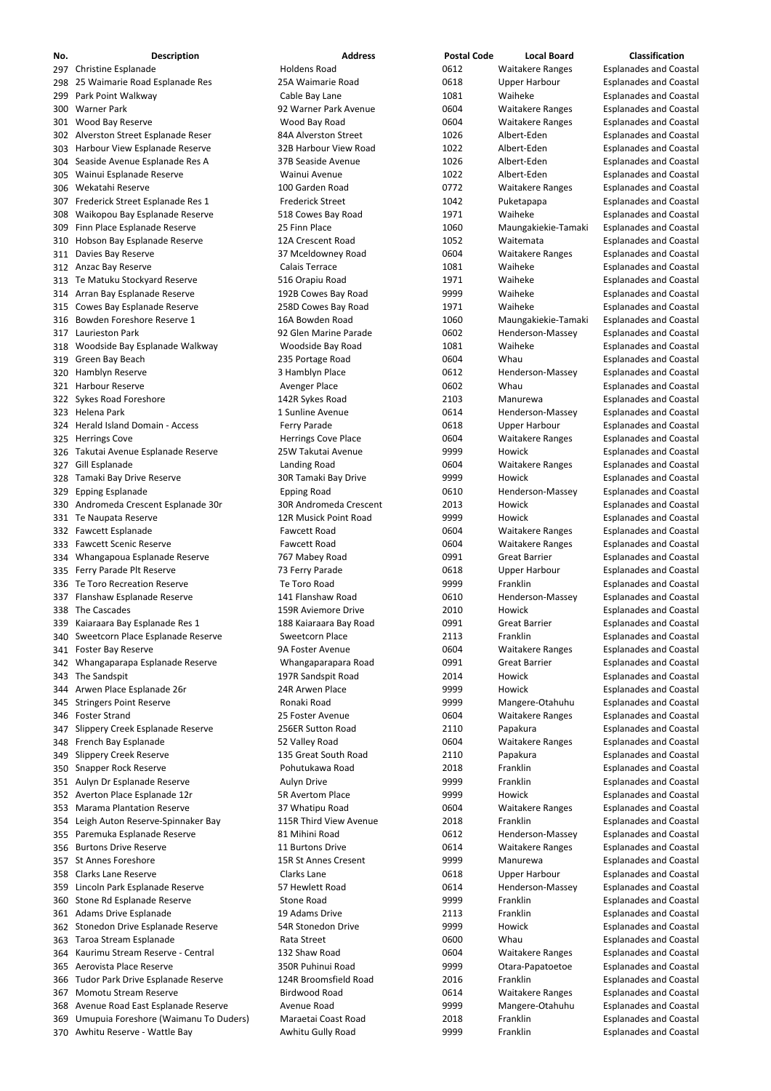| No. | <b>Description</b>                    | <b>Address</b>             | <b>Postal Code</b> | <b>Local Board</b>      | <b>Classification</b>         |
|-----|---------------------------------------|----------------------------|--------------------|-------------------------|-------------------------------|
|     | 297 Christine Esplanade               | <b>Holdens Road</b>        | 0612               | <b>Waitakere Ranges</b> | <b>Esplanades and Coastal</b> |
|     | 298 25 Waimarie Road Esplanade Res    | 25A Waimarie Road          | 0618               | <b>Upper Harbour</b>    | <b>Esplanades and Coastal</b> |
|     | 299 Park Point Walkway                | Cable Bay Lane             | 1081               | Waiheke                 | <b>Esplanades and Coastal</b> |
|     | 300 Warner Park                       | 92 Warner Park Avenue      | 0604               | <b>Waitakere Ranges</b> | <b>Esplanades and Coastal</b> |
|     | 301 Wood Bay Reserve                  | Wood Bay Road              | 0604               | <b>Waitakere Ranges</b> | <b>Esplanades and Coastal</b> |
|     | 302 Alverston Street Esplanade Reser  | 84A Alverston Street       | 1026               | Albert-Eden             | <b>Esplanades and Coastal</b> |
|     | 303 Harbour View Esplanade Reserve    | 32B Harbour View Road      | 1022               | Albert-Eden             | <b>Esplanades and Coastal</b> |
|     | 304 Seaside Avenue Esplanade Res A    | 37B Seaside Avenue         | 1026               | Albert-Eden             | <b>Esplanades and Coastal</b> |
|     | 305 Wainui Esplanade Reserve          | Wainui Avenue              | 1022               | Albert-Eden             | <b>Esplanades and Coastal</b> |
|     | 306 Wekatahi Reserve                  | 100 Garden Road            | 0772               | <b>Waitakere Ranges</b> | <b>Esplanades and Coastal</b> |
|     | 307 Frederick Street Esplanade Res 1  | <b>Frederick Street</b>    | 1042               | Puketapapa              | <b>Esplanades and Coastal</b> |
|     | 308 Waikopou Bay Esplanade Reserve    | 518 Cowes Bay Road         | 1971               | Waiheke                 | <b>Esplanades and Coastal</b> |
|     | 309 Finn Place Esplanade Reserve      | 25 Finn Place              | 1060               | Maungakiekie-Tamaki     | <b>Esplanades and Coastal</b> |
|     | 310 Hobson Bay Esplanade Reserve      | 12A Crescent Road          | 1052               | Waitemata               | <b>Esplanades and Coastal</b> |
|     | 311 Davies Bay Reserve                | 37 Mceldowney Road         | 0604               | <b>Waitakere Ranges</b> | <b>Esplanades and Coastal</b> |
|     | 312 Anzac Bay Reserve                 | Calais Terrace             | 1081               | Waiheke                 | <b>Esplanades and Coastal</b> |
|     | 313 Te Matuku Stockyard Reserve       | 516 Orapiu Road            | 1971               | Waiheke                 | <b>Esplanades and Coastal</b> |
|     | 314 Arran Bay Esplanade Reserve       | 192B Cowes Bay Road        | 9999               | Waiheke                 | <b>Esplanades and Coastal</b> |
|     | 315 Cowes Bay Esplanade Reserve       | 258D Cowes Bay Road        | 1971               | Waiheke                 | <b>Esplanades and Coastal</b> |
|     | 316 Bowden Foreshore Reserve 1        | 16A Bowden Road            | 1060               | Maungakiekie-Tamaki     | <b>Esplanades and Coastal</b> |
|     | 317 Laurieston Park                   | 92 Glen Marine Parade      | 0602               | Henderson-Massey        | <b>Esplanades and Coastal</b> |
|     | 318 Woodside Bay Esplanade Walkway    | Woodside Bay Road          | 1081               | Waiheke                 | <b>Esplanades and Coastal</b> |
|     | 319 Green Bay Beach                   | 235 Portage Road           | 0604               | Whau                    | <b>Esplanades and Coastal</b> |
|     | 320 Hamblyn Reserve                   | 3 Hamblyn Place            | 0612               | Henderson-Massey        | <b>Esplanades and Coastal</b> |
|     | 321 Harbour Reserve                   | Avenger Place              | 0602               | Whau                    | <b>Esplanades and Coastal</b> |
|     | 322 Sykes Road Foreshore              | 142R Sykes Road            | 2103               | Manurewa                | <b>Esplanades and Coastal</b> |
|     | 323 Helena Park                       | 1 Sunline Avenue           | 0614               | Henderson-Massey        | <b>Esplanades and Coastal</b> |
|     | 324 Herald Island Domain - Access     | Ferry Parade               | 0618               | <b>Upper Harbour</b>    | <b>Esplanades and Coastal</b> |
|     | 325 Herrings Cove                     | <b>Herrings Cove Place</b> | 0604               | <b>Waitakere Ranges</b> | <b>Esplanades and Coastal</b> |
|     | 326 Takutai Avenue Esplanade Reserve  | 25W Takutai Avenue         | 9999               | Howick                  | <b>Esplanades and Coastal</b> |
|     | 327 Gill Esplanade                    | Landing Road               | 0604               | <b>Waitakere Ranges</b> | <b>Esplanades and Coastal</b> |
|     | 328 Tamaki Bay Drive Reserve          | 30R Tamaki Bay Drive       | 9999               | Howick                  | <b>Esplanades and Coastal</b> |
|     | 329 Epping Esplanade                  | <b>Epping Road</b>         | 0610               | Henderson-Massey        | <b>Esplanades and Coastal</b> |
|     | 330 Andromeda Crescent Esplanade 30r  | 30R Andromeda Crescent     | 2013               | Howick                  | <b>Esplanades and Coastal</b> |
|     | 331 Te Naupata Reserve                | 12R Musick Point Road      | 9999               | <b>Howick</b>           | <b>Esplanades and Coastal</b> |
|     | 332 Fawcett Esplanade                 | <b>Fawcett Road</b>        | 0604               | <b>Waitakere Ranges</b> | <b>Esplanades and Coastal</b> |
|     | 333 Fawcett Scenic Reserve            | <b>Fawcett Road</b>        | 0604               | <b>Waitakere Ranges</b> | <b>Esplanades and Coastal</b> |
|     | 334 Whangapoua Esplanade Reserve      | 767 Mabey Road             | 0991               | <b>Great Barrier</b>    | <b>Esplanades and Coastal</b> |
|     | 335 Ferry Parade Plt Reserve          | 73 Ferry Parade            | 0618               | <b>Upper Harbour</b>    | <b>Esplanades and Coastal</b> |
|     | 336 Te Toro Recreation Reserve        | Te Toro Road               | 9999               | Franklin                | <b>Esplanades and Coastal</b> |
|     | 337 Flanshaw Esplanade Reserve        | 141 Flanshaw Road          | 0610               | Henderson-Massey        | <b>Esplanades and Coastal</b> |
|     | 338 The Cascades                      | 159R Aviemore Drive        | 2010               | Howick                  | <b>Esplanades and Coastal</b> |
|     | 339 Kaiaraara Bay Esplanade Res 1     | 188 Kaiaraara Bay Road     | 0991               | <b>Great Barrier</b>    | <b>Esplanades and Coastal</b> |
|     | 340 Sweetcorn Place Esplanade Reserve | Sweetcorn Place            | 2113               | Franklin                | <b>Esplanades and Coastal</b> |
|     | 341 Foster Bay Reserve                | 9A Foster Avenue           | 0604               | <b>Waitakere Ranges</b> | <b>Esplanades and Coastal</b> |
|     | 342 Whangaparapa Esplanade Reserve    | Whangaparapara Road        | 0991               | <b>Great Barrier</b>    | <b>Esplanades and Coastal</b> |
|     | 343 The Sandspit                      | 197R Sandspit Road         | 2014               | Howick                  | <b>Esplanades and Coastal</b> |
|     | 344 Arwen Place Esplanade 26r         | 24R Arwen Place            | 9999               | Howick                  | <b>Esplanades and Coastal</b> |
|     | 345 Stringers Point Reserve           | Ronaki Road                | 9999               | Mangere-Otahuhu         | <b>Esplanades and Coastal</b> |
|     | 346 Foster Strand                     | 25 Foster Avenue           | 0604               | <b>Waitakere Ranges</b> | <b>Esplanades and Coastal</b> |
|     | 347 Slippery Creek Esplanade Reserve  | 256ER Sutton Road          | 2110               | Papakura                | <b>Esplanades and Coastal</b> |
|     | 348 French Bay Esplanade              | 52 Valley Road             | 0604               | <b>Waitakere Ranges</b> | <b>Esplanades and Coastal</b> |
|     | 349 Slippery Creek Reserve            | 135 Great South Road       | 2110               | Papakura                | <b>Esplanades and Coastal</b> |
|     | 350 Snapper Rock Reserve              | Pohutukawa Road            | 2018               | Franklin                | <b>Esplanades and Coastal</b> |
|     | 351 Aulyn Dr Esplanade Reserve        | <b>Aulyn Drive</b>         | 9999               | Franklin                | <b>Esplanades and Coastal</b> |
|     | 352 Averton Place Esplanade 12r       | <b>5R Avertom Place</b>    | 9999               | Howick                  | <b>Esplanades and Coastal</b> |
|     | 353 Marama Plantation Reserve         | 37 Whatipu Road            | 0604               | <b>Waitakere Ranges</b> | <b>Esplanades and Coastal</b> |

354 Leigh Auton Reserve-Spinnaker Bay **115R Third View Avenue** 2018 Franklin Franklin Esplanades and Coastal 355 Paremuka Esplanade Reserve **81 Mihini Road** 6612 Henderson-Massey Esplanades and Coastal Burtons Drive Reserve 11 Burtons Drive 0614 Waitakere Ranges Esplanades and Coastal 357 St Annes Foreshore **15R St Annes Cresent** 9999 Manurewa Esplanades and Coastal Clarks Lane Reserve Clarks Lane 0618 Upper Harbour Esplanades and Coastal 359 Lincoln Park Esplanade Reserve 57 Hewlett Road 19614 Henderson-Massey Esplanades and Coastal 360 Stone Rd Esplanade Reserve **Stone Road** Stone Road Stone Road Stone Road Stone Stone and Coastal Adams Drive Esplanade 19 Adams Drive 2113 Franklin Esplanades and Coastal 362 Stonedon Drive Esplanade Reserve 54R Stonedon Drive 5999 9999 Howick Esplanades and Coastal 363 Taroa Stream Esplanade **Rata Street** Rata Street 6600 Whau Esplanades and Coastal 364 Kaurimu Stream Reserve - Central 132 Shaw Road 132 Shaw Road 132 Shaw Road 20604 Waitakere Ranges Esplanades and Coastal 365 Aerovista Place Reserve **350R Puhinui Road** 350R Puhinui Road 9999 Otara-Papatoetoe Esplanades and Coastal Tudor Park Drive Esplanade Reserve 124R Broomsfield Road 2016 Franklin Esplanades and Coastal 367 Momotu Stream Reserve **Birdwood Road** 19614 Unital Maitakere Ranges Esplanades and Coastal 368 Avenue Road East Esplanade Reserve **Avenue Road Mangere** 9999 Mangere-Otahuhu Esplanades and Coastal 369 Umupuia Foreshore (Waimanu To Duders) Maraetai Coast Road 2018 Franklin Esplanades and Coastal 370 Awhitu Reserve - Wattle Bay **Awhitu Gully Road** 1999 9999 Franklin Esplanades and Coastal

| 0612 | Hendersor  |
|------|------------|
| 0614 | Waitakere  |
| 9999 | Manurewa   |
| 0618 | Upper Har  |
| 0614 | Hendersor  |
| 9999 | Franklin   |
| 2113 | Franklin   |
| 9999 | Howick     |
| 0600 | Whau       |
| 0604 | Waitakere  |
| 9999 | Otara-Papa |
| 2016 | Franklin   |
| 0614 | Waitakere  |
| 9999 | Mangere-C  |
| 2018 | Franklin   |
| 9999 | Franklin   |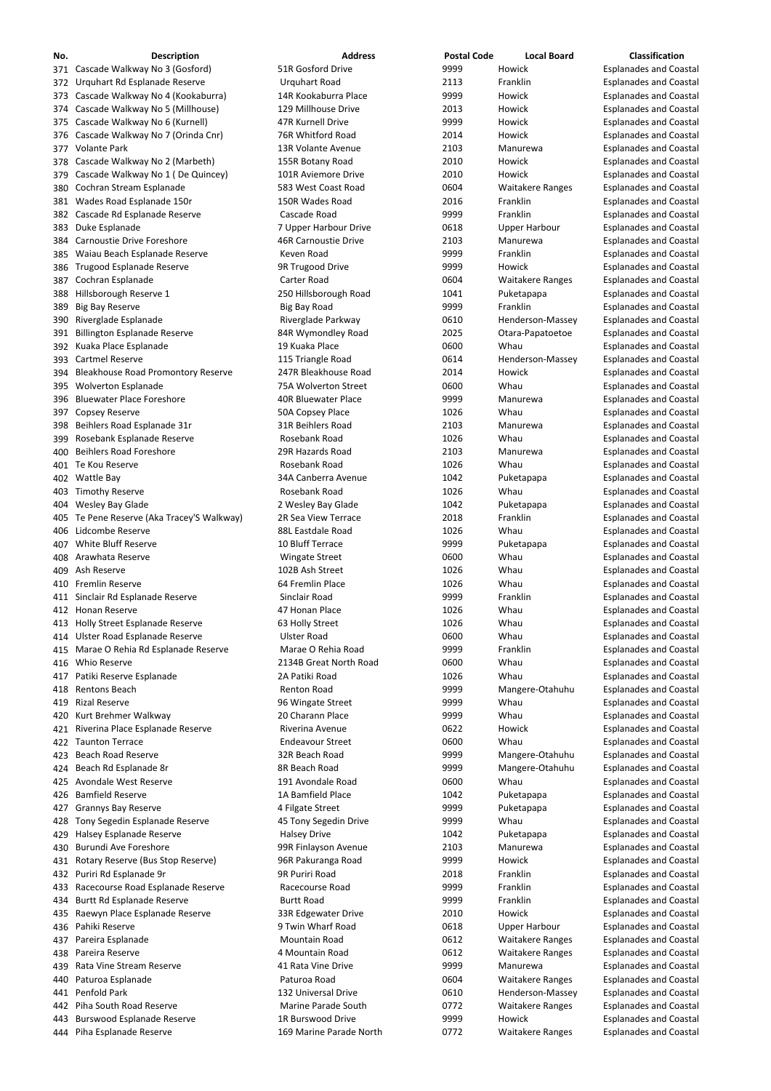| No. | <b>Description</b>                         | <b>Address</b>              | <b>Postal Code</b> | <b>Local Board</b>      | Classification                |
|-----|--------------------------------------------|-----------------------------|--------------------|-------------------------|-------------------------------|
|     | 371 Cascade Walkway No 3 (Gosford)         | 51R Gosford Drive           | 9999               | Howick                  | <b>Esplanades and Coastal</b> |
|     | 372 Urquhart Rd Esplanade Reserve          | <b>Urquhart Road</b>        | 2113               | Franklin                | <b>Esplanades and Coastal</b> |
|     | 373 Cascade Walkway No 4 (Kookaburra)      | 14R Kookaburra Place        | 9999               | Howick                  | <b>Esplanades and Coastal</b> |
|     | 374 Cascade Walkway No 5 (Millhouse)       | 129 Millhouse Drive         | 2013               | Howick                  | <b>Esplanades and Coastal</b> |
|     | 375 Cascade Walkway No 6 (Kurnell)         | 47R Kurnell Drive           | 9999               | Howick                  | <b>Esplanades and Coastal</b> |
|     | 376 Cascade Walkway No 7 (Orinda Cnr)      | 76R Whitford Road           | 2014               | Howick                  | <b>Esplanades and Coastal</b> |
|     | 377 Volante Park                           | 13R Volante Avenue          | 2103               | Manurewa                | <b>Esplanades and Coastal</b> |
|     | 378 Cascade Walkway No 2 (Marbeth)         | 155R Botany Road            | 2010               | Howick                  | <b>Esplanades and Coastal</b> |
|     | 379 Cascade Walkway No 1 (De Quincey)      | 101R Aviemore Drive         | 2010               | Howick                  | <b>Esplanades and Coastal</b> |
|     | 380 Cochran Stream Esplanade               | 583 West Coast Road         | 0604               | <b>Waitakere Ranges</b> | <b>Esplanades and Coastal</b> |
|     | 381 Wades Road Esplanade 150r              | 150R Wades Road             | 2016               | Franklin                | <b>Esplanades and Coastal</b> |
|     | 382 Cascade Rd Esplanade Reserve           | Cascade Road                | 9999               | Franklin                | <b>Esplanades and Coastal</b> |
|     | 383 Duke Esplanade                         | 7 Upper Harbour Drive       | 0618               | <b>Upper Harbour</b>    | <b>Esplanades and Coastal</b> |
|     | 384 Carnoustie Drive Foreshore             | <b>46R Carnoustie Drive</b> | 2103               | Manurewa                | <b>Esplanades and Coastal</b> |
|     | 385 Waiau Beach Esplanade Reserve          | Keven Road                  | 9999               | Franklin                | <b>Esplanades and Coastal</b> |
|     | 386 Trugood Esplanade Reserve              | 9R Trugood Drive            | 9999               | Howick                  | <b>Esplanades and Coastal</b> |
|     | 387 Cochran Esplanade                      | <b>Carter Road</b>          | 0604               | <b>Waitakere Ranges</b> | <b>Esplanades and Coastal</b> |
|     | 388 Hillsborough Reserve 1                 | 250 Hillsborough Road       | 1041               | Puketapapa              | <b>Esplanades and Coastal</b> |
| 389 | <b>Big Bay Reserve</b>                     | Big Bay Road                | 9999               | Franklin                | <b>Esplanades and Coastal</b> |
|     | 390 Riverglade Esplanade                   | Riverglade Parkway          | 0610               | Henderson-Massey        | <b>Esplanades and Coastal</b> |
|     | 391 Billington Esplanade Reserve           | 84R Wymondley Road          | 2025               | Otara-Papatoetoe        | <b>Esplanades and Coastal</b> |
|     | 392 Kuaka Place Esplanade                  | 19 Kuaka Place              | 0600               | Whau                    | <b>Esplanades and Coastal</b> |
|     | 393 Cartmel Reserve                        | 115 Triangle Road           | 0614               | Henderson-Massey        | <b>Esplanades and Coastal</b> |
|     | 394 Bleakhouse Road Promontory Reserve     | 247R Bleakhouse Road        | 2014               | Howick                  | <b>Esplanades and Coastal</b> |
|     | 395 Wolverton Esplanade                    | 75A Wolverton Street        | 0600               | Whau                    | <b>Esplanades and Coastal</b> |
|     | 396 Bluewater Place Foreshore              | <b>40R Bluewater Place</b>  | 9999               | Manurewa                | <b>Esplanades and Coastal</b> |
|     | 397 Copsey Reserve                         | 50A Copsey Place            | 1026               | Whau                    | <b>Esplanades and Coastal</b> |
|     | 398 Beihlers Road Esplanade 31r            | 31R Beihlers Road           | 2103               | Manurewa                | <b>Esplanades and Coastal</b> |
|     | 399 Rosebank Esplanade Reserve             | Rosebank Road               | 1026               | Whau                    | <b>Esplanades and Coastal</b> |
|     | 400 Beihlers Road Foreshore                | 29R Hazards Road            | 2103               | Manurewa                | <b>Esplanades and Coastal</b> |
|     | 401 Te Kou Reserve                         | Rosebank Road               | 1026               | Whau                    | <b>Esplanades and Coastal</b> |
|     | 402 Wattle Bay                             | 34A Canberra Avenue         | 1042               | Puketapapa              | <b>Esplanades and Coastal</b> |
|     | 403 Timothy Reserve                        | Rosebank Road               | 1026               | Whau                    | <b>Esplanades and Coastal</b> |
|     | 404 Wesley Bay Glade                       | 2 Wesley Bay Glade          | 1042               | Puketapapa              | <b>Esplanades and Coastal</b> |
|     | 405 Te Pene Reserve (Aka Tracey'S Walkway) | 2R Sea View Terrace         | 2018               | Franklin                | <b>Esplanades and Coastal</b> |
|     | 406 Lidcombe Reserve                       | 88L Eastdale Road           | 1026               | Whau                    | <b>Esplanades and Coastal</b> |
|     | 407 White Bluff Reserve                    | 10 Bluff Terrace            | 9999               | Puketapapa              | <b>Esplanades and Coastal</b> |
|     | 408 Arawhata Reserve                       | <b>Wingate Street</b>       | 0600               | Whau                    | <b>Esplanades and Coastal</b> |
|     | 409 Ash Reserve                            | 102B Ash Street             | 1026               | Whau                    | <b>Esplanades and Coastal</b> |
|     | 410 Fremlin Reserve                        | 64 Fremlin Place            | 1026               | Whau                    | <b>Esplanades and Coastal</b> |
|     | 411 Sinclair Rd Esplanade Reserve          | Sinclair Road               | 9999               | Franklin                | <b>Esplanades and Coastal</b> |
|     | 412 Honan Reserve                          | 47 Honan Place              | 1026               | Whau                    | <b>Esplanades and Coastal</b> |
|     | 413 Holly Street Esplanade Reserve         | 63 Holly Street             | 1026               | Whau                    | <b>Esplanades and Coastal</b> |
|     | 414 Ulster Road Esplanade Reserve          | <b>Ulster Road</b>          | 0600               | Whau                    | <b>Esplanades and Coastal</b> |
|     | 415 Marae O Rehia Rd Esplanade Reserve     | Marae O Rehia Road          | 9999               | Franklin                | <b>Esplanades and Coastal</b> |
|     | 416 Whio Reserve                           | 2134B Great North Road      | 0600               | Whau                    | <b>Esplanades and Coastal</b> |
|     | 417 Patiki Reserve Esplanade               | 2A Patiki Road              | 1026               | Whau                    | <b>Esplanades and Coastal</b> |
|     | 418 Rentons Beach                          | <b>Renton Road</b>          | 9999               | Mangere-Otahuhu         | <b>Esplanades and Coastal</b> |
|     | 419 Rizal Reserve                          | 96 Wingate Street           | 9999               | Whau                    | <b>Esplanades and Coastal</b> |
|     | 420 Kurt Brehmer Walkway                   | 20 Charann Place            | 9999               | Whau                    | <b>Esplanades and Coastal</b> |
|     | 421 Riverina Place Esplanade Reserve       | Riverina Avenue             | 0622               | Howick                  | <b>Esplanades and Coastal</b> |
|     | 422 Taunton Terrace                        | <b>Endeavour Street</b>     | 0600               | Whau                    | <b>Esplanades and Coastal</b> |
|     | 423 Beach Road Reserve                     | 32R Beach Road              | 9999               | Mangere-Otahuhu         | <b>Esplanades and Coastal</b> |
|     | 424 Beach Rd Esplanade 8r                  | 8R Beach Road               | 9999               | Mangere-Otahuhu         | <b>Esplanades and Coastal</b> |
|     | 425 Avondale West Reserve                  | 191 Avondale Road           | 0600               | Whau                    | <b>Esplanades and Coastal</b> |
|     | 426 Bamfield Reserve                       | 1A Bamfield Place           | 1042               | Puketapapa              | <b>Esplanades and Coastal</b> |
|     | 427 Grannys Bay Reserve                    | 4 Filgate Street            | 9999               | Puketapapa              | <b>Esplanades and Coastal</b> |

- 
- Burundi Ave Foreshore 99R Finlayson Avenue 2103 Manurewa Esplanades and Coastal
- 431 Rotary Reserve (Bus Stop Reserve) 96R Pakuranga Road 9999 Howick Esplanades and Coastal
- 432 Puriri Rd Esplanade 9r **1988 Coastal Struck Australia 12018** Franklin Franklin Esplanades and Coastal
- 433 Racecourse Road Esplanade Reserve **Racecourse Road** 1999 9999 Franklin 1999 Esplanades and Coastal
- 434 Burtt Rd Esplanade Reserve **Burtt Road** Burtt Road **1999** Franklin Esplanades and Coastal
- 435 Raewyn Place Esplanade Reserve **33R Edgewater Drive** 2010 Howick Esplanades and Coastal
- 
- 
- 
- 439 Rata Vine Stream Reserve **1988 Manurewa** A1 Rata Vine Drive **1999 Manurewa Manurewa** Esplanades and Coastal
- 
- 
- 442 Piha South Road Reserve **Marine Parade South** 0772 Waitakere Ranges Esplanades and Coastal
- 443 Burswood Esplanade Reserve **1R Burswood Drive** 18 80 1999 Howick Esplanades and Coastal
- 444 Piha Esplanade Reserve **169 Marine Parade North** 0772 Waitakere Ranges Esplanades and Coastal

428 Tony Segedin Esplanade Reserve **45 Tony Segedin Drive** 19999 9999 Whau Esplanades and Coastal 429 Halsey Esplanade Reserve **Halsey Drive Halsey Drive Halsey Drive** 1042 Puketapapa Esplanades and Coastal 436 Pahiki Reserve **19 Access 2018** 9 Twin Wharf Road 1996 Upper Harbour 20618 Upper Harbour Esplanades and Coastal 437 Pareira Esplanade **Mountain Road** 137 Mountain Road 20612 Waitakere Ranges Esplanades and Coastal 438 Pareira Reserve **120 Computer 100 Mountain Road** 138 Mountain 19612 Waitakere Ranges Esplanades and Coastal 440 Paturoa Esplanade **Paturoa Road** Paturoa Road 6604 Waitakere Ranges Esplanades and Coastal 441 Penfold Park 132 Universal Drive 132 Universal Drive 6610 Henderson-Massey Esplanades and Coastal

| 1042 | Puketapa  |
|------|-----------|
| 2103 | Manurev   |
| 9999 | Howick    |
| 2018 | Franklin  |
| 9999 | Franklin  |
| 9999 | Franklin  |
| 2010 | Howick    |
| 0618 | Upper Ha  |
| 0612 | Waitaker  |
| 0612 | Waitaker  |
| 9999 | Manurev   |
| 0604 | Waitaker  |
| 0610 | Henderso  |
| 0772 | Waitaker  |
| 9999 | Howick    |
| กรรว | u/aitakar |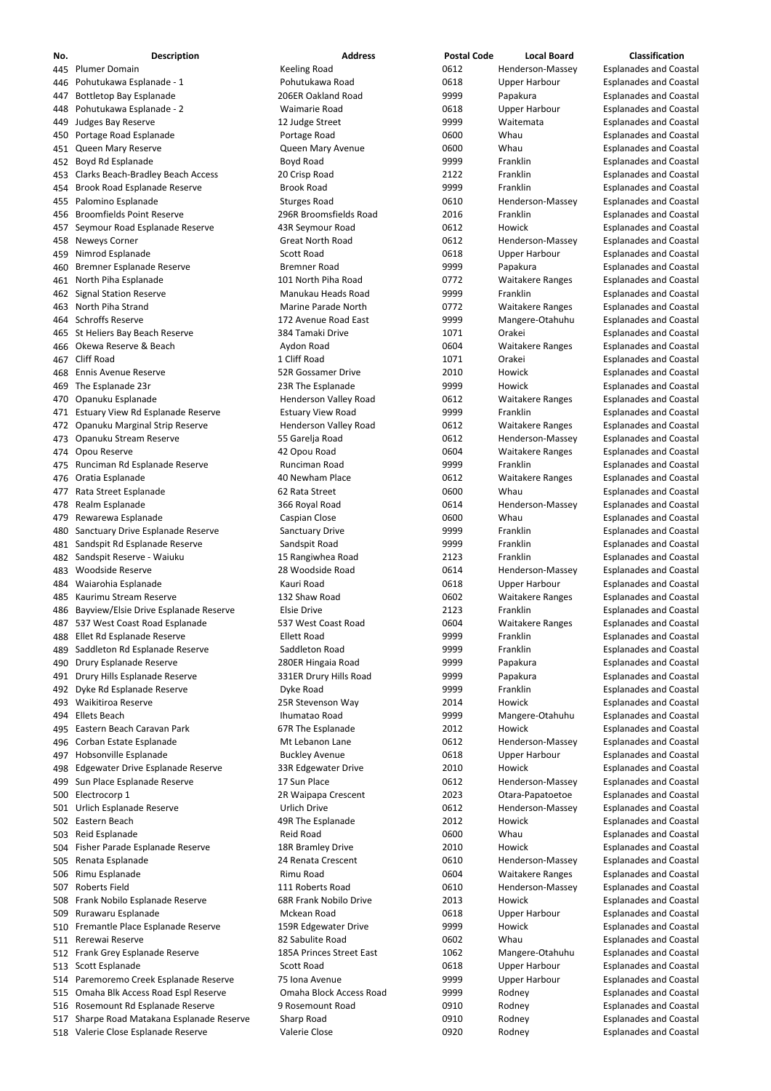| No.  | <b>Description</b>                       | <b>Address</b>               | <b>Postal Code</b> | <b>Local Board</b>      | <b>Classification</b>         |
|------|------------------------------------------|------------------------------|--------------------|-------------------------|-------------------------------|
|      | 445 Plumer Domain                        | <b>Keeling Road</b>          | 0612               | Henderson-Massey        | <b>Esplanades and Coastal</b> |
| 446  | Pohutukawa Esplanade - 1                 | Pohutukawa Road              | 0618               | <b>Upper Harbour</b>    | <b>Esplanades and Coastal</b> |
| 447  | <b>Bottletop Bay Esplanade</b>           | 206ER Oakland Road           | 9999               | Papakura                | <b>Esplanades and Coastal</b> |
| 448  | Pohutukawa Esplanade - 2                 | <b>Waimarie Road</b>         | 0618               | <b>Upper Harbour</b>    | <b>Esplanades and Coastal</b> |
| 449  | Judges Bay Reserve                       | 12 Judge Street              | 9999               | Waitemata               | <b>Esplanades and Coastal</b> |
| 450  | Portage Road Esplanade                   | Portage Road                 | 0600               | Whau                    | <b>Esplanades and Coastal</b> |
| 451  | Queen Mary Reserve                       | Queen Mary Avenue            | 0600               | Whau                    | <b>Esplanades and Coastal</b> |
| 452  | Boyd Rd Esplanade                        | Boyd Road                    | 9999               | Franklin                | <b>Esplanades and Coastal</b> |
| 453  | <b>Clarks Beach-Bradley Beach Access</b> | 20 Crisp Road                | 2122               | Franklin                | <b>Esplanades and Coastal</b> |
|      |                                          |                              | 9999               | Franklin                |                               |
| 454  | Brook Road Esplanade Reserve             | <b>Brook Road</b>            |                    |                         | <b>Esplanades and Coastal</b> |
| 455  | Palomino Esplanade                       | <b>Sturges Road</b>          | 0610               | Henderson-Massey        | <b>Esplanades and Coastal</b> |
| 456  | <b>Broomfields Point Reserve</b>         | 296R Broomsfields Road       | 2016               | Franklin                | <b>Esplanades and Coastal</b> |
| 457  | Seymour Road Esplanade Reserve           | 43R Seymour Road             | 0612               | Howick                  | <b>Esplanades and Coastal</b> |
| 458  | <b>Neweys Corner</b>                     | <b>Great North Road</b>      | 0612               | Henderson-Massey        | <b>Esplanades and Coastal</b> |
| 459  | Nimrod Esplanade                         | <b>Scott Road</b>            | 0618               | <b>Upper Harbour</b>    | <b>Esplanades and Coastal</b> |
| 460  | Bremner Esplanade Reserve                | <b>Bremner Road</b>          | 9999               | Papakura                | <b>Esplanades and Coastal</b> |
| 461  | North Piha Esplanade                     | 101 North Piha Road          | 0772               | <b>Waitakere Ranges</b> | <b>Esplanades and Coastal</b> |
|      | 462 Signal Station Reserve               | Manukau Heads Road           | 9999               | Franklin                | <b>Esplanades and Coastal</b> |
| 463  | North Piha Strand                        | Marine Parade North          | 0772               | <b>Waitakere Ranges</b> | <b>Esplanades and Coastal</b> |
|      | 464 Schroffs Reserve                     | 172 Avenue Road East         | 9999               | Mangere-Otahuhu         | <b>Esplanades and Coastal</b> |
|      | 465 St Heliers Bay Beach Reserve         | 384 Tamaki Drive             | 1071               | Orakei                  | <b>Esplanades and Coastal</b> |
| 466  | Okewa Reserve & Beach                    | Aydon Road                   | 0604               | <b>Waitakere Ranges</b> | <b>Esplanades and Coastal</b> |
| 467  | <b>Cliff Road</b>                        | 1 Cliff Road                 | 1071               | Orakei                  | <b>Esplanades and Coastal</b> |
| 468  | <b>Ennis Avenue Reserve</b>              | 52R Gossamer Drive           | 2010               | Howick                  | <b>Esplanades and Coastal</b> |
| 469  | The Esplanade 23r                        | 23R The Esplanade            | 9999               | Howick                  | <b>Esplanades and Coastal</b> |
| 470  | Opanuku Esplanade                        | Henderson Valley Road        | 0612               | <b>Waitakere Ranges</b> | <b>Esplanades and Coastal</b> |
|      |                                          |                              |                    |                         |                               |
| 471  | Estuary View Rd Esplanade Reserve        | <b>Estuary View Road</b>     | 9999               | Franklin                | <b>Esplanades and Coastal</b> |
| 472  | Opanuku Marginal Strip Reserve           | <b>Henderson Valley Road</b> | 0612               | <b>Waitakere Ranges</b> | <b>Esplanades and Coastal</b> |
| 473  | Opanuku Stream Reserve                   | 55 Garelja Road              | 0612               | Henderson-Massey        | <b>Esplanades and Coastal</b> |
| 474  | Opou Reserve                             | 42 Opou Road                 | 0604               | <b>Waitakere Ranges</b> | <b>Esplanades and Coastal</b> |
|      | 475 Runciman Rd Esplanade Reserve        | Runciman Road                | 9999               | Franklin                | <b>Esplanades and Coastal</b> |
| 476  | Oratia Esplanade                         | 40 Newham Place              | 0612               | <b>Waitakere Ranges</b> | <b>Esplanades and Coastal</b> |
| 477  | Rata Street Esplanade                    | 62 Rata Street               | 0600               | Whau                    | <b>Esplanades and Coastal</b> |
| 478  | Realm Esplanade                          | 366 Royal Road               | 0614               | Henderson-Massey        | <b>Esplanades and Coastal</b> |
| 479  | Rewarewa Esplanade                       | Caspian Close                | 0600               | Whau                    | <b>Esplanades and Coastal</b> |
| 480  | Sanctuary Drive Esplanade Reserve        | <b>Sanctuary Drive</b>       | 9999               | Franklin                | <b>Esplanades and Coastal</b> |
| 481  | Sandspit Rd Esplanade Reserve            | Sandspit Road                | 9999               | Franklin                | <b>Esplanades and Coastal</b> |
| 482  | Sandspit Reserve - Waiuku                | 15 Rangiwhea Road            | 2123               | Franklin                | <b>Esplanades and Coastal</b> |
| 483  | <b>Woodside Reserve</b>                  | 28 Woodside Road             | 0614               | Henderson-Massey        | <b>Esplanades and Coastal</b> |
| 484  | Waiarohia Esplanade                      | Kauri Road                   | 0618               | <b>Upper Harbour</b>    | <b>Esplanades and Coastal</b> |
|      | Kaurimu Stream Reserve                   | 132 Shaw Road                | 0602               |                         |                               |
| 485  |                                          |                              |                    | <b>Waitakere Ranges</b> | <b>Esplanades and Coastal</b> |
| 486  | Bayview/Elsie Drive Esplanade Reserve    | <b>Elsie Drive</b>           | 2123               | Franklin                | <b>Esplanades and Coastal</b> |
| 487  | 537 West Coast Road Esplanade            | 537 West Coast Road          | 0604               | <b>Waitakere Ranges</b> | <b>Esplanades and Coastal</b> |
| 488  | Ellet Rd Esplanade Reserve               | <b>Ellett Road</b>           | 9999               | Franklin                | <b>Esplanades and Coastal</b> |
| 489  | Saddleton Rd Esplanade Reserve           | Saddleton Road               | 9999               | Franklin                | <b>Esplanades and Coastal</b> |
| 490  | Drury Esplanade Reserve                  | 280ER Hingaia Road           | 9999               | Papakura                | <b>Esplanades and Coastal</b> |
| 491  | Drury Hills Esplanade Reserve            | 331ER Drury Hills Road       | 9999               | Papakura                | <b>Esplanades and Coastal</b> |
| 492  | Dyke Rd Esplanade Reserve                | Dyke Road                    | 9999               | Franklin                | <b>Esplanades and Coastal</b> |
| 493  | Waikitiroa Reserve                       | 25R Stevenson Way            | 2014               | Howick                  | <b>Esplanades and Coastal</b> |
|      | 494 Ellets Beach                         | Ihumatao Road                | 9999               | Mangere-Otahuhu         | <b>Esplanades and Coastal</b> |
|      | 495 Eastern Beach Caravan Park           | 67R The Esplanade            | 2012               | Howick                  | <b>Esplanades and Coastal</b> |
| 496  | Corban Estate Esplanade                  | Mt Lebanon Lane              | 0612               | Henderson-Massey        | <b>Esplanades and Coastal</b> |
| 497  | Hobsonville Esplanade                    | <b>Buckley Avenue</b>        | 0618               | <b>Upper Harbour</b>    | <b>Esplanades and Coastal</b> |
| 498  | Edgewater Drive Esplanade Reserve        | 33R Edgewater Drive          | 2010               | Howick                  | <b>Esplanades and Coastal</b> |
|      | 499 Sun Place Esplanade Reserve          | 17 Sun Place                 | 0612               | Henderson-Massey        | <b>Esplanades and Coastal</b> |
|      | 500 Electrocorp 1                        | 2R Waipapa Crescent          | 2023               | Otara-Papatoetoe        | <b>Esplanades and Coastal</b> |
|      | Urlich Esplanade Reserve                 | Urlich Drive                 | 0612               | Henderson-Massey        | <b>Esplanades and Coastal</b> |
| 501  |                                          |                              |                    |                         |                               |
|      | 502 Eastern Beach                        | 49R The Esplanade            | 2012               | Howick                  | <b>Esplanades and Coastal</b> |
| 503  | Reid Esplanade                           | <b>Reid Road</b>             | 0600               | Whau                    | <b>Esplanades and Coastal</b> |
|      | 504 Fisher Parade Esplanade Reserve      | 18R Bramley Drive            | 2010               | Howick                  | <b>Esplanades and Coastal</b> |
|      | 505 Renata Esplanade                     | 24 Renata Crescent           | 0610               | Henderson-Massey        | <b>Esplanades and Coastal</b> |
|      | 506 Rimu Esplanade                       | Rimu Road                    | 0604               | <b>Waitakere Ranges</b> | <b>Esplanades and Coastal</b> |
| 507. | <b>Roberts Field</b>                     | 111 Roberts Road             | 0610               | Henderson-Massey        | <b>Esplanades and Coastal</b> |
| 508  | Frank Nobilo Esplanade Reserve           | 68R Frank Nobilo Drive       | 2013               | Howick                  | <b>Esplanades and Coastal</b> |
| 509  | Rurawaru Esplanade                       | Mckean Road                  | 0618               | <b>Upper Harbour</b>    | <b>Esplanades and Coastal</b> |
|      | 510 Fremantle Place Esplanade Reserve    | 159R Edgewater Drive         | 9999               | Howick                  | <b>Esplanades and Coastal</b> |
| 511  | Rerewai Reserve                          | 82 Sabulite Road             | 0602               | Whau                    | <b>Esplanades and Coastal</b> |
|      | 512 Frank Grey Esplanade Reserve         | 185A Princes Street East     | 1062               | Mangere-Otahuhu         | <b>Esplanades and Coastal</b> |
|      | 513 Scott Esplanade                      | Scott Road                   | 0618               | <b>Upper Harbour</b>    | <b>Esplanades and Coastal</b> |
|      | 514 Paremoremo Creek Esplanade Reserve   | 75 Iona Avenue               | 9999               | <b>Upper Harbour</b>    | <b>Esplanades and Coastal</b> |
| 515  | Omaha Blk Access Road Espl Reserve       | Omaha Block Access Road      | 9999               | Rodney                  | <b>Esplanades and Coastal</b> |
|      |                                          | 9 Rosemount Road             |                    |                         |                               |
|      | 516 Rosemount Rd Esplanade Reserve       |                              | 0910               | Rodney                  | <b>Esplanades and Coastal</b> |
| 517  | Sharpe Road Matakana Esplanade Reserve   | Sharp Road                   | 0910               | Rodney                  | <b>Esplanades and Coastal</b> |
|      | 518 Valerie Close Esplanade Reserve      | Valerie Close                | 0920               | Rodney                  | <b>Esplanades and Coastal</b> |

- 
- 
- 
- 
- 
- 
- 
- 
-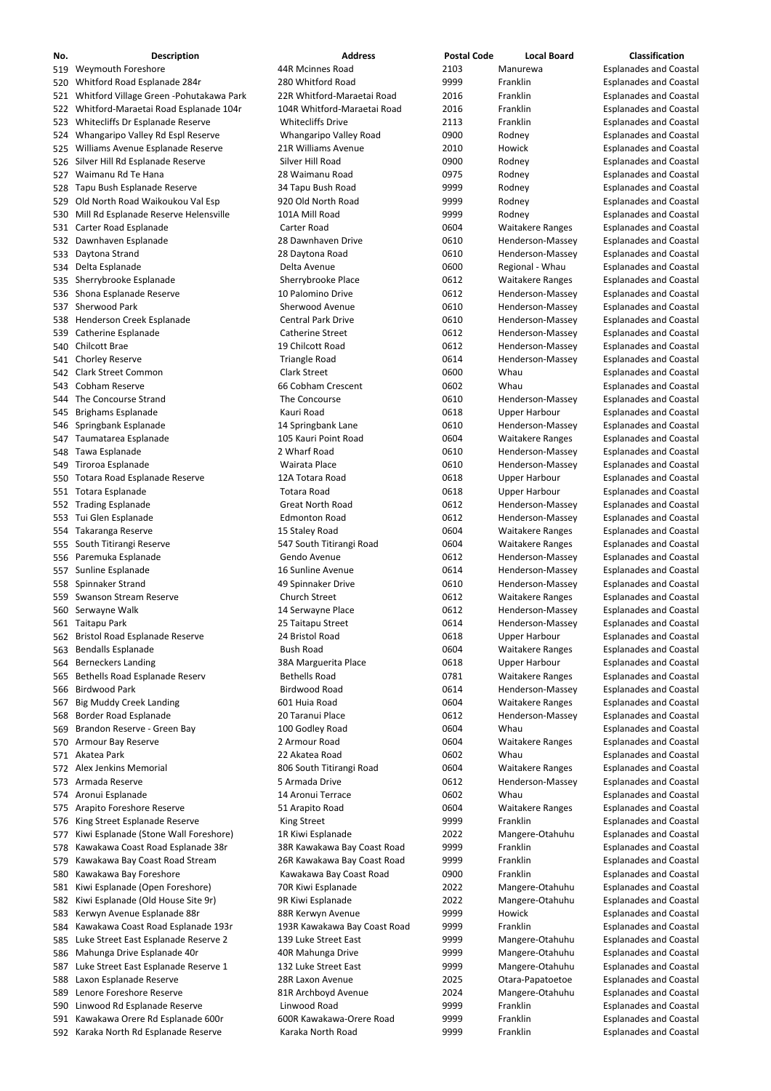| No. | <b>Description</b>                           | <b>Address</b>               | <b>Postal Code</b> | <b>Local Board</b>      | <b>Classification</b>         |
|-----|----------------------------------------------|------------------------------|--------------------|-------------------------|-------------------------------|
|     | 519 Weymouth Foreshore                       | 44R Mcinnes Road             | 2103               | Manurewa                | <b>Esplanades and Coastal</b> |
| 520 | Whitford Road Esplanade 284r                 | 280 Whitford Road            | 9999               | Franklin                | <b>Esplanades and Coastal</b> |
|     | 521 Whitford Village Green - Pohutakawa Park | 22R Whitford-Maraetai Road   | 2016               | Franklin                | <b>Esplanades and Coastal</b> |
|     | 522 Whitford-Maraetai Road Esplanade 104r    | 104R Whitford-Maraetai Road  | 2016               | Franklin                | <b>Esplanades and Coastal</b> |
|     | 523 Whitecliffs Dr Esplanade Reserve         | <b>Whitecliffs Drive</b>     | 2113               | Franklin                | <b>Esplanades and Coastal</b> |
|     | 524 Whangaripo Valley Rd Espl Reserve        | Whangaripo Valley Road       | 0900               | Rodney                  | <b>Esplanades and Coastal</b> |
| 525 | Williams Avenue Esplanade Reserve            | 21R Williams Avenue          | 2010               | Howick                  | <b>Esplanades and Coastal</b> |
|     | 526 Silver Hill Rd Esplanade Reserve         | Silver Hill Road             | 0900               | Rodney                  | <b>Esplanades and Coastal</b> |
| 527 | Waimanu Rd Te Hana                           | 28 Waimanu Road              | 0975               | Rodney                  | <b>Esplanades and Coastal</b> |
|     | 528 Tapu Bush Esplanade Reserve              | 34 Tapu Bush Road            | 9999               | Rodney                  | <b>Esplanades and Coastal</b> |
|     |                                              | 920 Old North Road           | 9999               |                         |                               |
|     | 529 Old North Road Waikoukou Val Esp         |                              |                    | Rodney                  | <b>Esplanades and Coastal</b> |
| 530 | Mill Rd Esplanade Reserve Helensville        | 101A Mill Road               | 9999               | Rodney                  | <b>Esplanades and Coastal</b> |
|     | 531 Carter Road Esplanade                    | Carter Road                  | 0604               | <b>Waitakere Ranges</b> | <b>Esplanades and Coastal</b> |
|     | 532 Dawnhaven Esplanade                      | 28 Dawnhaven Drive           | 0610               | Henderson-Massey        | <b>Esplanades and Coastal</b> |
|     | 533 Daytona Strand                           | 28 Daytona Road              | 0610               | Henderson-Massey        | <b>Esplanades and Coastal</b> |
|     | 534 Delta Esplanade                          | Delta Avenue                 | 0600               | Regional - Whau         | <b>Esplanades and Coastal</b> |
|     | 535 Sherrybrooke Esplanade                   | Sherrybrooke Place           | 0612               | <b>Waitakere Ranges</b> | <b>Esplanades and Coastal</b> |
|     | 536 Shona Esplanade Reserve                  | 10 Palomino Drive            | 0612               | Henderson-Massey        | <b>Esplanades and Coastal</b> |
|     | 537 Sherwood Park                            | Sherwood Avenue              | 0610               | Henderson-Massey        | <b>Esplanades and Coastal</b> |
|     | 538 Henderson Creek Esplanade                | <b>Central Park Drive</b>    | 0610               | Henderson-Massey        | <b>Esplanades and Coastal</b> |
|     | 539 Catherine Esplanade                      | <b>Catherine Street</b>      | 0612               | Henderson-Massey        | <b>Esplanades and Coastal</b> |
|     | 540 Chilcott Brae                            | 19 Chilcott Road             | 0612               | Henderson-Massey        | <b>Esplanades and Coastal</b> |
|     | 541 Chorley Reserve                          | <b>Triangle Road</b>         | 0614               | Henderson-Massey        | <b>Esplanades and Coastal</b> |
|     | 542 Clark Street Common                      | <b>Clark Street</b>          | 0600               | Whau                    | <b>Esplanades and Coastal</b> |
|     | 543 Cobham Reserve                           | 66 Cobham Crescent           | 0602               | Whau                    | <b>Esplanades and Coastal</b> |
|     | 544 The Concourse Strand                     | The Concourse                | 0610               | Henderson-Massey        | <b>Esplanades and Coastal</b> |
| 545 | <b>Brighams Esplanade</b>                    | Kauri Road                   | 0618               | <b>Upper Harbour</b>    | <b>Esplanades and Coastal</b> |
|     | 546 Springbank Esplanade                     | 14 Springbank Lane           | 0610               | Henderson-Massey        | <b>Esplanades and Coastal</b> |
|     | 547 Taumatarea Esplanade                     | 105 Kauri Point Road         | 0604               | <b>Waitakere Ranges</b> | <b>Esplanades and Coastal</b> |
|     | 548 Tawa Esplanade                           | 2 Wharf Road                 | 0610               | Henderson-Massey        | <b>Esplanades and Coastal</b> |
|     | 549 Tiroroa Esplanade                        | Wairata Place                | 0610               | Henderson-Massey        | <b>Esplanades and Coastal</b> |
|     |                                              |                              | 0618               |                         |                               |
|     | 550 Totara Road Esplanade Reserve            | 12A Totara Road              |                    | <b>Upper Harbour</b>    | <b>Esplanades and Coastal</b> |
|     | 551 Totara Esplanade                         | <b>Totara Road</b>           | 0618               | <b>Upper Harbour</b>    | <b>Esplanades and Coastal</b> |
|     | 552 Trading Esplanade                        | <b>Great North Road</b>      | 0612               | Henderson-Massey        | <b>Esplanades and Coastal</b> |
|     | 553 Tui Glen Esplanade                       | <b>Edmonton Road</b>         | 0612               | Henderson-Massey        | <b>Esplanades and Coastal</b> |
|     | 554 Takaranga Reserve                        | 15 Staley Road               | 0604               | <b>Waitakere Ranges</b> | <b>Esplanades and Coastal</b> |
|     | 555 South Titirangi Reserve                  | 547 South Titirangi Road     | 0604               | <b>Waitakere Ranges</b> | <b>Esplanades and Coastal</b> |
|     | 556 Paremuka Esplanade                       | Gendo Avenue                 | 0612               | Henderson-Massey        | <b>Esplanades and Coastal</b> |
|     | 557 Sunline Esplanade                        | 16 Sunline Avenue            | 0614               | Henderson-Massey        | <b>Esplanades and Coastal</b> |
|     | 558 Spinnaker Strand                         | 49 Spinnaker Drive           | 0610               | Henderson-Massey        | <b>Esplanades and Coastal</b> |
|     | 559 Swanson Stream Reserve                   | Church Street                | 0612               | <b>Waitakere Ranges</b> | <b>Esplanades and Coastal</b> |
|     | 560 Serwayne Walk                            | 14 Serwayne Place            | 0612               | Henderson-Massey        | <b>Esplanades and Coastal</b> |
|     | 561 Taitapu Park                             | 25 Taitapu Street            | 0614               | Henderson-Massey        | <b>Esplanades and Coastal</b> |
| 562 | <b>Bristol Road Esplanade Reserve</b>        | 24 Bristol Road              | 0618               | <b>Upper Harbour</b>    | <b>Esplanades and Coastal</b> |
|     | 563 Bendalls Esplanade                       | <b>Bush Road</b>             | 0604               | <b>Waitakere Ranges</b> | <b>Esplanades and Coastal</b> |
|     | 564 Berneckers Landing                       | 38A Marguerita Place         | 0618               | <b>Upper Harbour</b>    | <b>Esplanades and Coastal</b> |
| 565 | Bethells Road Esplanade Reserv               | <b>Bethells Road</b>         | 0781               | <b>Waitakere Ranges</b> | <b>Esplanades and Coastal</b> |
|     | 566 Birdwood Park                            | <b>Birdwood Road</b>         | 0614               | Henderson-Massey        | <b>Esplanades and Coastal</b> |
| 567 | <b>Big Muddy Creek Landing</b>               | 601 Huia Road                | 0604               | <b>Waitakere Ranges</b> | <b>Esplanades and Coastal</b> |
|     | 568 Border Road Esplanade                    | 20 Taranui Place             | 0612               | Henderson-Massey        | <b>Esplanades and Coastal</b> |
|     | 569 Brandon Reserve - Green Bay              | 100 Godley Road              | 0604               | Whau                    | <b>Esplanades and Coastal</b> |
|     | 570 Armour Bay Reserve                       | 2 Armour Road                | 0604               | <b>Waitakere Ranges</b> | <b>Esplanades and Coastal</b> |
|     | 571 Akatea Park                              | 22 Akatea Road               | 0602               | Whau                    | <b>Esplanades and Coastal</b> |
|     | 572 Alex Jenkins Memorial                    | 806 South Titirangi Road     | 0604               | <b>Waitakere Ranges</b> | <b>Esplanades and Coastal</b> |
|     |                                              |                              |                    |                         |                               |
|     | 573 Armada Reserve                           | 5 Armada Drive               | 0612               | Henderson-Massey        | <b>Esplanades and Coastal</b> |
|     | 574 Aronui Esplanade                         | 14 Aronui Terrace            | 0602               | Whau                    | <b>Esplanades and Coastal</b> |
|     | 575 Arapito Foreshore Reserve                | 51 Arapito Road              | 0604               | <b>Waitakere Ranges</b> | <b>Esplanades and Coastal</b> |
| 576 | King Street Esplanade Reserve                | <b>King Street</b>           | 9999               | Franklin                | <b>Esplanades and Coastal</b> |
| 577 | Kiwi Esplanade (Stone Wall Foreshore)        | 1R Kiwi Esplanade            | 2022               | Mangere-Otahuhu         | <b>Esplanades and Coastal</b> |
|     | 578 Kawakawa Coast Road Esplanade 38r        | 38R Kawakawa Bay Coast Road  | 9999               | Franklin                | <b>Esplanades and Coastal</b> |
|     | 579 Kawakawa Bay Coast Road Stream           | 26R Kawakawa Bay Coast Road  | 9999               | Franklin                | <b>Esplanades and Coastal</b> |
|     | 580 Kawakawa Bay Foreshore                   | Kawakawa Bay Coast Road      | 0900               | Franklin                | <b>Esplanades and Coastal</b> |
| 581 | Kiwi Esplanade (Open Foreshore)              | 70R Kiwi Esplanade           | 2022               | Mangere-Otahuhu         | <b>Esplanades and Coastal</b> |
| 582 | Kiwi Esplanade (Old House Site 9r)           | 9R Kiwi Esplanade            | 2022               | Mangere-Otahuhu         | <b>Esplanades and Coastal</b> |
| 583 | Kerwyn Avenue Esplanade 88r                  | 88R Kerwyn Avenue            | 9999               | Howick                  | <b>Esplanades and Coastal</b> |
|     | 584 Kawakawa Coast Road Esplanade 193r       | 193R Kawakawa Bay Coast Road | 9999               | Franklin                | <b>Esplanades and Coastal</b> |
| 585 | Luke Street East Esplanade Reserve 2         | 139 Luke Street East         | 9999               | Mangere-Otahuhu         | <b>Esplanades and Coastal</b> |
|     | 586 Mahunga Drive Esplanade 40r              | 40R Mahunga Drive            | 9999               | Mangere-Otahuhu         | <b>Esplanades and Coastal</b> |
| 587 | Luke Street East Esplanade Reserve 1         | 132 Luke Street East         | 9999               | Mangere-Otahuhu         | <b>Esplanades and Coastal</b> |
| 588 | Laxon Esplanade Reserve                      | 28R Laxon Avenue             | 2025               | Otara-Papatoetoe        | <b>Esplanades and Coastal</b> |
| 589 | Lenore Foreshore Reserve                     | 81R Archboyd Avenue          | 2024               | Mangere-Otahuhu         | <b>Esplanades and Coastal</b> |
| 590 | Linwood Rd Esplanade Reserve                 | Linwood Road                 | 9999               | Franklin                | <b>Esplanades and Coastal</b> |
|     | 591 Kawakawa Orere Rd Esplanade 600r         | 600R Kawakawa-Orere Road     | 9999               | Franklin                | <b>Esplanades and Coastal</b> |
|     | 592 Karaka North Rd Esplanade Reserve        | Karaka North Road            | 9999               | Franklin                | <b>Esplanades and Coastal</b> |
|     |                                              |                              |                    |                         |                               |

- 
-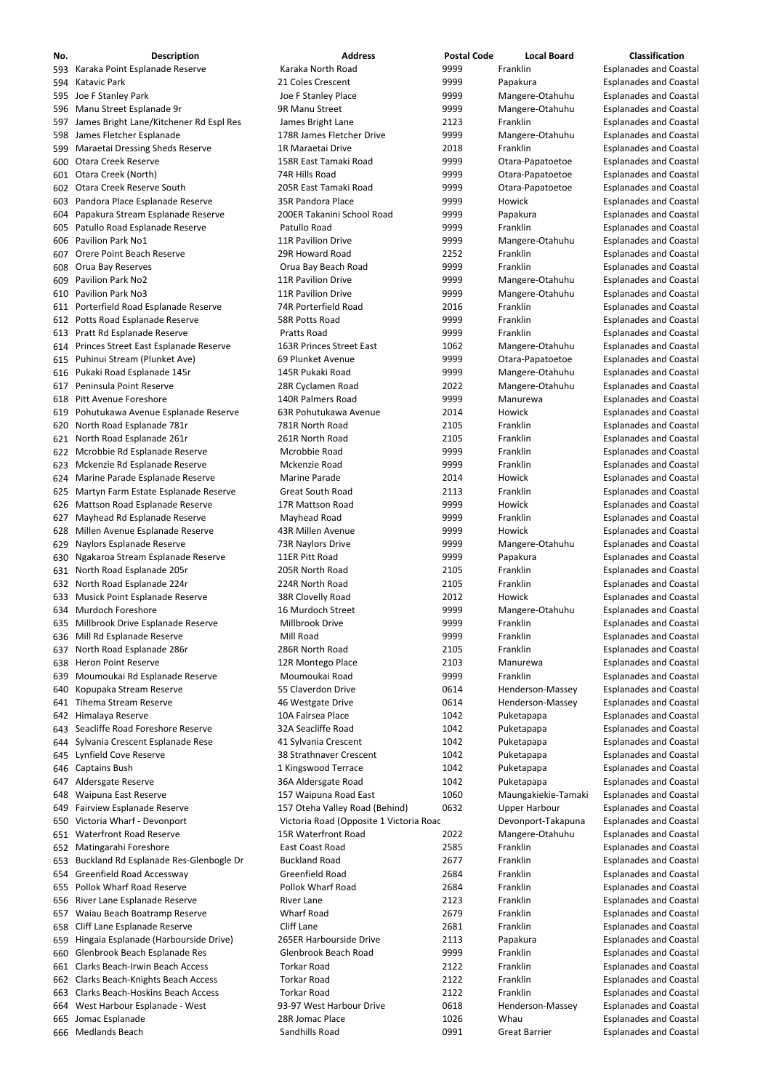| No. | <b>Description</b>                         | <b>Address</b>                          | <b>Postal Code</b> | <b>Local Board</b>   | <b>Classification</b>         |
|-----|--------------------------------------------|-----------------------------------------|--------------------|----------------------|-------------------------------|
|     | 593 Karaka Point Esplanade Reserve         | Karaka North Road                       | 9999               | Franklin             | <b>Esplanades and Coastal</b> |
|     | 594 Katavic Park                           | 21 Coles Crescent                       | 9999               | Papakura             | <b>Esplanades and Coastal</b> |
|     | 595 Joe F Stanley Park                     | Joe F Stanley Place                     | 9999               | Mangere-Otahuhu      | <b>Esplanades and Coastal</b> |
|     | 596 Manu Street Esplanade 9r               | 9R Manu Street                          | 9999               | Mangere-Otahuhu      | <b>Esplanades and Coastal</b> |
| 597 | James Bright Lane/Kitchener Rd Espl Res    | James Bright Lane                       | 2123               | Franklin             | <b>Esplanades and Coastal</b> |
| 598 | James Fletcher Esplanade                   | 178R James Fletcher Drive               | 9999               | Mangere-Otahuhu      | <b>Esplanades and Coastal</b> |
|     | 599 Maraetai Dressing Sheds Reserve        | 1R Maraetai Drive                       | 2018               | Franklin             | <b>Esplanades and Coastal</b> |
|     |                                            |                                         |                    |                      |                               |
|     | 600 Otara Creek Reserve                    | 158R East Tamaki Road                   | 9999               | Otara-Papatoetoe     | <b>Esplanades and Coastal</b> |
|     | 601 Otara Creek (North)                    | 74R Hills Road                          | 9999               | Otara-Papatoetoe     | <b>Esplanades and Coastal</b> |
|     | 602 Otara Creek Reserve South              | 205R East Tamaki Road                   | 9999               | Otara-Papatoetoe     | <b>Esplanades and Coastal</b> |
|     | 603 Pandora Place Esplanade Reserve        | 35R Pandora Place                       | 9999               | Howick               | <b>Esplanades and Coastal</b> |
|     | 604 Papakura Stream Esplanade Reserve      | 200ER Takanini School Road              | 9999               | Papakura             | <b>Esplanades and Coastal</b> |
|     | 605 Patullo Road Esplanade Reserve         | Patullo Road                            | 9999               | Franklin             | <b>Esplanades and Coastal</b> |
|     | 606 Pavilion Park No1                      | 11R Pavilion Drive                      | 9999               | Mangere-Otahuhu      | <b>Esplanades and Coastal</b> |
|     | 607 Orere Point Beach Reserve              | 29R Howard Road                         | 2252               | Franklin             | <b>Esplanades and Coastal</b> |
|     | 608 Orua Bay Reserves                      | Orua Bay Beach Road                     | 9999               | Franklin             | <b>Esplanades and Coastal</b> |
| 609 | <b>Pavilion Park No2</b>                   | <b>11R Pavilion Drive</b>               | 9999               | Mangere-Otahuhu      | <b>Esplanades and Coastal</b> |
|     | 610 Pavilion Park No3                      | 11R Pavilion Drive                      | 9999               | Mangere-Otahuhu      | <b>Esplanades and Coastal</b> |
|     | 611 Porterfield Road Esplanade Reserve     | 74R Porterfield Road                    | 2016               | Franklin             | <b>Esplanades and Coastal</b> |
|     | 612 Potts Road Esplanade Reserve           | 58R Potts Road                          | 9999               | Franklin             | <b>Esplanades and Coastal</b> |
|     |                                            | Pratts Road                             | 9999               | Franklin             | <b>Esplanades and Coastal</b> |
|     | 613 Pratt Rd Esplanade Reserve             |                                         |                    |                      |                               |
|     | 614 Princes Street East Esplanade Reserve  | 163R Princes Street East                | 1062               | Mangere-Otahuhu      | <b>Esplanades and Coastal</b> |
|     | 615 Puhinui Stream (Plunket Ave)           | 69 Plunket Avenue                       | 9999               | Otara-Papatoetoe     | <b>Esplanades and Coastal</b> |
|     | 616 Pukaki Road Esplanade 145r             | 145R Pukaki Road                        | 9999               | Mangere-Otahuhu      | <b>Esplanades and Coastal</b> |
|     | 617 Peninsula Point Reserve                | 28R Cyclamen Road                       | 2022               | Mangere-Otahuhu      | <b>Esplanades and Coastal</b> |
|     | 618 Pitt Avenue Foreshore                  | 140R Palmers Road                       | 9999               | Manurewa             | <b>Esplanades and Coastal</b> |
|     | 619 Pohutukawa Avenue Esplanade Reserve    | 63R Pohutukawa Avenue                   | 2014               | Howick               | <b>Esplanades and Coastal</b> |
|     | 620 North Road Esplanade 781r              | 781R North Road                         | 2105               | Franklin             | <b>Esplanades and Coastal</b> |
|     | 621 North Road Esplanade 261r              | 261R North Road                         | 2105               | Franklin             | <b>Esplanades and Coastal</b> |
|     | 622 Mcrobbie Rd Esplanade Reserve          | Mcrobbie Road                           | 9999               | Franklin             | <b>Esplanades and Coastal</b> |
|     | 623 Mckenzie Rd Esplanade Reserve          | Mckenzie Road                           | 9999               | Franklin             | <b>Esplanades and Coastal</b> |
|     | 624 Marine Parade Esplanade Reserve        | Marine Parade                           | 2014               | Howick               | <b>Esplanades and Coastal</b> |
|     | 625 Martyn Farm Estate Esplanade Reserve   | <b>Great South Road</b>                 | 2113               | Franklin             | <b>Esplanades and Coastal</b> |
|     |                                            | 17R Mattson Road                        | 9999               | Howick               | <b>Esplanades and Coastal</b> |
|     | 626 Mattson Road Esplanade Reserve         |                                         |                    |                      |                               |
| 627 | Mayhead Rd Esplanade Reserve               | Mayhead Road                            | 9999               | Franklin             | <b>Esplanades and Coastal</b> |
|     | 628 Millen Avenue Esplanade Reserve        | 43R Millen Avenue                       | 9999               | Howick               | <b>Esplanades and Coastal</b> |
|     | 629 Naylors Esplanade Reserve              | 73R Naylors Drive                       | 9999               | Mangere-Otahuhu      | <b>Esplanades and Coastal</b> |
|     | 630 Ngakaroa Stream Esplanade Reserve      | 11ER Pitt Road                          | 9999               | Papakura             | <b>Esplanades and Coastal</b> |
|     | 631 North Road Esplanade 205r              | 205R North Road                         | 2105               | Franklin             | <b>Esplanades and Coastal</b> |
|     | 632 North Road Esplanade 224r              | 224R North Road                         | 2105               | Franklin             | <b>Esplanades and Coastal</b> |
|     | 633 Musick Point Esplanade Reserve         | 38R Clovelly Road                       | 2012               | Howick               | <b>Esplanades and Coastal</b> |
|     | 634 Murdoch Foreshore                      | 16 Murdoch Street                       | 9999               | Mangere-Otahuhu      | <b>Esplanades and Coastal</b> |
|     | 635 Millbrook Drive Esplanade Reserve      | Millbrook Drive                         | 9999               | Franklin             | <b>Esplanades and Coastal</b> |
|     | 636 Mill Rd Esplanade Reserve              | Mill Road                               | 9999               | Franklin             | <b>Esplanades and Coastal</b> |
| 637 | North Road Esplanade 286r                  | 286R North Road                         | 2105               | Franklin             | <b>Esplanades and Coastal</b> |
|     | 638 Heron Point Reserve                    | 12R Montego Place                       | 2103               | Manurewa             | <b>Esplanades and Coastal</b> |
|     | 639 Moumoukai Rd Esplanade Reserve         | Moumoukai Road                          | 9999               | Franklin             | <b>Esplanades and Coastal</b> |
|     | 640 Kopupaka Stream Reserve                | 55 Claverdon Drive                      | 0614               | Henderson-Massey     | <b>Esplanades and Coastal</b> |
|     | 641 Tihema Stream Reserve                  | 46 Westgate Drive                       | 0614               | Henderson-Massey     | <b>Esplanades and Coastal</b> |
|     |                                            |                                         |                    |                      |                               |
|     | 642 Himalaya Reserve                       | 10A Fairsea Place                       | 1042               | Puketapapa           | <b>Esplanades and Coastal</b> |
|     | 643 Seacliffe Road Foreshore Reserve       | 32A Seacliffe Road                      | 1042               | Puketapapa           | <b>Esplanades and Coastal</b> |
|     | 644 Sylvania Crescent Esplanade Rese       | 41 Sylvania Crescent                    | 1042               | Puketapapa           | <b>Esplanades and Coastal</b> |
|     | 645 Lynfield Cove Reserve                  | 38 Strathnaver Crescent                 | 1042               | Puketapapa           | <b>Esplanades and Coastal</b> |
|     | 646 Captains Bush                          | 1 Kingswood Terrace                     | 1042               | Puketapapa           | <b>Esplanades and Coastal</b> |
|     | 647 Aldersgate Reserve                     | 36A Aldersgate Road                     | 1042               | Puketapapa           | <b>Esplanades and Coastal</b> |
|     | 648 Waipuna East Reserve                   | 157 Waipuna Road East                   | 1060               | Maungakiekie-Tamaki  | <b>Esplanades and Coastal</b> |
|     | 649 Fairview Esplanade Reserve             | 157 Oteha Valley Road (Behind)          | 0632               | <b>Upper Harbour</b> | <b>Esplanades and Coastal</b> |
|     | 650 Victoria Wharf - Devonport             | Victoria Road (Opposite 1 Victoria Roac |                    | Devonport-Takapuna   | <b>Esplanades and Coastal</b> |
|     | 651 Waterfront Road Reserve                | 15R Waterfront Road                     | 2022               | Mangere-Otahuhu      | <b>Esplanades and Coastal</b> |
|     | 652 Matingarahi Foreshore                  | East Coast Road                         | 2585               | Franklin             | <b>Esplanades and Coastal</b> |
|     | 653 Buckland Rd Esplanade Res-Glenbogle Dr | <b>Buckland Road</b>                    | 2677               | Franklin             | <b>Esplanades and Coastal</b> |
|     | 654 Greenfield Road Accessway              | Greenfield Road                         | 2684               | Franklin             | <b>Esplanades and Coastal</b> |
|     | 655 Pollok Wharf Road Reserve              | Pollok Wharf Road                       | 2684               | Franklin             |                               |
|     |                                            |                                         |                    |                      | <b>Esplanades and Coastal</b> |
|     | 656 River Lane Esplanade Reserve           | <b>River Lane</b>                       | 2123               | Franklin             | <b>Esplanades and Coastal</b> |
| 657 | Waiau Beach Boatramp Reserve               | <b>Wharf Road</b>                       | 2679               | Franklin             | <b>Esplanades and Coastal</b> |
|     | 658 Cliff Lane Esplanade Reserve           | <b>Cliff Lane</b>                       | 2681               | Franklin             | <b>Esplanades and Coastal</b> |
| 659 | Hingaia Esplanade (Harbourside Drive)      | 265ER Harbourside Drive                 | 2113               | Papakura             | <b>Esplanades and Coastal</b> |
|     | 660 Glenbrook Beach Esplanade Res          | Glenbrook Beach Road                    | 9999               | Franklin             | <b>Esplanades and Coastal</b> |
| 661 | <b>Clarks Beach-Irwin Beach Access</b>     | <b>Torkar Road</b>                      | 2122               | Franklin             | <b>Esplanades and Coastal</b> |
|     | 662 Clarks Beach-Knights Beach Access      | <b>Torkar Road</b>                      | 2122               | Franklin             | <b>Esplanades and Coastal</b> |
| 663 | <b>Clarks Beach-Hoskins Beach Access</b>   | <b>Torkar Road</b>                      | 2122               | Franklin             | <b>Esplanades and Coastal</b> |
|     | 664 West Harbour Esplanade - West          | 93-97 West Harbour Drive                | 0618               | Henderson-Massey     | <b>Esplanades and Coastal</b> |
| 665 | Jomac Esplanade                            | 28R Jomac Place                         | 1026               | Whau                 | <b>Esplanades and Coastal</b> |
|     | 666 Medlands Beach                         | Sandhills Road                          | 0991               | <b>Great Barrier</b> | <b>Esplanades and Coastal</b> |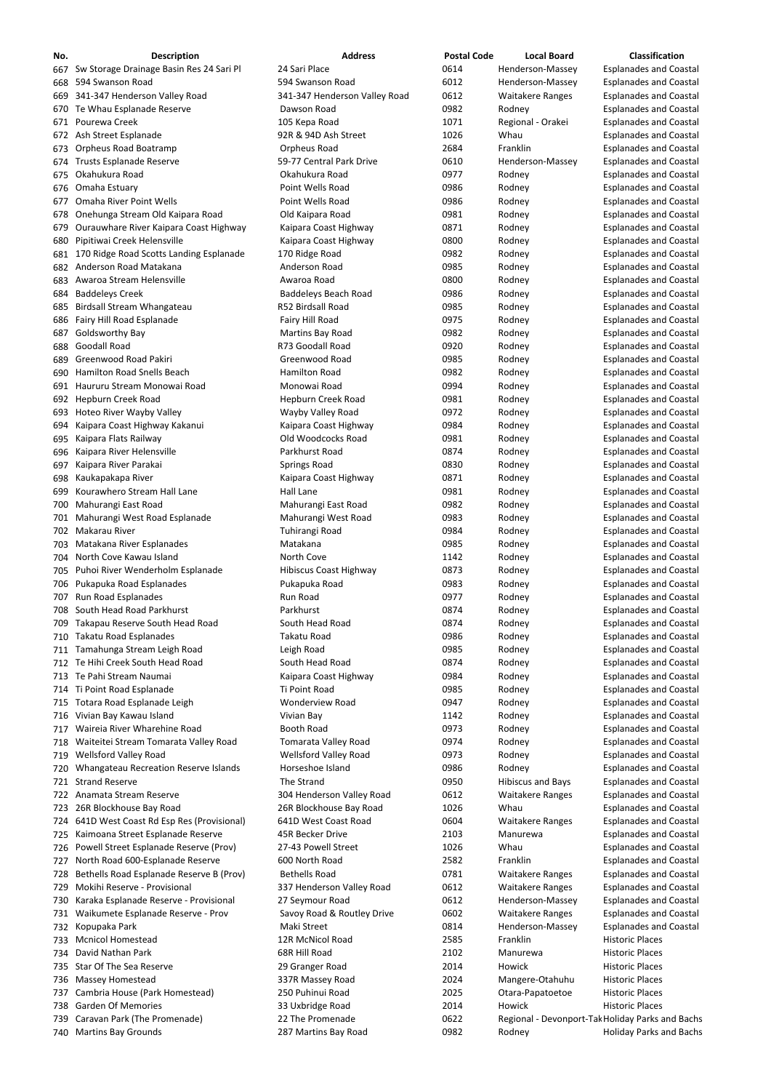| No.        | <b>Description</b>                                                | <b>Address</b>                        | <b>Postal Code</b> | <b>Local Board</b>                               | <b>Classification</b>                                          |
|------------|-------------------------------------------------------------------|---------------------------------------|--------------------|--------------------------------------------------|----------------------------------------------------------------|
| 667        | Sw Storage Drainage Basin Res 24 Sari Pl                          | 24 Sari Place                         | 0614               | Henderson-Massey                                 | <b>Esplanades and Coastal</b>                                  |
| 668        | 594 Swanson Road                                                  | 594 Swanson Road                      | 6012               | Henderson-Massey                                 | <b>Esplanades and Coastal</b>                                  |
| 669        | 341-347 Henderson Valley Road                                     | 341-347 Henderson Valley Road         | 0612               | <b>Waitakere Ranges</b>                          | <b>Esplanades and Coastal</b>                                  |
| 670        | Te Whau Esplanade Reserve                                         | Dawson Road                           | 0982               | Rodney                                           | <b>Esplanades and Coastal</b>                                  |
| 671        | Pourewa Creek                                                     | 105 Kepa Road                         | 1071               | Regional - Orakei                                | <b>Esplanades and Coastal</b>                                  |
| 672        | Ash Street Esplanade                                              | 92R & 94D Ash Street                  | 1026               | Whau                                             | <b>Esplanades and Coastal</b>                                  |
| 673        | Orpheus Road Boatramp                                             | Orpheus Road                          | 2684               | Franklin                                         | <b>Esplanades and Coastal</b>                                  |
| 674        | Trusts Esplanade Reserve                                          | 59-77 Central Park Drive              | 0610               | Henderson-Massey                                 | <b>Esplanades and Coastal</b>                                  |
| 675        | Okahukura Road                                                    | Okahukura Road                        | 0977               | Rodney                                           | <b>Esplanades and Coastal</b>                                  |
| 676        | Omaha Estuary                                                     | Point Wells Road                      | 0986               | Rodney                                           | <b>Esplanades and Coastal</b>                                  |
| 677        | <b>Omaha River Point Wells</b>                                    | Point Wells Road                      | 0986               | Rodney                                           | <b>Esplanades and Coastal</b>                                  |
| 678        | Onehunga Stream Old Kaipara Road                                  | Old Kaipara Road                      | 0981               | Rodney                                           | <b>Esplanades and Coastal</b>                                  |
| 679        | Ourauwhare River Kaipara Coast Highway                            | Kaipara Coast Highway                 | 0871               | Rodney                                           | <b>Esplanades and Coastal</b>                                  |
| 680        | Pipitiwai Creek Helensville                                       | Kaipara Coast Highway                 | 0800<br>0982       | Rodney                                           | <b>Esplanades and Coastal</b>                                  |
| 681<br>682 | 170 Ridge Road Scotts Landing Esplanade<br>Anderson Road Matakana | 170 Ridge Road<br>Anderson Road       | 0985               | Rodney<br>Rodney                                 | <b>Esplanades and Coastal</b><br><b>Esplanades and Coastal</b> |
| 683        | Awaroa Stream Helensville                                         | Awaroa Road                           | 0800               | Rodney                                           | <b>Esplanades and Coastal</b>                                  |
| 684        | <b>Baddeleys Creek</b>                                            | <b>Baddeleys Beach Road</b>           | 0986               | Rodney                                           | <b>Esplanades and Coastal</b>                                  |
| 685        | Birdsall Stream Whangateau                                        | <b>R52 Birdsall Road</b>              | 0985               | Rodney                                           | <b>Esplanades and Coastal</b>                                  |
| 686        | Fairy Hill Road Esplanade                                         | Fairy Hill Road                       | 0975               | Rodney                                           | <b>Esplanades and Coastal</b>                                  |
| 687        | <b>Goldsworthy Bay</b>                                            | Martins Bay Road                      | 0982               | Rodney                                           | <b>Esplanades and Coastal</b>                                  |
| 688        | <b>Goodall Road</b>                                               | R73 Goodall Road                      | 0920               | Rodney                                           | <b>Esplanades and Coastal</b>                                  |
| 689        | Greenwood Road Pakiri                                             | Greenwood Road                        | 0985               | Rodney                                           | <b>Esplanades and Coastal</b>                                  |
| 690        | Hamilton Road Snells Beach                                        | <b>Hamilton Road</b>                  | 0982               | Rodney                                           | <b>Esplanades and Coastal</b>                                  |
| 691        | Haururu Stream Monowai Road                                       | Monowai Road                          | 0994               | Rodney                                           | <b>Esplanades and Coastal</b>                                  |
| 692        | <b>Hepburn Creek Road</b>                                         | Hepburn Creek Road                    | 0981               | Rodney                                           | <b>Esplanades and Coastal</b>                                  |
| 693        | Hoteo River Wayby Valley                                          | Wayby Valley Road                     | 0972               | Rodney                                           | <b>Esplanades and Coastal</b>                                  |
| 694        | Kaipara Coast Highway Kakanui                                     | Kaipara Coast Highway                 | 0984               | Rodney                                           | <b>Esplanades and Coastal</b>                                  |
| 695        | Kaipara Flats Railway                                             | Old Woodcocks Road                    | 0981               | Rodney                                           | <b>Esplanades and Coastal</b>                                  |
|            | 696 Kaipara River Helensville                                     | Parkhurst Road                        | 0874               | Rodney                                           | <b>Esplanades and Coastal</b>                                  |
| 697        | Kaipara River Parakai                                             | <b>Springs Road</b>                   | 0830               | Rodney                                           | <b>Esplanades and Coastal</b>                                  |
| 698        | Kaukapakapa River                                                 | Kaipara Coast Highway                 | 0871               | Rodney                                           | <b>Esplanades and Coastal</b>                                  |
| 699        | Kourawhero Stream Hall Lane                                       | Hall Lane                             | 0981               | Rodney                                           | <b>Esplanades and Coastal</b>                                  |
| 700        | Mahurangi East Road                                               | Mahurangi East Road                   | 0982               | Rodney                                           | <b>Esplanades and Coastal</b>                                  |
| 701.       | Mahurangi West Road Esplanade                                     | Mahurangi West Road                   | 0983               | Rodney                                           | <b>Esplanades and Coastal</b>                                  |
| 702        | Makarau River                                                     | Tuhirangi Road                        | 0984               | Rodney                                           | <b>Esplanades and Coastal</b>                                  |
| 703        | Matakana River Esplanades                                         | Matakana                              | 0985               | Rodney                                           | <b>Esplanades and Coastal</b>                                  |
| 704        | North Cove Kawau Island                                           | North Cove                            | 1142               | Rodney                                           | <b>Esplanades and Coastal</b>                                  |
| 705        | Puhoi River Wenderholm Esplanade                                  | <b>Hibiscus Coast Highway</b>         | 0873               | Rodney                                           | <b>Esplanades and Coastal</b>                                  |
| 706        | Pukapuka Road Esplanades                                          | Pukapuka Road                         | 0983               | Rodney                                           | <b>Esplanades and Coastal</b>                                  |
| 707        | Run Road Esplanades                                               | Run Road                              | 0977               | Rodney                                           | <b>Esplanades and Coastal</b>                                  |
| 708        | South Head Road Parkhurst                                         | Parkhurst                             | 0874               | Rodney                                           | <b>Esplanades and Coastal</b>                                  |
| 709        | Takapau Reserve South Head Road                                   | South Head Road<br><b>Takatu Road</b> | 0874<br>0986       | Rodney                                           | <b>Esplanades and Coastal</b>                                  |
| 710        | Takatu Road Esplanades<br>Tamahunga Stream Leigh Road             | Leigh Road                            | 0985               | Rodney<br>Rodney                                 | <b>Esplanades and Coastal</b><br><b>Esplanades and Coastal</b> |
| 711<br>712 | Te Hihi Creek South Head Road                                     | South Head Road                       | 0874               | Rodney                                           | <b>Esplanades and Coastal</b>                                  |
| 713        | Te Pahi Stream Naumai                                             | Kaipara Coast Highway                 | 0984               | Rodney                                           | <b>Esplanades and Coastal</b>                                  |
| 714        | Ti Point Road Esplanade                                           | Ti Point Road                         | 0985               | Rodney                                           | <b>Esplanades and Coastal</b>                                  |
| 715        | Totara Road Esplanade Leigh                                       | <b>Wonderview Road</b>                | 0947               | Rodney                                           | <b>Esplanades and Coastal</b>                                  |
| 716        | Vivian Bay Kawau Island                                           | Vivian Bay                            | 1142               | Rodney                                           | <b>Esplanades and Coastal</b>                                  |
| 717        | Waireia River Wharehine Road                                      | <b>Booth Road</b>                     | 0973               | Rodney                                           | <b>Esplanades and Coastal</b>                                  |
| 718        | Waiteitei Stream Tomarata Valley Road                             | <b>Tomarata Valley Road</b>           | 0974               | Rodney                                           | <b>Esplanades and Coastal</b>                                  |
| 719        | <b>Wellsford Valley Road</b>                                      | <b>Wellsford Valley Road</b>          | 0973               | Rodney                                           | <b>Esplanades and Coastal</b>                                  |
| 720        | Whangateau Recreation Reserve Islands                             | Horseshoe Island                      | 0986               | Rodney                                           | <b>Esplanades and Coastal</b>                                  |
| 721        | <b>Strand Reserve</b>                                             | The Strand                            | 0950               | <b>Hibiscus and Bays</b>                         | <b>Esplanades and Coastal</b>                                  |
| 722.       | Anamata Stream Reserve                                            | 304 Henderson Valley Road             | 0612               | <b>Waitakere Ranges</b>                          | <b>Esplanades and Coastal</b>                                  |
| 723        | 26R Blockhouse Bay Road                                           | 26R Blockhouse Bay Road               | 1026               | Whau                                             | <b>Esplanades and Coastal</b>                                  |
| 724        | 641D West Coast Rd Esp Res (Provisional)                          | 641D West Coast Road                  | 0604               | <b>Waitakere Ranges</b>                          | <b>Esplanades and Coastal</b>                                  |
| 725        | Kaimoana Street Esplanade Reserve                                 | 45R Becker Drive                      | 2103               | Manurewa                                         | <b>Esplanades and Coastal</b>                                  |
| 726        | Powell Street Esplanade Reserve (Prov)                            | 27-43 Powell Street                   | 1026               | Whau                                             | <b>Esplanades and Coastal</b>                                  |
| 727        | North Road 600-Esplanade Reserve                                  | 600 North Road                        | 2582               | Franklin                                         | <b>Esplanades and Coastal</b>                                  |
|            | 728 Bethells Road Esplanade Reserve B (Prov)                      | <b>Bethells Road</b>                  | 0781               | <b>Waitakere Ranges</b>                          | <b>Esplanades and Coastal</b>                                  |
| 729        | Mokihi Reserve - Provisional                                      | 337 Henderson Valley Road             | 0612               | <b>Waitakere Ranges</b>                          | <b>Esplanades and Coastal</b>                                  |
| 730        | Karaka Esplanade Reserve - Provisional                            | 27 Seymour Road                       | 0612               | Henderson-Massey                                 | <b>Esplanades and Coastal</b>                                  |
| 731        | Waikumete Esplanade Reserve - Prov                                | Savoy Road & Routley Drive            | 0602               | <b>Waitakere Ranges</b>                          | <b>Esplanades and Coastal</b>                                  |
| 732        | Kopupaka Park                                                     | Maki Street                           | 0814               | Henderson-Massey                                 | <b>Esplanades and Coastal</b>                                  |
| 733.       | <b>Mcnicol Homestead</b>                                          | 12R McNicol Road                      | 2585               | Franklin                                         | <b>Historic Places</b>                                         |
| 734        | David Nathan Park                                                 | 68R Hill Road                         | 2102               | Manurewa                                         | <b>Historic Places</b>                                         |
| 735        | Star Of The Sea Reserve                                           | 29 Granger Road                       | 2014               | Howick                                           | <b>Historic Places</b>                                         |
| 736        | <b>Massey Homestead</b>                                           | 337R Massey Road                      | 2024               | Mangere-Otahuhu                                  | <b>Historic Places</b>                                         |
| 737        | Cambria House (Park Homestead)                                    | 250 Puhinui Road                      | 2025               | Otara-Papatoetoe                                 | <b>Historic Places</b>                                         |
| 738        | <b>Garden Of Memories</b>                                         | 33 Uxbridge Road                      | 2014               | Howick                                           | <b>Historic Places</b>                                         |
| 739.       | Caravan Park (The Promenade)                                      | 22 The Promenade                      | 0622               | Regional - Devonport-Tak Holiday Parks and Bachs |                                                                |
|            | 740 Martins Bay Grounds                                           | 287 Martins Bay Road                  | 0982               | Rodney                                           | <b>Holiday Parks and Bachs</b>                                 |

- 
-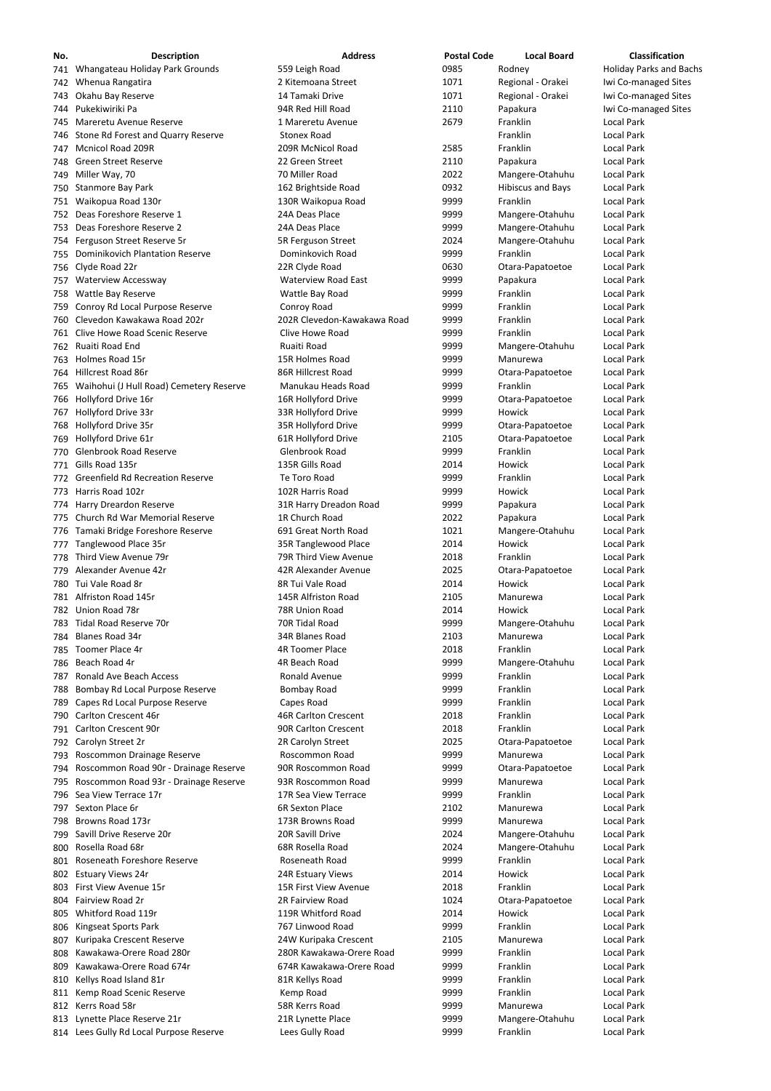| No. | <b>Description</b>                          | <b>Address</b>              | <b>Postal Code</b> | <b>Local Board</b>         | <b>Classification</b>          |
|-----|---------------------------------------------|-----------------------------|--------------------|----------------------------|--------------------------------|
|     | 741 Whangateau Holiday Park Grounds         | 559 Leigh Road              | 0985               | Rodney                     | <b>Holiday Parks and Bachs</b> |
|     | 742 Whenua Rangatira                        | 2 Kitemoana Street          | 1071               | Regional - Orakei          | Iwi Co-managed Sites           |
|     | 743 Okahu Bay Reserve                       | 14 Tamaki Drive             | 1071               | Regional - Orakei          | Iwi Co-managed Sites           |
|     | 744 Pukekiwiriki Pa                         | 94R Red Hill Road           | 2110               | Papakura                   | Iwi Co-managed Sites           |
|     | 745 Mareretu Avenue Reserve                 | 1 Mareretu Avenue           | 2679               | Franklin                   | <b>Local Park</b>              |
|     | 746 Stone Rd Forest and Quarry Reserve      | <b>Stonex Road</b>          |                    | Franklin                   | <b>Local Park</b>              |
|     | 747 Mcnicol Road 209R                       | 209R McNicol Road           | 2585               | Franklin                   | Local Park                     |
|     | 748 Green Street Reserve                    | 22 Green Street             |                    |                            | <b>Local Park</b>              |
|     |                                             |                             | 2110               | Papakura                   |                                |
|     | 749 Miller Way, 70                          | 70 Miller Road              | 2022               | Mangere-Otahuhu            | Local Park                     |
|     | 750 Stanmore Bay Park                       | 162 Brightside Road         | 0932               | <b>Hibiscus and Bays</b>   | <b>Local Park</b>              |
|     | 751 Waikopua Road 130r                      | 130R Waikopua Road          | 9999               | Franklin                   | <b>Local Park</b>              |
|     | 752 Deas Foreshore Reserve 1                | 24A Deas Place              | 9999               | Mangere-Otahuhu            | <b>Local Park</b>              |
|     | 753 Deas Foreshore Reserve 2                | 24A Deas Place              | 9999               | Mangere-Otahuhu            | <b>Local Park</b>              |
|     | 754 Ferguson Street Reserve 5r              | 5R Ferguson Street          | 2024               | Mangere-Otahuhu            | <b>Local Park</b>              |
|     | 755 Dominikovich Plantation Reserve         | Dominkovich Road            | 9999               | Franklin                   | <b>Local Park</b>              |
|     | 756 Clyde Road 22r                          | 22R Clyde Road              | 0630               | Otara-Papatoetoe           | <b>Local Park</b>              |
|     | 757 Waterview Accessway                     | <b>Waterview Road East</b>  | 9999               | Papakura                   | <b>Local Park</b>              |
|     | 758 Wattle Bay Reserve                      | Wattle Bay Road             | 9999               | Franklin                   | <b>Local Park</b>              |
|     | 759 Conroy Rd Local Purpose Reserve         | Conroy Road                 | 9999               | Franklin                   | <b>Local Park</b>              |
|     | 760 Clevedon Kawakawa Road 202r             | 202R Clevedon-Kawakawa Road | 9999               | Franklin                   | <b>Local Park</b>              |
|     | 761 Clive Howe Road Scenic Reserve          | Clive Howe Road             | 9999               | Franklin                   | <b>Local Park</b>              |
|     | 762 Ruaiti Road End                         | Ruaiti Road                 | 9999               | Mangere-Otahuhu            | <b>Local Park</b>              |
|     | 763 Holmes Road 15r                         | 15R Holmes Road             | 9999               | Manurewa                   | <b>Local Park</b>              |
|     | 764 Hillcrest Road 86r                      | 86R Hillcrest Road          | 9999               | Otara-Papatoetoe           | <b>Local Park</b>              |
|     | 765 Waihohui (J Hull Road) Cemetery Reserve | Manukau Heads Road          | 9999               | Franklin                   | <b>Local Park</b>              |
|     | 766 Hollyford Drive 16r                     | 16R Hollyford Drive         | 9999               | Otara-Papatoetoe           | <b>Local Park</b>              |
|     | 767 Hollyford Drive 33r                     | 33R Hollyford Drive         | 9999               | Howick                     | <b>Local Park</b>              |
|     | 768 Hollyford Drive 35r                     | 35R Hollyford Drive         | 9999               | Otara-Papatoetoe           | Local Park                     |
|     | 769 Hollyford Drive 61r                     | 61R Hollyford Drive         | 2105               | Otara-Papatoetoe           | Local Park                     |
|     | 770 Glenbrook Road Reserve                  | Glenbrook Road              | 9999               |                            | <b>Local Park</b>              |
|     | 771 Gills Road 135r                         | 135R Gills Road             | 2014               | Franklin<br>Howick         | <b>Local Park</b>              |
|     | 772 Greenfield Rd Recreation Reserve        | Te Toro Road                | 9999               | Franklin                   | Local Park                     |
|     | 773 Harris Road 102r                        | 102R Harris Road            | 9999               | Howick                     | Local Park                     |
|     | 774 Harry Dreardon Reserve                  | 31R Harry Dreadon Road      | 9999               | Papakura                   | Local Park                     |
|     | 775 Church Rd War Memorial Reserve          | 1R Church Road              | 2022               | Papakura                   | <b>Local Park</b>              |
|     | 776 Tamaki Bridge Foreshore Reserve         | 691 Great North Road        | 1021               | Mangere-Otahuhu            | <b>Local Park</b>              |
|     | 777 Tanglewood Place 35r                    | 35R Tanglewood Place        | 2014               | Howick                     | <b>Local Park</b>              |
|     | 778 Third View Avenue 79r                   | 79R Third View Avenue       | 2018               | Franklin                   | <b>Local Park</b>              |
|     | 779 Alexander Avenue 42r                    | 42R Alexander Avenue        | 2025               |                            | Local Park                     |
|     | 780 Tui Vale Road 8r                        | 8R Tui Vale Road            | 2014               | Otara-Papatoetoe<br>Howick | <b>Local Park</b>              |
|     | 781 Alfriston Road 145r                     | 145R Alfriston Road         | 2105               | Manurewa                   | <b>Local Park</b>              |
|     | 782 Union Road 78r                          | 78R Union Road              | 2014               | Howick                     | <b>Local Park</b>              |
|     | 783 Tidal Road Reserve 70r                  | 70R Tidal Road              | 9999               | Mangere-Otahuhu            | <b>Local Park</b>              |
|     | 784 Blanes Road 34r                         | 34R Blanes Road             | 2103               | Manurewa                   | <b>Local Park</b>              |
|     | 785 Toomer Place 4r                         | <b>4R Toomer Place</b>      | 2018               | Franklin                   | <b>Local Park</b>              |
|     | 786 Beach Road 4r                           | 4R Beach Road               | 9999               | Mangere-Otahuhu            | Local Park                     |
|     | 787 Ronald Ave Beach Access                 | Ronald Avenue               | 9999               | Franklin                   | <b>Local Park</b>              |
|     |                                             |                             | 9999               | Franklin                   | <b>Local Park</b>              |
|     | 788 Bombay Rd Local Purpose Reserve         | <b>Bombay Road</b>          |                    | Franklin                   |                                |
|     | 789 Capes Rd Local Purpose Reserve          | Capes Road                  | 9999               |                            | <b>Local Park</b>              |
|     | 790 Carlton Crescent 46r                    | <b>46R Carlton Crescent</b> | 2018               | Franklin                   | <b>Local Park</b>              |
|     | 791 Carlton Crescent 90r                    | 90R Carlton Crescent        | 2018               | Franklin                   | <b>Local Park</b>              |
|     | 792 Carolyn Street 2r                       | 2R Carolyn Street           | 2025               | Otara-Papatoetoe           | <b>Local Park</b>              |
|     | 793 Roscommon Drainage Reserve              | Roscommon Road              | 9999               | Manurewa                   | <b>Local Park</b>              |
|     | 794 Roscommon Road 90r - Drainage Reserve   | 90R Roscommon Road          | 9999               | Otara-Papatoetoe           | Local Park                     |
|     | 795 Roscommon Road 93r - Drainage Reserve   | 93R Roscommon Road          | 9999               | Manurewa                   | <b>Local Park</b>              |
|     | 796 Sea View Terrace 17r                    | 17R Sea View Terrace        | 9999               | Franklin                   | Local Park                     |
|     | 797 Sexton Place 6r                         | <b>6R Sexton Place</b>      | 2102               | Manurewa                   | <b>Local Park</b>              |
|     | 798 Browns Road 173r                        | 173R Browns Road            | 9999               | Manurewa                   | <b>Local Park</b>              |
|     | 799 Savill Drive Reserve 20r                | 20R Savill Drive            | 2024               | Mangere-Otahuhu            | Local Park                     |
|     | 800 Rosella Road 68r                        | 68R Rosella Road            | 2024               | Mangere-Otahuhu            | <b>Local Park</b>              |
|     | 801 Roseneath Foreshore Reserve             | Roseneath Road              | 9999               | Franklin                   | <b>Local Park</b>              |
|     | 802 Estuary Views 24r                       | 24R Estuary Views           | 2014               | Howick                     | <b>Local Park</b>              |
|     | 803 First View Avenue 15r                   | 15R First View Avenue       | 2018               | Franklin                   | <b>Local Park</b>              |
|     | 804 Fairview Road 2r                        | 2R Fairview Road            | 1024               | Otara-Papatoetoe           | <b>Local Park</b>              |
|     | 805 Whitford Road 119r                      | 119R Whitford Road          | 2014               | Howick                     | <b>Local Park</b>              |
|     | 806 Kingseat Sports Park                    | 767 Linwood Road            | 9999               | Franklin                   | <b>Local Park</b>              |
|     | 807 Kuripaka Crescent Reserve               | 24W Kuripaka Crescent       | 2105               | Manurewa                   | <b>Local Park</b>              |
|     | 808 Kawakawa-Orere Road 280r                | 280R Kawakawa-Orere Road    | 9999               | Franklin                   | <b>Local Park</b>              |
|     | 809 Kawakawa-Orere Road 674r                | 674R Kawakawa-Orere Road    | 9999               | Franklin                   | <b>Local Park</b>              |
|     | 810 Kellys Road Island 81r                  | 81R Kellys Road             | 9999               | Franklin                   | <b>Local Park</b>              |
|     | 811 Kemp Road Scenic Reserve                | Kemp Road                   | 9999               | Franklin                   | <b>Local Park</b>              |
|     | 812 Kerrs Road 58r                          | 58R Kerrs Road              | 9999               | Manurewa                   | <b>Local Park</b>              |
|     | 813 Lynette Place Reserve 21r               | 21R Lynette Place           | 9999               | Mangere-Otahuhu            | <b>Local Park</b>              |
|     | 814 Lees Gully Rd Local Purpose Reserve     | Lees Gully Road             | 9999               | Franklin                   | <b>Local Park</b>              |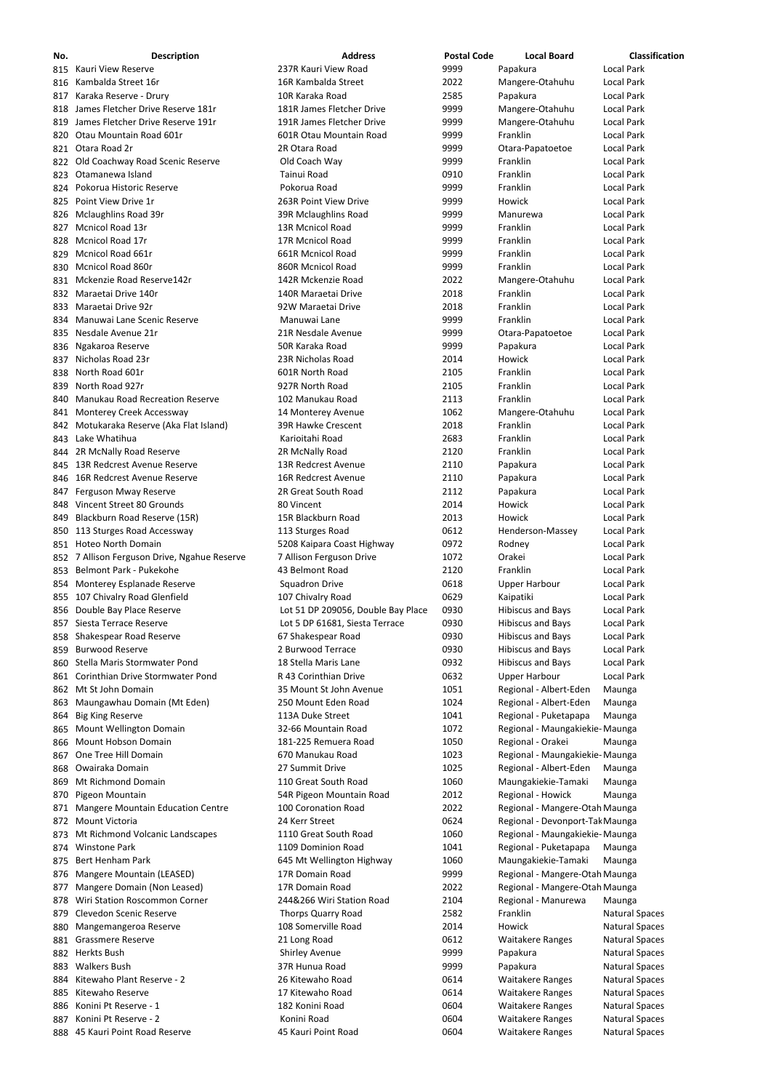| No.  | <b>Description</b>                           | <b>Address</b>                     | <b>Postal Code</b> | <b>Local Board</b>              | Classification        |
|------|----------------------------------------------|------------------------------------|--------------------|---------------------------------|-----------------------|
| 815  | Kauri View Reserve                           | 237R Kauri View Road               | 9999               | Papakura                        | <b>Local Park</b>     |
| 816  | Kambalda Street 16r                          | 16R Kambalda Street                | 2022               | Mangere-Otahuhu                 | <b>Local Park</b>     |
| 817  | Karaka Reserve - Drury                       | 10R Karaka Road                    | 2585               | Papakura                        | <b>Local Park</b>     |
| 818  | James Fletcher Drive Reserve 181r            | 181R James Fletcher Drive          | 9999               | Mangere-Otahuhu                 | <b>Local Park</b>     |
| 819  | James Fletcher Drive Reserve 191r            | 191R James Fletcher Drive          | 9999               | Mangere-Otahuhu                 | <b>Local Park</b>     |
|      |                                              |                                    |                    |                                 |                       |
| 820  | Otau Mountain Road 601r                      | 601R Otau Mountain Road            | 9999               | Franklin                        | Local Park            |
| 821  | Otara Road 2r                                | 2R Otara Road                      | 9999               | Otara-Papatoetoe                | <b>Local Park</b>     |
| 822  | Old Coachway Road Scenic Reserve             | Old Coach Way                      | 9999               | Franklin                        | <b>Local Park</b>     |
| 823  | Otamanewa Island                             | Tainui Road                        | 0910               | Franklin                        | <b>Local Park</b>     |
| 824. | Pokorua Historic Reserve                     | Pokorua Road                       | 9999               | Franklin                        | <b>Local Park</b>     |
| 825  | Point View Drive 1r                          | 263R Point View Drive              | 9999               | Howick                          | <b>Local Park</b>     |
| 826  | Mclaughlins Road 39r                         | 39R Mclaughlins Road               | 9999               | Manurewa                        | <b>Local Park</b>     |
| 827  | Mcnicol Road 13r                             | 13R Mcnicol Road                   | 9999               | Franklin                        | <b>Local Park</b>     |
| 828  | Mcnicol Road 17r                             | 17R Mcnicol Road                   | 9999               | Franklin                        | <b>Local Park</b>     |
| 829  | Mcnicol Road 661r                            | 661R Mcnicol Road                  | 9999               | Franklin                        | <b>Local Park</b>     |
|      | <b>Mcnicol Road 860r</b>                     |                                    |                    | Franklin                        | <b>Local Park</b>     |
| 830  |                                              | 860R Mcnicol Road                  | 9999               |                                 |                       |
| 831  | Mckenzie Road Reserve142r                    | 142R Mckenzie Road                 | 2022               | Mangere-Otahuhu                 | <b>Local Park</b>     |
| 832  | Maraetai Drive 140r                          | 140R Maraetai Drive                | 2018               | Franklin                        | <b>Local Park</b>     |
| 833  | Maraetai Drive 92r                           | 92W Maraetai Drive                 | 2018               | Franklin                        | <b>Local Park</b>     |
| 834  | Manuwai Lane Scenic Reserve                  | Manuwai Lane                       | 9999               | Franklin                        | <b>Local Park</b>     |
| 835  | Nesdale Avenue 21r                           | 21R Nesdale Avenue                 | 9999               | Otara-Papatoetoe                | <b>Local Park</b>     |
| 836  | Ngakaroa Reserve                             | 50R Karaka Road                    | 9999               | Papakura                        | <b>Local Park</b>     |
| 837  | Nicholas Road 23r                            | 23R Nicholas Road                  | 2014               | Howick                          | <b>Local Park</b>     |
| 838  | North Road 601r                              | 601R North Road                    | 2105               | Franklin                        | <b>Local Park</b>     |
|      |                                              |                                    |                    |                                 |                       |
| 839  | North Road 927r                              | 927R North Road                    | 2105               | Franklin                        | <b>Local Park</b>     |
| 840  | <b>Manukau Road Recreation Reserve</b>       | 102 Manukau Road                   | 2113               | Franklin                        | <b>Local Park</b>     |
| 841  | Monterey Creek Accessway                     | 14 Monterey Avenue                 | 1062               | Mangere-Otahuhu                 | <b>Local Park</b>     |
| 842  | Motukaraka Reserve (Aka Flat Island)         | 39R Hawke Crescent                 | 2018               | Franklin                        | <b>Local Park</b>     |
| 843  | Lake Whatihua                                | Karioitahi Road                    | 2683               | Franklin                        | <b>Local Park</b>     |
|      | 844 2R McNally Road Reserve                  | 2R McNally Road                    | 2120               | Franklin                        | <b>Local Park</b>     |
| 845. | 13R Redcrest Avenue Reserve                  | 13R Redcrest Avenue                | 2110               | Papakura                        | <b>Local Park</b>     |
|      | 846 16R Redcrest Avenue Reserve              | 16R Redcrest Avenue                | 2110               | Papakura                        | <b>Local Park</b>     |
|      | 847 Ferguson Mway Reserve                    | 2R Great South Road                | 2112               | Papakura                        | Local Park            |
|      | Vincent Street 80 Grounds                    |                                    | 2014               | Howick                          | <b>Local Park</b>     |
| 848  |                                              | 80 Vincent                         |                    |                                 |                       |
| 849  | Blackburn Road Reserve (15R)                 | 15R Blackburn Road                 | 2013               | Howick                          | <b>Local Park</b>     |
| 850  | 113 Sturges Road Accessway                   | 113 Sturges Road                   | 0612               | Henderson-Massey                | Local Park            |
|      | 851 Hoteo North Domain                       | 5208 Kaipara Coast Highway         | 0972               | Rodney                          | <b>Local Park</b>     |
|      | 852 7 Allison Ferguson Drive, Ngahue Reserve | 7 Allison Ferguson Drive           | 1072               | Orakei                          | <b>Local Park</b>     |
| 853  | Belmont Park - Pukekohe                      | 43 Belmont Road                    | 2120               | Franklin                        | <b>Local Park</b>     |
| 854  | Monterey Esplanade Reserve                   | <b>Squadron Drive</b>              | 0618               | <b>Upper Harbour</b>            | Local Park            |
| 855  | 107 Chivalry Road Glenfield                  | 107 Chivalry Road                  | 0629               | Kaipatiki                       | Local Park            |
| 856  | Double Bay Place Reserve                     | Lot 51 DP 209056, Double Bay Place | 0930               | <b>Hibiscus and Bays</b>        | <b>Local Park</b>     |
| 857  | Siesta Terrace Reserve                       | Lot 5 DP 61681, Siesta Terrace     | 0930               | <b>Hibiscus and Bays</b>        | <b>Local Park</b>     |
|      |                                              |                                    | 0930               | <b>Hibiscus and Bays</b>        | <b>Local Park</b>     |
| 858  | Shakespear Road Reserve                      | 67 Shakespear Road                 |                    |                                 |                       |
| 859  | <b>Burwood Reserve</b>                       | 2 Burwood Terrace                  | 0930               | Hibiscus and Bays               | Local Park            |
| 860  | Stella Maris Stormwater Pond                 | 18 Stella Maris Lane               | 0932               | Hibiscus and Bays               | <b>Local Park</b>     |
|      | 861 Corinthian Drive Stormwater Pond         | R 43 Corinthian Drive              | 0632               | <b>Upper Harbour</b>            | <b>Local Park</b>     |
| 862  | Mt St John Domain                            | 35 Mount St John Avenue            | 1051               | Regional - Albert-Eden          | Maunga                |
| 863  | Maungawhau Domain (Mt Eden)                  | 250 Mount Eden Road                | 1024               | Regional - Albert-Eden          | Maunga                |
| 864  | <b>Big King Reserve</b>                      | 113A Duke Street                   | 1041               | Regional - Puketapapa           | Maunga                |
| 865  | Mount Wellington Domain                      | 32-66 Mountain Road                | 1072               | Regional - Maungakiekie- Maunga |                       |
| 866  | Mount Hobson Domain                          | 181-225 Remuera Road               | 1050               | Regional - Orakei               | Maunga                |
| 867  | One Tree Hill Domain                         | 670 Manukau Road                   | 1023               | Regional - Maungakiekie- Maunga |                       |
| 868  | Owairaka Domain                              | 27 Summit Drive                    | 1025               | Regional - Albert-Eden          | Maunga                |
|      |                                              | 110 Great South Road               |                    |                                 |                       |
| 869  | Mt Richmond Domain                           |                                    | 1060               | Maungakiekie-Tamaki             | Maunga                |
| 870  | Pigeon Mountain                              | 54R Pigeon Mountain Road           | 2012               | Regional - Howick               | Maunga                |
| 871  | <b>Mangere Mountain Education Centre</b>     | 100 Coronation Road                | 2022               | Regional - Mangere-Otah Maunga  |                       |
| 872  | <b>Mount Victoria</b>                        | 24 Kerr Street                     | 0624               | Regional - Devonport-Tak Maunga |                       |
| 873. | Mt Richmond Volcanic Landscapes              | 1110 Great South Road              | 1060               | Regional - Maungakiekie- Maunga |                       |
| 874  | <b>Winstone Park</b>                         | 1109 Dominion Road                 | 1041               | Regional - Puketapapa           | Maunga                |
|      | 875 Bert Henham Park                         | 645 Mt Wellington Highway          | 1060               | Maungakiekie-Tamaki             | Maunga                |
|      | 876 Mangere Mountain (LEASED)                | 17R Domain Road                    | 9999               | Regional - Mangere-Otah Maunga  |                       |
| 877  | Mangere Domain (Non Leased)                  | 17R Domain Road                    | 2022               | Regional - Mangere-Otah Maunga  |                       |
|      | Wiri Station Roscommon Corner                | 244&266 Wiri Station Road          | 2104               | Regional - Manurewa             |                       |
| 878  |                                              |                                    |                    |                                 | Maunga                |
| 879  | Clevedon Scenic Reserve                      | <b>Thorps Quarry Road</b>          | 2582               | Franklin                        | <b>Natural Spaces</b> |
| 880  | Mangemangeroa Reserve                        | 108 Somerville Road                | 2014               | Howick                          | <b>Natural Spaces</b> |
| 881  | <b>Grassmere Reserve</b>                     | 21 Long Road                       | 0612               | <b>Waitakere Ranges</b>         | <b>Natural Spaces</b> |
| 882  | Herkts Bush                                  | <b>Shirley Avenue</b>              | 9999               | Papakura                        | <b>Natural Spaces</b> |
| 883  | <b>Walkers Bush</b>                          | 37R Hunua Road                     | 9999               | Papakura                        | <b>Natural Spaces</b> |
| 884  | Kitewaho Plant Reserve - 2                   | 26 Kitewaho Road                   | 0614               | <b>Waitakere Ranges</b>         | <b>Natural Spaces</b> |
| 885  | Kitewaho Reserve                             | 17 Kitewaho Road                   | 0614               | <b>Waitakere Ranges</b>         | <b>Natural Spaces</b> |
| 886  | Konini Pt Reserve - 1                        | 182 Konini Road                    | 0604               | <b>Waitakere Ranges</b>         | <b>Natural Spaces</b> |
| 887  | Konini Pt Reserve - 2                        | Konini Road                        | 0604               | <b>Waitakere Ranges</b>         | <b>Natural Spaces</b> |
|      | 888 45 Kauri Point Road Reserve              | 45 Kauri Point Road                | 0604               | <b>Waitakere Ranges</b>         | <b>Natural Spaces</b> |
|      |                                              |                                    |                    |                                 |                       |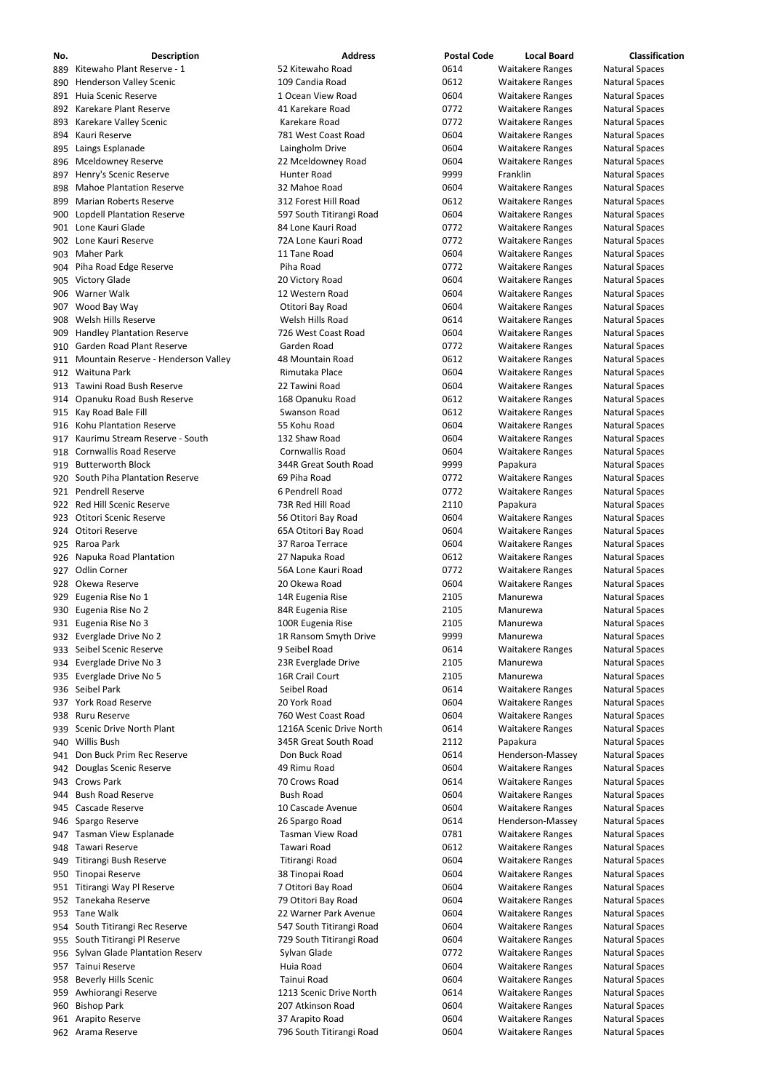| No.        | <b>Description</b>                                        | <b>Address</b>                                    | <b>Postal Code</b> | <b>Local Board</b>                                 | <b>Classification</b>                          |
|------------|-----------------------------------------------------------|---------------------------------------------------|--------------------|----------------------------------------------------|------------------------------------------------|
| 889        | Kitewaho Plant Reserve - 1                                | 52 Kitewaho Road                                  | 0614               | <b>Waitakere Ranges</b>                            | <b>Natural Spaces</b>                          |
| 890        | <b>Henderson Valley Scenic</b>                            | 109 Candia Road                                   | 0612               | <b>Waitakere Ranges</b>                            | <b>Natural Spaces</b>                          |
| 891        | Huia Scenic Reserve                                       | 1 Ocean View Road                                 | 0604               | <b>Waitakere Ranges</b>                            | <b>Natural Spaces</b>                          |
| 892        | Karekare Plant Reserve                                    | 41 Karekare Road                                  | 0772               | <b>Waitakere Ranges</b>                            | <b>Natural Spaces</b>                          |
| 893        | Karekare Valley Scenic                                    | Karekare Road                                     | 0772               | <b>Waitakere Ranges</b>                            | <b>Natural Spaces</b>                          |
| 894        | Kauri Reserve                                             | 781 West Coast Road                               | 0604               | <b>Waitakere Ranges</b>                            | <b>Natural Spaces</b>                          |
| 895        | Laings Esplanade                                          | Laingholm Drive                                   | 0604               | <b>Waitakere Ranges</b>                            | <b>Natural Spaces</b>                          |
| 896        | <b>Mceldowney Reserve</b>                                 | 22 Mceldowney Road                                | 0604               | <b>Waitakere Ranges</b>                            | <b>Natural Spaces</b>                          |
| 897        | Henry's Scenic Reserve                                    | <b>Hunter Road</b>                                | 9999               | Franklin                                           | <b>Natural Spaces</b>                          |
| 898        | <b>Mahoe Plantation Reserve</b>                           | 32 Mahoe Road                                     | 0604               | <b>Waitakere Ranges</b>                            | <b>Natural Spaces</b>                          |
| 899        | <b>Marian Roberts Reserve</b>                             | 312 Forest Hill Road                              | 0612               | <b>Waitakere Ranges</b>                            | <b>Natural Spaces</b>                          |
| 900        | <b>Lopdell Plantation Reserve</b>                         | 597 South Titirangi Road                          | 0604               | <b>Waitakere Ranges</b>                            | <b>Natural Spaces</b>                          |
| 901        | Lone Kauri Glade                                          | 84 Lone Kauri Road                                | 0772               | <b>Waitakere Ranges</b>                            | <b>Natural Spaces</b>                          |
| 902        | Lone Kauri Reserve                                        | 72A Lone Kauri Road                               | 0772               | <b>Waitakere Ranges</b>                            | <b>Natural Spaces</b>                          |
| 903        | <b>Maher Park</b>                                         | 11 Tane Road                                      | 0604               | <b>Waitakere Ranges</b>                            | <b>Natural Spaces</b>                          |
| 904        | Piha Road Edge Reserve                                    | Piha Road                                         | 0772               | <b>Waitakere Ranges</b>                            | <b>Natural Spaces</b>                          |
| 905        | <b>Victory Glade</b>                                      | 20 Victory Road                                   | 0604               | <b>Waitakere Ranges</b>                            | <b>Natural Spaces</b>                          |
| 906        | Warner Walk                                               | 12 Western Road                                   | 0604               | <b>Waitakere Ranges</b>                            | <b>Natural Spaces</b>                          |
| 907        | Wood Bay Way                                              | Otitori Bay Road                                  | 0604               | <b>Waitakere Ranges</b>                            | <b>Natural Spaces</b>                          |
| 908        | Welsh Hills Reserve                                       | Welsh Hills Road                                  | 0614               | <b>Waitakere Ranges</b>                            | <b>Natural Spaces</b>                          |
| 909        | <b>Handley Plantation Reserve</b>                         | 726 West Coast Road                               | 0604               | <b>Waitakere Ranges</b>                            | <b>Natural Spaces</b>                          |
| 910        | Garden Road Plant Reserve                                 | Garden Road                                       | 0772               | <b>Waitakere Ranges</b>                            | <b>Natural Spaces</b>                          |
| 911        | Mountain Reserve - Henderson Valley                       | 48 Mountain Road                                  | 0612               | <b>Waitakere Ranges</b>                            | <b>Natural Spaces</b>                          |
| 912        | Waituna Park                                              | Rimutaka Place                                    | 0604               | <b>Waitakere Ranges</b>                            | <b>Natural Spaces</b>                          |
| 913        | Tawini Road Bush Reserve                                  | 22 Tawini Road                                    | 0604               | <b>Waitakere Ranges</b>                            | <b>Natural Spaces</b>                          |
| 914        | Opanuku Road Bush Reserve                                 | 168 Opanuku Road                                  | 0612               | <b>Waitakere Ranges</b>                            | <b>Natural Spaces</b>                          |
| 915        | Kay Road Bale Fill<br><b>Kohu Plantation Reserve</b>      | Swanson Road                                      | 0612               | <b>Waitakere Ranges</b>                            | <b>Natural Spaces</b>                          |
| 916        | Kaurimu Stream Reserve - South                            | 55 Kohu Road<br>132 Shaw Road                     | 0604<br>0604       | <b>Waitakere Ranges</b>                            | <b>Natural Spaces</b>                          |
| 917        | <b>Cornwallis Road Reserve</b>                            | Cornwallis Road                                   | 0604               | <b>Waitakere Ranges</b><br><b>Waitakere Ranges</b> | <b>Natural Spaces</b>                          |
| 918        | <b>Butterworth Block</b>                                  | 344R Great South Road                             | 9999               |                                                    | <b>Natural Spaces</b><br><b>Natural Spaces</b> |
| 919<br>920 | South Piha Plantation Reserve                             | 69 Piha Road                                      | 0772               | Papakura<br><b>Waitakere Ranges</b>                | <b>Natural Spaces</b>                          |
| 921        | Pendrell Reserve                                          | 6 Pendrell Road                                   | 0772               | <b>Waitakere Ranges</b>                            | <b>Natural Spaces</b>                          |
| 922        | <b>Red Hill Scenic Reserve</b>                            | 73R Red Hill Road                                 | 2110               | Papakura                                           | <b>Natural Spaces</b>                          |
| 923        | <b>Otitori Scenic Reserve</b>                             | 56 Otitori Bay Road                               | 0604               | <b>Waitakere Ranges</b>                            | <b>Natural Spaces</b>                          |
| 924        | Otitori Reserve                                           | 65A Otitori Bay Road                              | 0604               | <b>Waitakere Ranges</b>                            | <b>Natural Spaces</b>                          |
| 925        | Raroa Park                                                | 37 Raroa Terrace                                  | 0604               | <b>Waitakere Ranges</b>                            | <b>Natural Spaces</b>                          |
| 926        | Napuka Road Plantation                                    | 27 Napuka Road                                    | 0612               | <b>Waitakere Ranges</b>                            | <b>Natural Spaces</b>                          |
| 927        | <b>Odlin Corner</b>                                       | 56A Lone Kauri Road                               | 0772               | <b>Waitakere Ranges</b>                            | <b>Natural Spaces</b>                          |
| 928        | Okewa Reserve                                             | 20 Okewa Road                                     | 0604               | <b>Waitakere Ranges</b>                            | <b>Natural Spaces</b>                          |
| 929        | Eugenia Rise No 1                                         | 14R Eugenia Rise                                  | 2105               | Manurewa                                           | <b>Natural Spaces</b>                          |
| 930        | Eugenia Rise No 2                                         | 84R Eugenia Rise                                  | 2105               | Manurewa                                           | <b>Natural Spaces</b>                          |
| 931        | Eugenia Rise No 3                                         | 100R Eugenia Rise                                 | 2105               | Manurewa                                           | <b>Natural Spaces</b>                          |
| 932        | Everglade Drive No 2                                      | 1R Ransom Smyth Drive                             | 9999               | Manurewa                                           | <b>Natural Spaces</b>                          |
| 933        | Seibel Scenic Reserve                                     | 9 Seibel Road                                     | 0614               | <b>Waitakere Ranges</b>                            | <b>Natural Spaces</b>                          |
| 934        | Everglade Drive No 3                                      | 23R Everglade Drive                               | 2105               | Manurewa                                           | <b>Natural Spaces</b>                          |
| 935        | Everglade Drive No 5                                      | 16R Crail Court                                   | 2105               | Manurewa                                           | <b>Natural Spaces</b>                          |
| 936        | Seibel Park                                               | Seibel Road                                       | 0614               | <b>Waitakere Ranges</b>                            | <b>Natural Spaces</b>                          |
| 937        | <b>York Road Reserve</b>                                  | 20 York Road                                      | 0604               | <b>Waitakere Ranges</b>                            | <b>Natural Spaces</b>                          |
| 938        | <b>Ruru Reserve</b>                                       | 760 West Coast Road                               | 0604               | <b>Waitakere Ranges</b>                            | <b>Natural Spaces</b>                          |
| 939        | Scenic Drive North Plant                                  | 1216A Scenic Drive North                          | 0614               | <b>Waitakere Ranges</b>                            | <b>Natural Spaces</b>                          |
|            | 940 Willis Bush                                           | 345R Great South Road                             | 2112               | Papakura                                           | <b>Natural Spaces</b>                          |
| 941        | Don Buck Prim Rec Reserve                                 | Don Buck Road                                     | 0614               | Henderson-Massey                                   | <b>Natural Spaces</b>                          |
| 942        | Douglas Scenic Reserve                                    | 49 Rimu Road                                      | 0604               | <b>Waitakere Ranges</b>                            | <b>Natural Spaces</b>                          |
| 943        | <b>Crows Park</b>                                         | 70 Crows Road                                     | 0614               | <b>Waitakere Ranges</b>                            | <b>Natural Spaces</b>                          |
| 944        | <b>Bush Road Reserve</b>                                  | <b>Bush Road</b>                                  | 0604               | <b>Waitakere Ranges</b>                            | <b>Natural Spaces</b>                          |
| 945        | Cascade Reserve                                           | 10 Cascade Avenue                                 | 0604               | <b>Waitakere Ranges</b>                            | <b>Natural Spaces</b>                          |
| 946        | Spargo Reserve                                            | 26 Spargo Road                                    | 0614               | Henderson-Massey                                   | <b>Natural Spaces</b>                          |
| 947        | Tasman View Esplanade                                     | <b>Tasman View Road</b>                           | 0781               | <b>Waitakere Ranges</b>                            | <b>Natural Spaces</b>                          |
| 948        | <b>Tawari Reserve</b>                                     | Tawari Road                                       | 0612               | <b>Waitakere Ranges</b>                            | <b>Natural Spaces</b>                          |
|            | 949 Titirangi Bush Reserve                                | Titirangi Road                                    | 0604               | <b>Waitakere Ranges</b>                            | <b>Natural Spaces</b>                          |
| 950        | Tinopai Reserve                                           | 38 Tinopai Road                                   | 0604               | <b>Waitakere Ranges</b>                            | <b>Natural Spaces</b>                          |
| 951        | Titirangi Way Pl Reserve                                  | 7 Otitori Bay Road                                | 0604               | <b>Waitakere Ranges</b>                            | <b>Natural Spaces</b>                          |
| 952        | Tanekaha Reserve<br>Tane Walk                             | 79 Otitori Bay Road                               | 0604               | <b>Waitakere Ranges</b>                            | <b>Natural Spaces</b>                          |
| 953        |                                                           | 22 Warner Park Avenue<br>547 South Titirangi Road | 0604<br>0604       | <b>Waitakere Ranges</b><br><b>Waitakere Ranges</b> | <b>Natural Spaces</b>                          |
| 954        | South Titirangi Rec Reserve<br>South Titirangi Pl Reserve | 729 South Titirangi Road                          | 0604               |                                                    | <b>Natural Spaces</b>                          |
| 955        | <b>Sylvan Glade Plantation Reserv</b>                     | Sylvan Glade                                      | 0772               | <b>Waitakere Ranges</b><br><b>Waitakere Ranges</b> | <b>Natural Spaces</b><br><b>Natural Spaces</b> |
| 956<br>957 | Tainui Reserve                                            | Huia Road                                         | 0604               | <b>Waitakere Ranges</b>                            | <b>Natural Spaces</b>                          |
| 958        | <b>Beverly Hills Scenic</b>                               | Tainui Road                                       | 0604               | <b>Waitakere Ranges</b>                            | <b>Natural Spaces</b>                          |
| 959        | Awhiorangi Reserve                                        | 1213 Scenic Drive North                           | 0614               | <b>Waitakere Ranges</b>                            | <b>Natural Spaces</b>                          |
| 960        | <b>Bishop Park</b>                                        | 207 Atkinson Road                                 | 0604               | <b>Waitakere Ranges</b>                            | <b>Natural Spaces</b>                          |
| 961        | Arapito Reserve                                           | 37 Arapito Road                                   | 0604               | <b>Waitakere Ranges</b>                            | <b>Natural Spaces</b>                          |
|            | 962 Arama Reserve                                         | 796 South Titirangi Road                          | 0604               | <b>Waitakere Ranges</b>                            | <b>Natural Spaces</b>                          |
|            |                                                           |                                                   |                    |                                                    |                                                |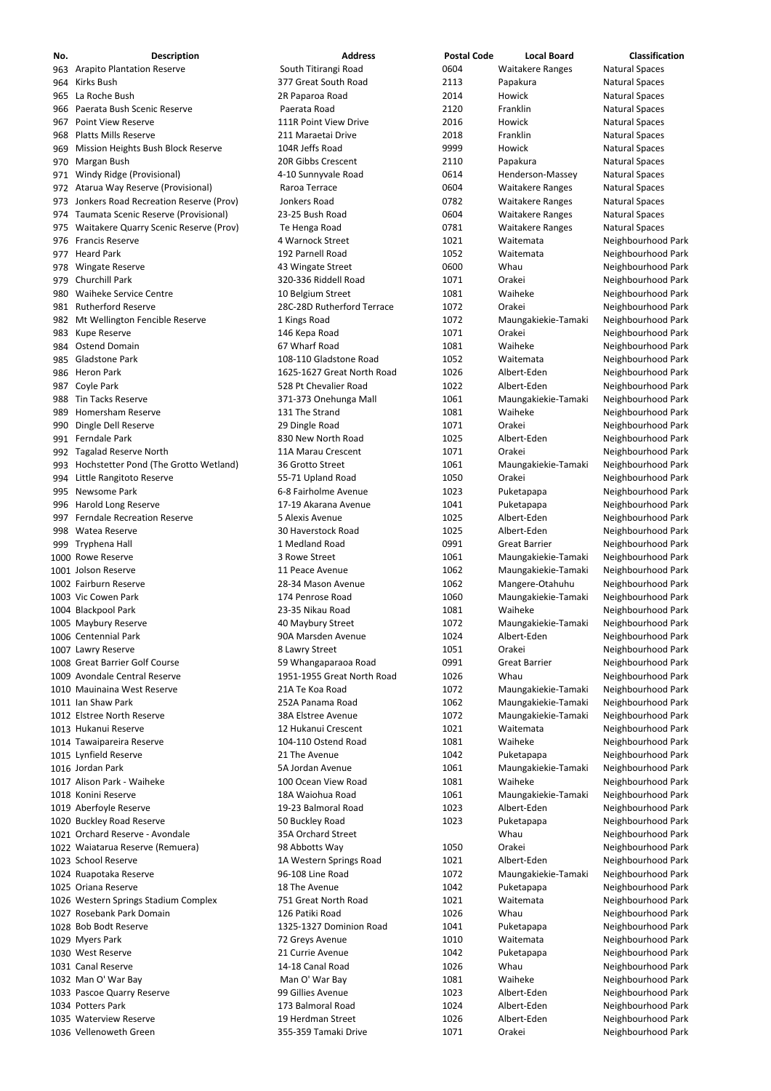| No.  | <b>Description</b>                        | <b>Address</b>             | <b>Postal Code</b> | <b>Local Board</b>      | <b>Classification</b> |
|------|-------------------------------------------|----------------------------|--------------------|-------------------------|-----------------------|
| 963  | <b>Arapito Plantation Reserve</b>         | South Titirangi Road       | 0604               | <b>Waitakere Ranges</b> | <b>Natural Spaces</b> |
| 964  | Kirks Bush                                | 377 Great South Road       | 2113               | Papakura                | <b>Natural Spaces</b> |
| 965  | La Roche Bush                             | 2R Paparoa Road            | 2014               | Howick                  | <b>Natural Spaces</b> |
| 966  | Paerata Bush Scenic Reserve               | Paerata Road               | 2120               | Franklin                | <b>Natural Spaces</b> |
| 967  | <b>Point View Reserve</b>                 | 111R Point View Drive      | 2016               | Howick                  | <b>Natural Spaces</b> |
| 968  | <b>Platts Mills Reserve</b>               | 211 Maraetai Drive         | 2018               | Franklin                | <b>Natural Spaces</b> |
| 969  | Mission Heights Bush Block Reserve        | 104R Jeffs Road            | 9999               | Howick                  | <b>Natural Spaces</b> |
| 970  | Margan Bush                               | 20R Gibbs Crescent         | 2110               | Papakura                | <b>Natural Spaces</b> |
| 971  | <b>Windy Ridge (Provisional)</b>          | 4-10 Sunnyvale Road        | 0614               | Henderson-Massey        | <b>Natural Spaces</b> |
| 972  | Atarua Way Reserve (Provisional)          | Raroa Terrace              | 0604               | <b>Waitakere Ranges</b> | <b>Natural Spaces</b> |
|      | Jonkers Road Recreation Reserve (Prov)    | Jonkers Road               | 0782               | <b>Waitakere Ranges</b> | <b>Natural Spaces</b> |
| 973  |                                           |                            |                    |                         |                       |
| 974  | Taumata Scenic Reserve (Provisional)      | 23-25 Bush Road            | 0604               | <b>Waitakere Ranges</b> | <b>Natural Spaces</b> |
| 975  | Waitakere Quarry Scenic Reserve (Prov)    | Te Henga Road              | 0781               | <b>Waitakere Ranges</b> | <b>Natural Spaces</b> |
| 976  | <b>Francis Reserve</b>                    | 4 Warnock Street           | 1021               | Waitemata               | Neighbourhood Park    |
| 977  | <b>Heard Park</b>                         | 192 Parnell Road           | 1052               | Waitemata               | Neighbourhood Park    |
| 978  | <b>Wingate Reserve</b>                    | 43 Wingate Street          | 0600               | Whau                    | Neighbourhood Park    |
| 979  | <b>Churchill Park</b>                     | 320-336 Riddell Road       | 1071               | Orakei                  | Neighbourhood Park    |
| 980  | <b>Waiheke Service Centre</b>             | 10 Belgium Street          | 1081               | Waiheke                 | Neighbourhood Park    |
| 981  | <b>Rutherford Reserve</b>                 | 28C-28D Rutherford Terrace | 1072               | Orakei                  | Neighbourhood Park    |
| 982  | Mt Wellington Fencible Reserve            | 1 Kings Road               | 1072               | Maungakiekie-Tamaki     | Neighbourhood Park    |
| 983  | Kupe Reserve                              | 146 Kepa Road              | 1071               | Orakei                  | Neighbourhood Park    |
| 984  | <b>Ostend Domain</b>                      | 67 Wharf Road              | 1081               | Waiheke                 | Neighbourhood Park    |
| 985  | <b>Gladstone Park</b>                     | 108-110 Gladstone Road     | 1052               | Waitemata               | Neighbourhood Park    |
| 986. | <b>Heron Park</b>                         | 1625-1627 Great North Road | 1026               | Albert-Eden             | Neighbourhood Park    |
| 987  | Coyle Park                                | 528 Pt Chevalier Road      | 1022               | Albert-Eden             | Neighbourhood Park    |
| 988  | <b>Tin Tacks Reserve</b>                  | 371-373 Onehunga Mall      | 1061               | Maungakiekie-Tamaki     | Neighbourhood Park    |
|      |                                           |                            |                    |                         |                       |
| 989  | Homersham Reserve                         | 131 The Strand             | 1081               | Waiheke                 | Neighbourhood Park    |
| 990  | Dingle Dell Reserve                       | 29 Dingle Road             | 1071               | Orakei                  | Neighbourhood Park    |
| 991. | Ferndale Park                             | 830 New North Road         | 1025               | Albert-Eden             | Neighbourhood Park    |
|      | 992 Tagalad Reserve North                 | 11A Marau Crescent         | 1071               | Orakei                  | Neighbourhood Park    |
|      | 993 Hochstetter Pond (The Grotto Wetland) | 36 Grotto Street           | 1061               | Maungakiekie-Tamaki     | Neighbourhood Park    |
| 994  | Little Rangitoto Reserve                  | 55-71 Upland Road          | 1050               | Orakei                  | Neighbourhood Park    |
| 995  | Newsome Park                              | 6-8 Fairholme Avenue       | 1023               | Puketapapa              | Neighbourhood Park    |
| 996  | <b>Harold Long Reserve</b>                | 17-19 Akarana Avenue       | 1041               | Puketapapa              | Neighbourhood Park    |
| 997  | <b>Ferndale Recreation Reserve</b>        | 5 Alexis Avenue            | 1025               | Albert-Eden             | Neighbourhood Park    |
|      | 998 Watea Reserve                         | 30 Haverstock Road         | 1025               | Albert-Eden             | Neighbourhood Park    |
|      | 999 Tryphena Hall                         | 1 Medland Road             | 0991               | <b>Great Barrier</b>    | Neighbourhood Park    |
|      | 1000 Rowe Reserve                         | 3 Rowe Street              | 1061               | Maungakiekie-Tamaki     | Neighbourhood Park    |
|      | 1001 Jolson Reserve                       | 11 Peace Avenue            | 1062               |                         |                       |
|      |                                           |                            |                    | Maungakiekie-Tamaki     | Neighbourhood Park    |
|      | 1002 Fairburn Reserve                     | 28-34 Mason Avenue         | 1062               | Mangere-Otahuhu         | Neighbourhood Park    |
|      | 1003 Vic Cowen Park                       | 174 Penrose Road           | 1060               | Maungakiekie-Tamaki     | Neighbourhood Park    |
|      | 1004 Blackpool Park                       | 23-35 Nikau Road           | 1081               | Waiheke                 | Neighbourhood Park    |
|      | 1005 Maybury Reserve                      | 40 Maybury Street          | 1072               | Maungakiekie-Tamaki     | Neighbourhood Park    |
|      | 1006 Centennial Park                      | 90A Marsden Avenue         | 1024               | Albert-Eden             | Neighbourhood Park    |
|      | 1007 Lawry Reserve                        | 8 Lawry Street             | 1051               | Orakei                  | Neighbourhood Park    |
|      | 1008 Great Barrier Golf Course            | 59 Whangaparaoa Road       | 0991               | <b>Great Barrier</b>    | Neighbourhood Park    |
|      | 1009 Avondale Central Reserve             | 1951-1955 Great North Road | 1026               | Whau                    | Neighbourhood Park    |
|      | 1010 Mauinaina West Reserve               | 21A Te Koa Road            | 1072               | Maungakiekie-Tamaki     | Neighbourhood Park    |
|      | 1011 Ian Shaw Park                        | 252A Panama Road           | 1062               | Maungakiekie-Tamaki     | Neighbourhood Park    |
|      | 1012 Elstree North Reserve                | 38A Elstree Avenue         | 1072               | Maungakiekie-Tamaki     | Neighbourhood Park    |
|      | 1013 Hukanui Reserve                      | 12 Hukanui Crescent        | 1021               | Waitemata               | Neighbourhood Park    |
|      | 1014 Tawaipareira Reserve                 | 104-110 Ostend Road        | 1081               | Waiheke                 | Neighbourhood Park    |
|      | 1015 Lynfield Reserve                     | 21 The Avenue              | 1042               | Puketapapa              | Neighbourhood Park    |
|      | 1016 Jordan Park                          | 5A Jordan Avenue           | 1061               | Maungakiekie-Tamaki     | Neighbourhood Park    |
|      |                                           |                            |                    |                         |                       |
|      | 1017 Alison Park - Waiheke                | 100 Ocean View Road        | 1081               | Waiheke                 | Neighbourhood Park    |
|      | 1018 Konini Reserve                       | 18A Waiohua Road           | 1061               | Maungakiekie-Tamaki     | Neighbourhood Park    |
|      | 1019 Aberfoyle Reserve                    | 19-23 Balmoral Road        | 1023               | Albert-Eden             | Neighbourhood Park    |
|      | 1020 Buckley Road Reserve                 | 50 Buckley Road            | 1023               | Puketapapa              | Neighbourhood Park    |
|      | 1021 Orchard Reserve - Avondale           | 35A Orchard Street         |                    | Whau                    | Neighbourhood Park    |
|      | 1022 Waiatarua Reserve (Remuera)          | 98 Abbotts Way             | 1050               | Orakei                  | Neighbourhood Park    |
|      | 1023 School Reserve                       | 1A Western Springs Road    | 1021               | Albert-Eden             | Neighbourhood Park    |
|      | 1024 Ruapotaka Reserve                    | 96-108 Line Road           | 1072               | Maungakiekie-Tamaki     | Neighbourhood Park    |
|      | 1025 Oriana Reserve                       | 18 The Avenue              | 1042               | Puketapapa              | Neighbourhood Park    |
|      | 1026 Western Springs Stadium Complex      | 751 Great North Road       | 1021               | Waitemata               | Neighbourhood Park    |
|      | 1027 Rosebank Park Domain                 | 126 Patiki Road            | 1026               | Whau                    | Neighbourhood Park    |
|      | 1028 Bob Bodt Reserve                     | 1325-1327 Dominion Road    | 1041               | Puketapapa              | Neighbourhood Park    |
|      |                                           |                            |                    |                         |                       |
|      | 1029 Myers Park                           | 72 Greys Avenue            | 1010               | Waitemata               | Neighbourhood Park    |
|      | 1030 West Reserve                         | 21 Currie Avenue           | 1042               | Puketapapa              | Neighbourhood Park    |
|      | 1031 Canal Reserve                        | 14-18 Canal Road           | 1026               | Whau                    | Neighbourhood Park    |
|      | 1032 Man O' War Bay                       | Man O' War Bay             | 1081               | Waiheke                 | Neighbourhood Park    |
|      | 1033 Pascoe Quarry Reserve                | 99 Gillies Avenue          | 1023               | Albert-Eden             | Neighbourhood Park    |
|      | 1034 Potters Park                         | 173 Balmoral Road          | 1024               | Albert-Eden             | Neighbourhood Park    |
|      | 1035 Waterview Reserve                    | 19 Herdman Street          | 1026               | Albert-Eden             | Neighbourhood Park    |
|      | 1036 Vellenoweth Green                    | 355-359 Tamaki Drive       | 1071               | Orakei                  | Neighbourhood Park    |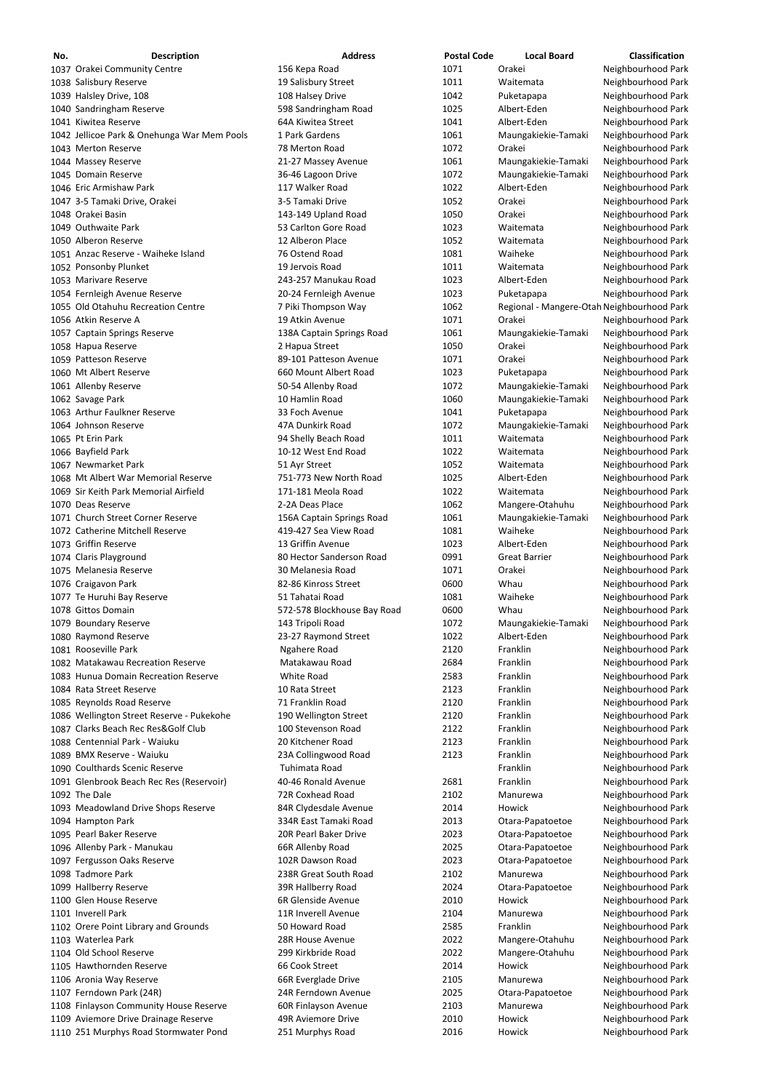| No. | <b>Description</b>                          | <b>Address</b>              | <b>Postal Code</b> | <b>Local Board</b>                         | Classification     |
|-----|---------------------------------------------|-----------------------------|--------------------|--------------------------------------------|--------------------|
|     | 1037 Orakei Community Centre                | 156 Kepa Road               | 1071               | Orakei                                     | Neighbourhood Park |
|     | 1038 Salisbury Reserve                      | 19 Salisbury Street         | 1011               | Waitemata                                  | Neighbourhood Park |
|     | 1039 Halsley Drive, 108                     | 108 Halsey Drive            | 1042               | Puketapapa                                 | Neighbourhood Park |
|     | 1040 Sandringham Reserve                    | 598 Sandringham Road        | 1025               | Albert-Eden                                | Neighbourhood Park |
|     |                                             |                             |                    |                                            |                    |
|     | 1041 Kiwitea Reserve                        | 64A Kiwitea Street          | 1041               | Albert-Eden                                | Neighbourhood Park |
|     | 1042 Jellicoe Park & Onehunga War Mem Pools | 1 Park Gardens              | 1061               | Maungakiekie-Tamaki                        | Neighbourhood Park |
|     | 1043 Merton Reserve                         | 78 Merton Road              | 1072               | Orakei                                     | Neighbourhood Park |
|     | 1044 Massey Reserve                         | 21-27 Massey Avenue         | 1061               | Maungakiekie-Tamaki                        | Neighbourhood Park |
|     | 1045 Domain Reserve                         | 36-46 Lagoon Drive          | 1072               | Maungakiekie-Tamaki                        | Neighbourhood Park |
|     | 1046 Eric Armishaw Park                     | 117 Walker Road             | 1022               | Albert-Eden                                | Neighbourhood Park |
|     | 1047 3-5 Tamaki Drive, Orakei               | 3-5 Tamaki Drive            | 1052               | Orakei                                     | Neighbourhood Park |
|     |                                             |                             |                    |                                            |                    |
|     | 1048 Orakei Basin                           | 143-149 Upland Road         | 1050               | Orakei                                     | Neighbourhood Park |
|     | 1049 Outhwaite Park                         | 53 Carlton Gore Road        | 1023               | Waitemata                                  | Neighbourhood Park |
|     | 1050 Alberon Reserve                        | 12 Alberon Place            | 1052               | Waitemata                                  | Neighbourhood Park |
|     | 1051 Anzac Reserve - Waiheke Island         | 76 Ostend Road              | 1081               | Waiheke                                    | Neighbourhood Park |
|     | 1052 Ponsonby Plunket                       | 19 Jervois Road             | 1011               | Waitemata                                  | Neighbourhood Park |
|     | 1053 Marivare Reserve                       | 243-257 Manukau Road        | 1023               | Albert-Eden                                | Neighbourhood Park |
|     | 1054 Fernleigh Avenue Reserve               | 20-24 Fernleigh Avenue      | 1023               | Puketapapa                                 | Neighbourhood Park |
|     |                                             |                             |                    |                                            |                    |
|     | 1055 Old Otahuhu Recreation Centre          | 7 Piki Thompson Way         | 1062               | Regional - Mangere-Otah Neighbourhood Park |                    |
|     | 1056 Atkin Reserve A                        | 19 Atkin Avenue             | 1071               | Orakei                                     | Neighbourhood Park |
|     | 1057 Captain Springs Reserve                | 138A Captain Springs Road   | 1061               | Maungakiekie-Tamaki                        | Neighbourhood Park |
|     | 1058 Hapua Reserve                          | 2 Hapua Street              | 1050               | Orakei                                     | Neighbourhood Park |
|     | 1059 Patteson Reserve                       | 89-101 Patteson Avenue      | 1071               | Orakei                                     | Neighbourhood Park |
|     | 1060 Mt Albert Reserve                      | 660 Mount Albert Road       | 1023               | Puketapapa                                 | Neighbourhood Park |
|     | 1061 Allenby Reserve                        | 50-54 Allenby Road          | 1072               | Maungakiekie-Tamaki                        | Neighbourhood Park |
|     |                                             |                             |                    |                                            |                    |
|     | 1062 Savage Park                            | 10 Hamlin Road              | 1060               | Maungakiekie-Tamaki                        | Neighbourhood Park |
|     | 1063 Arthur Faulkner Reserve                | 33 Foch Avenue              | 1041               | Puketapapa                                 | Neighbourhood Park |
|     | 1064 Johnson Reserve                        | 47A Dunkirk Road            | 1072               | Maungakiekie-Tamaki                        | Neighbourhood Park |
|     | 1065 Pt Erin Park                           | 94 Shelly Beach Road        | 1011               | Waitemata                                  | Neighbourhood Park |
|     | 1066 Bayfield Park                          | 10-12 West End Road         | 1022               | Waitemata                                  | Neighbourhood Park |
|     | 1067 Newmarket Park                         | 51 Ayr Street               | 1052               | Waitemata                                  | Neighbourhood Park |
|     | 1068 Mt Albert War Memorial Reserve         | 751-773 New North Road      | 1025               | Albert-Eden                                | Neighbourhood Park |
|     |                                             |                             |                    |                                            |                    |
|     | 1069 Sir Keith Park Memorial Airfield       | 171-181 Meola Road          | 1022               | Waitemata                                  | Neighbourhood Park |
|     | 1070 Deas Reserve                           | 2-2A Deas Place             | 1062               | Mangere-Otahuhu                            | Neighbourhood Park |
|     | 1071 Church Street Corner Reserve           | 156A Captain Springs Road   | 1061               | Maungakiekie-Tamaki                        | Neighbourhood Park |
|     | 1072 Catherine Mitchell Reserve             | 419-427 Sea View Road       | 1081               | Waiheke                                    | Neighbourhood Park |
|     | 1073 Griffin Reserve                        | 13 Griffin Avenue           | 1023               | Albert-Eden                                | Neighbourhood Park |
|     | 1074 Claris Playground                      | 80 Hector Sanderson Road    | 0991               | <b>Great Barrier</b>                       | Neighbourhood Park |
|     | 1075 Melanesia Reserve                      | 30 Melanesia Road           | 1071               | Orakei                                     | Neighbourhood Park |
|     |                                             | 82-86 Kinross Street        | 0600               | Whau                                       |                    |
|     | 1076 Craigavon Park                         |                             |                    |                                            | Neighbourhood Park |
|     | 1077 Te Huruhi Bay Reserve                  | 51 Tahatai Road             | 1081               | Waiheke                                    | Neighbourhood Park |
|     | 1078 Gittos Domain                          | 572-578 Blockhouse Bay Road | 0600               | Whau                                       | Neighbourhood Park |
|     | 1079 Boundary Reserve                       | 143 Tripoli Road            | 1072               | Maungakiekie-Tamaki                        | Neighbourhood Park |
|     | 1080 Raymond Reserve                        | 23-27 Raymond Street        | 1022               | Albert-Eden                                | Neighbourhood Park |
|     | 1081 Rooseville Park                        | Ngahere Road                | 2120               | Franklin                                   | Neighbourhood Park |
|     | 1082 Matakawau Recreation Reserve           | Matakawau Road              | 2684               | Franklin                                   | Neighbourhood Park |
|     | 1083 Hunua Domain Recreation Reserve        | White Road                  | 2583               | Franklin                                   | Neighbourhood Park |
|     |                                             |                             |                    |                                            |                    |
|     | 1084 Rata Street Reserve                    | 10 Rata Street              | 2123               | Franklin                                   | Neighbourhood Park |
|     | 1085 Reynolds Road Reserve                  | 71 Franklin Road            | 2120               | Franklin                                   | Neighbourhood Park |
|     | 1086 Wellington Street Reserve - Pukekohe   | 190 Wellington Street       | 2120               | Franklin                                   | Neighbourhood Park |
|     | 1087 Clarks Beach Rec Res&Golf Club         | 100 Stevenson Road          | 2122               | Franklin                                   | Neighbourhood Park |
|     | 1088 Centennial Park - Waiuku               | 20 Kitchener Road           | 2123               | Franklin                                   | Neighbourhood Park |
|     | 1089 BMX Reserve - Waiuku                   | 23A Collingwood Road        | 2123               | Franklin                                   | Neighbourhood Park |
|     | 1090 Coulthards Scenic Reserve              | Tuhimata Road               |                    | Franklin                                   | Neighbourhood Park |
|     | 1091 Glenbrook Beach Rec Res (Reservoir)    | 40-46 Ronald Avenue         | 2681               | Franklin                                   | Neighbourhood Park |
|     |                                             |                             |                    |                                            |                    |
|     | 1092 The Dale                               | 72R Coxhead Road            | 2102               | Manurewa                                   | Neighbourhood Park |
|     | 1093 Meadowland Drive Shops Reserve         | 84R Clydesdale Avenue       | 2014               | Howick                                     | Neighbourhood Park |
|     | 1094 Hampton Park                           | 334R East Tamaki Road       | 2013               | Otara-Papatoetoe                           | Neighbourhood Park |
|     | 1095 Pearl Baker Reserve                    | 20R Pearl Baker Drive       | 2023               | Otara-Papatoetoe                           | Neighbourhood Park |
|     | 1096 Allenby Park - Manukau                 | 66R Allenby Road            | 2025               | Otara-Papatoetoe                           | Neighbourhood Park |
|     | 1097 Fergusson Oaks Reserve                 | 102R Dawson Road            | 2023               | Otara-Papatoetoe                           | Neighbourhood Park |
|     | 1098 Tadmore Park                           | 238R Great South Road       | 2102               | Manurewa                                   | Neighbourhood Park |
|     |                                             |                             |                    |                                            |                    |
|     | 1099 Hallberry Reserve                      | 39R Hallberry Road          | 2024               | Otara-Papatoetoe                           | Neighbourhood Park |
|     | 1100 Glen House Reserve                     | 6R Glenside Avenue          | 2010               | Howick                                     | Neighbourhood Park |
|     | 1101 Inverell Park                          | 11R Inverell Avenue         | 2104               | Manurewa                                   | Neighbourhood Park |
|     | 1102 Orere Point Library and Grounds        | 50 Howard Road              | 2585               | Franklin                                   | Neighbourhood Park |
|     | 1103 Waterlea Park                          | 28R House Avenue            | 2022               | Mangere-Otahuhu                            | Neighbourhood Park |
|     | 1104 Old School Reserve                     | 299 Kirkbride Road          | 2022               | Mangere-Otahuhu                            | Neighbourhood Park |
|     | 1105 Hawthornden Reserve                    | 66 Cook Street              | 2014               | Howick                                     | Neighbourhood Park |
|     | 1106 Aronia Way Reserve                     | 66R Everglade Drive         | 2105               | Manurewa                                   | Neighbourhood Park |
|     |                                             |                             |                    |                                            |                    |
|     | 1107 Ferndown Park (24R)                    | 24R Ferndown Avenue         | 2025               | Otara-Papatoetoe                           | Neighbourhood Park |
|     | 1108 Finlayson Community House Reserve      | 60R Finlayson Avenue        | 2103               | Manurewa                                   | Neighbourhood Park |
|     | 1109 Aviemore Drive Drainage Reserve        | 49R Aviemore Drive          | 2010               | Howick                                     | Neighbourhood Park |
|     | 1110 251 Murphys Road Stormwater Pond       | 251 Murphys Road            | 2016               | Howick                                     | Neighbourhood Park |
|     |                                             |                             |                    |                                            |                    |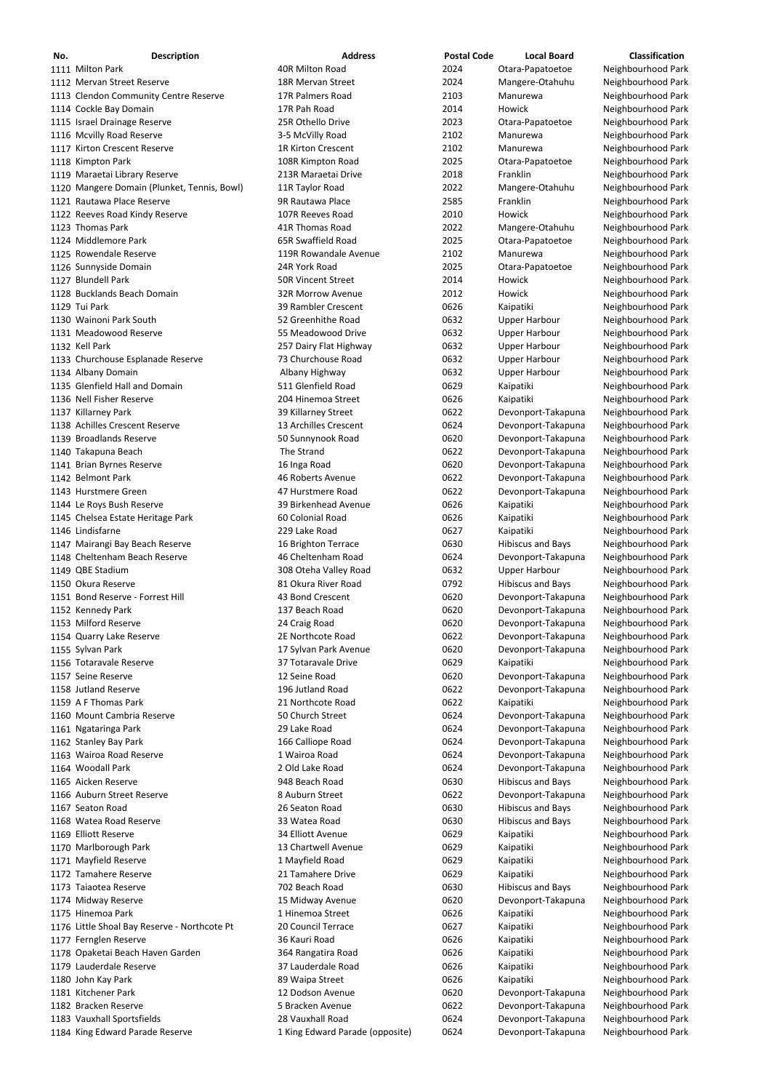| No. | <b>Description</b>                           | <b>Address</b>                  | <b>Postal Code</b> | <b>Local Board</b>       | <b>Classification</b> |
|-----|----------------------------------------------|---------------------------------|--------------------|--------------------------|-----------------------|
|     | 1111 Milton Park                             | 40R Milton Road                 | 2024               | Otara-Papatoetoe         | Neighbourhood Park    |
|     | 1112 Mervan Street Reserve                   | 18R Mervan Street               | 2024               | Mangere-Otahuhu          | Neighbourhood Park    |
|     | 1113 Clendon Community Centre Reserve        | 17R Palmers Road                | 2103               | Manurewa                 | Neighbourhood Park    |
|     | 1114 Cockle Bay Domain                       | 17R Pah Road                    | 2014               | Howick                   | Neighbourhood Park    |
|     | 1115 Israel Drainage Reserve                 | 25R Othello Drive               | 2023               | Otara-Papatoetoe         | Neighbourhood Park    |
|     | 1116 Mcvilly Road Reserve                    | 3-5 McVilly Road                | 2102               | Manurewa                 | Neighbourhood Park    |
|     | 1117 Kirton Crescent Reserve                 | <b>1R Kirton Crescent</b>       | 2102               | Manurewa                 | Neighbourhood Park    |
|     | 1118 Kimpton Park                            | 108R Kimpton Road               | 2025               | Otara-Papatoetoe         | Neighbourhood Park    |
|     | 1119 Maraetai Library Reserve                | 213R Maraetai Drive             | 2018               | Franklin                 | Neighbourhood Park    |
|     | 1120 Mangere Domain (Plunket, Tennis, Bowl)  | 11R Taylor Road                 | 2022               | Mangere-Otahuhu          | Neighbourhood Park    |
|     | 1121 Rautawa Place Reserve                   | 9R Rautawa Place                | 2585               | Franklin                 | Neighbourhood Park    |
|     | 1122 Reeves Road Kindy Reserve               | 107R Reeves Road                | 2010               | Howick                   | Neighbourhood Park    |
|     | 1123 Thomas Park                             | 41R Thomas Road                 | 2022               | Mangere-Otahuhu          | Neighbourhood Park    |
|     | 1124 Middlemore Park                         | 65R Swaffield Road              | 2025               | Otara-Papatoetoe         | Neighbourhood Park    |
|     | 1125 Rowendale Reserve                       | 119R Rowandale Avenue           | 2102               | Manurewa                 | Neighbourhood Park    |
|     | 1126 Sunnyside Domain                        | 24R York Road                   | 2025               | Otara-Papatoetoe         | Neighbourhood Park    |
|     | 1127 Blundell Park                           | <b>50R Vincent Street</b>       | 2014               | Howick                   | Neighbourhood Park    |
|     | 1128 Bucklands Beach Domain                  | <b>32R Morrow Avenue</b>        | 2012               | Howick                   | Neighbourhood Park    |
|     | 1129 Tui Park                                | 39 Rambler Crescent             | 0626               | Kaipatiki                | Neighbourhood Park    |
|     | 1130 Wainoni Park South                      | 52 Greenhithe Road              | 0632               | <b>Upper Harbour</b>     | Neighbourhood Park    |
|     | 1131 Meadowood Reserve                       | 55 Meadowood Drive              | 0632               | <b>Upper Harbour</b>     | Neighbourhood Park    |
|     | 1132 Kell Park                               | 257 Dairy Flat Highway          | 0632               | <b>Upper Harbour</b>     | Neighbourhood Park    |
|     | 1133 Churchouse Esplanade Reserve            | 73 Churchouse Road              | 0632               | <b>Upper Harbour</b>     | Neighbourhood Park    |
|     | 1134 Albany Domain                           | Albany Highway                  | 0632               | <b>Upper Harbour</b>     | Neighbourhood Park    |
|     | 1135 Glenfield Hall and Domain               | 511 Glenfield Road              | 0629               | Kaipatiki                | Neighbourhood Park    |
|     | 1136 Nell Fisher Reserve                     | 204 Hinemoa Street              | 0626               | Kaipatiki                | Neighbourhood Park    |
|     | 1137 Killarney Park                          | 39 Killarney Street             | 0622               | Devonport-Takapuna       | Neighbourhood Park    |
|     | 1138 Achilles Crescent Reserve               | 13 Archilles Crescent           | 0624               | Devonport-Takapuna       | Neighbourhood Park    |
|     | 1139 Broadlands Reserve                      | 50 Sunnynook Road               | 0620               | Devonport-Takapuna       | Neighbourhood Park    |
|     | 1140 Takapuna Beach                          | The Strand                      | 0622               | Devonport-Takapuna       | Neighbourhood Park    |
|     | 1141 Brian Byrnes Reserve                    | 16 Inga Road                    | 0620               | Devonport-Takapuna       | Neighbourhood Park    |
|     | 1142 Belmont Park                            | 46 Roberts Avenue               | 0622               | Devonport-Takapuna       | Neighbourhood Park    |
|     | 1143 Hurstmere Green                         | 47 Hurstmere Road               | 0622               | Devonport-Takapuna       | Neighbourhood Park    |
|     | 1144 Le Roys Bush Reserve                    | 39 Birkenhead Avenue            | 0626               | Kaipatiki                | Neighbourhood Park    |
|     | 1145 Chelsea Estate Heritage Park            | 60 Colonial Road                | 0626               | Kaipatiki                | Neighbourhood Park    |
|     | 1146 Lindisfarne                             | 229 Lake Road                   | 0627               | Kaipatiki                | Neighbourhood Park    |
|     | 1147 Mairangi Bay Beach Reserve              | 16 Brighton Terrace             | 0630               | <b>Hibiscus and Bays</b> | Neighbourhood Park    |
|     | 1148 Cheltenham Beach Reserve                | 46 Cheltenham Road              | 0624               | Devonport-Takapuna       | Neighbourhood Park    |
|     | 1149 QBE Stadium                             | 308 Oteha Valley Road           | 0632               | <b>Upper Harbour</b>     | Neighbourhood Park    |
|     | 1150 Okura Reserve                           | 81 Okura River Road             | 0792               | <b>Hibiscus and Bays</b> | Neighbourhood Park    |
|     | 1151 Bond Reserve - Forrest Hill             | 43 Bond Crescent                | 0620               | Devonport-Takapuna       | Neighbourhood Park    |
|     | 1152 Kennedy Park                            | 137 Beach Road                  | 0620               | Devonport-Takapuna       | Neighbourhood Park    |
|     | 1153 Milford Reserve                         | 24 Craig Road                   | 0620               | Devonport-Takapuna       | Neighbourhood Park    |
|     | 1154 Quarry Lake Reserve                     | 2E Northcote Road               | 0622               | Devonport-Takapuna       | Neighbourhood Park    |
|     | 1155 Sylvan Park                             | 17 Sylvan Park Avenue           | 0620               | Devonport-Takapuna       | Neighbourhood Park    |
|     | 1156 Totaravale Reserve                      | 37 Totaravale Drive             | 0629               | Kaipatiki                | Neighbourhood Park    |
|     | 1157 Seine Reserve                           | 12 Seine Road                   | 0620               | Devonport-Takapuna       | Neighbourhood Park    |
|     | 1158 Jutland Reserve                         | 196 Jutland Road                | 0622               | Devonport-Takapuna       | Neighbourhood Park    |
|     | 1159 A F Thomas Park                         | 21 Northcote Road               | 0622               | Kaipatiki                | Neighbourhood Park    |
|     | 1160 Mount Cambria Reserve                   | 50 Church Street                | 0624               | Devonport-Takapuna       | Neighbourhood Park    |
|     | 1161 Ngataringa Park                         | 29 Lake Road                    | 0624               | Devonport-Takapuna       | Neighbourhood Park    |
|     | 1162 Stanley Bay Park                        | 166 Calliope Road               | 0624               | Devonport-Takapuna       | Neighbourhood Park    |
|     | 1163 Wairoa Road Reserve                     | 1 Wairoa Road                   | 0624               | Devonport-Takapuna       | Neighbourhood Park    |
|     | 1164 Woodall Park                            | 2 Old Lake Road                 | 0624               | Devonport-Takapuna       | Neighbourhood Park    |
|     | 1165 Aicken Reserve                          | 948 Beach Road                  | 0630               | <b>Hibiscus and Bays</b> | Neighbourhood Park    |
|     | 1166 Auburn Street Reserve                   | 8 Auburn Street                 | 0622               | Devonport-Takapuna       | Neighbourhood Park    |
|     | 1167 Seaton Road                             | 26 Seaton Road                  | 0630               | <b>Hibiscus and Bays</b> | Neighbourhood Park    |
|     | 1168 Watea Road Reserve                      | 33 Watea Road                   | 0630               | <b>Hibiscus and Bays</b> | Neighbourhood Park    |
|     | 1169 Elliott Reserve                         | 34 Elliott Avenue               | 0629               | Kaipatiki                | Neighbourhood Park    |
|     | 1170 Marlborough Park                        | 13 Chartwell Avenue             | 0629               | Kaipatiki                | Neighbourhood Park    |
|     | 1171 Mayfield Reserve                        | 1 Mayfield Road                 | 0629               | Kaipatiki                | Neighbourhood Park    |
|     | 1172 Tamahere Reserve                        | 21 Tamahere Drive               | 0629               | Kaipatiki                | Neighbourhood Park    |
|     | 1173 Taiaotea Reserve                        | 702 Beach Road                  | 0630               | <b>Hibiscus and Bays</b> | Neighbourhood Park    |
|     | 1174 Midway Reserve                          | 15 Midway Avenue                | 0620               | Devonport-Takapuna       | Neighbourhood Park    |
|     | 1175 Hinemoa Park                            | 1 Hinemoa Street                | 0626               | Kaipatiki                | Neighbourhood Park    |
|     | 1176 Little Shoal Bay Reserve - Northcote Pt | 20 Council Terrace              | 0627               | Kaipatiki                | Neighbourhood Park    |
|     | 1177 Fernglen Reserve                        | 36 Kauri Road                   | 0626               | Kaipatiki                | Neighbourhood Park    |
|     | 1178 Opaketai Beach Haven Garden             | 364 Rangatira Road              | 0626               | Kaipatiki                | Neighbourhood Park    |
|     | 1179 Lauderdale Reserve                      | 37 Lauderdale Road              | 0626               | Kaipatiki                | Neighbourhood Park    |
|     | 1180 John Kay Park                           | 89 Waipa Street                 | 0626               | Kaipatiki                | Neighbourhood Park    |
|     | 1181 Kitchener Park                          | 12 Dodson Avenue                | 0620               | Devonport-Takapuna       | Neighbourhood Park    |
|     | 1182 Bracken Reserve                         | 5 Bracken Avenue                | 0622               | Devonport-Takapuna       | Neighbourhood Park    |
|     | 1183 Vauxhall Sportsfields                   | 28 Vauxhall Road                | 0624               | Devonport-Takapuna       | Neighbourhood Park    |
|     | 1184 King Edward Parade Reserve              | 1 King Edward Parade (opposite) | 0624               | Devonport-Takapuna       | Neighbourhood Park    |
|     |                                              |                                 |                    |                          |                       |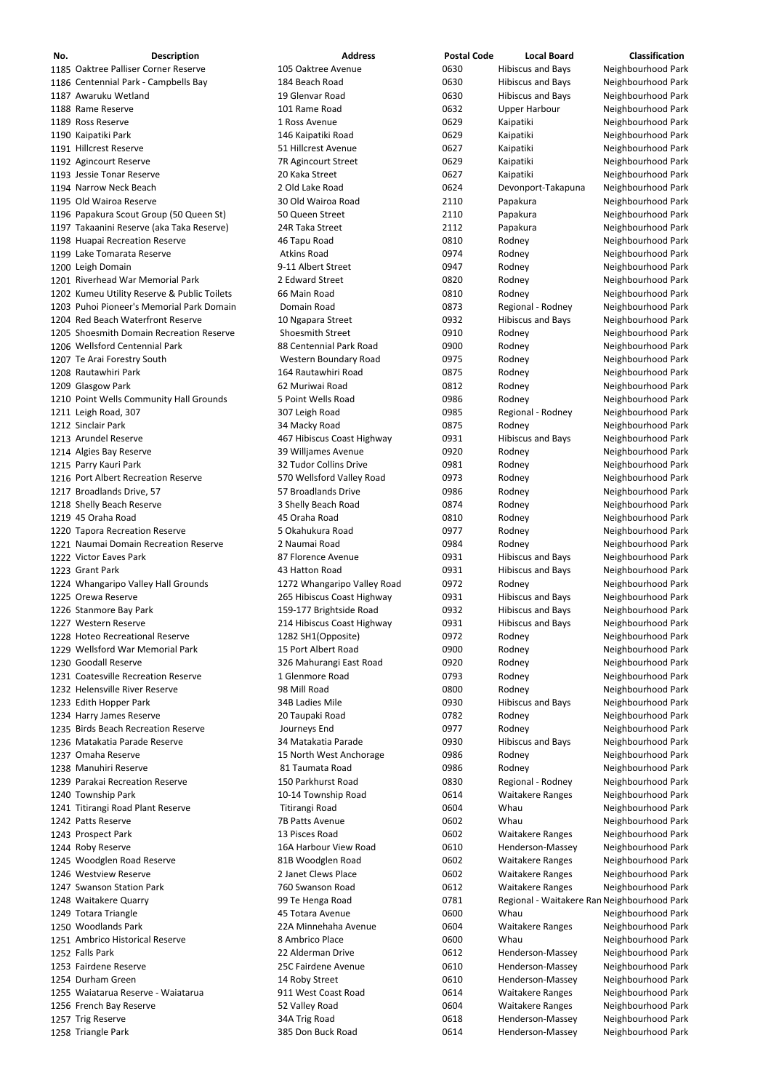| No. | <b>Description</b>                          | <b>Address</b>              | <b>Postal Code</b> | <b>Local Board</b>                          | <b>Classification</b> |
|-----|---------------------------------------------|-----------------------------|--------------------|---------------------------------------------|-----------------------|
|     | 1185 Oaktree Palliser Corner Reserve        | 105 Oaktree Avenue          | 0630               | <b>Hibiscus and Bays</b>                    | Neighbourhood Park    |
|     | 1186 Centennial Park - Campbells Bay        | 184 Beach Road              | 0630               | <b>Hibiscus and Bays</b>                    | Neighbourhood Park    |
|     | 1187 Awaruku Wetland                        | 19 Glenvar Road             | 0630               |                                             |                       |
|     |                                             |                             |                    | <b>Hibiscus and Bays</b>                    | Neighbourhood Park    |
|     | 1188 Rame Reserve                           | 101 Rame Road               | 0632               | <b>Upper Harbour</b>                        | Neighbourhood Park    |
|     | 1189 Ross Reserve                           | 1 Ross Avenue               | 0629               | Kaipatiki                                   | Neighbourhood Park    |
|     | 1190 Kaipatiki Park                         | 146 Kaipatiki Road          | 0629               | Kaipatiki                                   | Neighbourhood Park    |
|     | 1191 Hillcrest Reserve                      | 51 Hillcrest Avenue         | 0627               | Kaipatiki                                   | Neighbourhood Park    |
|     | 1192 Agincourt Reserve                      | 7R Agincourt Street         | 0629               | Kaipatiki                                   | Neighbourhood Park    |
|     | 1193 Jessie Tonar Reserve                   | 20 Kaka Street              | 0627               | Kaipatiki                                   | Neighbourhood Park    |
|     | 1194 Narrow Neck Beach                      | 2 Old Lake Road             | 0624               | Devonport-Takapuna                          | Neighbourhood Park    |
|     | 1195 Old Wairoa Reserve                     | 30 Old Wairoa Road          | 2110               | Papakura                                    | Neighbourhood Park    |
|     | 1196 Papakura Scout Group (50 Queen St)     | 50 Queen Street             | 2110               | Papakura                                    | Neighbourhood Park    |
|     | 1197 Takaanini Reserve (aka Taka Reserve)   | 24R Taka Street             | 2112               | Papakura                                    | Neighbourhood Park    |
|     | 1198 Huapai Recreation Reserve              | 46 Tapu Road                | 0810               | Rodney                                      | Neighbourhood Park    |
|     | 1199 Lake Tomarata Reserve                  | <b>Atkins Road</b>          | 0974               | Rodney                                      | Neighbourhood Park    |
|     | 1200 Leigh Domain                           | 9-11 Albert Street          | 0947               | Rodney                                      | Neighbourhood Park    |
|     | 1201 Riverhead War Memorial Park            | 2 Edward Street             | 0820               | Rodney                                      | Neighbourhood Park    |
|     | 1202 Kumeu Utility Reserve & Public Toilets | 66 Main Road                | 0810               | Rodney                                      | Neighbourhood Park    |
|     | 1203 Puhoi Pioneer's Memorial Park Domain   | Domain Road                 | 0873               | Regional - Rodney                           | Neighbourhood Park    |
|     | 1204 Red Beach Waterfront Reserve           | 10 Ngapara Street           | 0932               | <b>Hibiscus and Bays</b>                    | Neighbourhood Park    |
|     | 1205 Shoesmith Domain Recreation Reserve    | <b>Shoesmith Street</b>     | 0910               | Rodney                                      | Neighbourhood Park    |
|     | 1206 Wellsford Centennial Park              | 88 Centennial Park Road     | 0900               | Rodney                                      | Neighbourhood Park    |
|     | 1207 Te Arai Forestry South                 | Western Boundary Road       | 0975               | Rodney                                      | Neighbourhood Park    |
|     | 1208 Rautawhiri Park                        | 164 Rautawhiri Road         | 0875               | Rodney                                      | Neighbourhood Park    |
|     | 1209 Glasgow Park                           | 62 Muriwai Road             | 0812               | Rodney                                      | Neighbourhood Park    |
|     | 1210 Point Wells Community Hall Grounds     | 5 Point Wells Road          | 0986               | Rodney                                      | Neighbourhood Park    |
|     | 1211 Leigh Road, 307                        | 307 Leigh Road              | 0985               | Regional - Rodney                           | Neighbourhood Park    |
|     | 1212 Sinclair Park                          |                             | 0875               | Rodney                                      | Neighbourhood Park    |
|     |                                             | 34 Macky Road               |                    |                                             |                       |
|     | 1213 Arundel Reserve                        | 467 Hibiscus Coast Highway  | 0931               | <b>Hibiscus and Bays</b>                    | Neighbourhood Park    |
|     | 1214 Algies Bay Reserve                     | 39 Willjames Avenue         | 0920               | Rodney                                      | Neighbourhood Park    |
|     | 1215 Parry Kauri Park                       | 32 Tudor Collins Drive      | 0981               | Rodney                                      | Neighbourhood Park    |
|     | 1216 Port Albert Recreation Reserve         | 570 Wellsford Valley Road   | 0973               | Rodney                                      | Neighbourhood Park    |
|     | 1217 Broadlands Drive, 57                   | 57 Broadlands Drive         | 0986               | Rodney                                      | Neighbourhood Park    |
|     | 1218 Shelly Beach Reserve                   | 3 Shelly Beach Road         | 0874               | Rodney                                      | Neighbourhood Park    |
|     | 1219 45 Oraha Road                          | 45 Oraha Road               | 0810               | Rodney                                      | Neighbourhood Park    |
|     | 1220 Tapora Recreation Reserve              | 5 Okahukura Road            | 0977               | Rodney                                      | Neighbourhood Park    |
|     | 1221 Naumai Domain Recreation Reserve       | 2 Naumai Road               | 0984               | Rodney                                      | Neighbourhood Park    |
|     | 1222 Victor Eaves Park                      | 87 Florence Avenue          | 0931               | <b>Hibiscus and Bays</b>                    | Neighbourhood Park    |
|     | 1223 Grant Park                             | 43 Hatton Road              | 0931               | <b>Hibiscus and Bays</b>                    | Neighbourhood Park    |
|     | 1224 Whangaripo Valley Hall Grounds         | 1272 Whangaripo Valley Road | 0972               | Rodney                                      | Neighbourhood Park    |
|     | 1225 Orewa Reserve                          | 265 Hibiscus Coast Highway  | 0931               | <b>Hibiscus and Bays</b>                    | Neighbourhood Park    |
|     | 1226 Stanmore Bay Park                      | 159-177 Brightside Road     | 0932               | <b>Hibiscus and Bays</b>                    | Neighbourhood Park    |
|     | 1227 Western Reserve                        | 214 Hibiscus Coast Highway  | 0931               | <b>Hibiscus and Bays</b>                    | Neighbourhood Park    |
|     | 1228 Hoteo Recreational Reserve             | 1282 SH1(Opposite)          | 0972               | Rodney                                      | Neighbourhood Park    |
|     | 1229 Wellsford War Memorial Park            | 15 Port Albert Road         | 0900               | Rodney                                      | Neighbourhood Park    |
|     | 1230 Goodall Reserve                        | 326 Mahurangi East Road     | 0920               | Rodney                                      | Neighbourhood Park    |
|     | 1231 Coatesville Recreation Reserve         | 1 Glenmore Road             | 0793               | Rodney                                      | Neighbourhood Park    |
|     | 1232 Helensville River Reserve              | 98 Mill Road                | 0800               | Rodney                                      | Neighbourhood Park    |
|     | 1233 Edith Hopper Park                      | 34B Ladies Mile             | 0930               | <b>Hibiscus and Bays</b>                    | Neighbourhood Park    |
|     | 1234 Harry James Reserve                    | 20 Taupaki Road             | 0782               | Rodney                                      | Neighbourhood Park    |
|     | 1235 Birds Beach Recreation Reserve         | Journeys End                | 0977               | Rodney                                      | Neighbourhood Park    |
|     | 1236 Matakatia Parade Reserve               | 34 Matakatia Parade         | 0930               |                                             |                       |
|     |                                             |                             |                    | <b>Hibiscus and Bays</b>                    | Neighbourhood Park    |
|     | 1237 Omaha Reserve                          | 15 North West Anchorage     | 0986               | Rodney                                      | Neighbourhood Park    |
|     | 1238 Manuhiri Reserve                       | 81 Taumata Road             | 0986               | Rodney                                      | Neighbourhood Park    |
|     | 1239 Parakai Recreation Reserve             | 150 Parkhurst Road          | 0830               | Regional - Rodney                           | Neighbourhood Park    |
|     | 1240 Township Park                          | 10-14 Township Road         | 0614               | <b>Waitakere Ranges</b>                     | Neighbourhood Park    |
|     | 1241 Titirangi Road Plant Reserve           | Titirangi Road              | 0604               | Whau                                        | Neighbourhood Park    |
|     | 1242 Patts Reserve                          | 7B Patts Avenue             | 0602               | Whau                                        | Neighbourhood Park    |
|     | 1243 Prospect Park                          | 13 Pisces Road              | 0602               | <b>Waitakere Ranges</b>                     | Neighbourhood Park    |
|     | 1244 Roby Reserve                           | 16A Harbour View Road       | 0610               | Henderson-Massey                            | Neighbourhood Park    |
|     | 1245 Woodglen Road Reserve                  | 81B Woodglen Road           | 0602               | <b>Waitakere Ranges</b>                     | Neighbourhood Park    |
|     | 1246 Westview Reserve                       | 2 Janet Clews Place         | 0602               | <b>Waitakere Ranges</b>                     | Neighbourhood Park    |
|     | 1247 Swanson Station Park                   | 760 Swanson Road            | 0612               | <b>Waitakere Ranges</b>                     | Neighbourhood Park    |
|     | 1248 Waitakere Quarry                       | 99 Te Henga Road            | 0781               | Regional - Waitakere Ran Neighbourhood Park |                       |
|     | 1249 Totara Triangle                        | 45 Totara Avenue            | 0600               | Whau                                        | Neighbourhood Park    |
|     | 1250 Woodlands Park                         | 22A Minnehaha Avenue        | 0604               | <b>Waitakere Ranges</b>                     | Neighbourhood Park    |
|     | 1251 Ambrico Historical Reserve             | 8 Ambrico Place             | 0600               | Whau                                        | Neighbourhood Park    |
|     | 1252 Falls Park                             | 22 Alderman Drive           | 0612               | Henderson-Massey                            | Neighbourhood Park    |
|     | 1253 Fairdene Reserve                       | 25C Fairdene Avenue         | 0610               | Henderson-Massey                            | Neighbourhood Park    |
|     | 1254 Durham Green                           | 14 Roby Street              | 0610               | Henderson-Massey                            | Neighbourhood Park    |
|     | 1255 Waiatarua Reserve - Waiatarua          | 911 West Coast Road         | 0614               | <b>Waitakere Ranges</b>                     | Neighbourhood Park    |
|     |                                             |                             | 0604               |                                             | Neighbourhood Park    |
|     | 1256 French Bay Reserve                     | 52 Valley Road              |                    | <b>Waitakere Ranges</b>                     |                       |
|     | 1257 Trig Reserve                           | 34A Trig Road               | 0618               | Henderson-Massey                            | Neighbourhood Park    |
|     | 1258 Triangle Park                          | 385 Don Buck Road           | 0614               | Henderson-Massey                            | Neighbourhood Park    |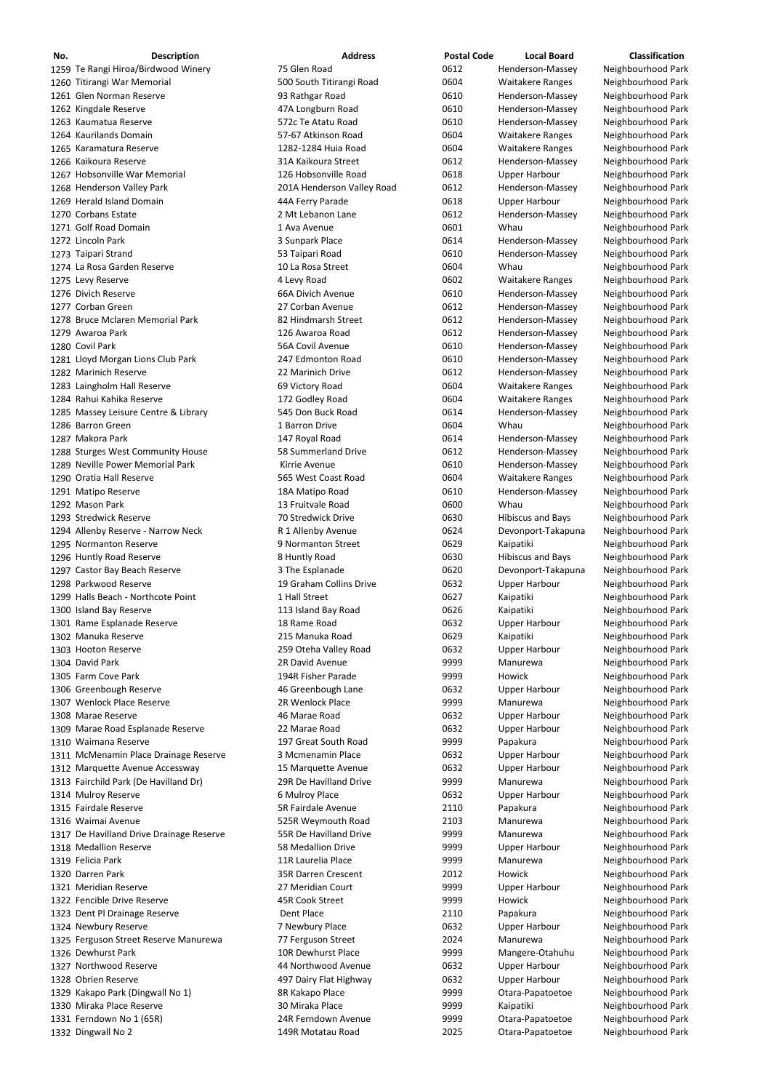| No. | <b>Description</b>                    | <b>Address</b>             | <b>Postal Code</b> | <b>Local Board</b>       | <b>Classification</b> |
|-----|---------------------------------------|----------------------------|--------------------|--------------------------|-----------------------|
|     | 1259 Te Rangi Hiroa/Birdwood Winery   | 75 Glen Road               | 0612               | Henderson-Massey         | Neighbourhood Park    |
|     | 1260 Titirangi War Memorial           | 500 South Titirangi Road   | 0604               | <b>Waitakere Ranges</b>  | Neighbourhood Park    |
|     | 1261 Glen Norman Reserve              | 93 Rathgar Road            | 0610               | Henderson-Massey         | Neighbourhood Park    |
|     | 1262 Kingdale Reserve                 | 47A Longburn Road          | 0610               | Henderson-Massey         | Neighbourhood Park    |
|     | 1263 Kaumatua Reserve                 | 572c Te Atatu Road         | 0610               | Henderson-Massey         | Neighbourhood Park    |
|     | 1264 Kaurilands Domain                | 57-67 Atkinson Road        | 0604               | <b>Waitakere Ranges</b>  | Neighbourhood Park    |
|     | 1265 Karamatura Reserve               | 1282-1284 Huia Road        | 0604               | <b>Waitakere Ranges</b>  | Neighbourhood Park    |
|     | 1266 Kaikoura Reserve                 | 31A Kaikoura Street        | 0612               | Henderson-Massey         | Neighbourhood Park    |
|     | 1267 Hobsonville War Memorial         | 126 Hobsonville Road       | 0618               | <b>Upper Harbour</b>     | Neighbourhood Park    |
|     | 1268 Henderson Valley Park            | 201A Henderson Valley Road | 0612               | Henderson-Massey         | Neighbourhood Park    |
|     | 1269 Herald Island Domain             | 44A Ferry Parade           | 0618               | <b>Upper Harbour</b>     | Neighbourhood Park    |
|     | 1270 Corbans Estate                   | 2 Mt Lebanon Lane          | 0612               | Henderson-Massey         | Neighbourhood Park    |
|     | 1271 Golf Road Domain                 | 1 Ava Avenue               | 0601               | Whau                     | Neighbourhood Park    |
|     | 1272 Lincoln Park                     | 3 Sunpark Place            | 0614               | Henderson-Massey         | Neighbourhood Park    |
|     | 1273 Taipari Strand                   | 53 Taipari Road            | 0610               | Henderson-Massey         | Neighbourhood Park    |
|     | 1274 La Rosa Garden Reserve           | 10 La Rosa Street          | 0604               | Whau                     | Neighbourhood Park    |
|     | 1275 Levy Reserve                     | 4 Levy Road                | 0602               | <b>Waitakere Ranges</b>  | Neighbourhood Park    |
|     | 1276 Divich Reserve                   | 66A Divich Avenue          | 0610               | Henderson-Massey         | Neighbourhood Park    |
|     | 1277 Corban Green                     | 27 Corban Avenue           | 0612               | Henderson-Massey         | Neighbourhood Park    |
|     | 1278 Bruce Mclaren Memorial Park      | 82 Hindmarsh Street        | 0612               | Henderson-Massey         | Neighbourhood Park    |
|     | 1279 Awaroa Park                      | 126 Awaroa Road            | 0612               | Henderson-Massey         | Neighbourhood Park    |
|     | 1280 Covil Park                       | 56A Covil Avenue           | 0610               | Henderson-Massey         | Neighbourhood Park    |
|     | 1281 Lloyd Morgan Lions Club Park     | 247 Edmonton Road          | 0610               | Henderson-Massey         | Neighbourhood Park    |
|     | 1282 Marinich Reserve                 | 22 Marinich Drive          | 0612               | Henderson-Massey         | Neighbourhood Park    |
|     | 1283 Laingholm Hall Reserve           | 69 Victory Road            | 0604               | <b>Waitakere Ranges</b>  | Neighbourhood Park    |
|     | 1284 Rahui Kahika Reserve             | 172 Godley Road            | 0604               | <b>Waitakere Ranges</b>  | Neighbourhood Park    |
|     | 1285 Massey Leisure Centre & Library  | 545 Don Buck Road          | 0614               | Henderson-Massey         | Neighbourhood Park    |
|     | 1286 Barron Green                     | 1 Barron Drive             | 0604               | Whau                     | Neighbourhood Park    |
|     | 1287 Makora Park                      | 147 Royal Road             | 0614               | Henderson-Massey         | Neighbourhood Park    |
|     | 1288 Sturges West Community House     | 58 Summerland Drive        | 0612               | Henderson-Massey         | Neighbourhood Park    |
|     | 1289 Neville Power Memorial Park      | Kirrie Avenue              | 0610               | Henderson-Massey         | Neighbourhood Park    |
|     | 1290 Oratia Hall Reserve              | 565 West Coast Road        | 0604               | <b>Waitakere Ranges</b>  | Neighbourhood Park    |
|     | 1291 Matipo Reserve                   | 18A Matipo Road            | 0610               | Henderson-Massey         | Neighbourhood Park    |
|     | 1292 Mason Park                       | 13 Fruitvale Road          | 0600               | Whau                     | Neighbourhood Park    |
|     | 1293 Stredwick Reserve                | 70 Stredwick Drive         | 0630               | <b>Hibiscus and Bays</b> | Neighbourhood Park    |
|     | 1294 Allenby Reserve - Narrow Neck    | R 1 Allenby Avenue         | 0624               | Devonport-Takapuna       | Neighbourhood Park    |
|     | 1295 Normanton Reserve                | 9 Normanton Street         | 0629               | Kaipatiki                | Neighbourhood Park    |
|     | 1296 Huntly Road Reserve              | 8 Huntly Road              | 0630               | <b>Hibiscus and Bays</b> | Neighbourhood Park    |
|     | 1297 Castor Bay Beach Reserve         | 3 The Esplanade            | 0620               | Devonport-Takapuna       | Neighbourhood Park    |
|     | 1298 Parkwood Reserve                 | 19 Graham Collins Drive    | 0632               | <b>Upper Harbour</b>     | Neighbourhood Park    |
|     | 1299 Halls Beach - Northcote Point    | 1 Hall Street              | 0627               | Kaipatiki                | Neighbourhood Park    |
|     | 1300 Island Bay Reserve               | 113 Island Bay Road        | 0626               | Kaipatiki                | Neighbourhood Park    |
|     | 1301 Rame Esplanade Reserve           | 18 Rame Road               | 0632               | <b>Upper Harbour</b>     | Neighbourhood Park    |
|     | 1302 Manuka Reserve                   | 215 Manuka Road            | 0629               | Kaipatiki                | Neighbourhood Park    |
|     | 1303 Hooton Reserve                   | 259 Oteha Valley Road      | 0632               | <b>Upper Harbour</b>     | Neighbourhood Park    |
|     | 1304 David Park                       | 2R David Avenue            | 9999               | Manurewa                 | Neighbourhood Park    |
|     | 1305 Farm Cove Park                   | 194R Fisher Parade         | 9999               | Howick                   | Neighbourhood Park    |
|     | 1306 Greenbough Reserve               | 46 Greenbough Lane         | 0632               | <b>Upper Harbour</b>     | Neighbourhood Park    |
|     | 1307 Wenlock Place Reserve            | 2R Wenlock Place           | 9999               | Manurewa                 | Neighbourhood Park    |
|     | 1308 Marae Reserve                    | 46 Marae Road              | 0632               | <b>Upper Harbour</b>     | Neighbourhood Park    |
|     | 1309 Marae Road Esplanade Reserve     | 22 Marae Road              | 0632               | <b>Upper Harbour</b>     | Neighbourhood Park    |
|     | 1310 Waimana Reserve                  | 197 Great South Road       | 9999               | Papakura                 | Neighbourhood Park    |
|     | 1311 McMenamin Place Drainage Reserve | 3 Mcmenamin Place          | 0632               | <b>Upper Harbour</b>     | Neighbourhood Park    |
|     | 1312 Marquette Avenue Accessway       | 15 Marquette Avenue        | 0632               | <b>Upper Harbour</b>     | Neighbourhood Park    |
|     | 1313 Fairchild Park (De Havilland Dr) | 29R De Havilland Drive     | 9999               | Manurewa                 | Neighbourhood Park    |
|     | 1314 Mulroy Reserve                   | 6 Mulroy Place             | 0632               | <b>Upper Harbour</b>     | Neighbourhood Park    |
|     | 1315 Fairdale Reserve                 | 5R Fairdale Avenue         | 2110               |                          | Neighbourhood Park    |
|     |                                       |                            |                    | Papakura                 |                       |

1317 De Havilland Drive Drainage Reserve **55R De Havilland Drive** 1999 9999 Manurewa Meighbourhood Park 1318 Medallion Reserve **1318 Medallion Drive** 58 Medallion Drive **1318 Medallion Drive** 9999 Upper Harbour Neighbourhood Park 1319 Felicia Park **118 Constructive Construction Place** 11R Laurelia Place 1319 Manurewa 1319 Felicia Park Neighbourhood Park Darren Park 35R Darren Crescent 2012 Howick Neighbourhood Park Meridian Reserve 27 Meridian Court 9999 Upper Harbour Neighbourhood Park 1322 Fencible Drive Reserve **15K Cook Street** 1322 Fencible Drive Reserve 145R Cook Street 1322 Fencible Drive Reserve 1323 Dent Pl Drainage Reserve **Dent Place** Dent Place 2110 Papakura Neighbourhood Park 1324 Newbury Reserve **1324 Newbury Place** 1324 Newbury Place 1324 Newbury Place Upper Harbour Neighbourhood Park 1325 Ferguson Street Reserve Manurewa **77 Ferguson Street** 1325 **Manurewa** Manurewa Neighbourhood Park Dewhurst Park 10R Dewhurst Place 9999 Mangere‐Otahuhu Neighbourhood Park 1327 Northwood Reserve **1327 Northwood Avenue** 1327 Upper Harbour Neighbourhood Park 1328 Obrien Reserve **1328 Obrien Reserve 1328 Obrien Reserve** 1328 Obrien Reserve 1528 Obrien Reserve 1528 Obrien Reighbourhood Park 1329 Kakapo Park (Dingwall No 1) 8R Kakapo Place barra 9999 Otara-Papatoetoe Neighbourhood Park 1330 Miraka Place Reserve **1330 Miraka Place** 1330 Miraka Place **1330 Kaipatiki** Neighbourhood Park 1331 Ferndown No 1 (65R) **24R Ferndown Avenue** 9999 Otara-Papatoetoe Neighbourhood Park Dingwall No 2 149R Motatau Road 2025 Otara‐Papatoetoe Neighbourhood Park

| 9999 | Manure         |
|------|----------------|
| 9999 | Upper <b>H</b> |
| 9999 | Manure         |
| 2012 | Howick         |
| 9999 | Upper <b>H</b> |
| 9999 | Howick         |
| 2110 | Papaku         |
| 0632 | Upper <b>H</b> |
| 2024 | Manure         |
| 9999 | Manger         |
| 0632 | Upper <b>H</b> |
| 0632 | Upper <b>H</b> |
| 9999 | Otara-P        |
| 9999 | Kaipatik       |
| 9999 | Otara-P        |
| 2025 | Otara-P        |

Waimai Avenue 525R Weymouth Road 2103 Manurewa Neighbourhood Park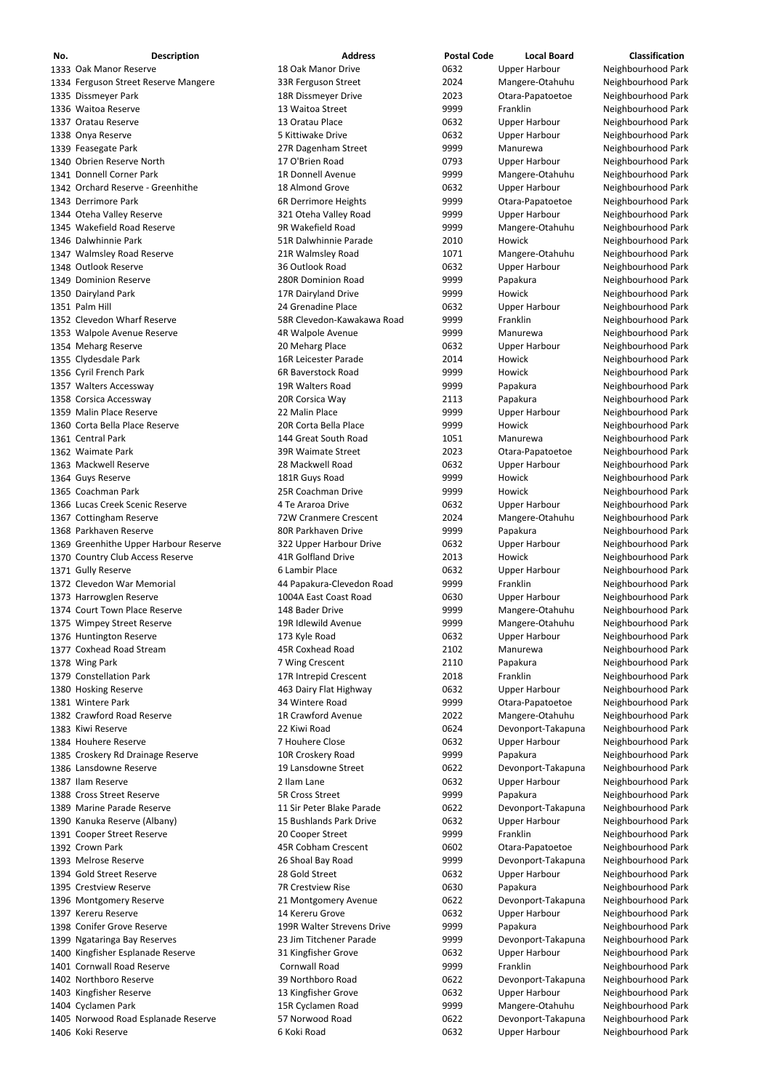| No. | <b>Description</b>                    | <b>Address</b>             | <b>Postal Code</b> | <b>Local Board</b>   | <b>Classification</b> |
|-----|---------------------------------------|----------------------------|--------------------|----------------------|-----------------------|
|     | 1333 Oak Manor Reserve                | 18 Oak Manor Drive         | 0632               | <b>Upper Harbour</b> | Neighbourhood Park    |
|     | 1334 Ferguson Street Reserve Mangere  | 33R Ferguson Street        | 2024               | Mangere-Otahuhu      | Neighbourhood Park    |
|     | 1335 Dissmeyer Park                   | 18R Dissmeyer Drive        | 2023               | Otara-Papatoetoe     | Neighbourhood Park    |
|     | 1336 Waitoa Reserve                   | 13 Waitoa Street           | 9999               | Franklin             | Neighbourhood Park    |
|     | 1337 Oratau Reserve                   | 13 Oratau Place            | 0632               | <b>Upper Harbour</b> | Neighbourhood Park    |
|     | 1338 Onya Reserve                     | 5 Kittiwake Drive          | 0632               | <b>Upper Harbour</b> | Neighbourhood Park    |
|     | 1339 Feasegate Park                   | 27R Dagenham Street        | 9999               | Manurewa             | Neighbourhood Park    |
|     | 1340 Obrien Reserve North             | 17 O'Brien Road            | 0793               | <b>Upper Harbour</b> | Neighbourhood Park    |
|     | 1341 Donnell Corner Park              | 1R Donnell Avenue          | 9999               | Mangere-Otahuhu      | Neighbourhood Park    |
|     | 1342 Orchard Reserve - Greenhithe     | 18 Almond Grove            | 0632               | <b>Upper Harbour</b> | Neighbourhood Park    |
|     | 1343 Derrimore Park                   | 6R Derrimore Heights       | 9999               | Otara-Papatoetoe     | Neighbourhood Park    |
|     | 1344 Oteha Valley Reserve             | 321 Oteha Valley Road      | 9999               | <b>Upper Harbour</b> | Neighbourhood Park    |
|     | 1345 Wakefield Road Reserve           | 9R Wakefield Road          | 9999               | Mangere-Otahuhu      | Neighbourhood Park    |
|     | 1346 Dalwhinnie Park                  | 51R Dalwhinnie Parade      | 2010               | Howick               | Neighbourhood Park    |
|     | 1347 Walmsley Road Reserve            | 21R Walmsley Road          | 1071               | Mangere-Otahuhu      | Neighbourhood Park    |
|     | 1348 Outlook Reserve                  | 36 Outlook Road            | 0632               | <b>Upper Harbour</b> | Neighbourhood Park    |
|     | 1349 Dominion Reserve                 | 280R Dominion Road         | 9999               | Papakura             | Neighbourhood Park    |
|     | 1350 Dairyland Park                   | 17R Dairyland Drive        | 9999               | Howick               | Neighbourhood Park    |
|     | 1351 Palm Hill                        | 24 Grenadine Place         | 0632               | <b>Upper Harbour</b> | Neighbourhood Park    |
|     | 1352 Clevedon Wharf Reserve           | 58R Clevedon-Kawakawa Road | 9999               | Franklin             | Neighbourhood Park    |
|     | 1353 Walpole Avenue Reserve           | 4R Walpole Avenue          | 9999               | Manurewa             | Neighbourhood Park    |
|     | 1354 Meharg Reserve                   | 20 Meharg Place            | 0632               | Upper Harbour        | Neighbourhood Park    |
|     | 1355 Clydesdale Park                  | 16R Leicester Parade       | 2014               | Howick               | Neighbourhood Park    |
|     | 1356 Cyril French Park                | 6R Baverstock Road         | 9999               | Howick               | Neighbourhood Park    |
|     | 1357 Walters Accessway                | 19R Walters Road           | 9999               | Papakura             | Neighbourhood Park    |
|     | 1358 Corsica Accessway                | 20R Corsica Way            | 2113               | Papakura             | Neighbourhood Park    |
|     | 1359 Malin Place Reserve              | 22 Malin Place             | 9999               | <b>Upper Harbour</b> | Neighbourhood Park    |
|     | 1360 Corta Bella Place Reserve        | 20R Corta Bella Place      | 9999               | Howick               | Neighbourhood Park    |
|     | 1361 Central Park                     | 144 Great South Road       | 1051               | Manurewa             | Neighbourhood Park    |
|     | 1362 Waimate Park                     | 39R Waimate Street         | 2023               | Otara-Papatoetoe     | Neighbourhood Park    |
|     | 1363 Mackwell Reserve                 | 28 Mackwell Road           | 0632               | <b>Upper Harbour</b> | Neighbourhood Park    |
|     | 1364 Guys Reserve                     | 181R Guys Road             | 9999               | Howick               | Neighbourhood Park    |
|     | 1365 Coachman Park                    | 25R Coachman Drive         | 9999               | Howick               | Neighbourhood Park    |
|     | 1366 Lucas Creek Scenic Reserve       | 4 Te Araroa Drive          | 0632               | <b>Upper Harbour</b> | Neighbourhood Park    |
|     | 1367 Cottingham Reserve               | 72W Cranmere Crescent      | 2024               | Mangere-Otahuhu      | Neighbourhood Park    |
|     | 1368 Parkhaven Reserve                | 80R Parkhaven Drive        | 9999               | Papakura             | Neighbourhood Park    |
|     | 1369 Greenhithe Upper Harbour Reserve | 322 Upper Harbour Drive    | 0632               | <b>Upper Harbour</b> | Neighbourhood Park    |
|     | 1370 Country Club Access Reserve      | <b>41R Golfland Drive</b>  | 2013               | Howick               | Neighbourhood Park    |
|     | 1371 Gully Reserve                    | 6 Lambir Place             | 0632               | <b>Upper Harbour</b> | Neighbourhood Park    |
|     | 1372 Clevedon War Memorial            | 44 Papakura-Clevedon Road  | 9999               | Franklin             | Neighbourhood Park    |
|     | 1373 Harrowglen Reserve               | 1004A East Coast Road      | 0630               | <b>Upper Harbour</b> | Neighbourhood Park    |
|     | 1374 Court Town Place Reserve         | 148 Bader Drive            | 9999               | Mangere-Otahuhu      | Neighbourhood Park    |
|     | 1375 Wimpey Street Reserve            | 19R Idlewild Avenue        | 9999               | Mangere-Otahuhu      | Neighbourhood Park    |
|     | 1376 Huntington Reserve               | 173 Kyle Road              | 0632               | <b>Upper Harbour</b> | Neighbourhood Park    |
|     | 1377 Coxhead Road Stream              | 45R Coxhead Road           | 2102               | Manurewa             | Neighbourhood Park    |
|     | 1378 Wing Park                        | 7 Wing Crescent            | 2110               | Papakura             | Neighbourhood Park    |
|     | 1379 Constellation Park               | 17R Intrepid Crescent      | 2018               | Franklin             | Neighbourhood Park    |
|     | 1380 Hosking Reserve                  | 463 Dairy Flat Highway     | 0632               | <b>Upper Harbour</b> | Neighbourhood Park    |
|     | 1381 Wintere Park                     | 34 Wintere Road            | 9999               | Otara-Papatoetoe     | Neighbourhood Park    |
|     | 1382 Crawford Road Reserve            | 1R Crawford Avenue         | 2022               | Mangere-Otahuhu      | Neighbourhood Park    |
|     | 1383 Kiwi Reserve                     | 22 Kiwi Road               | 0624               | Devonport-Takapuna   | Neighbourhood Park    |
|     | 1384 Houhere Reserve                  | 7 Houhere Close            | 0632               | <b>Upper Harbour</b> | Neighbourhood Park    |
|     | 1385 Croskery Rd Drainage Reserve     | 10R Croskery Road          | 9999               | Papakura             | Neighbourhood Park    |
|     | 1386 Lansdowne Reserve                | 19 Lansdowne Street        | 0622               | Devonport-Takapuna   | Neighbourhood Park    |
|     | 1387 Ilam Reserve                     | 2 Ilam Lane                | 0632               | <b>Upper Harbour</b> | Neighbourhood Park    |
|     | 1388 Cross Street Reserve             | <b>5R Cross Street</b>     | 9999               | Papakura             | Neighbourhood Park    |
|     | 1389 Marine Parade Reserve            | 11 Sir Peter Blake Parade  | 0622               | Devonport-Takapuna   | Neighbourhood Park    |
|     | 1390 Kanuka Reserve (Albany)          | 15 Bushlands Park Drive    | 0632               | <b>Upper Harbour</b> | Neighbourhood Park    |
|     | 1391 Cooper Street Reserve            | 20 Cooper Street           | 9999               | Franklin             | Neighbourhood Park    |
|     | 1392 Crown Park                       | 45R Cobham Crescent        | 0602               | Otara-Papatoetoe     | Neighbourhood Park    |
|     | 1393 Melrose Reserve                  | 26 Shoal Bay Road          | 9999               | Devonport-Takapuna   | Neighbourhood Park    |
|     | 1394 Gold Street Reserve              | 28 Gold Street             | 0632               | <b>Upper Harbour</b> | Neighbourhood Park    |
|     | 1395 Crestview Reserve                | 7R Crestview Rise          | 0630               | Papakura             | Neighbourhood Park    |
|     | 1396 Montgomery Reserve               | 21 Montgomery Avenue       | 0622               | Devonport-Takapuna   | Neighbourhood Park    |
|     | 1397 Kereru Reserve                   | 14 Kereru Grove            | 0632               | <b>Upper Harbour</b> | Neighbourhood Park    |
|     | 1398 Conifer Grove Reserve            | 199R Walter Strevens Drive | 9999               | Papakura             | Neighbourhood Park    |
|     | 1399 Ngataringa Bay Reserves          | 23 Jim Titchener Parade    | 9999               | Devonport-Takapuna   | Neighbourhood Park    |
|     | 1400 Kingfisher Esplanade Reserve     | 31 Kingfisher Grove        | 0632               | <b>Upper Harbour</b> | Neighbourhood Park    |
|     | 1401 Cornwall Road Reserve            | <b>Cornwall Road</b>       | 9999               | Franklin             | Neighbourhood Park    |
|     | 1402 Northboro Reserve                | 39 Northboro Road          | 0622               | Devonport-Takapuna   | Neighbourhood Park    |
|     | 1403 Kingfisher Reserve               | 13 Kingfisher Grove        | 0632               | <b>Upper Harbour</b> | Neighbourhood Park    |
|     | 1404 Cyclamen Park                    | 15R Cyclamen Road          | 9999               | Mangere-Otahuhu      | Neighbourhood Park    |
|     | 1405 Norwood Road Esplanade Reserve   | 57 Norwood Road            | 0622               | Devonport-Takapuna   | Neighbourhood Park    |
|     | 1406 Koki Reserve                     | 6 Koki Road                | 0632               | <b>Upper Harbour</b> | Neighbourhood Park    |
|     |                                       |                            |                    |                      |                       |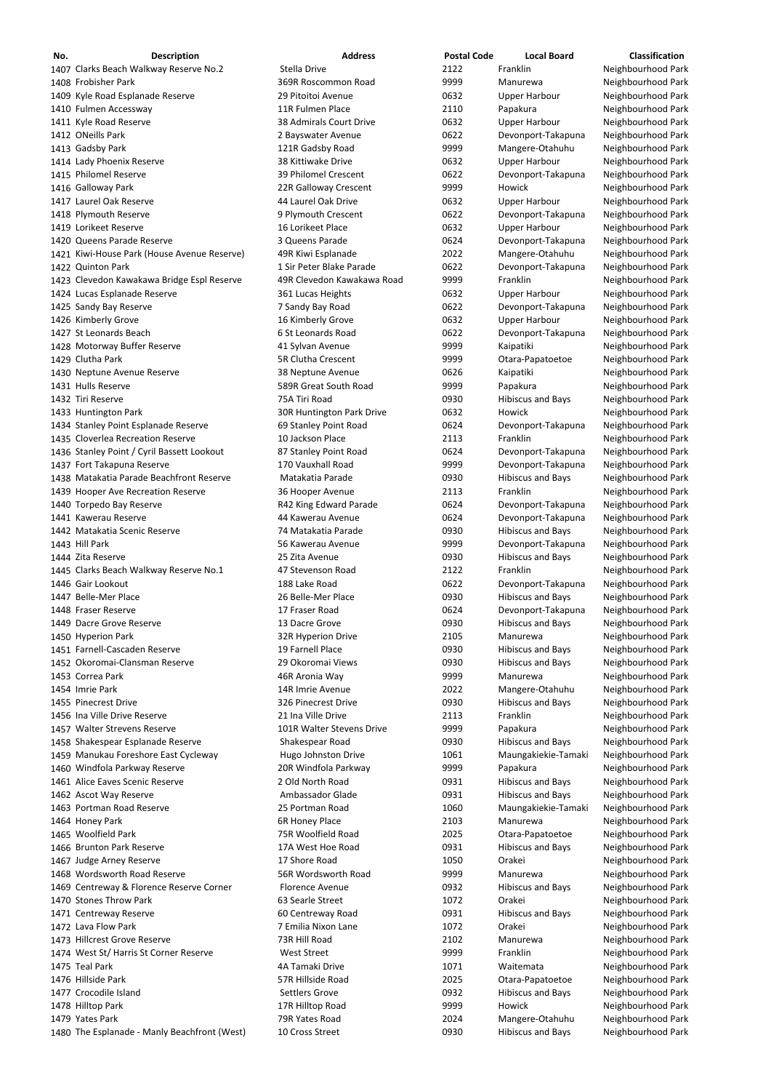| No. | <b>Description</b>                           | <b>Address</b>             | <b>Postal Code</b> | <b>Local Board</b>       | <b>Classification</b> |
|-----|----------------------------------------------|----------------------------|--------------------|--------------------------|-----------------------|
|     | 1407 Clarks Beach Walkway Reserve No.2       | Stella Drive               | 2122               | Franklin                 | Neighbourhood Park    |
|     | 1408 Frobisher Park                          | 369R Roscommon Road        | 9999               | Manurewa                 | Neighbourhood Park    |
|     | 1409 Kyle Road Esplanade Reserve             | 29 Pitoitoi Avenue         | 0632               | <b>Upper Harbour</b>     | Neighbourhood Park    |
|     | 1410 Fulmen Accessway                        | 11R Fulmen Place           | 2110               | Papakura                 | Neighbourhood Park    |
|     | 1411 Kyle Road Reserve                       | 38 Admirals Court Drive    | 0632               | <b>Upper Harbour</b>     | Neighbourhood Park    |
|     | 1412 ONeills Park                            | 2 Bayswater Avenue         | 0622               | Devonport-Takapuna       | Neighbourhood Park    |
|     |                                              |                            | 9999               |                          |                       |
|     | 1413 Gadsby Park                             | 121R Gadsby Road           |                    | Mangere-Otahuhu          | Neighbourhood Park    |
|     | 1414 Lady Phoenix Reserve                    | 38 Kittiwake Drive         | 0632               | <b>Upper Harbour</b>     | Neighbourhood Park    |
|     | 1415 Philomel Reserve                        | 39 Philomel Crescent       | 0622               | Devonport-Takapuna       | Neighbourhood Park    |
|     | 1416 Galloway Park                           | 22R Galloway Crescent      | 9999               | Howick                   | Neighbourhood Park    |
|     | 1417 Laurel Oak Reserve                      | 44 Laurel Oak Drive        | 0632               | <b>Upper Harbour</b>     | Neighbourhood Park    |
|     | 1418 Plymouth Reserve                        | 9 Plymouth Crescent        | 0622               | Devonport-Takapuna       | Neighbourhood Park    |
|     | 1419 Lorikeet Reserve                        | 16 Lorikeet Place          | 0632               | <b>Upper Harbour</b>     | Neighbourhood Park    |
|     | 1420 Queens Parade Reserve                   | 3 Queens Parade            | 0624               | Devonport-Takapuna       | Neighbourhood Park    |
|     | 1421 Kiwi-House Park (House Avenue Reserve)  | 49R Kiwi Esplanade         | 2022               | Mangere-Otahuhu          | Neighbourhood Park    |
|     | 1422 Quinton Park                            | 1 Sir Peter Blake Parade   | 0622               |                          |                       |
|     |                                              |                            |                    | Devonport-Takapuna       | Neighbourhood Park    |
|     | 1423 Clevedon Kawakawa Bridge Espl Reserve   | 49R Clevedon Kawakawa Road | 9999               | Franklin                 | Neighbourhood Park    |
|     | 1424 Lucas Esplanade Reserve                 | 361 Lucas Heights          | 0632               | <b>Upper Harbour</b>     | Neighbourhood Park    |
|     | 1425 Sandy Bay Reserve                       | 7 Sandy Bay Road           | 0622               | Devonport-Takapuna       | Neighbourhood Park    |
|     | 1426 Kimberly Grove                          | 16 Kimberly Grove          | 0632               | <b>Upper Harbour</b>     | Neighbourhood Park    |
|     | 1427 St Leonards Beach                       | 6 St Leonards Road         | 0622               | Devonport-Takapuna       | Neighbourhood Park    |
|     | 1428 Motorway Buffer Reserve                 | 41 Sylvan Avenue           | 9999               | Kaipatiki                | Neighbourhood Park    |
|     | 1429 Clutha Park                             | <b>5R Clutha Crescent</b>  | 9999               | Otara-Papatoetoe         | Neighbourhood Park    |
|     | 1430 Neptune Avenue Reserve                  | 38 Neptune Avenue          | 0626               | Kaipatiki                | Neighbourhood Park    |
|     |                                              |                            |                    |                          |                       |
|     | 1431 Hulls Reserve                           | 589R Great South Road      | 9999               | Papakura                 | Neighbourhood Park    |
|     | 1432 Tiri Reserve                            | 75A Tiri Road              | 0930               | <b>Hibiscus and Bays</b> | Neighbourhood Park    |
|     | 1433 Huntington Park                         | 30R Huntington Park Drive  | 0632               | Howick                   | Neighbourhood Park    |
|     | 1434 Stanley Point Esplanade Reserve         | 69 Stanley Point Road      | 0624               | Devonport-Takapuna       | Neighbourhood Park    |
|     | 1435 Cloverlea Recreation Reserve            | 10 Jackson Place           | 2113               | Franklin                 | Neighbourhood Park    |
|     | 1436 Stanley Point / Cyril Bassett Lookout   | 87 Stanley Point Road      | 0624               | Devonport-Takapuna       | Neighbourhood Park    |
|     | 1437 Fort Takapuna Reserve                   | 170 Vauxhall Road          | 9999               | Devonport-Takapuna       | Neighbourhood Park    |
|     | 1438 Matakatia Parade Beachfront Reserve     | Matakatia Parade           | 0930               | <b>Hibiscus and Bays</b> | Neighbourhood Park    |
|     | 1439 Hooper Ave Recreation Reserve           | 36 Hooper Avenue           | 2113               | Franklin                 | Neighbourhood Park    |
|     |                                              |                            |                    |                          |                       |
|     | 1440 Torpedo Bay Reserve                     | R42 King Edward Parade     | 0624               | Devonport-Takapuna       | Neighbourhood Park    |
|     | 1441 Kawerau Reserve                         | 44 Kawerau Avenue          | 0624               | Devonport-Takapuna       | Neighbourhood Park    |
|     | 1442 Matakatia Scenic Reserve                | 74 Matakatia Parade        | 0930               | <b>Hibiscus and Bays</b> | Neighbourhood Park    |
|     | 1443 Hill Park                               | 56 Kawerau Avenue          | 9999               | Devonport-Takapuna       | Neighbourhood Park    |
|     | 1444 Zita Reserve                            | 25 Zita Avenue             | 0930               | <b>Hibiscus and Bays</b> | Neighbourhood Park    |
|     | 1445 Clarks Beach Walkway Reserve No.1       | 47 Stevenson Road          | 2122               | Franklin                 | Neighbourhood Park    |
|     | 1446 Gair Lookout                            | 188 Lake Road              | 0622               | Devonport-Takapuna       | Neighbourhood Park    |
|     | 1447 Belle-Mer Place                         | 26 Belle-Mer Place         | 0930               | <b>Hibiscus and Bays</b> | Neighbourhood Park    |
|     | 1448 Fraser Reserve                          | 17 Fraser Road             | 0624               | Devonport-Takapuna       | Neighbourhood Park    |
|     |                                              |                            |                    |                          |                       |
|     | 1449 Dacre Grove Reserve                     | 13 Dacre Grove             | 0930               | <b>Hibiscus and Bays</b> | Neighbourhood Park    |
|     | 1450 Hyperion Park                           | 32R Hyperion Drive         | 2105               | Manurewa                 | Neighbourhood Park    |
|     | 1451 Farnell-Cascaden Reserve                | 19 Farnell Place           | 0930               | <b>Hibiscus and Bays</b> | Neighbourhood Park    |
|     | 1452 Okoromai-Clansman Reserve               | 29 Okoromai Views          | 0930               | <b>Hibiscus and Bays</b> | Neighbourhood Park    |
|     | 1453 Correa Park                             | 46R Aronia Way             | 9999               | Manurewa                 | Neighbourhood Park    |
|     | 1454 Imrie Park                              | 14R Imrie Avenue           | 2022               | Mangere-Otahuhu          | Neighbourhood Park    |
|     | 1455 Pinecrest Drive                         | 326 Pinecrest Drive        | 0930               | <b>Hibiscus and Bays</b> | Neighbourhood Park    |
|     | 1456 Ina Ville Drive Reserve                 | 21 Ina Ville Drive         | 2113               | Franklin                 | Neighbourhood Park    |
|     | 1457 Walter Strevens Reserve                 | 101R Walter Stevens Drive  | 9999               | Papakura                 | Neighbourhood Park    |
|     |                                              |                            | 0930               |                          | Neighbourhood Park    |
|     | 1458 Shakespear Esplanade Reserve            | Shakespear Road            |                    | <b>Hibiscus and Bays</b> |                       |
|     | 1459 Manukau Foreshore East Cycleway         | Hugo Johnston Drive        | 1061               | Maungakiekie-Tamaki      | Neighbourhood Park    |
|     | 1460 Windfola Parkway Reserve                | 20R Windfola Parkway       | 9999               | Papakura                 | Neighbourhood Park    |
|     | 1461 Alice Eaves Scenic Reserve              | 2 Old North Road           | 0931               | <b>Hibiscus and Bays</b> | Neighbourhood Park    |
|     | 1462 Ascot Way Reserve                       | Ambassador Glade           | 0931               | <b>Hibiscus and Bays</b> | Neighbourhood Park    |
|     | 1463 Portman Road Reserve                    | 25 Portman Road            | 1060               | Maungakiekie-Tamaki      | Neighbourhood Park    |
|     | 1464 Honey Park                              | 6R Honey Place             | 2103               | Manurewa                 | Neighbourhood Park    |
|     | 1465 Woolfield Park                          | 75R Woolfield Road         | 2025               | Otara-Papatoetoe         | Neighbourhood Park    |
|     | 1466 Brunton Park Reserve                    | 17A West Hoe Road          | 0931               | <b>Hibiscus and Bays</b> | Neighbourhood Park    |
|     |                                              | 17 Shore Road              | 1050               | Orakei                   | Neighbourhood Park    |
|     | 1467 Judge Arney Reserve                     |                            |                    |                          |                       |
|     | 1468 Wordsworth Road Reserve                 | 56R Wordsworth Road        | 9999               | Manurewa                 | Neighbourhood Park    |
|     | 1469 Centreway & Florence Reserve Corner     | <b>Florence Avenue</b>     | 0932               | <b>Hibiscus and Bays</b> | Neighbourhood Park    |
|     | 1470 Stones Throw Park                       | 63 Searle Street           | 1072               | Orakei                   | Neighbourhood Park    |
|     | 1471 Centreway Reserve                       | 60 Centreway Road          | 0931               | <b>Hibiscus and Bays</b> | Neighbourhood Park    |
|     | 1472 Lava Flow Park                          | 7 Emilia Nixon Lane        | 1072               | Orakei                   | Neighbourhood Park    |
|     | 1473 Hillcrest Grove Reserve                 | 73R Hill Road              | 2102               | Manurewa                 | Neighbourhood Park    |
|     | 1474 West St/ Harris St Corner Reserve       | <b>West Street</b>         | 9999               | Franklin                 | Neighbourhood Park    |
|     | 1475 Teal Park                               | 4A Tamaki Drive            | 1071               | Waitemata                | Neighbourhood Park    |
|     |                                              |                            |                    |                          |                       |
|     | 1476 Hillside Park                           | 57R Hillside Road          | 2025               | Otara-Papatoetoe         | Neighbourhood Park    |
|     | 1477 Crocodile Island                        | <b>Settlers Grove</b>      | 0932               | <b>Hibiscus and Bays</b> | Neighbourhood Park    |
|     | 1478 Hilltop Park                            | 17R Hilltop Road           | 9999               | Howick                   | Neighbourhood Park    |
|     | 1479 Yates Park                              | 79R Yates Road             | 2024               | Mangere-Otahuhu          | Neighbourhood Park    |
|     | 1480 The Esplanade - Manly Beachfront (West) | 10 Cross Street            | 0930               | <b>Hibiscus and Bays</b> | Neighbourhood Park    |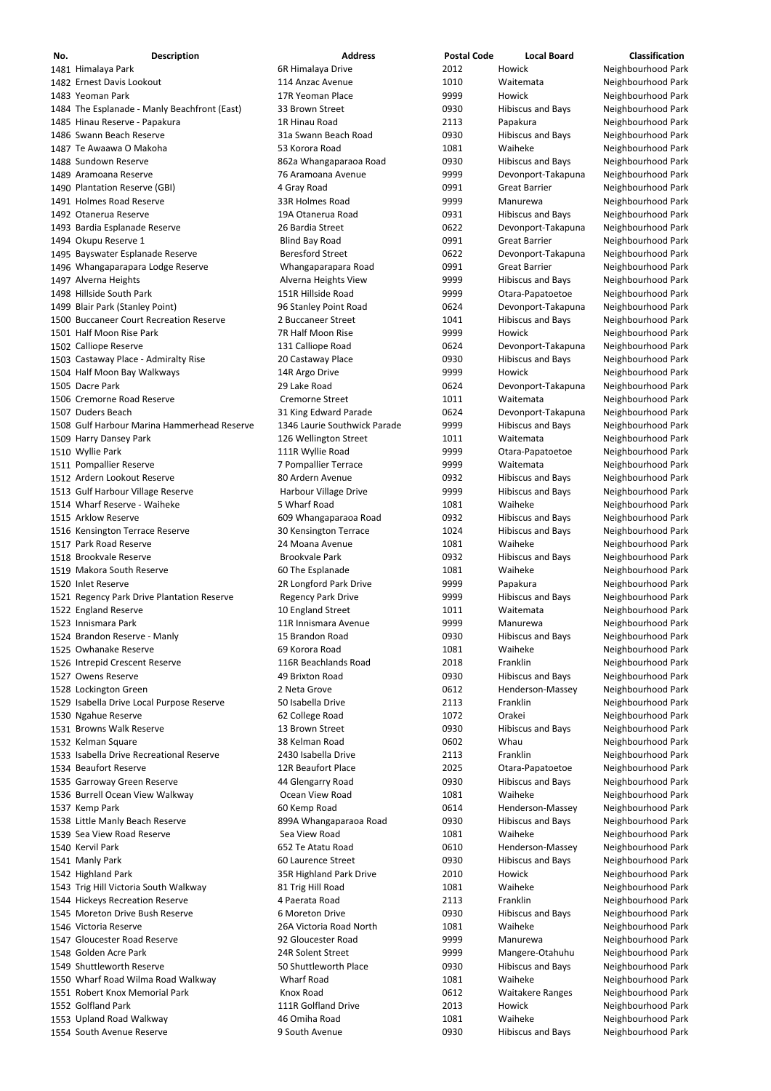| No. | <b>Description</b>                           | <b>Address</b>               | <b>Postal Code</b> | <b>Local Board</b>       | <b>Classification</b> |
|-----|----------------------------------------------|------------------------------|--------------------|--------------------------|-----------------------|
|     | 1481 Himalaya Park                           | 6R Himalaya Drive            | 2012               | Howick                   | Neighbourhood Park    |
|     | 1482 Ernest Davis Lookout                    | 114 Anzac Avenue             | 1010               | Waitemata                | Neighbourhood Park    |
|     | 1483 Yeoman Park                             | 17R Yeoman Place             | 9999               | Howick                   | Neighbourhood Park    |
|     | 1484 The Esplanade - Manly Beachfront (East) | 33 Brown Street              | 0930               | <b>Hibiscus and Bays</b> | Neighbourhood Park    |
|     | 1485 Hinau Reserve - Papakura                | 1R Hinau Road                | 2113               | Papakura                 | Neighbourhood Park    |
|     | 1486 Swann Beach Reserve                     | 31a Swann Beach Road         | 0930               | <b>Hibiscus and Bays</b> | Neighbourhood Park    |
|     | 1487 Te Awaawa O Makoha                      | 53 Korora Road               | 1081               | Waiheke                  | Neighbourhood Park    |
|     | 1488 Sundown Reserve                         | 862a Whangaparaoa Road       | 0930               | <b>Hibiscus and Bays</b> | Neighbourhood Park    |
|     | 1489 Aramoana Reserve                        | 76 Aramoana Avenue           | 9999               | Devonport-Takapuna       | Neighbourhood Park    |
|     | 1490 Plantation Reserve (GBI)                | 4 Gray Road                  | 0991               | <b>Great Barrier</b>     | Neighbourhood Park    |
|     | 1491 Holmes Road Reserve                     | 33R Holmes Road              | 9999               | Manurewa                 | Neighbourhood Park    |
|     | 1492 Otanerua Reserve                        | 19A Otanerua Road            | 0931               |                          |                       |
|     |                                              | 26 Bardia Street             | 0622               | <b>Hibiscus and Bays</b> | Neighbourhood Park    |
|     | 1493 Bardia Esplanade Reserve                |                              |                    | Devonport-Takapuna       | Neighbourhood Park    |
|     | 1494 Okupu Reserve 1                         | <b>Blind Bay Road</b>        | 0991               | <b>Great Barrier</b>     | Neighbourhood Park    |
|     | 1495 Bayswater Esplanade Reserve             | <b>Beresford Street</b>      | 0622               | Devonport-Takapuna       | Neighbourhood Park    |
|     | 1496 Whangaparapara Lodge Reserve            | Whangaparapara Road          | 0991               | <b>Great Barrier</b>     | Neighbourhood Park    |
|     | 1497 Alverna Heights                         | Alverna Heights View         | 9999               | <b>Hibiscus and Bays</b> | Neighbourhood Park    |
|     | 1498 Hillside South Park                     | 151R Hillside Road           | 9999               | Otara-Papatoetoe         | Neighbourhood Park    |
|     | 1499 Blair Park (Stanley Point)              | 96 Stanley Point Road        | 0624               | Devonport-Takapuna       | Neighbourhood Park    |
|     | 1500 Buccaneer Court Recreation Reserve      | 2 Buccaneer Street           | 1041               | <b>Hibiscus and Bays</b> | Neighbourhood Park    |
|     | 1501 Half Moon Rise Park                     | 7R Half Moon Rise            | 9999               | Howick                   | Neighbourhood Park    |
|     | 1502 Calliope Reserve                        | 131 Calliope Road            | 0624               | Devonport-Takapuna       | Neighbourhood Park    |
|     | 1503 Castaway Place - Admiralty Rise         | 20 Castaway Place            | 0930               | <b>Hibiscus and Bays</b> | Neighbourhood Park    |
|     | 1504 Half Moon Bay Walkways                  | 14R Argo Drive               | 9999               | Howick                   | Neighbourhood Park    |
|     | 1505 Dacre Park                              | 29 Lake Road                 | 0624               | Devonport-Takapuna       | Neighbourhood Park    |
|     | 1506 Cremorne Road Reserve                   | <b>Cremorne Street</b>       | 1011               | Waitemata                | Neighbourhood Park    |
|     | 1507 Duders Beach                            | 31 King Edward Parade        | 0624               | Devonport-Takapuna       | Neighbourhood Park    |
|     | 1508 Gulf Harbour Marina Hammerhead Reserve  | 1346 Laurie Southwick Parade | 9999               | <b>Hibiscus and Bays</b> | Neighbourhood Park    |
|     | 1509 Harry Dansey Park                       | 126 Wellington Street        | 1011               | Waitemata                | Neighbourhood Park    |
|     | 1510 Wyllie Park                             | 111R Wyllie Road             | 9999               | Otara-Papatoetoe         | Neighbourhood Park    |
|     | 1511 Pompallier Reserve                      | 7 Pompallier Terrace         | 9999               | Waitemata                | Neighbourhood Park    |
|     | 1512 Ardern Lookout Reserve                  | 80 Ardern Avenue             | 0932               | <b>Hibiscus and Bays</b> | Neighbourhood Park    |
|     | 1513 Gulf Harbour Village Reserve            | Harbour Village Drive        | 9999               | <b>Hibiscus and Bays</b> | Neighbourhood Park    |
|     | 1514 Wharf Reserve - Waiheke                 | 5 Wharf Road                 | 1081               | Waiheke                  | Neighbourhood Park    |
|     | 1515 Arklow Reserve                          | 609 Whangaparaoa Road        | 0932               | <b>Hibiscus and Bays</b> | Neighbourhood Park    |
|     | 1516 Kensington Terrace Reserve              | 30 Kensington Terrace        | 1024               | <b>Hibiscus and Bays</b> | Neighbourhood Park    |
|     | 1517 Park Road Reserve                       | 24 Moana Avenue              | 1081               | Waiheke                  | Neighbourhood Park    |
|     | 1518 Brookvale Reserve                       | <b>Brookvale Park</b>        | 0932               | <b>Hibiscus and Bays</b> | Neighbourhood Park    |
|     | 1519 Makora South Reserve                    | 60 The Esplanade             | 1081               | Waiheke                  | Neighbourhood Park    |
|     | 1520 Inlet Reserve                           |                              | 9999               | Papakura                 | Neighbourhood Park    |
|     |                                              | 2R Longford Park Drive       |                    |                          |                       |
|     | 1521 Regency Park Drive Plantation Reserve   | <b>Regency Park Drive</b>    | 9999               | <b>Hibiscus and Bays</b> | Neighbourhood Park    |
|     | 1522 England Reserve                         | 10 England Street            | 1011               | Waitemata                | Neighbourhood Park    |
|     | 1523 Innismara Park                          | 11R Innismara Avenue         | 9999               | Manurewa                 | Neighbourhood Park    |
|     | 1524 Brandon Reserve - Manly                 | 15 Brandon Road              | 0930               | <b>Hibiscus and Bays</b> | Neighbourhood Park    |
|     | 1525 Owhanake Reserve                        | 69 Korora Road               | 1081               | Waiheke                  | Neighbourhood Park    |
|     | 1526 Intrepid Crescent Reserve               | 116R Beachlands Road         | 2018               | Franklin                 | Neighbourhood Park    |
|     | 1527 Owens Reserve                           | 49 Brixton Road              | 0930               | <b>Hibiscus and Bays</b> | Neighbourhood Park    |
|     | 1528 Lockington Green                        | 2 Neta Grove                 | 0612               | Henderson-Massey         | Neighbourhood Park    |
|     | 1529 Isabella Drive Local Purpose Reserve    | 50 Isabella Drive            | 2113               | Franklin                 | Neighbourhood Park    |
|     | 1530 Ngahue Reserve                          | 62 College Road              | 1072               | Orakei                   | Neighbourhood Park    |
|     | 1531 Browns Walk Reserve                     | 13 Brown Street              | 0930               | <b>Hibiscus and Bays</b> | Neighbourhood Park    |
|     | 1532 Kelman Square                           | 38 Kelman Road               | 0602               | Whau                     | Neighbourhood Park    |
|     | 1533 Isabella Drive Recreational Reserve     | 2430 Isabella Drive          | 2113               | Franklin                 | Neighbourhood Park    |
|     | 1534 Beaufort Reserve                        | 12R Beaufort Place           | 2025               | Otara-Papatoetoe         | Neighbourhood Park    |
|     | 1535 Garroway Green Reserve                  | 44 Glengarry Road            | 0930               | <b>Hibiscus and Bays</b> | Neighbourhood Park    |
|     | 1536 Burrell Ocean View Walkway              | Ocean View Road              | 1081               | Waiheke                  | Neighbourhood Park    |
|     | 1537 Kemp Park                               | 60 Kemp Road                 | 0614               | Henderson-Massey         | Neighbourhood Park    |
|     | 1538 Little Manly Beach Reserve              | 899A Whangaparaoa Road       | 0930               | <b>Hibiscus and Bays</b> | Neighbourhood Park    |
|     | 1539 Sea View Road Reserve                   | Sea View Road                | 1081               | Waiheke                  | Neighbourhood Park    |
|     | 1540 Kervil Park                             | 652 Te Atatu Road            | 0610               | Henderson-Massey         | Neighbourhood Park    |
|     | 1541 Manly Park                              | 60 Laurence Street           | 0930               | <b>Hibiscus and Bays</b> | Neighbourhood Park    |
|     | 1542 Highland Park                           | 35R Highland Park Drive      | 2010               | Howick                   | Neighbourhood Park    |
|     | 1543 Trig Hill Victoria South Walkway        | 81 Trig Hill Road            | 1081               | Waiheke                  | Neighbourhood Park    |
|     | 1544 Hickeys Recreation Reserve              | 4 Paerata Road               | 2113               | Franklin                 | Neighbourhood Park    |
|     | 1545 Moreton Drive Bush Reserve              | 6 Moreton Drive              | 0930               | <b>Hibiscus and Bays</b> | Neighbourhood Park    |
|     | 1546 Victoria Reserve                        | 26A Victoria Road North      | 1081               | Waiheke                  | Neighbourhood Park    |
|     | 1547 Gloucester Road Reserve                 | 92 Gloucester Road           | 9999               | Manurewa                 | Neighbourhood Park    |
|     | 1548 Golden Acre Park                        | 24R Solent Street            | 9999               | Mangere-Otahuhu          | Neighbourhood Park    |
|     | 1549 Shuttleworth Reserve                    | 50 Shuttleworth Place        | 0930               | <b>Hibiscus and Bays</b> | Neighbourhood Park    |
|     |                                              | <b>Wharf Road</b>            | 1081               | Waiheke                  |                       |
|     | 1550 Wharf Road Wilma Road Walkway           |                              |                    |                          | Neighbourhood Park    |
|     | 1551 Robert Knox Memorial Park               | Knox Road                    | 0612               | <b>Waitakere Ranges</b>  | Neighbourhood Park    |
|     | 1552 Golfland Park                           | 111R Golfland Drive          | 2013               | Howick                   | Neighbourhood Park    |
|     | 1553 Upland Road Walkway                     | 46 Omiha Road                | 1081               | Waiheke                  | Neighbourhood Park    |
|     | 1554 South Avenue Reserve                    | 9 South Avenue               | 0930               | <b>Hibiscus and Bays</b> | Neighbourhood Park    |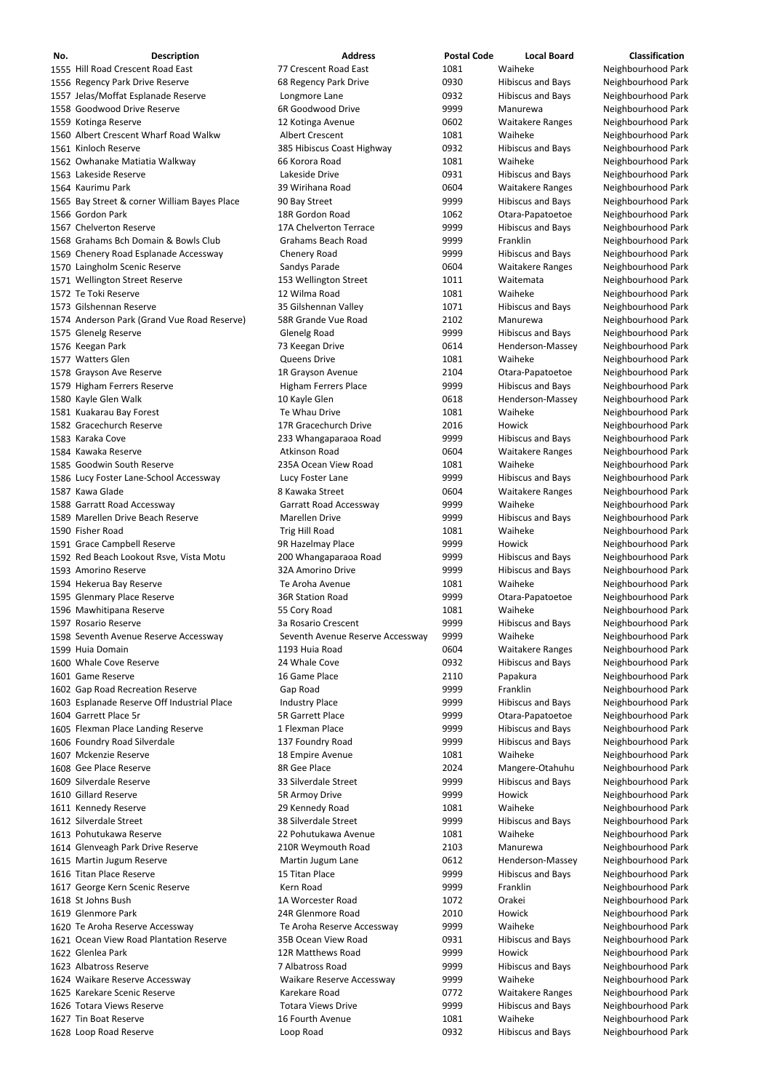| No. | <b>Description</b>                           | <b>Address</b>                   | <b>Postal Code</b> | <b>Local Board</b>       | <b>Classification</b> |
|-----|----------------------------------------------|----------------------------------|--------------------|--------------------------|-----------------------|
|     | 1555 Hill Road Crescent Road East            | 77 Crescent Road East            | 1081               | Waiheke                  | Neighbourhood Park    |
|     | 1556 Regency Park Drive Reserve              | 68 Regency Park Drive            | 0930               | <b>Hibiscus and Bays</b> | Neighbourhood Park    |
|     | 1557 Jelas/Moffat Esplanade Reserve          | Longmore Lane                    | 0932               | <b>Hibiscus and Bays</b> | Neighbourhood Park    |
|     | 1558 Goodwood Drive Reserve                  | 6R Goodwood Drive                | 9999               | Manurewa                 | Neighbourhood Park    |
|     | 1559 Kotinga Reserve                         | 12 Kotinga Avenue                | 0602               | <b>Waitakere Ranges</b>  | Neighbourhood Park    |
|     | 1560 Albert Crescent Wharf Road Walkw        | <b>Albert Crescent</b>           | 1081               | Waiheke                  | Neighbourhood Park    |
|     | 1561 Kinloch Reserve                         | 385 Hibiscus Coast Highway       | 0932               | <b>Hibiscus and Bays</b> | Neighbourhood Park    |
|     | 1562 Owhanake Matiatia Walkway               | 66 Korora Road                   | 1081               | Waiheke                  | Neighbourhood Park    |
|     | 1563 Lakeside Reserve                        | Lakeside Drive                   | 0931               | <b>Hibiscus and Bays</b> | Neighbourhood Park    |
|     | 1564 Kaurimu Park                            | 39 Wirihana Road                 | 0604               | <b>Waitakere Ranges</b>  | Neighbourhood Park    |
|     | 1565 Bay Street & corner William Bayes Place | 90 Bay Street                    | 9999               | <b>Hibiscus and Bays</b> | Neighbourhood Park    |
|     | 1566 Gordon Park                             | 18R Gordon Road                  | 1062               | Otara-Papatoetoe         | Neighbourhood Park    |
|     | 1567 Chelverton Reserve                      | 17A Chelverton Terrace           | 9999               | <b>Hibiscus and Bays</b> | Neighbourhood Park    |
|     | 1568 Grahams Bch Domain & Bowls Club         | <b>Grahams Beach Road</b>        | 9999               | Franklin                 | Neighbourhood Park    |
|     | 1569 Chenery Road Esplanade Accessway        |                                  | 9999               |                          |                       |
|     |                                              | Chenery Road                     |                    | <b>Hibiscus and Bays</b> | Neighbourhood Park    |
|     | 1570 Laingholm Scenic Reserve                | Sandys Parade                    | 0604               | <b>Waitakere Ranges</b>  | Neighbourhood Park    |
|     | 1571 Wellington Street Reserve               | 153 Wellington Street            | 1011               | Waitemata                | Neighbourhood Park    |
|     | 1572 Te Toki Reserve                         | 12 Wilma Road                    | 1081               | Waiheke                  | Neighbourhood Park    |
|     | 1573 Gilshennan Reserve                      | 35 Gilshennan Valley             | 1071               | <b>Hibiscus and Bays</b> | Neighbourhood Park    |
|     | 1574 Anderson Park (Grand Vue Road Reserve)  | 58R Grande Vue Road              | 2102               | Manurewa                 | Neighbourhood Park    |
|     | 1575 Glenelg Reserve                         | <b>Glenelg Road</b>              | 9999               | <b>Hibiscus and Bays</b> | Neighbourhood Park    |
|     | 1576 Keegan Park                             | 73 Keegan Drive                  | 0614               | Henderson-Massey         | Neighbourhood Park    |
|     | 1577 Watters Glen                            | <b>Queens Drive</b>              | 1081               | Waiheke                  | Neighbourhood Park    |
|     | 1578 Grayson Ave Reserve                     | 1R Grayson Avenue                | 2104               | Otara-Papatoetoe         | Neighbourhood Park    |
|     | 1579 Higham Ferrers Reserve                  | Higham Ferrers Place             | 9999               | <b>Hibiscus and Bays</b> | Neighbourhood Park    |
|     | 1580 Kayle Glen Walk                         | 10 Kayle Glen                    | 0618               | Henderson-Massey         | Neighbourhood Park    |
|     | 1581 Kuakarau Bay Forest                     | Te Whau Drive                    | 1081               | Waiheke                  | Neighbourhood Park    |
|     | 1582 Gracechurch Reserve                     | 17R Gracechurch Drive            | 2016               | <b>Howick</b>            | Neighbourhood Park    |
|     | 1583 Karaka Cove                             | 233 Whangaparaoa Road            | 9999               | <b>Hibiscus and Bays</b> | Neighbourhood Park    |
|     | 1584 Kawaka Reserve                          | <b>Atkinson Road</b>             | 0604               | <b>Waitakere Ranges</b>  | Neighbourhood Park    |
|     | 1585 Goodwin South Reserve                   | 235A Ocean View Road             | 1081               | Waiheke                  | Neighbourhood Park    |
|     |                                              |                                  | 9999               | <b>Hibiscus and Bays</b> | Neighbourhood Park    |
|     | 1586 Lucy Foster Lane-School Accessway       | Lucy Foster Lane                 |                    |                          |                       |
|     | 1587 Kawa Glade                              | 8 Kawaka Street                  | 0604               | <b>Waitakere Ranges</b>  | Neighbourhood Park    |
|     | 1588 Garratt Road Accessway                  | Garratt Road Accessway           | 9999               | Waiheke                  | Neighbourhood Park    |
|     | 1589 Marellen Drive Beach Reserve            | <b>Marellen Drive</b>            | 9999               | <b>Hibiscus and Bays</b> | Neighbourhood Park    |
|     | 1590 Fisher Road                             | Trig Hill Road                   | 1081               | Waiheke                  | Neighbourhood Park    |
|     | 1591 Grace Campbell Reserve                  | 9R Hazelmay Place                | 9999               | Howick                   | Neighbourhood Park    |
|     | 1592 Red Beach Lookout Rsve, Vista Motu      | 200 Whangaparaoa Road            | 9999               | <b>Hibiscus and Bays</b> | Neighbourhood Park    |
|     | 1593 Amorino Reserve                         | 32A Amorino Drive                | 9999               | <b>Hibiscus and Bays</b> | Neighbourhood Park    |
|     | 1594 Hekerua Bay Reserve                     | Te Aroha Avenue                  | 1081               | Waiheke                  | Neighbourhood Park    |
|     | 1595 Glenmary Place Reserve                  | <b>36R Station Road</b>          | 9999               | Otara-Papatoetoe         | Neighbourhood Park    |
|     | 1596 Mawhitipana Reserve                     | 55 Cory Road                     | 1081               | Waiheke                  | Neighbourhood Park    |
|     | 1597 Rosario Reserve                         | 3a Rosario Crescent              | 9999               | <b>Hibiscus and Bays</b> | Neighbourhood Park    |
|     | 1598 Seventh Avenue Reserve Accessway        | Seventh Avenue Reserve Accessway | 9999               | Waiheke                  | Neighbourhood Park    |
|     | 1599 Huia Domain                             | 1193 Huia Road                   | 0604               | <b>Waitakere Ranges</b>  | Neighbourhood Park    |
|     | 1600 Whale Cove Reserve                      | 24 Whale Cove                    | 0932               | <b>Hibiscus and Bays</b> | Neighbourhood Park    |
|     | 1601 Game Reserve                            | 16 Game Place                    | 2110               | Papakura                 | Neighbourhood Park    |
|     | 1602 Gap Road Recreation Reserve             | Gap Road                         | 9999               | Franklin                 | Neighbourhood Park    |
|     | 1603 Esplanade Reserve Off Industrial Place  | <b>Industry Place</b>            | 9999               | <b>Hibiscus and Bays</b> | Neighbourhood Park    |
|     |                                              |                                  |                    |                          |                       |
|     | 1604 Garrett Place 5r                        | <b>5R Garrett Place</b>          | 9999               | Otara-Papatoetoe         | Neighbourhood Park    |
|     | 1605 Flexman Place Landing Reserve           | 1 Flexman Place                  | 9999               | <b>Hibiscus and Bays</b> | Neighbourhood Park    |
|     | 1606 Foundry Road Silverdale                 | 137 Foundry Road                 | 9999               | <b>Hibiscus and Bays</b> | Neighbourhood Park    |
|     | 1607 Mckenzie Reserve                        | 18 Empire Avenue                 | 1081               | Waiheke                  | Neighbourhood Park    |
|     | 1608 Gee Place Reserve                       | 8R Gee Place                     | 2024               | Mangere-Otahuhu          | Neighbourhood Park    |
|     | 1609 Silverdale Reserve                      | 33 Silverdale Street             | 9999               | <b>Hibiscus and Bays</b> | Neighbourhood Park    |
|     | 1610 Gillard Reserve                         | 5R Armoy Drive                   | 9999               | Howick                   | Neighbourhood Park    |
|     | 1611 Kennedy Reserve                         | 29 Kennedy Road                  | 1081               | Waiheke                  | Neighbourhood Park    |
|     | 1612 Silverdale Street                       | 38 Silverdale Street             | 9999               | <b>Hibiscus and Bays</b> | Neighbourhood Park    |
|     | 1613 Pohutukawa Reserve                      | 22 Pohutukawa Avenue             | 1081               | Waiheke                  | Neighbourhood Park    |
|     | 1614 Glenveagh Park Drive Reserve            | 210R Weymouth Road               | 2103               | Manurewa                 | Neighbourhood Park    |
|     | 1615 Martin Jugum Reserve                    | Martin Jugum Lane                | 0612               | Henderson-Massey         | Neighbourhood Park    |
|     | 1616 Titan Place Reserve                     | 15 Titan Place                   | 9999               | <b>Hibiscus and Bays</b> | Neighbourhood Park    |
|     | 1617 George Kern Scenic Reserve              | Kern Road                        | 9999               | Franklin                 | Neighbourhood Park    |
|     | 1618 St Johns Bush                           | 1A Worcester Road                | 1072               | Orakei                   |                       |
|     |                                              |                                  |                    |                          | Neighbourhood Park    |
|     | 1619 Glenmore Park                           | 24R Glenmore Road                | 2010               | Howick                   | Neighbourhood Park    |
|     | 1620 Te Aroha Reserve Accessway              | Te Aroha Reserve Accessway       | 9999               | Waiheke                  | Neighbourhood Park    |
|     | 1621 Ocean View Road Plantation Reserve      | 35B Ocean View Road              | 0931               | <b>Hibiscus and Bays</b> | Neighbourhood Park    |
|     | 1622 Glenlea Park                            | 12R Matthews Road                | 9999               | Howick                   | Neighbourhood Park    |
|     | 1623 Albatross Reserve                       | 7 Albatross Road                 | 9999               | <b>Hibiscus and Bays</b> | Neighbourhood Park    |
|     | 1624 Waikare Reserve Accessway               | Waikare Reserve Accessway        | 9999               | Waiheke                  | Neighbourhood Park    |
|     | 1625 Karekare Scenic Reserve                 | Karekare Road                    | 0772               | <b>Waitakere Ranges</b>  | Neighbourhood Park    |
|     | 1626 Totara Views Reserve                    | <b>Totara Views Drive</b>        | 9999               | <b>Hibiscus and Bays</b> | Neighbourhood Park    |
|     | 1627 Tin Boat Reserve                        | 16 Fourth Avenue                 | 1081               | Waiheke                  | Neighbourhood Park    |
|     | 1628 Loop Road Reserve                       | Loop Road                        | 0932               | <b>Hibiscus and Bays</b> | Neighbourhood Park    |
|     |                                              |                                  |                    |                          |                       |

Neighbourhood Park Neighbourhood Park Neighbourhood Park Neighbourhood Park Neighbourhood Park Neighbourhood Park Neighbourhood Park Neighbourhood Park Neighbourhood Park Neighbourhood Park Neighbourhood Park Neighbourhood Park Neighbourhood Park Neighbourhood Park Neighbourhood Park Neighbourhood Park Neighbourhood Park Neighbourhood Park Neighbourhood Park Neighbourhood Park Neighbourhood Park Neighbourhood Park Neighbourhood Park Neighbourhood Park Neighbourhood Park Neighbourhood Park Neighbourhood Park Neighbourhood Park Neighbourhood Park Neighbourhood Park Neighbourhood Park Neighbourhood Park Neighbourhood Park Neighbourhood Park Neighbourhood Park Neighbourhood Park Neighbourhood Park Neighbourhood Park Neighbourhood Park Neighbourhood Park Neighbourhood Park Neighbourhood Park Neighbourhood Park Neighbourhood Park Neighbourhood Park Neighbourhood Park Neighbourhood Park Neighbourhood Park Neighbourhood Park Neighbourhood Park Neighbourhood Park Neighbourhood Park Neighbourhood Park Neighbourhood Park Neighbourhood Park Neighbourhood Park Neighbourhood Park Neighbourhood Park Neighbourhood Park Neighbourhood Park Neighbourhood Park Neighbourhood Park Neighbourhood Park Neighbourhood Park Neighbourhood Park Neighbourhood Park Neighbourhood Park Neighbourhood Park Neighbourhood Park Neighbourhood Park Neighbourhood Park Neighbourhood Park Neighbourhood Park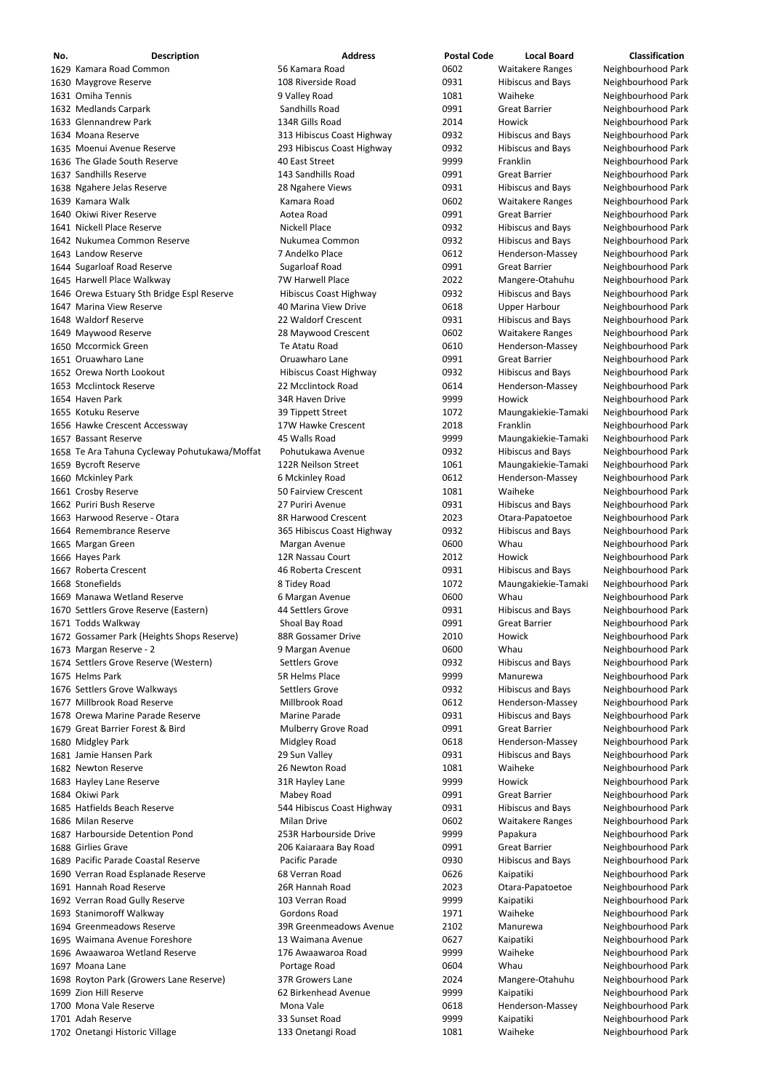| No. | <b>Description</b>                            | <b>Address</b>             | <b>Postal Code</b> | <b>Local Board</b>       | <b>Classification</b> |
|-----|-----------------------------------------------|----------------------------|--------------------|--------------------------|-----------------------|
|     | 1629 Kamara Road Common                       | 56 Kamara Road             | 0602               | <b>Waitakere Ranges</b>  | Neighbourhood Park    |
|     | 1630 Maygrove Reserve                         | 108 Riverside Road         | 0931               | <b>Hibiscus and Bays</b> | Neighbourhood Park    |
|     | 1631 Omiha Tennis                             | 9 Valley Road              | 1081               | Waiheke                  | Neighbourhood Park    |
|     | 1632 Medlands Carpark                         | Sandhills Road             | 0991               | <b>Great Barrier</b>     | Neighbourhood Park    |
|     | 1633 Glennandrew Park                         | 134R Gills Road            | 2014               | Howick                   | Neighbourhood Park    |
|     | 1634 Moana Reserve                            | 313 Hibiscus Coast Highway | 0932               | <b>Hibiscus and Bays</b> | Neighbourhood Park    |
|     | 1635 Moenui Avenue Reserve                    | 293 Hibiscus Coast Highway | 0932               | <b>Hibiscus and Bays</b> | Neighbourhood Park    |
|     | 1636 The Glade South Reserve                  | 40 East Street             | 9999               | Franklin                 | Neighbourhood Park    |
|     | 1637 Sandhills Reserve                        | 143 Sandhills Road         | 0991               | <b>Great Barrier</b>     | Neighbourhood Park    |
|     | 1638 Ngahere Jelas Reserve                    | 28 Ngahere Views           | 0931               | <b>Hibiscus and Bays</b> | Neighbourhood Park    |
|     | 1639 Kamara Walk                              | Kamara Road                | 0602               | <b>Waitakere Ranges</b>  | Neighbourhood Park    |
|     | 1640 Okiwi River Reserve                      | Aotea Road                 | 0991               | <b>Great Barrier</b>     | Neighbourhood Park    |
|     | 1641 Nickell Place Reserve                    | <b>Nickell Place</b>       | 0932               | <b>Hibiscus and Bays</b> | Neighbourhood Park    |
|     | 1642 Nukumea Common Reserve                   | Nukumea Common             | 0932               | <b>Hibiscus and Bays</b> | Neighbourhood Park    |
|     | 1643 Landow Reserve                           | 7 Andelko Place            | 0612               | Henderson-Massey         | Neighbourhood Park    |
|     | 1644 Sugarloaf Road Reserve                   | <b>Sugarloaf Road</b>      | 0991               | <b>Great Barrier</b>     | Neighbourhood Park    |
|     | 1645 Harwell Place Walkway                    | <b>7W Harwell Place</b>    | 2022               | Mangere-Otahuhu          | Neighbourhood Park    |
|     | 1646 Orewa Estuary Sth Bridge Espl Reserve    | Hibiscus Coast Highway     | 0932               | <b>Hibiscus and Bays</b> | Neighbourhood Park    |
|     | 1647 Marina View Reserve                      | 40 Marina View Drive       | 0618               | <b>Upper Harbour</b>     | Neighbourhood Park    |
|     | 1648 Waldorf Reserve                          | 22 Waldorf Crescent        | 0931               | <b>Hibiscus and Bays</b> | Neighbourhood Park    |
|     | 1649 Maywood Reserve                          | 28 Maywood Crescent        | 0602               | <b>Waitakere Ranges</b>  | Neighbourhood Park    |
|     | 1650 Mccormick Green                          | Te Atatu Road              | 0610               | Henderson-Massey         | Neighbourhood Park    |
|     | 1651 Oruawharo Lane                           | Oruawharo Lane             | 0991               | <b>Great Barrier</b>     | Neighbourhood Park    |
|     | 1652 Orewa North Lookout                      | Hibiscus Coast Highway     | 0932               | <b>Hibiscus and Bays</b> | Neighbourhood Park    |
|     | 1653 Mcclintock Reserve                       | 22 Mcclintock Road         | 0614               | Henderson-Massey         | Neighbourhood Park    |
|     | 1654 Haven Park                               | 34R Haven Drive            | 9999               | Howick                   | Neighbourhood Park    |
|     | 1655 Kotuku Reserve                           | 39 Tippett Street          | 1072               | Maungakiekie-Tamaki      | Neighbourhood Park    |
|     | 1656 Hawke Crescent Accessway                 | 17W Hawke Crescent         | 2018               | Franklin                 | Neighbourhood Park    |
|     | 1657 Bassant Reserve                          | 45 Walls Road              | 9999               | Maungakiekie-Tamaki      | Neighbourhood Park    |
|     | 1658 Te Ara Tahuna Cycleway Pohutukawa/Moffat | Pohutukawa Avenue          | 0932               | <b>Hibiscus and Bays</b> | Neighbourhood Park    |
|     | 1659 Bycroft Reserve                          | 122R Neilson Street        | 1061               | Maungakiekie-Tamaki      | Neighbourhood Park    |
|     | 1660 Mckinley Park                            | 6 Mckinley Road            | 0612               | Henderson-Massey         | Neighbourhood Park    |
|     | 1661 Crosby Reserve                           | 50 Fairview Crescent       | 1081               | Waiheke                  | Neighbourhood Park    |
|     | 1662 Puriri Bush Reserve                      | 27 Puriri Avenue           | 0931               | <b>Hibiscus and Bays</b> | Neighbourhood Park    |
|     | 1663 Harwood Reserve - Otara                  | 8R Harwood Crescent        | 2023               | Otara-Papatoetoe         | Neighbourhood Park    |
|     | 1664 Remembrance Reserve                      | 365 Hibiscus Coast Highway | 0932               | <b>Hibiscus and Bays</b> | Neighbourhood Park    |
|     | 1665 Margan Green                             | Margan Avenue              | 0600               | Whau                     | Neighbourhood Park    |
|     | 1666 Hayes Park                               | 12R Nassau Court           | 2012               | Howick                   | Neighbourhood Park    |
|     | 1667 Roberta Crescent                         | 46 Roberta Crescent        | 0931               | <b>Hibiscus and Bays</b> | Neighbourhood Park    |
|     | 1668 Stonefields                              | 8 Tidey Road               | 1072               | Maungakiekie-Tamaki      | Neighbourhood Park    |
|     | 1669 Manawa Wetland Reserve                   | 6 Margan Avenue            | 0600               | Whau                     | Neighbourhood Park    |
|     | 1670 Settlers Grove Reserve (Eastern)         | 44 Settlers Grove          | 0931               | <b>Hibiscus and Bays</b> | Neighbourhood Park    |
|     | 1671 Todds Walkway                            | Shoal Bay Road             | 0991               | <b>Great Barrier</b>     | Neighbourhood Park    |
|     | 1672 Gossamer Park (Heights Shops Reserve)    | 88R Gossamer Drive         | 2010               | Howick                   | Neighbourhood Park    |
|     | 1673 Margan Reserve - 2                       | 9 Margan Avenue            | 0600               | Whau                     | Neighbourhood Park    |
|     | 1674 Settlers Grove Reserve (Western)         | <b>Settlers Grove</b>      | 0932               | <b>Hibiscus and Bays</b> | Neighbourhood Park    |
|     | 1675 Helms Park                               | 5R Helms Place             | 9999               | Manurewa                 | Neighbourhood Park    |
|     | 1676 Settlers Grove Walkways                  | <b>Settlers Grove</b>      | 0932               | <b>Hibiscus and Bays</b> | Neighbourhood Park    |
|     | 1677 Millbrook Road Reserve                   | Millbrook Road             | 0612               | Henderson-Massey         | Neighbourhood Park    |
|     | 1678 Orewa Marine Parade Reserve              | Marine Parade              | 0931               | <b>Hibiscus and Bays</b> | Neighbourhood Park    |
|     | 1679 Great Barrier Forest & Bird              | Mulberry Grove Road        | 0991               | <b>Great Barrier</b>     | Neighbourhood Park    |
|     | 1680 Midgley Park                             | Midgley Road               | 0618               | Henderson-Massey         | Neighbourhood Park    |
|     | 1681 Jamie Hansen Park                        | 29 Sun Valley              | 0931               | <b>Hibiscus and Bays</b> | Neighbourhood Park    |
|     | 1682 Newton Reserve                           | 26 Newton Road             | 1081               | Waiheke                  | Neighbourhood Park    |
|     | 1683 Hayley Lane Reserve                      | 31R Hayley Lane            | 9999               | Howick                   | Neighbourhood Park    |
|     | 1684 Okiwi Park                               | Mabey Road                 | 0991               | <b>Great Barrier</b>     | Neighbourhood Park    |
|     | 1685 Hatfields Beach Reserve                  | 544 Hibiscus Coast Highway | 0931               | <b>Hibiscus and Bays</b> | Neighbourhood Park    |
|     | 1686 Milan Reserve                            | <b>Milan Drive</b>         | 0602               | <b>Waitakere Ranges</b>  | Neighbourhood Park    |
|     | 1687 Harbourside Detention Pond               | 253R Harbourside Drive     | 9999               | Papakura                 | Neighbourhood Park    |
|     | 1688 Girlies Grave                            | 206 Kaiaraara Bay Road     | 0991               | <b>Great Barrier</b>     | Neighbourhood Park    |
|     | 1689 Pacific Parade Coastal Reserve           | Pacific Parade             | 0930               | <b>Hibiscus and Bays</b> | Neighbourhood Park    |
|     | 1690 Verran Road Esplanade Reserve            | 68 Verran Road             | 0626               | Kaipatiki                | Neighbourhood Park    |
|     | 1691 Hannah Road Reserve                      | 26R Hannah Road            | 2023               | Otara-Papatoetoe         | Neighbourhood Park    |
|     | 1692 Verran Road Gully Reserve                | 103 Verran Road            | 9999               | Kaipatiki                | Neighbourhood Park    |
|     | 1693 Stanimoroff Walkway                      | <b>Gordons Road</b>        | 1971               | Waiheke                  | Neighbourhood Park    |
|     | 1694 Greenmeadows Reserve                     | 39R Greenmeadows Avenue    | 2102               | Manurewa                 | Neighbourhood Park    |
|     | 1695 Waimana Avenue Foreshore                 | 13 Waimana Avenue          | 0627               | Kaipatiki                | Neighbourhood Park    |
|     | 1696 Awaawaroa Wetland Reserve                | 176 Awaawaroa Road         | 9999               | Waiheke                  | Neighbourhood Park    |
|     | 1697 Moana Lane                               | Portage Road               | 0604               | Whau                     | Neighbourhood Park    |
|     | 1698 Royton Park (Growers Lane Reserve)       | 37R Growers Lane           | 2024               | Mangere-Otahuhu          | Neighbourhood Park    |
|     | 1699 Zion Hill Reserve                        | 62 Birkenhead Avenue       | 9999               | Kaipatiki                | Neighbourhood Park    |
|     | 1700 Mona Vale Reserve                        | Mona Vale                  | 0618               | Henderson-Massey         | Neighbourhood Park    |
|     | 1701 Adah Reserve                             | 33 Sunset Road             | 9999               | Kaipatiki                | Neighbourhood Park    |
|     | 1702 Onetangi Historic Village                | 133 Onetangi Road          | 1081               | Waiheke                  | Neighbourhood Park    |

Ieighbourhood Park leighbourhood Park leighbourhood Park Ieighbourhood Park leighbourhood Park eighbourhood Park leighbourhood Park leighbourhood Park Ieighbourhood Park leighbourhood Park eighbourhood Park Ieighbourhood Park leighbourhood Park Ieighbourhood Park leighbourhood Park eighbourhood Park leighbourhood Park leighbourhood Park leighbourhood Park leighbourhood Park eighbourhood Park leighbourhood Park Ieighbourhood Park leighbourhood Park leighbourhood Park eighbourhood Park leighbourhood Park leighbourhood Park leighbourhood Park leighbourhood Park eighbourhood Park leighbourhood Park Ieighbourhood Park leighbourhood Park leighbourhood Park eighbourhood Park Ieighbourhood Park leighbourhood Park leighbourhood Park leighbourhood Park eighbourhood Park Ieighbourhood Park Ieighbourhood Park leighbourhood Park leighbourhood Park eighbourhood Park Ieighbourhood Park leighbourhood Park leighbourhood Park leighbourhood Park eighbourhood Park leighbourhood Park leighbourhood Park Ieighbourhood Park leighbourhood Park eighbourhood Park leighbourhood Park eighbourhood Park eighbourhood Park eighbourhood Park eighbourhood Park eighbourhood Park eighbourhood Park eighbourhood Park eighbourhood Park eighbourhood Park eighbourhood Park eighbourhood Park eighbourhood Park eighbourhood Park eighbourhood Park eighbourhood Park eighbourhood Park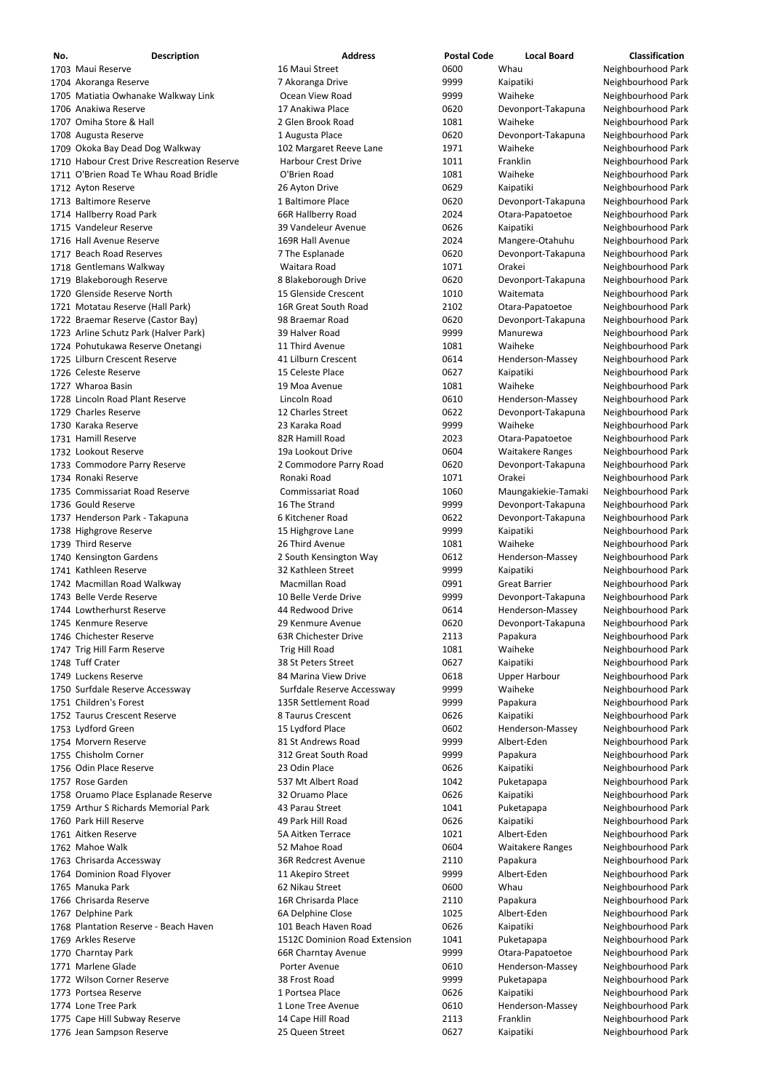| No. | <b>Description</b>                                                          | <b>Address</b>                            | <b>Postal Code</b> | <b>Local Board</b>            | <b>Classification</b>                    |
|-----|-----------------------------------------------------------------------------|-------------------------------------------|--------------------|-------------------------------|------------------------------------------|
|     | 1703 Maui Reserve                                                           | 16 Maui Street                            | 0600               | Whau                          | Neighbourhood Park                       |
|     | 1704 Akoranga Reserve                                                       | 7 Akoranga Drive                          | 9999               | Kaipatiki                     | Neighbourhood Park                       |
|     | 1705 Matiatia Owhanake Walkway Link                                         | Ocean View Road                           | 9999               | Waiheke                       | Neighbourhood Park                       |
|     | 1706 Anakiwa Reserve<br>1707 Omiha Store & Hall                             | 17 Anakiwa Place<br>2 Glen Brook Road     | 0620<br>1081       | Devonport-Takapuna<br>Waiheke | Neighbourhood Park                       |
|     | 1708 Augusta Reserve                                                        | 1 Augusta Place                           | 0620               | Devonport-Takapuna            | Neighbourhood Park<br>Neighbourhood Park |
|     | 1709 Okoka Bay Dead Dog Walkway                                             | 102 Margaret Reeve Lane                   | 1971               | Waiheke                       | Neighbourhood Park                       |
|     | 1710 Habour Crest Drive Rescreation Reserve                                 | <b>Harbour Crest Drive</b>                | 1011               | Franklin                      | Neighbourhood Park                       |
|     | 1711 O'Brien Road Te Whau Road Bridle                                       | O'Brien Road                              | 1081               | Waiheke                       | Neighbourhood Park                       |
|     | 1712 Ayton Reserve                                                          | 26 Ayton Drive                            | 0629               | Kaipatiki                     | Neighbourhood Park                       |
|     | 1713 Baltimore Reserve                                                      | 1 Baltimore Place                         | 0620               | Devonport-Takapuna            | Neighbourhood Park                       |
|     | 1714 Hallberry Road Park                                                    | 66R Hallberry Road                        | 2024               | Otara-Papatoetoe              | Neighbourhood Park                       |
|     | 1715 Vandeleur Reserve                                                      | 39 Vandeleur Avenue                       | 0626               | Kaipatiki                     | Neighbourhood Park                       |
|     | 1716 Hall Avenue Reserve                                                    | 169R Hall Avenue                          | 2024               | Mangere-Otahuhu               | Neighbourhood Park                       |
|     | 1717 Beach Road Reserves                                                    | 7 The Esplanade                           | 0620               | Devonport-Takapuna            | Neighbourhood Park                       |
|     | 1718 Gentlemans Walkway<br>1719 Blakeborough Reserve                        | Waitara Road<br>8 Blakeborough Drive      | 1071<br>0620       | Orakei<br>Devonport-Takapuna  | Neighbourhood Park<br>Neighbourhood Park |
|     | 1720 Glenside Reserve North                                                 | 15 Glenside Crescent                      | 1010               | Waitemata                     | Neighbourhood Park                       |
|     | 1721 Motatau Reserve (Hall Park)                                            | 16R Great South Road                      | 2102               | Otara-Papatoetoe              | Neighbourhood Park                       |
|     | 1722 Braemar Reserve (Castor Bay)                                           | 98 Braemar Road                           | 0620               | Devonport-Takapuna            | Neighbourhood Park                       |
|     | 1723 Arline Schutz Park (Halver Park)                                       | 39 Halver Road                            | 9999               | Manurewa                      | Neighbourhood Park                       |
|     | 1724 Pohutukawa Reserve Onetangi                                            | 11 Third Avenue                           | 1081               | Waiheke                       | Neighbourhood Park                       |
|     | 1725 Lilburn Crescent Reserve                                               | 41 Lilburn Crescent                       | 0614               | Henderson-Massey              | Neighbourhood Park                       |
|     | 1726 Celeste Reserve                                                        | 15 Celeste Place                          | 0627               | Kaipatiki                     | Neighbourhood Park                       |
|     | 1727 Wharoa Basin                                                           | 19 Moa Avenue                             | 1081               | Waiheke                       | Neighbourhood Park                       |
|     | 1728 Lincoln Road Plant Reserve                                             | Lincoln Road                              | 0610               | Henderson-Massey              | Neighbourhood Park                       |
|     | 1729 Charles Reserve                                                        | 12 Charles Street                         | 0622               | Devonport-Takapuna            | Neighbourhood Park                       |
|     | 1730 Karaka Reserve                                                         | 23 Karaka Road                            | 9999               | Waiheke                       | Neighbourhood Park                       |
|     | 1731 Hamill Reserve                                                         | 82R Hamill Road                           | 2023               | Otara-Papatoetoe              | Neighbourhood Park                       |
|     | 1732 Lookout Reserve                                                        | 19a Lookout Drive                         | 0604               | <b>Waitakere Ranges</b>       | Neighbourhood Park                       |
|     | 1733 Commodore Parry Reserve<br>1734 Ronaki Reserve                         | 2 Commodore Parry Road<br>Ronaki Road     | 0620<br>1071       | Devonport-Takapuna<br>Orakei  | Neighbourhood Park<br>Neighbourhood Park |
|     | 1735 Commissariat Road Reserve                                              | <b>Commissariat Road</b>                  | 1060               | Maungakiekie-Tamaki           | Neighbourhood Park                       |
|     | 1736 Gould Reserve                                                          | 16 The Strand                             | 9999               | Devonport-Takapuna            | Neighbourhood Park                       |
|     | 1737 Henderson Park - Takapuna                                              | 6 Kitchener Road                          | 0622               | Devonport-Takapuna            | Neighbourhood Park                       |
|     | 1738 Highgrove Reserve                                                      | 15 Highgrove Lane                         | 9999               | Kaipatiki                     | Neighbourhood Park                       |
|     | 1739 Third Reserve                                                          | 26 Third Avenue                           | 1081               | Waiheke                       | Neighbourhood Park                       |
|     | 1740 Kensington Gardens                                                     | 2 South Kensington Way                    | 0612               | Henderson-Massey              | Neighbourhood Park                       |
|     | 1741 Kathleen Reserve                                                       | 32 Kathleen Street                        | 9999               | Kaipatiki                     | Neighbourhood Park                       |
|     | 1742 Macmillan Road Walkway                                                 | Macmillan Road                            | 0991               | <b>Great Barrier</b>          | Neighbourhood Park                       |
|     | 1743 Belle Verde Reserve                                                    | 10 Belle Verde Drive                      | 9999               | Devonport-Takapuna            | Neighbourhood Park                       |
|     | 1744 Lowtherhurst Reserve                                                   | 44 Redwood Drive                          | 0614               | Henderson-Massey              | Neighbourhood Park                       |
|     | 1745 Kenmure Reserve<br>1746 Chichester Reserve                             | 29 Kenmure Avenue<br>63R Chichester Drive | 0620<br>2113       | Devonport-Takapuna            | Neighbourhood Park                       |
|     | 1747 Trig Hill Farm Reserve                                                 | Trig Hill Road                            | 1081               | Papakura<br>Waiheke           | Neighbourhood Park<br>Neighbourhood Park |
|     | 1748 Tuff Crater                                                            | 38 St Peters Street                       | 0627               | Kaipatiki                     | Neighbourhood Park                       |
|     | 1749 Luckens Reserve                                                        | 84 Marina View Drive                      | 0618               | <b>Upper Harbour</b>          | Neighbourhood Park                       |
|     | 1750 Surfdale Reserve Accessway                                             | Surfdale Reserve Accessway                | 9999               | Waiheke                       | Neighbourhood Park                       |
|     | 1751 Children's Forest                                                      | 135R Settlement Road                      | 9999               | Papakura                      | Neighbourhood Park                       |
|     | 1752 Taurus Crescent Reserve                                                | 8 Taurus Crescent                         | 0626               | Kaipatiki                     | Neighbourhood Park                       |
|     | 1753 Lydford Green                                                          | 15 Lydford Place                          | 0602               | Henderson-Massey              | Neighbourhood Park                       |
|     | 1754 Morvern Reserve                                                        | 81 St Andrews Road                        | 9999               | Albert-Eden                   | Neighbourhood Park                       |
|     | 1755 Chisholm Corner                                                        | 312 Great South Road                      | 9999               | Papakura                      | Neighbourhood Park                       |
|     | 1756 Odin Place Reserve                                                     | 23 Odin Place                             | 0626               | Kaipatiki                     | Neighbourhood Park                       |
|     | 1757 Rose Garden                                                            | 537 Mt Albert Road                        | 1042               | Puketapapa                    | Neighbourhood Park                       |
|     | 1758 Oruamo Place Esplanade Reserve<br>1759 Arthur S Richards Memorial Park | 32 Oruamo Place<br>43 Parau Street        | 0626<br>1041       | Kaipatiki                     | Neighbourhood Park<br>Neighbourhood Park |
|     | 1760 Park Hill Reserve                                                      | 49 Park Hill Road                         | 0626               | Puketapapa<br>Kaipatiki       | Neighbourhood Park                       |
|     | 1761 Aitken Reserve                                                         | 5A Aitken Terrace                         | 1021               | Albert-Eden                   | Neighbourhood Park                       |
|     | 1762 Mahoe Walk                                                             | 52 Mahoe Road                             | 0604               | <b>Waitakere Ranges</b>       | Neighbourhood Park                       |
|     | 1763 Chrisarda Accessway                                                    | 36R Redcrest Avenue                       | 2110               | Papakura                      | Neighbourhood Park                       |
|     | 1764 Dominion Road Flyover                                                  | 11 Akepiro Street                         | 9999               | Albert-Eden                   | Neighbourhood Park                       |
|     | 1765 Manuka Park                                                            | 62 Nikau Street                           | 0600               | Whau                          | Neighbourhood Park                       |
|     | 1766 Chrisarda Reserve                                                      | 16R Chrisarda Place                       | 2110               | Papakura                      | Neighbourhood Park                       |
|     | 1767 Delphine Park                                                          | 6A Delphine Close                         | 1025               | Albert-Eden                   | Neighbourhood Park                       |
|     | 1768 Plantation Reserve - Beach Haven                                       | 101 Beach Haven Road                      | 0626               | Kaipatiki                     | Neighbourhood Park                       |
|     | 1769 Arkles Reserve                                                         | 1512C Dominion Road Extension             | 1041               | Puketapapa                    | Neighbourhood Park                       |
|     | 1770 Charntay Park                                                          | 66R Charntay Avenue                       | 9999               | Otara-Papatoetoe              | Neighbourhood Park                       |
|     | 1771 Marlene Glade                                                          | Porter Avenue                             | 0610               | Henderson-Massey              | Neighbourhood Park                       |
|     | 1772 Wilson Corner Reserve<br>1773 Portsea Reserve                          | 38 Frost Road<br>1 Portsea Place          | 9999<br>0626       | Puketapapa<br>Kaipatiki       | Neighbourhood Park<br>Neighbourhood Park |
|     | 1774 Lone Tree Park                                                         | 1 Lone Tree Avenue                        | 0610               | Henderson-Massey              | Neighbourhood Park                       |
|     | 1775 Cape Hill Subway Reserve                                               | 14 Cape Hill Road                         | 2113               | Franklin                      | Neighbourhood Park                       |
|     | 1776 Jean Sampson Reserve                                                   | 25 Queen Street                           | 0627               | Kaipatiki                     | Neighbourhood Park                       |
|     |                                                                             |                                           |                    |                               |                                          |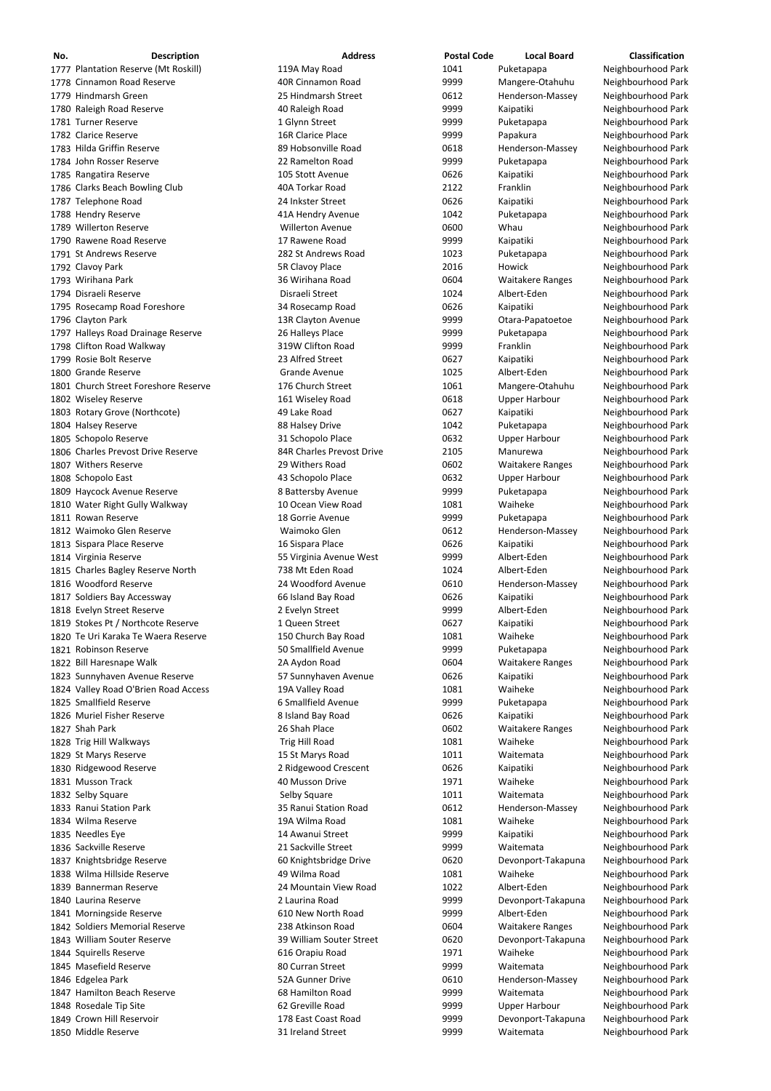| No. | <b>Description</b>                                                        | <b>Address</b>                           | <b>Postal Code</b> | <b>Local Board</b>                              | <b>Classification</b>                    |
|-----|---------------------------------------------------------------------------|------------------------------------------|--------------------|-------------------------------------------------|------------------------------------------|
|     | 1777 Plantation Reserve (Mt Roskill)                                      | 119A May Road                            | 1041               | Puketapapa                                      | Neighbourhood Park                       |
|     | 1778 Cinnamon Road Reserve                                                | 40R Cinnamon Road                        | 9999               | Mangere-Otahuhu                                 | Neighbourhood Park                       |
|     | 1779 Hindmarsh Green                                                      | 25 Hindmarsh Street                      | 0612               | Henderson-Massey                                | Neighbourhood Park                       |
|     | 1780 Raleigh Road Reserve                                                 | 40 Raleigh Road                          | 9999               | Kaipatiki                                       | Neighbourhood Park                       |
|     | 1781 Turner Reserve                                                       | 1 Glynn Street                           | 9999               | Puketapapa                                      | Neighbourhood Park                       |
|     | 1782 Clarice Reserve<br>1783 Hilda Griffin Reserve                        | 16R Clarice Place<br>89 Hobsonville Road | 9999<br>0618       | Papakura                                        | Neighbourhood Park                       |
|     | 1784 John Rosser Reserve                                                  | 22 Ramelton Road                         | 9999               | Henderson-Massey<br>Puketapapa                  | Neighbourhood Park<br>Neighbourhood Park |
|     | 1785 Rangatira Reserve                                                    | 105 Stott Avenue                         | 0626               | Kaipatiki                                       | Neighbourhood Park                       |
|     | 1786 Clarks Beach Bowling Club                                            | 40A Torkar Road                          | 2122               | Franklin                                        | Neighbourhood Park                       |
|     | 1787 Telephone Road                                                       | 24 Inkster Street                        | 0626               | Kaipatiki                                       | Neighbourhood Park                       |
|     | 1788 Hendry Reserve                                                       | 41A Hendry Avenue                        | 1042               | Puketapapa                                      | Neighbourhood Park                       |
|     | 1789 Willerton Reserve                                                    | <b>Willerton Avenue</b>                  | 0600               | Whau                                            | Neighbourhood Park                       |
|     | 1790 Rawene Road Reserve                                                  | 17 Rawene Road                           | 9999               | Kaipatiki                                       | Neighbourhood Park                       |
|     | 1791 St Andrews Reserve                                                   | 282 St Andrews Road                      | 1023               | Puketapapa                                      | Neighbourhood Park                       |
|     | 1792 Clavoy Park                                                          | 5R Clavoy Place                          | 2016               | Howick                                          | Neighbourhood Park                       |
|     | 1793 Wirihana Park                                                        | 36 Wirihana Road                         | 0604               | <b>Waitakere Ranges</b>                         | Neighbourhood Park                       |
|     | 1794 Disraeli Reserve<br>1795 Rosecamp Road Foreshore                     | Disraeli Street<br>34 Rosecamp Road      | 1024<br>0626       | Albert-Eden<br>Kaipatiki                        | Neighbourhood Park<br>Neighbourhood Park |
|     | 1796 Clayton Park                                                         | 13R Clayton Avenue                       | 9999               | Otara-Papatoetoe                                | Neighbourhood Park                       |
|     | 1797 Halleys Road Drainage Reserve                                        | 26 Halleys Place                         | 9999               | Puketapapa                                      | Neighbourhood Park                       |
|     | 1798 Clifton Road Walkway                                                 | 319W Clifton Road                        | 9999               | Franklin                                        | Neighbourhood Park                       |
|     | 1799 Rosie Bolt Reserve                                                   | 23 Alfred Street                         | 0627               | Kaipatiki                                       | Neighbourhood Park                       |
|     | 1800 Grande Reserve                                                       | <b>Grande Avenue</b>                     | 1025               | Albert-Eden                                     | Neighbourhood Park                       |
|     | 1801 Church Street Foreshore Reserve                                      | 176 Church Street                        | 1061               | Mangere-Otahuhu                                 | Neighbourhood Park                       |
|     | 1802 Wiseley Reserve                                                      | 161 Wiseley Road                         | 0618               | <b>Upper Harbour</b>                            | Neighbourhood Park                       |
|     | 1803 Rotary Grove (Northcote)                                             | 49 Lake Road                             | 0627               | Kaipatiki                                       | Neighbourhood Park                       |
|     | 1804 Halsey Reserve                                                       | 88 Halsey Drive                          | 1042               | Puketapapa                                      | Neighbourhood Park                       |
|     | 1805 Schopolo Reserve                                                     | 31 Schopolo Place                        | 0632               | <b>Upper Harbour</b>                            | Neighbourhood Park                       |
|     | 1806 Charles Prevost Drive Reserve                                        | 84R Charles Prevost Drive                | 2105               | Manurewa                                        | Neighbourhood Park                       |
|     | 1807 Withers Reserve                                                      | 29 Withers Road<br>43 Schopolo Place     | 0602<br>0632       | <b>Waitakere Ranges</b><br><b>Upper Harbour</b> | Neighbourhood Park<br>Neighbourhood Park |
|     | 1808 Schopolo East<br>1809 Haycock Avenue Reserve                         | 8 Battersby Avenue                       | 9999               | Puketapapa                                      | Neighbourhood Park                       |
|     | 1810 Water Right Gully Walkway                                            | 10 Ocean View Road                       | 1081               | Waiheke                                         | Neighbourhood Park                       |
|     | 1811 Rowan Reserve                                                        | 18 Gorrie Avenue                         | 9999               | Puketapapa                                      | Neighbourhood Park                       |
|     | 1812 Waimoko Glen Reserve                                                 | Waimoko Glen                             | 0612               | Henderson-Massey                                | Neighbourhood Park                       |
|     | 1813 Sispara Place Reserve                                                | 16 Sispara Place                         | 0626               | Kaipatiki                                       | Neighbourhood Park                       |
|     | 1814 Virginia Reserve                                                     | 55 Virginia Avenue West                  | 9999               | Albert-Eden                                     | Neighbourhood Park                       |
|     | 1815 Charles Bagley Reserve North                                         | 738 Mt Eden Road                         | 1024               | Albert-Eden                                     | Neighbourhood Park                       |
|     | 1816 Woodford Reserve                                                     | 24 Woodford Avenue                       | 0610               | Henderson-Massey                                | Neighbourhood Park                       |
|     | 1817 Soldiers Bay Accessway                                               | 66 Island Bay Road                       | 0626               | Kaipatiki                                       | Neighbourhood Park                       |
|     | 1818 Evelyn Street Reserve                                                | 2 Evelyn Street<br>1 Queen Street        | 9999<br>0627       | Albert-Eden                                     | Neighbourhood Park                       |
|     | 1819 Stokes Pt / Northcote Reserve<br>1820 Te Uri Karaka Te Waera Reserve | 150 Church Bay Road                      | 1081               | Kaipatiki<br>Waiheke                            | Neighbourhood Park<br>Neighbourhood Park |
|     | 1821 Robinson Reserve                                                     | 50 Smallfield Avenue                     | 9999               | Puketapapa                                      | Neighbourhood Park                       |
|     | 1822 Bill Haresnape Walk                                                  | 2A Aydon Road                            | 0604               | <b>Waitakere Ranges</b>                         | Neighbourhood Park                       |
|     | 1823 Sunnyhaven Avenue Reserve                                            | 57 Sunnyhaven Avenue                     | 0626               | Kaipatiki                                       | Neighbourhood Park                       |
|     | 1824 Valley Road O'Brien Road Access                                      | 19A Valley Road                          | 1081               | Waiheke                                         | Neighbourhood Park                       |
|     | 1825 Smallfield Reserve                                                   | 6 Smallfield Avenue                      | 9999               | Puketapapa                                      | Neighbourhood Park                       |
|     | 1826 Muriel Fisher Reserve                                                | 8 Island Bay Road                        | 0626               | Kaipatiki                                       | Neighbourhood Park                       |
|     | 1827 Shah Park                                                            | 26 Shah Place                            | 0602               | <b>Waitakere Ranges</b>                         | Neighbourhood Park                       |
|     | 1828 Trig Hill Walkways                                                   | Trig Hill Road                           | 1081               | Waiheke                                         | Neighbourhood Park                       |
|     | 1829 St Marys Reserve<br>1830 Ridgewood Reserve                           | 15 St Marys Road<br>2 Ridgewood Crescent | 1011<br>0626       | Waitemata<br>Kaipatiki                          | Neighbourhood Park<br>Neighbourhood Park |
|     | 1831 Musson Track                                                         | 40 Musson Drive                          | 1971               | Waiheke                                         | Neighbourhood Park                       |
|     | 1832 Selby Square                                                         | Selby Square                             | 1011               | Waitemata                                       | Neighbourhood Park                       |
|     | 1833 Ranui Station Park                                                   | 35 Ranui Station Road                    | 0612               | Henderson-Massey                                | Neighbourhood Park                       |
|     | 1834 Wilma Reserve                                                        | 19A Wilma Road                           | 1081               | Waiheke                                         | Neighbourhood Park                       |
|     | 1835 Needles Eye                                                          | 14 Awanui Street                         | 9999               | Kaipatiki                                       | Neighbourhood Park                       |
|     | 1836 Sackville Reserve                                                    | 21 Sackville Street                      | 9999               | Waitemata                                       | Neighbourhood Park                       |
|     | 1837 Knightsbridge Reserve                                                | 60 Knightsbridge Drive                   | 0620               | Devonport-Takapuna                              | Neighbourhood Park                       |
|     | 1838 Wilma Hillside Reserve                                               | 49 Wilma Road                            | 1081               | Waiheke                                         | Neighbourhood Park                       |
|     | 1839 Bannerman Reserve                                                    | 24 Mountain View Road                    | 1022               | Albert-Eden                                     | Neighbourhood Park                       |
|     | 1840 Laurina Reserve                                                      | 2 Laurina Road                           | 9999               | Devonport-Takapuna                              | Neighbourhood Park                       |
|     | 1841 Morningside Reserve<br>1842 Soldiers Memorial Reserve                | 610 New North Road<br>238 Atkinson Road  | 9999<br>0604       | Albert-Eden<br><b>Waitakere Ranges</b>          | Neighbourhood Park<br>Neighbourhood Park |
|     | 1843 William Souter Reserve                                               | 39 William Souter Street                 | 0620               | Devonport-Takapuna                              | Neighbourhood Park                       |
|     | 1844 Squirells Reserve                                                    | 616 Orapiu Road                          | 1971               | Waiheke                                         | Neighbourhood Park                       |
|     | 1845 Masefield Reserve                                                    | 80 Curran Street                         | 9999               | Waitemata                                       | Neighbourhood Park                       |
|     | 1846 Edgelea Park                                                         | 52A Gunner Drive                         | 0610               | Henderson-Massey                                | Neighbourhood Park                       |
|     | 1847 Hamilton Beach Reserve                                               | 68 Hamilton Road                         | 9999               | Waitemata                                       | Neighbourhood Park                       |
|     | 1848 Rosedale Tip Site                                                    | 62 Greville Road                         | 9999               | <b>Upper Harbour</b>                            | Neighbourhood Park                       |
|     | 1849 Crown Hill Reservoir                                                 | 178 East Coast Road                      | 9999               | Devonport-Takapuna                              | Neighbourhood Park                       |
|     | 1850 Middle Reserve                                                       | 31 Ireland Street                        | 9999               | Waitemata                                       | Neighbourhood Park                       |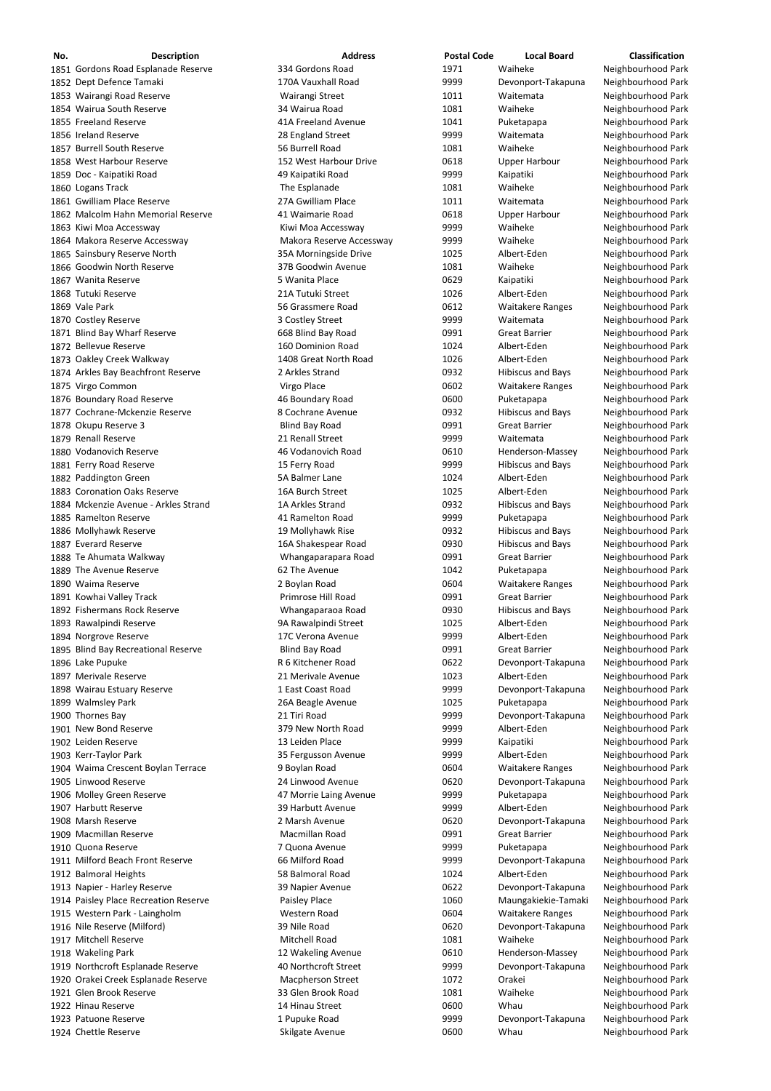| No. | <b>Description</b>                   | <b>Address</b>           | <b>Postal Code</b> | <b>Local Board</b>       | <b>Classification</b> |
|-----|--------------------------------------|--------------------------|--------------------|--------------------------|-----------------------|
|     | 1851 Gordons Road Esplanade Reserve  | 334 Gordons Road         | 1971               | Waiheke                  | Neighbourhood Park    |
|     | 1852 Dept Defence Tamaki             | 170A Vauxhall Road       | 9999               | Devonport-Takapuna       | Neighbourhood Park    |
|     | 1853 Wairangi Road Reserve           | Wairangi Street          | 1011               | Waitemata                | Neighbourhood Park    |
|     | 1854 Wairua South Reserve            | 34 Wairua Road           | 1081               | Waiheke                  | Neighbourhood Park    |
|     | 1855 Freeland Reserve                | 41A Freeland Avenue      | 1041               | Puketapapa               | Neighbourhood Park    |
|     | 1856 Ireland Reserve                 | 28 England Street        | 9999               | Waitemata                | Neighbourhood Park    |
|     | 1857 Burrell South Reserve           | 56 Burrell Road          | 1081               | Waiheke                  | Neighbourhood Park    |
|     | 1858 West Harbour Reserve            | 152 West Harbour Drive   | 0618               | <b>Upper Harbour</b>     | Neighbourhood Park    |
|     | 1859 Doc - Kaipatiki Road            | 49 Kaipatiki Road        | 9999               | Kaipatiki                | Neighbourhood Park    |
|     | 1860 Logans Track                    | The Esplanade            | 1081               | Waiheke                  | Neighbourhood Park    |
|     | 1861 Gwilliam Place Reserve          | 27A Gwilliam Place       | 1011               | Waitemata                | Neighbourhood Park    |
|     | 1862 Malcolm Hahn Memorial Reserve   | 41 Waimarie Road         | 0618               | <b>Upper Harbour</b>     | Neighbourhood Park    |
|     | 1863 Kiwi Moa Accessway              | Kiwi Moa Accessway       | 9999               | Waiheke                  | Neighbourhood Park    |
|     | 1864 Makora Reserve Accessway        | Makora Reserve Accessway | 9999               | Waiheke                  | Neighbourhood Park    |
|     | 1865 Sainsbury Reserve North         | 35A Morningside Drive    | 1025               | Albert-Eden              | Neighbourhood Park    |
|     | 1866 Goodwin North Reserve           | 37B Goodwin Avenue       | 1081               | Waiheke                  | Neighbourhood Park    |
|     | 1867 Wanita Reserve                  | 5 Wanita Place           | 0629               | Kaipatiki                | Neighbourhood Park    |
|     | 1868 Tutuki Reserve                  | 21A Tutuki Street        | 1026               | Albert-Eden              | Neighbourhood Park    |
|     | 1869 Vale Park                       | 56 Grassmere Road        | 0612               | <b>Waitakere Ranges</b>  | Neighbourhood Park    |
|     | 1870 Costley Reserve                 | 3 Costley Street         | 9999               | Waitemata                | Neighbourhood Park    |
|     | 1871 Blind Bay Wharf Reserve         | 668 Blind Bay Road       | 0991               | <b>Great Barrier</b>     | Neighbourhood Park    |
|     | 1872 Bellevue Reserve                | 160 Dominion Road        | 1024               | Albert-Eden              | Neighbourhood Park    |
|     | 1873 Oakley Creek Walkway            | 1408 Great North Road    | 1026               | Albert-Eden              | Neighbourhood Park    |
|     | 1874 Arkles Bay Beachfront Reserve   | 2 Arkles Strand          | 0932               | <b>Hibiscus and Bays</b> | Neighbourhood Park    |
|     | 1875 Virgo Common                    | Virgo Place              | 0602               | <b>Waitakere Ranges</b>  | Neighbourhood Park    |
|     | 1876 Boundary Road Reserve           | 46 Boundary Road         | 0600               | Puketapapa               | Neighbourhood Park    |
|     | 1877 Cochrane-Mckenzie Reserve       | 8 Cochrane Avenue        | 0932               | <b>Hibiscus and Bays</b> | Neighbourhood Park    |
|     | 1878 Okupu Reserve 3                 | <b>Blind Bay Road</b>    | 0991               | <b>Great Barrier</b>     | Neighbourhood Park    |
|     | 1879 Renall Reserve                  | 21 Renall Street         | 9999               | Waitemata                | Neighbourhood Park    |
|     | 1880 Vodanovich Reserve              | 46 Vodanovich Road       | 0610               | Henderson-Massey         | Neighbourhood Park    |
|     | 1881 Ferry Road Reserve              | 15 Ferry Road            | 9999               | <b>Hibiscus and Bays</b> | Neighbourhood Park    |
|     | 1882 Paddington Green                | 5A Balmer Lane           | 1024               | Albert-Eden              | Neighbourhood Park    |
|     | 1883 Coronation Oaks Reserve         | 16A Burch Street         | 1025               | Albert-Eden              | Neighbourhood Park    |
|     | 1884 Mckenzie Avenue - Arkles Strand | 1A Arkles Strand         | 0932               | <b>Hibiscus and Bays</b> | Neighbourhood Park    |
|     | 1885 Ramelton Reserve                | 41 Ramelton Road         | 9999               | Puketapapa               | Neighbourhood Park    |
|     | 1886 Mollyhawk Reserve               | 19 Mollyhawk Rise        | 0932               | <b>Hibiscus and Bays</b> | Neighbourhood Park    |
|     | 1887 Everard Reserve                 | 16A Shakespear Road      | 0930               | <b>Hibiscus and Bays</b> | Neighbourhood Park    |
|     | 1888 Te Ahumata Walkway              | Whangaparapara Road      | 0991               | <b>Great Barrier</b>     | Neighbourhood Park    |
|     | 1889 The Avenue Reserve              | 62 The Avenue            | 1042               | Puketapapa               | Neighbourhood Park    |
|     | 1890 Waima Reserve                   | 2 Boylan Road            | 0604               | <b>Waitakere Ranges</b>  | Neighbourhood Park    |
|     | 1891 Kowhai Valley Track             | Primrose Hill Road       | 0991               | <b>Great Barrier</b>     | Neighbourhood Park    |
|     | 1892 Fishermans Rock Reserve         | Whangaparaoa Road        | 0930               | <b>Hibiscus and Bays</b> | Neighbourhood Park    |
|     | 1893 Rawalpindi Reserve              | 9A Rawalpindi Street     | 1025               | Albert-Eden              | Neighbourhood Park    |
|     | 1894 Norgrove Reserve                | 17C Verona Avenue        | 9999               | Albert-Eden              | Neighbourhood Park    |
|     | 1895 Blind Bay Recreational Reserve  | <b>Blind Bay Road</b>    | 0991               | <b>Great Barrier</b>     | Neighbourhood Park    |
|     | 1896 Lake Pupuke                     | R 6 Kitchener Road       | 0622               | Devonport-Takapuna       | Neighbourhood Park    |
|     |                                      | 21 Merivale Avenue       | 1023               | Albert-Eden              | Neighbourhood Park    |
|     | 1897 Merivale Reserve                | 1 East Coast Road        | 9999               |                          |                       |
|     | 1898 Wairau Estuary Reserve          |                          | 1025               | Devonport-Takapuna       | Neighbourhood Park    |
|     | 1899 Walmsley Park                   | 26A Beagle Avenue        |                    | Puketapapa               | Neighbourhood Park    |
|     | 1900 Thornes Bay                     | 21 Tiri Road             | 9999               | Devonport-Takapuna       | Neighbourhood Park    |
|     | 1901 New Bond Reserve                | 379 New North Road       | 9999               | Albert-Eden              | Neighbourhood Park    |
|     | 1902 Leiden Reserve                  | 13 Leiden Place          | 9999               | Kaipatiki                | Neighbourhood Park    |
|     | 1903 Kerr-Taylor Park                | 35 Fergusson Avenue      | 9999               | Albert-Eden              | Neighbourhood Park    |
|     | 1904 Waima Crescent Boylan Terrace   | 9 Boylan Road            | 0604               | <b>Waitakere Ranges</b>  | Neighbourhood Park    |
|     | 1905 Linwood Reserve                 | 24 Linwood Avenue        | 0620               | Devonport-Takapuna       | Neighbourhood Park    |
|     | 1906 Molley Green Reserve            | 47 Morrie Laing Avenue   | 9999               | Puketapapa               | Neighbourhood Park    |
|     | 1907 Harbutt Reserve                 | 39 Harbutt Avenue        | 9999               | Albert-Eden              | Neighbourhood Park    |

1909 Macmillan Reserve **Macmillan Road** 6991 Great Barrier Meighbourhood Park 1910 Quona Reserve **1988** 7 Quona Avenue 19999 Puketapapa Neighbourhood Park Milford Beach Front Reserve 66 Milford Road 9999 Devonport‐Takapuna Neighbourhood Park 1912 Balmoral Heights 6. The Superior of the State of Stalmoral Road 1024 Albert-Eden Neighbourhood Park 1913 Napier - Harley Reserve **1913 States and Tarry Communism Communism** O622 Devonport-Takapuna Neighbourhood Park 1914 Paisley Place Recreation Reserve **Paisley Place** Paisley Place 1060 Maungakiekie-Tamaki Neighbourhood Park 1915 Western Park - Laingholm **Western Road** Western Road **1915 Waitakere Ranges** Neighbourhood Park Nile Reserve (Milford) 39 Nile Road 0620 Devonport‐Takapuna Neighbourhood Park 1917 Mitchell Reserve **Mitchell Road** Mitchell Road 1081 Waiheke Neighbourhood Park 1918 Wakeling Park **12 Wakeling Avenue** 12 Wakeling Avenue 6610 Henderson-Massey Neighbourhood Park 1919 Northcroft Esplanade Reserve **40 Northcroft Street** 9999 Devonport-Takapuna Neighbourhood Park Orakei Creek Esplanade Reserve Macpherson Street 1072 Orakei Neighbourhood Park 1921 Glen Brook Reserve **1921 Glen Brook Accommon Brook Road** 1081 Waiheke Neighbourhood Park 1922 Hinau Reserve **14 Hinau Street** 14 Hinau Street 0600 Whau Neighbourhood Park Patuone Reserve 1 Pupuke Road 9999 Devonport‐Takapuna Neighbourhood Park 1924 Chettle Reserve **1924 Chettle Reserve** Skilgate Avenue **Shilgate Avenue** 0600 Whau Neighbourhood Park

Marsh Reserve 2 Marsh Avenue 0620 Devonport‐Takapuna Neighbourhood Park

| 0991 | Great Ba       |
|------|----------------|
| 9999 | Puketap        |
| 9999 | Devonp         |
| 1024 | Albert-E       |
| 0622 | Devonp         |
| 1060 | Maunga         |
| 0604 | Waitake        |
| 0620 | Devonp         |
| 1081 | Waihek         |
| 0610 | <b>Henders</b> |
| 9999 | Devonp         |
| 1072 | Orakei         |
| 1081 | Waihek         |
| 0600 | Whau           |
| 9999 | Devonp         |
| 0600 | Whau           |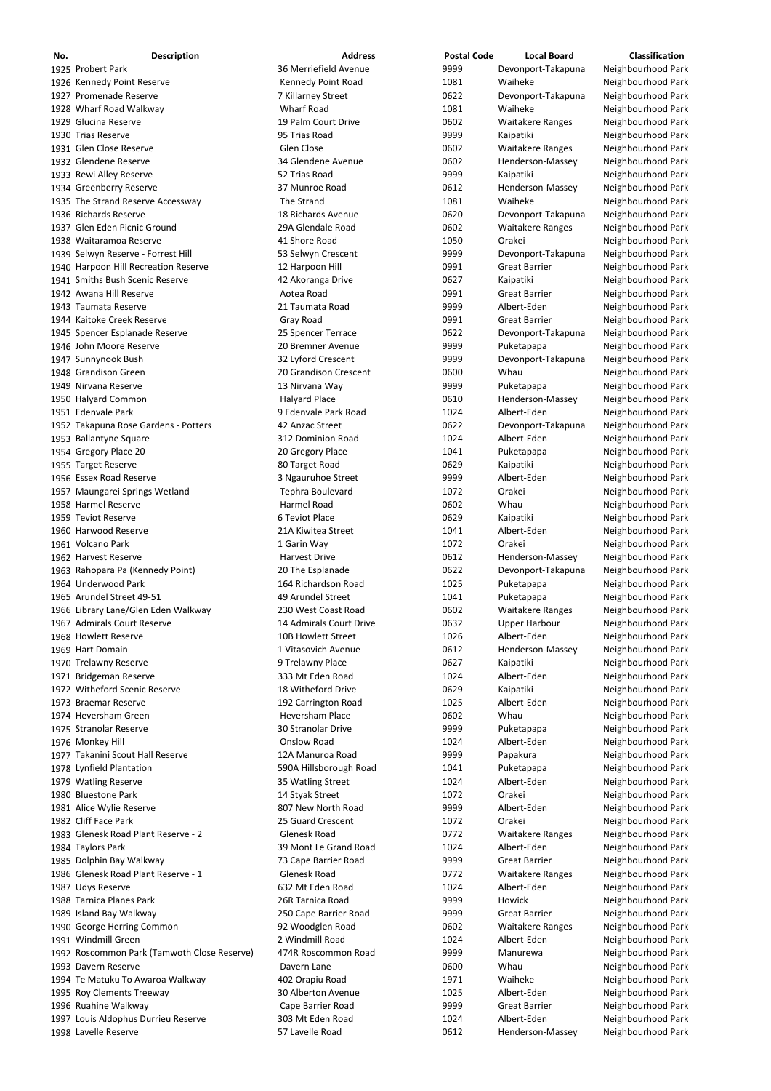| No. | <b>Description</b>                   | <b>Address</b>          | <b>Postal Code</b> | <b>Local Board</b>      | Classification     |
|-----|--------------------------------------|-------------------------|--------------------|-------------------------|--------------------|
|     | 1925 Probert Park                    | 36 Merriefield Avenue   | 9999               | Devonport-Takapuna      | Neighbourhood Park |
|     | 1926 Kennedy Point Reserve           | Kennedy Point Road      | 1081               | Waiheke                 | Neighbourhood Park |
|     | 1927 Promenade Reserve               | 7 Killarney Street      | 0622               | Devonport-Takapuna      | Neighbourhood Park |
|     | 1928 Wharf Road Walkway              | <b>Wharf Road</b>       | 1081               | Waiheke                 | Neighbourhood Park |
|     | 1929 Glucina Reserve                 | 19 Palm Court Drive     | 0602               | <b>Waitakere Ranges</b> | Neighbourhood Park |
|     | 1930 Trias Reserve                   | 95 Trias Road           | 9999               | Kaipatiki               | Neighbourhood Park |
|     | 1931 Glen Close Reserve              | Glen Close              | 0602               | <b>Waitakere Ranges</b> | Neighbourhood Park |
|     | 1932 Glendene Reserve                | 34 Glendene Avenue      | 0602               | Henderson-Massey        | Neighbourhood Park |
|     | 1933 Rewi Alley Reserve              | 52 Trias Road           | 9999               | Kaipatiki               | Neighbourhood Park |
|     | 1934 Greenberry Reserve              | 37 Munroe Road          | 0612               | Henderson-Massey        | Neighbourhood Park |
|     | 1935 The Strand Reserve Accessway    | The Strand              | 1081               | Waiheke                 | Neighbourhood Park |
|     | 1936 Richards Reserve                | 18 Richards Avenue      | 0620               | Devonport-Takapuna      | Neighbourhood Park |
|     | 1937 Glen Eden Picnic Ground         | 29A Glendale Road       | 0602               | <b>Waitakere Ranges</b> | Neighbourhood Park |
|     | 1938 Waitaramoa Reserve              | 41 Shore Road           | 1050               | Orakei                  | Neighbourhood Park |
|     | 1939 Selwyn Reserve - Forrest Hill   | 53 Selwyn Crescent      | 9999               | Devonport-Takapuna      | Neighbourhood Park |
|     | 1940 Harpoon Hill Recreation Reserve | 12 Harpoon Hill         | 0991               | <b>Great Barrier</b>    | Neighbourhood Park |
|     | 1941 Smiths Bush Scenic Reserve      | 42 Akoranga Drive       | 0627               | Kaipatiki               | Neighbourhood Park |
|     | 1942 Awana Hill Reserve              | Aotea Road              | 0991               | <b>Great Barrier</b>    | Neighbourhood Park |
|     | 1943 Taumata Reserve                 | 21 Taumata Road         | 9999               | Albert-Eden             | Neighbourhood Park |
|     | 1944 Kaitoke Creek Reserve           | Gray Road               | 0991               | <b>Great Barrier</b>    | Neighbourhood Park |
|     | 1945 Spencer Esplanade Reserve       | 25 Spencer Terrace      | 0622               | Devonport-Takapuna      | Neighbourhood Park |
|     | 1946 John Moore Reserve              | 20 Bremner Avenue       | 9999               | Puketapapa              | Neighbourhood Park |
|     | 1947 Sunnynook Bush                  | 32 Lyford Crescent      | 9999               | Devonport-Takapuna      | Neighbourhood Park |
|     | 1948 Grandison Green                 | 20 Grandison Crescent   | 0600               | Whau                    | Neighbourhood Park |
|     | 1949 Nirvana Reserve                 | 13 Nirvana Way          | 9999               | Puketapapa              | Neighbourhood Park |
|     | 1950 Halyard Common                  | <b>Halyard Place</b>    | 0610               | Henderson-Massey        | Neighbourhood Park |
|     | 1951 Edenvale Park                   | 9 Edenvale Park Road    | 1024               | Albert-Eden             | Neighbourhood Park |
|     | 1952 Takapuna Rose Gardens - Potters | 42 Anzac Street         | 0622               | Devonport-Takapuna      | Neighbourhood Park |
|     | 1953 Ballantyne Square               | 312 Dominion Road       | 1024               | Albert-Eden             | Neighbourhood Park |
|     | 1954 Gregory Place 20                | 20 Gregory Place        | 1041               | Puketapapa              | Neighbourhood Park |
|     | 1955 Target Reserve                  | 80 Target Road          | 0629               | Kaipatiki               | Neighbourhood Park |
|     | 1956 Essex Road Reserve              | 3 Ngauruhoe Street      | 9999               | Albert-Eden             | Neighbourhood Park |
|     | 1957 Maungarei Springs Wetland       | Tephra Boulevard        | 1072               | Orakei                  | Neighbourhood Park |
|     | 1958 Harmel Reserve                  | Harmel Road             | 0602               | Whau                    | Neighbourhood Park |
|     | 1959 Teviot Reserve                  | 6 Teviot Place          | 0629               | Kaipatiki               | Neighbourhood Park |
|     | 1960 Harwood Reserve                 | 21A Kiwitea Street      | 1041               | Albert-Eden             | Neighbourhood Park |
|     | 1961 Volcano Park                    | 1 Garin Way             | 1072               | Orakei                  | Neighbourhood Park |
|     | 1962 Harvest Reserve                 | <b>Harvest Drive</b>    | 0612               | Henderson-Massey        | Neighbourhood Park |
|     | 1963 Rahopara Pa (Kennedy Point)     | 20 The Esplanade        | 0622               | Devonport-Takapuna      | Neighbourhood Park |
|     | 1964 Underwood Park                  | 164 Richardson Road     | 1025               | Puketapapa              | Neighbourhood Park |
|     | 1965 Arundel Street 49-51            | 49 Arundel Street       | 1041               | Puketapapa              | Neighbourhood Park |
|     | 1966 Library Lane/Glen Eden Walkway  | 230 West Coast Road     | 0602               | <b>Waitakere Ranges</b> | Neighbourhood Park |
|     | 1967 Admirals Court Reserve          | 14 Admirals Court Drive | 0632               | <b>Upper Harbour</b>    | Neighbourhood Park |
|     | 1968 Howlett Reserve                 | 10B Howlett Street      | 1026               | Albert-Eden             | Neighbourhood Park |
|     | 1969 Hart Domain                     | 1 Vitasovich Avenue     | 0612               | Henderson-Massey        | Neighbourhood Park |
|     | 1970 Trelawny Reserve                | 9 Trelawny Place        | 0627               | Kaipatiki               | Neighbourhood Park |
|     | 1971 Bridgeman Reserve               | 333 Mt Eden Road        | 1024               | Albert-Eden             | Neighbourhood Park |
|     | 1972 Witheford Scenic Reserve        | 18 Witheford Drive      | 0629               | Kaipatiki               | Neighbourhood Park |
|     | 1973 Braemar Reserve                 | 192 Carrington Road     | 1025               | Albert-Eden             | Neighbourhood Park |
|     | 1974 Heversham Green                 | Heversham Place         | 0602               | Whau                    | Neighbourhood Park |
|     | 1975 Stranolar Reserve               | 30 Stranolar Drive      | 9999               | Puketapapa              | Neighbourhood Park |
|     | 1976 Monkey Hill                     | <b>Onslow Road</b>      | 1024               | Albert-Eden             | Neighbourhood Park |
|     | 1977 Takanini Scout Hall Reserve     | 12A Manuroa Road        | 9999               | Papakura                | Neighbourhood Park |
|     | 1978 Lynfield Plantation             | 590A Hillsborough Road  | 1041               | Puketapapa              | Neighbourhood Park |
|     | 1979 Watling Reserve                 | 35 Watling Street       | 1024               | Albert-Eden             | Neighbourhood Park |
|     | 1980 Bluestone Park                  | 14 Styak Street         | 1072               | Orakei                  | Neighbourhood Park |
|     | 1981 Alice Wylie Reserve             | 807 New North Road      | 9999               |                         | Neighbourhood Park |
|     |                                      |                         |                    | Albert-Eden             |                    |

 Cliff Face Park 25 Guard Crescent 1072 Orakei Neighbourhood Park 1983 Glenesk Road Plant Reserve - 2 Glenesk Road Clenesk Road 0772 Waitakere Ranges Neighbourhood Park 1984 Taylors Park 1024 Albert-Eden 1024 Albert-Eden Neighbourhood Park Dolphin Bay Walkway 73 Cape Barrier Road 9999 Great Barrier Neighbourhood Park 1986 Glenesk Road Plant Reserve - 1 Glenesk Road by a compared by Comparison Waitakere Ranges Neighbourhood Park 1987 Udys Reserve **1024 632 Mt Eden Road** 1024 Albert-Eden Neighbourhood Park 1988 Tarnica Planes Park **1988 Tarnica Planes Park 1988** Tarnica Road 1989 1999 Howick 1988 Tarnica Planes Park Island Bay Walkway 250 Cape Barrier Road 9999 Great Barrier Neighbourhood Park George Herring Common 92 Woodglen Road 0602 Waitakere Ranges Neighbourhood Park 1991 Windmill Green **2 Windmill Road** 1024 Albert-Eden Neighbourhood Park 1992 Roscommon Park (Tamwoth Close Reserve) 474R Roscommon Road 9999 Manurewa Manurewa Neighbourhood Park 1993 Davern Reserve **1993 Davern Lane** Davern Lane **1993** Davern Neighbourhood Park 1994 Te Matuku To Awaroa Walkway Te Matuku To Awaroa Walkway and Au Ang Orapiu Road  $1971$  Waiheke Neighbourhood Park 1995 Roy Clements Treeway **1995 Roy Clements Treeway** 30 Alberton Avenue 1025 Albert-Eden Neighbourhood Park Ruahine Walkway Cape Barrier Road 9999 Great Barrier Neighbourhood Park 1997 Louis Aldophus Durrieu Reserve 103 Mt Eden Road 1024 Albert-Eden Neighbourhood Park 1998 Lavelle Reserve **1998 Lavelle Road** 57 Lavelle Road 6612 Henderson-Massey Neighbourhood Park

| 0772 | Waitakere  |
|------|------------|
| 1024 | Albert-Ede |
| 9999 | Great Barı |
| 0772 | Waitakere  |
| 1024 | Albert-Ede |
| 9999 | Howick     |
| 9999 | Great Barı |
| 0602 | Waitakere  |
| 1024 | Albert-Ede |
| 9999 | Manurewa   |
| 0600 | Whau       |
| 1971 | Waiheke    |
| 1025 | Albert-Ede |
| 9999 | Great Barı |
| 1024 | Albert-Ede |
| 0612 | Henderso   |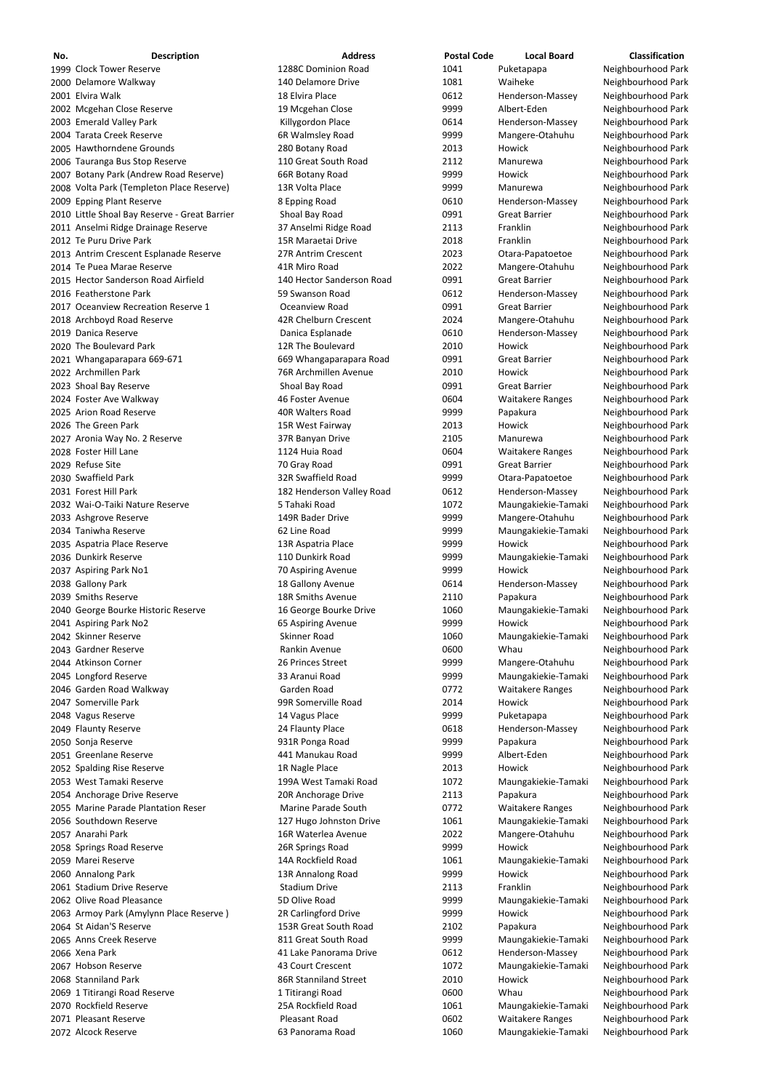| No. | <b>Description</b>                                            | <b>Address</b>                                  | <b>Postal Code</b> | <b>Local Board</b>                       | <b>Classification</b>                    |
|-----|---------------------------------------------------------------|-------------------------------------------------|--------------------|------------------------------------------|------------------------------------------|
|     | 1999 Clock Tower Reserve                                      | 1288C Dominion Road                             | 1041               | Puketapapa                               | Neighbourhood Park                       |
|     | 2000 Delamore Walkway                                         | 140 Delamore Drive                              | 1081               | Waiheke                                  | Neighbourhood Park                       |
|     | 2001 Elvira Walk                                              | 18 Elvira Place                                 | 0612               | Henderson-Massey                         | Neighbourhood Park                       |
|     | 2002 Mcgehan Close Reserve                                    | 19 Mcgehan Close                                | 9999               | Albert-Eden                              | Neighbourhood Park                       |
|     | 2003 Emerald Valley Park                                      | Killygordon Place                               | 0614               | Henderson-Massey                         | Neighbourhood Park                       |
|     | 2004 Tarata Creek Reserve<br>2005 Hawthorndene Grounds        | 6R Walmsley Road<br>280 Botany Road             | 9999<br>2013       | Mangere-Otahuhu<br>Howick                | Neighbourhood Park<br>Neighbourhood Park |
|     | 2006 Tauranga Bus Stop Reserve                                | 110 Great South Road                            | 2112               | Manurewa                                 | Neighbourhood Park                       |
|     | 2007 Botany Park (Andrew Road Reserve)                        | 66R Botany Road                                 | 9999               | Howick                                   | Neighbourhood Park                       |
|     | 2008 Volta Park (Templeton Place Reserve)                     | 13R Volta Place                                 | 9999               | Manurewa                                 | Neighbourhood Park                       |
|     | 2009 Epping Plant Reserve                                     | 8 Epping Road                                   | 0610               | Henderson-Massey                         | Neighbourhood Park                       |
|     | 2010 Little Shoal Bay Reserve - Great Barrier                 | Shoal Bay Road                                  | 0991               | <b>Great Barrier</b>                     | Neighbourhood Park                       |
|     | 2011 Anselmi Ridge Drainage Reserve                           | 37 Anselmi Ridge Road                           | 2113               | Franklin                                 | Neighbourhood Park                       |
|     | 2012 Te Puru Drive Park                                       | 15R Maraetai Drive                              | 2018               | Franklin                                 | Neighbourhood Park                       |
|     | 2013 Antrim Crescent Esplanade Reserve                        | 27R Antrim Crescent                             | 2023               | Otara-Papatoetoe                         | Neighbourhood Park                       |
|     | 2014 Te Puea Marae Reserve                                    | 41R Miro Road                                   | 2022               | Mangere-Otahuhu                          | Neighbourhood Park                       |
|     | 2015 Hector Sanderson Road Airfield                           | 140 Hector Sanderson Road                       | 0991               | <b>Great Barrier</b>                     | Neighbourhood Park                       |
|     | 2016 Featherstone Park<br>2017 Oceanview Recreation Reserve 1 | 59 Swanson Road<br>Oceanview Road               | 0612<br>0991       | Henderson-Massey<br><b>Great Barrier</b> | Neighbourhood Park<br>Neighbourhood Park |
|     | 2018 Archboyd Road Reserve                                    | 42R Chelburn Crescent                           | 2024               | Mangere-Otahuhu                          | Neighbourhood Park                       |
|     | 2019 Danica Reserve                                           | Danica Esplanade                                | 0610               | Henderson-Massey                         | Neighbourhood Park                       |
|     | 2020 The Boulevard Park                                       | 12R The Boulevard                               | 2010               | Howick                                   | Neighbourhood Park                       |
|     | 2021 Whangaparapara 669-671                                   | 669 Whangaparapara Road                         | 0991               | <b>Great Barrier</b>                     | Neighbourhood Park                       |
|     | 2022 Archmillen Park                                          | 76R Archmillen Avenue                           | 2010               | Howick                                   | Neighbourhood Park                       |
|     | 2023 Shoal Bay Reserve                                        | Shoal Bay Road                                  | 0991               | <b>Great Barrier</b>                     | Neighbourhood Park                       |
|     | 2024 Foster Ave Walkway                                       | 46 Foster Avenue                                | 0604               | <b>Waitakere Ranges</b>                  | Neighbourhood Park                       |
|     | 2025 Arion Road Reserve                                       | 40R Walters Road                                | 9999               | Papakura                                 | Neighbourhood Park                       |
|     | 2026 The Green Park                                           | 15R West Fairway                                | 2013               | Howick                                   | Neighbourhood Park                       |
|     | 2027 Aronia Way No. 2 Reserve                                 | 37R Banyan Drive                                | 2105               | Manurewa                                 | Neighbourhood Park                       |
|     | 2028 Foster Hill Lane                                         | 1124 Huia Road                                  | 0604               | <b>Waitakere Ranges</b>                  | Neighbourhood Park                       |
|     | 2029 Refuse Site                                              | 70 Gray Road                                    | 0991               | <b>Great Barrier</b>                     | Neighbourhood Park                       |
|     | 2030 Swaffield Park<br>2031 Forest Hill Park                  | 32R Swaffield Road<br>182 Henderson Valley Road | 9999<br>0612       | Otara-Papatoetoe<br>Henderson-Massey     | Neighbourhood Park<br>Neighbourhood Park |
|     | 2032 Wai-O-Taiki Nature Reserve                               | 5 Tahaki Road                                   | 1072               | Maungakiekie-Tamaki                      | Neighbourhood Park                       |
|     | 2033 Ashgrove Reserve                                         | 149R Bader Drive                                | 9999               | Mangere-Otahuhu                          | Neighbourhood Park                       |
|     | 2034 Taniwha Reserve                                          | 62 Line Road                                    | 9999               | Maungakiekie-Tamaki                      | Neighbourhood Park                       |
|     | 2035 Aspatria Place Reserve                                   | 13R Aspatria Place                              | 9999               | Howick                                   | Neighbourhood Park                       |
|     | 2036 Dunkirk Reserve                                          | 110 Dunkirk Road                                | 9999               | Maungakiekie-Tamaki                      | Neighbourhood Park                       |
|     | 2037 Aspiring Park No1                                        | 70 Aspiring Avenue                              | 9999               | Howick                                   | Neighbourhood Park                       |
|     | 2038 Gallony Park                                             | 18 Gallony Avenue                               | 0614               | Henderson-Massey                         | Neighbourhood Park                       |
|     | 2039 Smiths Reserve                                           | 18R Smiths Avenue                               | 2110               | Papakura                                 | Neighbourhood Park                       |
|     | 2040 George Bourke Historic Reserve                           | 16 George Bourke Drive                          | 1060               | Maungakiekie-Tamaki                      | Neighbourhood Park                       |
|     | 2041 Aspiring Park No2<br>2042 Skinner Reserve                | 65 Aspiring Avenue<br>Skinner Road              | 9999<br>1060       | Howick                                   | Neighbourhood Park<br>Neighbourhood Park |
|     | 2043 Gardner Reserve                                          | Rankin Avenue                                   | 0600               | Maungakiekie-Tamaki<br>Whau              | Neighbourhood Park                       |
|     | 2044 Atkinson Corner                                          | 26 Princes Street                               | 9999               | Mangere-Otahuhu                          | Neighbourhood Park                       |
|     | 2045 Longford Reserve                                         | 33 Aranui Road                                  | 9999               | Maungakiekie-Tamaki                      | Neighbourhood Park                       |
|     | 2046 Garden Road Walkway                                      | Garden Road                                     | 0772               | <b>Waitakere Ranges</b>                  | Neighbourhood Park                       |
|     | 2047 Somerville Park                                          | 99R Somerville Road                             | 2014               | Howick                                   | Neighbourhood Park                       |
|     | 2048 Vagus Reserve                                            | 14 Vagus Place                                  | 9999               | Puketapapa                               | Neighbourhood Park                       |
|     | 2049 Flaunty Reserve                                          | 24 Flaunty Place                                | 0618               | Henderson-Massey                         | Neighbourhood Park                       |
|     | 2050 Sonja Reserve                                            | 931R Ponga Road                                 | 9999               | Papakura                                 | Neighbourhood Park                       |
|     | 2051 Greenlane Reserve                                        | 441 Manukau Road                                | 9999               | Albert-Eden                              | Neighbourhood Park                       |
|     | 2052 Spalding Rise Reserve<br>2053 West Tamaki Reserve        | 1R Nagle Place<br>199A West Tamaki Road         | 2013<br>1072       | Howick                                   | Neighbourhood Park                       |
|     | 2054 Anchorage Drive Reserve                                  | 20R Anchorage Drive                             | 2113               | Maungakiekie-Tamaki<br>Papakura          | Neighbourhood Park<br>Neighbourhood Park |
|     | 2055 Marine Parade Plantation Reser                           | Marine Parade South                             | 0772               | <b>Waitakere Ranges</b>                  | Neighbourhood Park                       |
|     | 2056 Southdown Reserve                                        | 127 Hugo Johnston Drive                         | 1061               | Maungakiekie-Tamaki                      | Neighbourhood Park                       |
|     | 2057 Anarahi Park                                             | 16R Waterlea Avenue                             | 2022               | Mangere-Otahuhu                          | Neighbourhood Park                       |
|     | 2058 Springs Road Reserve                                     | 26R Springs Road                                | 9999               | Howick                                   | Neighbourhood Park                       |
|     | 2059 Marei Reserve                                            | 14A Rockfield Road                              | 1061               | Maungakiekie-Tamaki                      | Neighbourhood Park                       |
|     | 2060 Annalong Park                                            | 13R Annalong Road                               | 9999               | Howick                                   | Neighbourhood Park                       |
|     | 2061 Stadium Drive Reserve                                    | <b>Stadium Drive</b>                            | 2113               | Franklin                                 | Neighbourhood Park                       |
|     | 2062 Olive Road Pleasance                                     | 5D Olive Road                                   | 9999               | Maungakiekie-Tamaki                      | Neighbourhood Park                       |
|     | 2063 Armoy Park (Amylynn Place Reserve)                       | 2R Carlingford Drive                            | 9999               | Howick                                   | Neighbourhood Park                       |
|     | 2064 St Aidan'S Reserve<br>2065 Anns Creek Reserve            | 153R Great South Road<br>811 Great South Road   | 2102<br>9999       | Papakura                                 | Neighbourhood Park<br>Neighbourhood Park |
|     | 2066 Xena Park                                                | 41 Lake Panorama Drive                          | 0612               | Maungakiekie-Tamaki<br>Henderson-Massey  | Neighbourhood Park                       |
|     | 2067 Hobson Reserve                                           | 43 Court Crescent                               | 1072               | Maungakiekie-Tamaki                      | Neighbourhood Park                       |
|     | 2068 Stanniland Park                                          | 86R Stanniland Street                           | 2010               | Howick                                   | Neighbourhood Park                       |
|     | 2069 1 Titirangi Road Reserve                                 | 1 Titirangi Road                                | 0600               | Whau                                     | Neighbourhood Park                       |
|     | 2070 Rockfield Reserve                                        | 25A Rockfield Road                              | 1061               | Maungakiekie-Tamaki                      | Neighbourhood Park                       |
|     | 2071 Pleasant Reserve                                         | Pleasant Road                                   | 0602               | <b>Waitakere Ranges</b>                  | Neighbourhood Park                       |
|     | 2072 Alcock Reserve                                           | 63 Panorama Road                                | 1060               | Maungakiekie-Tamaki                      | Neighbourhood Park                       |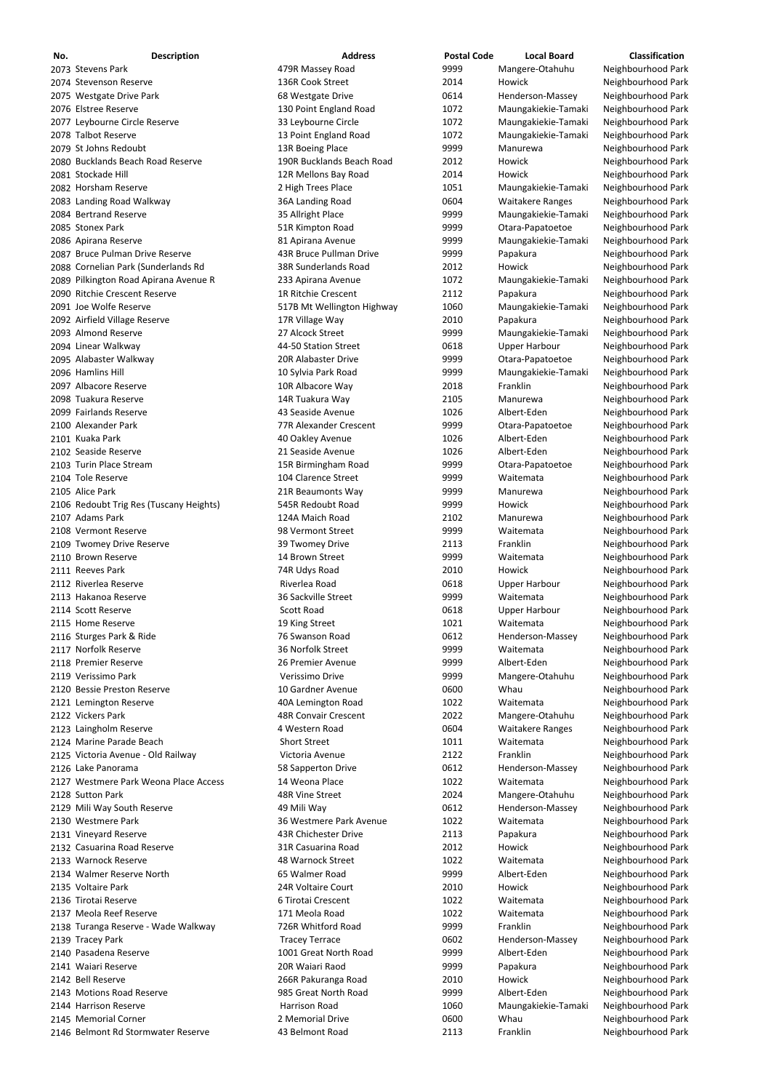| No. | <b>Description</b>                      | <b>Address</b>              | <b>Postal Code</b> | <b>Local Board</b>      | <b>Classification</b> |
|-----|-----------------------------------------|-----------------------------|--------------------|-------------------------|-----------------------|
|     | 2073 Stevens Park                       | 479R Massey Road            | 9999               | Mangere-Otahuhu         | Neighbourhood Park    |
|     | 2074 Stevenson Reserve                  | 136R Cook Street            | 2014               | Howick                  | Neighbourhood Park    |
|     | 2075 Westgate Drive Park                | 68 Westgate Drive           | 0614               | Henderson-Massey        | Neighbourhood Park    |
|     | 2076 Elstree Reserve                    | 130 Point England Road      | 1072               | Maungakiekie-Tamaki     | Neighbourhood Park    |
|     | 2077 Leybourne Circle Reserve           | 33 Leybourne Circle         | 1072               | Maungakiekie-Tamaki     | Neighbourhood Park    |
|     | 2078 Talbot Reserve                     | 13 Point England Road       | 1072               | Maungakiekie-Tamaki     | Neighbourhood Park    |
|     | 2079 St Johns Redoubt                   | 13R Boeing Place            | 9999               | Manurewa                | Neighbourhood Park    |
|     | 2080 Bucklands Beach Road Reserve       | 190R Bucklands Beach Road   | 2012               | Howick                  | Neighbourhood Park    |
|     | 2081 Stockade Hill                      | 12R Mellons Bay Road        | 2014               | Howick                  | Neighbourhood Park    |
|     | 2082 Horsham Reserve                    | 2 High Trees Place          | 1051               | Maungakiekie-Tamaki     | Neighbourhood Park    |
|     | 2083 Landing Road Walkway               | 36A Landing Road            | 0604               | <b>Waitakere Ranges</b> | Neighbourhood Park    |
|     | 2084 Bertrand Reserve                   | 35 Allright Place           | 9999               | Maungakiekie-Tamaki     | Neighbourhood Park    |
|     | 2085 Stonex Park                        | 51R Kimpton Road            | 9999               | Otara-Papatoetoe        | Neighbourhood Park    |
|     | 2086 Apirana Reserve                    | 81 Apirana Avenue           | 9999               | Maungakiekie-Tamaki     | Neighbourhood Park    |
|     | 2087 Bruce Pulman Drive Reserve         | 43R Bruce Pullman Drive     | 9999               | Papakura                | Neighbourhood Park    |
|     | 2088 Cornelian Park (Sunderlands Rd     | 38R Sunderlands Road        | 2012               | Howick                  | Neighbourhood Park    |
|     | 2089 Pilkington Road Apirana Avenue R   | 233 Apirana Avenue          | 1072               | Maungakiekie-Tamaki     | Neighbourhood Park    |
|     | 2090 Ritchie Crescent Reserve           | 1R Ritchie Crescent         | 2112               | Papakura                | Neighbourhood Park    |
|     | 2091 Joe Wolfe Reserve                  | 517B Mt Wellington Highway  | 1060               | Maungakiekie-Tamaki     | Neighbourhood Park    |
|     | 2092 Airfield Village Reserve           | 17R Village Way             | 2010               | Papakura                | Neighbourhood Park    |
|     | 2093 Almond Reserve                     | 27 Alcock Street            | 9999               | Maungakiekie-Tamaki     | Neighbourhood Park    |
|     | 2094 Linear Walkway                     | 44-50 Station Street        | 0618               | <b>Upper Harbour</b>    | Neighbourhood Park    |
|     | 2095 Alabaster Walkway                  | 20R Alabaster Drive         | 9999               | Otara-Papatoetoe        | Neighbourhood Park    |
|     | 2096 Hamlins Hill                       | 10 Sylvia Park Road         | 9999               | Maungakiekie-Tamaki     | Neighbourhood Park    |
|     | 2097 Albacore Reserve                   | 10R Albacore Way            | 2018               | Franklin                | Neighbourhood Park    |
|     | 2098 Tuakura Reserve                    | 14R Tuakura Way             | 2105               | Manurewa                | Neighbourhood Park    |
|     | 2099 Fairlands Reserve                  | 43 Seaside Avenue           | 1026               | Albert-Eden             | Neighbourhood Park    |
|     | 2100 Alexander Park                     | 77R Alexander Crescent      | 9999               | Otara-Papatoetoe        | Neighbourhood Park    |
|     | 2101 Kuaka Park                         | 40 Oakley Avenue            | 1026               | Albert-Eden             | Neighbourhood Park    |
|     | 2102 Seaside Reserve                    | 21 Seaside Avenue           | 1026               | Albert-Eden             | Neighbourhood Park    |
|     | 2103 Turin Place Stream                 | 15R Birmingham Road         | 9999               | Otara-Papatoetoe        | Neighbourhood Park    |
|     | 2104 Tole Reserve                       | 104 Clarence Street         | 9999               | Waitemata               | Neighbourhood Park    |
|     | 2105 Alice Park                         | 21R Beaumonts Way           | 9999               | Manurewa                | Neighbourhood Park    |
|     | 2106 Redoubt Trig Res (Tuscany Heights) | 545R Redoubt Road           | 9999               | Howick                  | Neighbourhood Park    |
|     | 2107 Adams Park                         | 124A Maich Road             | 2102               | Manurewa                | Neighbourhood Park    |
|     | 2108 Vermont Reserve                    | 98 Vermont Street           | 9999               | Waitemata               | Neighbourhood Park    |
|     | 2109 Twomey Drive Reserve               | 39 Twomey Drive             | 2113               | Franklin                | Neighbourhood Park    |
|     | 2110 Brown Reserve                      | 14 Brown Street             | 9999               | Waitemata               | Neighbourhood Park    |
|     | 2111 Reeves Park                        | 74R Udys Road               | 2010               | Howick                  | Neighbourhood Park    |
|     | 2112 Riverlea Reserve                   | Riverlea Road               | 0618               | <b>Upper Harbour</b>    | Neighbourhood Park    |
|     | 2113 Hakanoa Reserve                    | 36 Sackville Street         | 9999               | Waitemata               | Neighbourhood Park    |
|     | 2114 Scott Reserve                      | <b>Scott Road</b>           | 0618               | <b>Upper Harbour</b>    | Neighbourhood Park    |
|     | 2115 Home Reserve                       | 19 King Street              | 1021               | Waitemata               | Neighbourhood Park    |
|     | 2116 Sturges Park & Ride                | 76 Swanson Road             | 0612               | Henderson-Massey        | Neighbourhood Park    |
|     | 2117 Norfolk Reserve                    | 36 Norfolk Street           | 9999               | Waitemata               | Neighbourhood Park    |
|     | 2118 Premier Reserve                    | 26 Premier Avenue           | 9999               | Albert-Eden             | Neighbourhood Park    |
|     | 2119 Verissimo Park                     | Verissimo Drive             | 9999               | Mangere-Otahuhu         | Neighbourhood Park    |
|     | 2120 Bessie Preston Reserve             | 10 Gardner Avenue           | 0600               | Whau                    | Neighbourhood Park    |
|     | 2121 Lemington Reserve                  | 40A Lemington Road          | 1022               | Waitemata               | Neighbourhood Park    |
|     | 2122 Vickers Park                       | <b>48R Convair Crescent</b> | 2022               | Mangere-Otahuhu         | Neighbourhood Park    |
|     | 2123 Laingholm Reserve                  | 4 Western Road              | 0604               | <b>Waitakere Ranges</b> | Neighbourhood Park    |
|     | 2124 Marine Parade Beach                | <b>Short Street</b>         | 1011               | Waitemata               | Neighbourhood Park    |
|     | 2125 Victoria Avenue - Old Railway      | Victoria Avenue             | 2122               | Franklin                | Neighbourhood Park    |
|     | 2126 Lake Panorama                      | 58 Sapperton Drive          | 0612               | Henderson-Massey        | Neighbourhood Park    |
|     | 2127 Westmere Park Weona Place Access   | 14 Weona Place              | 1022               | Waitemata               | Neighbourhood Park    |
|     | 2128 Sutton Park                        | 48R Vine Street             | 2024               | Mangere-Otahuhu         | Neighbourhood Park    |
|     | 2129 Mili Way South Reserve             | 49 Mili Way                 | 0612               | Henderson-Massey        | Neighbourhood Park    |

2131 Vineyard Reserve **1988** A3R Chichester Drive 2113 Papakura Papakura Neighbourhood Park Casuarina Road Reserve 31R Casuarina Road 2012 Howick Neighbourhood Park 2133 Warnock Reserve **1023** Marnock Street 1022 Waitemata Neighbourhood Park 2134 Walmer Reserve North 65 Walmer Road 65 Walmer Road 65 Walmer Road 65 Walmer Road Albert-Eden Neighbourhood Park 2135 Voltaire Park **2008** 24R Voltaire Court 2010 Howick Neighbourhood Park Tirotai Reserve 6 Tirotai Crescent 1022 Waitemata Neighbourhood Park 2137 Meola Reef Reserve **171 Meola Road** 1022 Waitemata Neighbourhood Park 2138 Turanga Reserve - Wade Walkway **726R Whitford Road** 1999 9999 Franklin Neighbourhood Park 2139 Tracey Park Tracey Terrace Terrace COSC Henderson-Massey Neighbourhood Park 2140 Pasadena Reserve **1001 Great North Road** 9999 Albert-Eden Neighbourhood Park Waiari Reserve 20R Waiari Raod 9999 Papakura Neighbourhood Park 2142 Bell Reserve **2008** 266R Pakuranga Road 2010 Howick Neighbourhood Park 2143 Motions Road Reserve **1985 Great North Road** 1999 9999 Albert-Eden Neighbourhood Park 2144 Harrison Reserve **Harrison Road** Harrison Road 1060 Maungakiekie-Tamaki Neighbourhood Park 2145 Memorial Corner **2 Memorial Drive** 2 Memorial Drive **1988** COCO Memorial Memorial Of Ark 2146 Belmont Rd Stormwater Reserve **43 Belmont Road** 2113 Franklin Reserve Reserve ark

| 2113 | Papakura  |
|------|-----------|
| 2012 | Howick    |
| 1022 | Waitemat  |
| 9999 | Albert-Ed |
| 2010 | Howick    |
| 1022 | Waitemat  |
| 1022 | Waitemat  |
| 9999 | Franklin  |
| 0602 | Henderso  |
| 9999 | Albert-Ed |
| 9999 | Papakura  |
| 2010 | Howick    |
| 9999 | Albert-Ed |
| 1060 | Maungaki  |
| 0600 | Whau      |
| 2113 | Franklin  |

Westmere Park 36 Westmere Park Avenue 1022 Waitemata Neighbourhood Park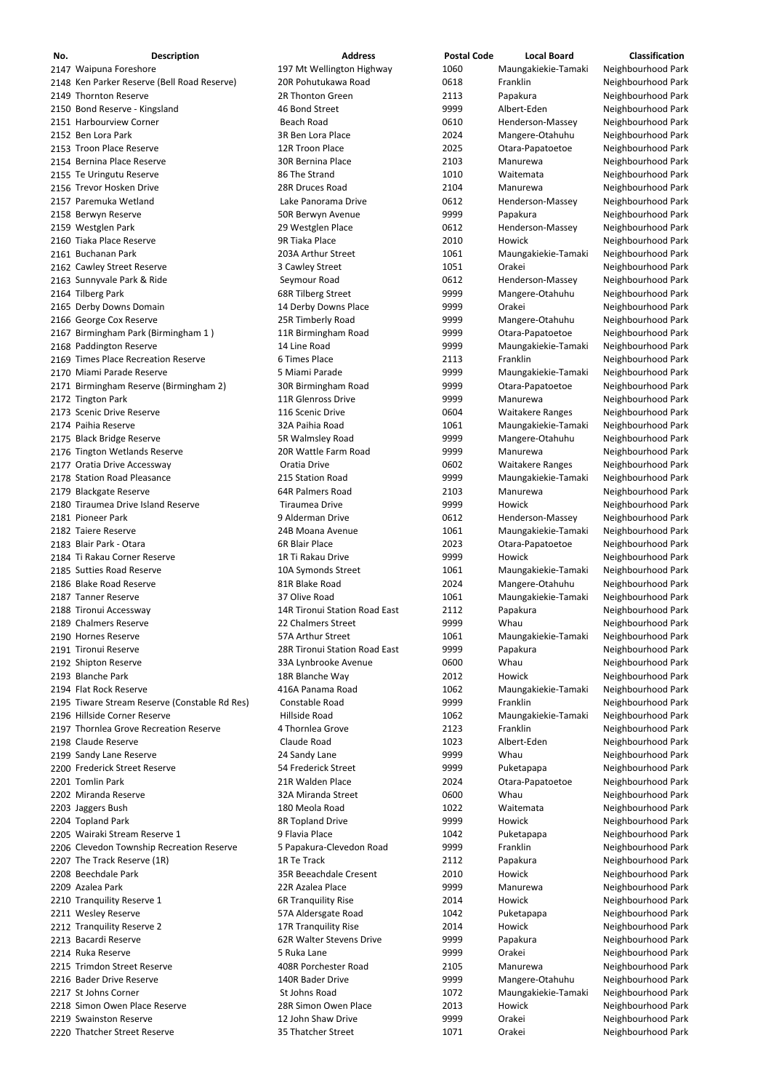| No. | <b>Description</b>                                             | <b>Address</b>                            | <b>Postal Code</b> | <b>Local Board</b>                             | <b>Classification</b>                    |
|-----|----------------------------------------------------------------|-------------------------------------------|--------------------|------------------------------------------------|------------------------------------------|
|     | 2147 Waipuna Foreshore                                         | 197 Mt Wellington Highway                 | 1060               | Maungakiekie-Tamaki                            | Neighbourhood Park                       |
|     | 2148 Ken Parker Reserve (Bell Road Reserve)                    | 20R Pohutukawa Road                       | 0618               | Franklin                                       | Neighbourhood Park                       |
|     | 2149 Thornton Reserve                                          | 2R Thonton Green                          | 2113               | Papakura                                       | Neighbourhood Park                       |
|     | 2150 Bond Reserve - Kingsland                                  | 46 Bond Street                            | 9999               | Albert-Eden                                    | Neighbourhood Park                       |
|     | 2151 Harbourview Corner                                        | <b>Beach Road</b>                         | 0610               | Henderson-Massey                               | Neighbourhood Park                       |
|     | 2152 Ben Lora Park                                             | 3R Ben Lora Place                         | 2024               | Mangere-Otahuhu                                | Neighbourhood Park                       |
|     | 2153 Troon Place Reserve                                       | 12R Troon Place                           | 2025               | Otara-Papatoetoe                               | Neighbourhood Park                       |
|     | 2154 Bernina Place Reserve                                     | <b>30R Bernina Place</b>                  | 2103               | Manurewa                                       | Neighbourhood Park                       |
|     | 2155 Te Uringutu Reserve                                       | 86 The Strand                             | 1010               | Waitemata                                      | Neighbourhood Park                       |
|     | 2156 Trevor Hosken Drive                                       | 28R Druces Road                           | 2104               | Manurewa                                       | Neighbourhood Park                       |
|     | 2157 Paremuka Wetland                                          | Lake Panorama Drive                       | 0612               | Henderson-Massey                               | Neighbourhood Park                       |
|     | 2158 Berwyn Reserve                                            | 50R Berwyn Avenue                         | 9999               | Papakura                                       | Neighbourhood Park                       |
|     | 2159 Westglen Park                                             | 29 Westglen Place                         | 0612               | Henderson-Massey                               | Neighbourhood Park                       |
|     | 2160 Tiaka Place Reserve                                       | 9R Tiaka Place                            | 2010               | Howick                                         | Neighbourhood Park                       |
|     | 2161 Buchanan Park                                             | 203A Arthur Street                        | 1061               | Maungakiekie-Tamaki                            | Neighbourhood Park                       |
|     | 2162 Cawley Street Reserve                                     | 3 Cawley Street                           | 1051               | Orakei                                         | Neighbourhood Park                       |
|     | 2163 Sunnyvale Park & Ride                                     | Seymour Road                              | 0612               | Henderson-Massey                               | Neighbourhood Park                       |
|     | 2164 Tilberg Park                                              | 68R Tilberg Street                        | 9999               | Mangere-Otahuhu                                | Neighbourhood Park                       |
|     | 2165 Derby Downs Domain                                        | 14 Derby Downs Place                      | 9999               | Orakei                                         | Neighbourhood Park                       |
|     | 2166 George Cox Reserve                                        | 25R Timberly Road                         | 9999               | Mangere-Otahuhu                                | Neighbourhood Park                       |
|     | 2167 Birmingham Park (Birmingham 1)                            | 11R Birmingham Road                       | 9999               | Otara-Papatoetoe                               | Neighbourhood Park                       |
|     | 2168 Paddington Reserve<br>2169 Times Place Recreation Reserve | 14 Line Road<br>6 Times Place             | 9999               | Maungakiekie-Tamaki<br>Franklin                | Neighbourhood Park                       |
|     | 2170 Miami Parade Reserve                                      | 5 Miami Parade                            | 2113<br>9999       |                                                | Neighbourhood Park                       |
|     |                                                                |                                           | 9999               | Maungakiekie-Tamaki                            | Neighbourhood Park<br>Neighbourhood Park |
|     | 2171 Birmingham Reserve (Birmingham 2)                         | 30R Birmingham Road<br>11R Glenross Drive | 9999               | Otara-Papatoetoe<br>Manurewa                   | Neighbourhood Park                       |
|     | 2172 Tington Park<br>2173 Scenic Drive Reserve                 | 116 Scenic Drive                          | 0604               |                                                | Neighbourhood Park                       |
|     | 2174 Paihia Reserve                                            | 32A Paihia Road                           | 1061               | <b>Waitakere Ranges</b><br>Maungakiekie-Tamaki | Neighbourhood Park                       |
|     | 2175 Black Bridge Reserve                                      | 5R Walmsley Road                          | 9999               | Mangere-Otahuhu                                | Neighbourhood Park                       |
|     | 2176 Tington Wetlands Reserve                                  | 20R Wattle Farm Road                      | 9999               | Manurewa                                       | Neighbourhood Park                       |
|     | 2177 Oratia Drive Accessway                                    | Oratia Drive                              | 0602               | <b>Waitakere Ranges</b>                        | Neighbourhood Park                       |
|     | 2178 Station Road Pleasance                                    | 215 Station Road                          | 9999               | Maungakiekie-Tamaki                            | Neighbourhood Park                       |
|     | 2179 Blackgate Reserve                                         | 64R Palmers Road                          | 2103               | Manurewa                                       | Neighbourhood Park                       |
|     | 2180 Tiraumea Drive Island Reserve                             | Tiraumea Drive                            | 9999               | Howick                                         | Neighbourhood Park                       |
|     | 2181 Pioneer Park                                              | 9 Alderman Drive                          | 0612               | Henderson-Massey                               | Neighbourhood Park                       |
|     | 2182 Taiere Reserve                                            | 24B Moana Avenue                          | 1061               | Maungakiekie-Tamaki                            | Neighbourhood Park                       |
|     | 2183 Blair Park - Otara                                        | 6R Blair Place                            | 2023               | Otara-Papatoetoe                               | Neighbourhood Park                       |
|     | 2184 Ti Rakau Corner Reserve                                   | 1R Ti Rakau Drive                         | 9999               | Howick                                         | Neighbourhood Park                       |
|     | 2185 Sutties Road Reserve                                      | 10A Symonds Street                        | 1061               | Maungakiekie-Tamaki                            | Neighbourhood Park                       |
|     | 2186 Blake Road Reserve                                        | 81R Blake Road                            | 2024               | Mangere-Otahuhu                                | Neighbourhood Park                       |
|     | 2187 Tanner Reserve                                            | 37 Olive Road                             | 1061               | Maungakiekie-Tamaki                            | Neighbourhood Park                       |
|     | 2188 Tironui Accessway                                         | 14R Tironui Station Road East             | 2112               | Papakura                                       | Neighbourhood Park                       |
|     | 2189 Chalmers Reserve                                          | 22 Chalmers Street                        | 9999               | Whau                                           | Neighbourhood Park                       |
|     | 2190 Hornes Reserve                                            | 57A Arthur Street                         | 1061               | Maungakiekie-Tamaki                            | Neighbourhood Park                       |
|     | 2191 Tironui Reserve                                           | 28R Tironui Station Road East             | 9999               | Papakura                                       | Neighbourhood Park                       |
|     | 2192 Shipton Reserve                                           | 33A Lynbrooke Avenue                      | 0600               | Whau                                           | Neighbourhood Park                       |
|     | 2193 Blanche Park                                              | 18R Blanche Way                           | 2012               | Howick                                         | Neighbourhood Park                       |
|     | 2194 Flat Rock Reserve                                         | 416A Panama Road                          | 1062               | Maungakiekie-Tamaki                            | Neighbourhood Park                       |
|     | 2195 Tiware Stream Reserve (Constable Rd Res)                  | Constable Road                            | 9999               | Franklin                                       | Neighbourhood Park                       |
|     | 2196 Hillside Corner Reserve                                   | Hillside Road                             | 1062               | Maungakiekie-Tamaki                            | Neighbourhood Park                       |
|     | 2197 Thornlea Grove Recreation Reserve                         | 4 Thornlea Grove                          | 2123               | Franklin                                       | Neighbourhood Park                       |
|     | 2198 Claude Reserve                                            | Claude Road                               | 1023               | Albert-Eden                                    | Neighbourhood Park                       |
|     | 2199 Sandy Lane Reserve                                        | 24 Sandy Lane                             | 9999               | Whau                                           | Neighbourhood Park                       |
|     | 2200 Frederick Street Reserve                                  | 54 Frederick Street                       | 9999               | Puketapapa                                     | Neighbourhood Park                       |
|     | 2201 Tomlin Park                                               | 21R Walden Place                          | 2024               | Otara-Papatoetoe                               | Neighbourhood Park                       |
|     | 2202 Miranda Reserve                                           | 32A Miranda Street                        | 0600               | Whau                                           | Neighbourhood Park                       |
|     | 2203 Jaggers Bush                                              | 180 Meola Road                            | 1022               | Waitemata                                      | Neighbourhood Park                       |
|     | 2204 Topland Park                                              | 8R Topland Drive                          | 9999               | Howick                                         | Neighbourhood Park                       |
|     | 2205 Wairaki Stream Reserve 1                                  | 9 Flavia Place                            | 1042               | Puketapapa                                     | Neighbourhood Park                       |
|     | 2206 Clevedon Township Recreation Reserve                      | 5 Papakura-Clevedon Road                  | 9999               | Franklin                                       | Neighbourhood Park                       |
|     | 2207 The Track Reserve (1R)                                    | 1R Te Track                               | 2112               | Papakura                                       | Neighbourhood Park                       |
|     | 2208 Beechdale Park                                            | 35R Beeachdale Cresent                    | 2010               | Howick                                         | Neighbourhood Park                       |
|     | 2209 Azalea Park                                               | 22R Azalea Place                          | 9999               | Manurewa                                       | Neighbourhood Park                       |
|     | 2210 Tranquility Reserve 1                                     | <b>6R Tranquility Rise</b>                | 2014               | Howick                                         | Neighbourhood Park                       |
|     | 2211 Wesley Reserve                                            | 57A Aldersgate Road                       | 1042               | Puketapapa                                     | Neighbourhood Park                       |
|     | 2212 Tranquility Reserve 2                                     | 17R Tranquility Rise                      | 2014               | Howick                                         | Neighbourhood Park                       |
|     | 2213 Bacardi Reserve                                           | 62R Walter Stevens Drive                  | 9999               | Papakura                                       | Neighbourhood Park                       |
|     | 2214 Ruka Reserve                                              | 5 Ruka Lane                               | 9999               | Orakei                                         | Neighbourhood Park                       |
|     | 2215 Trimdon Street Reserve                                    | 408R Porchester Road                      | 2105               | Manurewa                                       | Neighbourhood Park                       |
|     | 2216 Bader Drive Reserve                                       | 140R Bader Drive                          | 9999               | Mangere-Otahuhu                                | Neighbourhood Park                       |
|     | 2217 St Johns Corner                                           | St Johns Road                             | 1072               | Maungakiekie-Tamaki                            | Neighbourhood Park                       |
|     | 2218 Simon Owen Place Reserve                                  | 28R Simon Owen Place                      | 2013               | Howick                                         | Neighbourhood Park                       |
|     | 2219 Swainston Reserve                                         | 12 John Shaw Drive                        | 9999               | Orakei                                         | Neighbourhood Park                       |
|     | 2220 Thatcher Street Reserve                                   | 35 Thatcher Street                        | 1071               | Orakei                                         | Neighbourhood Park                       |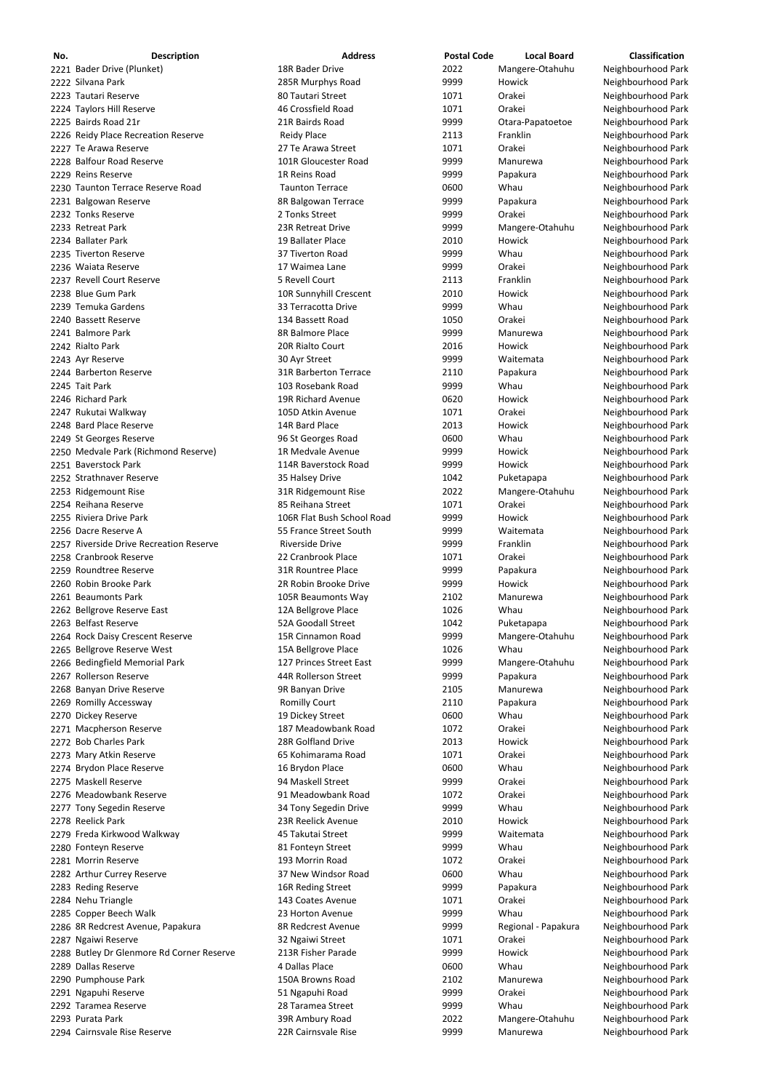| No. | <b>Description</b>                        | <b>Address</b>               | <b>Postal Code</b> | <b>Local Board</b>  | <b>Classification</b> |
|-----|-------------------------------------------|------------------------------|--------------------|---------------------|-----------------------|
|     | 2221 Bader Drive (Plunket)                | 18R Bader Drive              | 2022               | Mangere-Otahuhu     | Neighbourhood Park    |
|     | 2222 Silvana Park                         | 285R Murphys Road            | 9999               | Howick              | Neighbourhood Park    |
|     | 2223 Tautari Reserve                      | 80 Tautari Street            | 1071               | Orakei              | Neighbourhood Park    |
|     | 2224 Taylors Hill Reserve                 | 46 Crossfield Road           | 1071               | Orakei              | Neighbourhood Park    |
|     | 2225 Bairds Road 21r                      | 21R Bairds Road              | 9999               | Otara-Papatoetoe    | Neighbourhood Park    |
|     | 2226 Reidy Place Recreation Reserve       | <b>Reidy Place</b>           | 2113               | Franklin            | Neighbourhood Park    |
|     | 2227 Te Arawa Reserve                     | 27 Te Arawa Street           | 1071               | Orakei              | Neighbourhood Park    |
|     | 2228 Balfour Road Reserve                 | 101R Gloucester Road         | 9999               | Manurewa            | Neighbourhood Park    |
|     | 2229 Reins Reserve                        | 1R Reins Road                | 9999               | Papakura            | Neighbourhood Park    |
|     | 2230 Taunton Terrace Reserve Road         | <b>Taunton Terrace</b>       | 0600               | Whau                | Neighbourhood Park    |
|     | 2231 Balgowan Reserve                     | 8R Balgowan Terrace          | 9999               | Papakura            | Neighbourhood Park    |
|     | 2232 Tonks Reserve                        | 2 Tonks Street               | 9999               | Orakei              | Neighbourhood Park    |
|     | 2233 Retreat Park                         | 23R Retreat Drive            | 9999               | Mangere-Otahuhu     | Neighbourhood Park    |
|     | 2234 Ballater Park                        | 19 Ballater Place            | 2010               | Howick              | Neighbourhood Park    |
|     |                                           |                              |                    |                     |                       |
|     | 2235 Tiverton Reserve                     | 37 Tiverton Road             | 9999               | Whau                | Neighbourhood Park    |
|     | 2236 Waiata Reserve                       | 17 Waimea Lane               | 9999               | Orakei              | Neighbourhood Park    |
|     | 2237 Revell Court Reserve                 | 5 Revell Court               | 2113               | Franklin            | Neighbourhood Park    |
|     | 2238 Blue Gum Park                        | 10R Sunnyhill Crescent       | 2010               | Howick              | Neighbourhood Park    |
|     | 2239 Temuka Gardens                       | 33 Terracotta Drive          | 9999               | Whau                | Neighbourhood Park    |
|     | 2240 Bassett Reserve                      | 134 Bassett Road             | 1050               | Orakei              | Neighbourhood Park    |
|     | 2241 Balmore Park                         | 8R Balmore Place             | 9999               | Manurewa            | Neighbourhood Park    |
|     | 2242 Rialto Park                          | 20R Rialto Court             | 2016               | Howick              | Neighbourhood Park    |
|     | 2243 Ayr Reserve                          | 30 Ayr Street                | 9999               | Waitemata           | Neighbourhood Park    |
|     | 2244 Barberton Reserve                    | <b>31R Barberton Terrace</b> | 2110               | Papakura            | Neighbourhood Park    |
|     | 2245 Tait Park                            | 103 Rosebank Road            | 9999               | Whau                | Neighbourhood Park    |
|     | 2246 Richard Park                         | 19R Richard Avenue           | 0620               | <b>Howick</b>       | Neighbourhood Park    |
|     | 2247 Rukutai Walkway                      | 105D Atkin Avenue            | 1071               | Orakei              | Neighbourhood Park    |
|     | 2248 Bard Place Reserve                   | 14R Bard Place               | 2013               | Howick              | Neighbourhood Park    |
|     | 2249 St Georges Reserve                   | 96 St Georges Road           | 0600               | Whau                | Neighbourhood Park    |
|     | 2250 Medvale Park (Richmond Reserve)      | 1R Medvale Avenue            | 9999               | Howick              | Neighbourhood Park    |
|     | 2251 Baverstock Park                      | 114R Baverstock Road         | 9999               | Howick              | Neighbourhood Park    |
|     | 2252 Strathnaver Reserve                  | 35 Halsey Drive              | 1042               | Puketapapa          | Neighbourhood Park    |
|     | 2253 Ridgemount Rise                      | 31R Ridgemount Rise          | 2022               | Mangere-Otahuhu     | Neighbourhood Park    |
|     | 2254 Reihana Reserve                      | 85 Reihana Street            | 1071               | Orakei              |                       |
|     |                                           |                              |                    |                     | Neighbourhood Park    |
|     | 2255 Riviera Drive Park                   | 106R Flat Bush School Road   | 9999               | Howick              | Neighbourhood Park    |
|     | 2256 Dacre Reserve A                      | 55 France Street South       | 9999               | Waitemata           | Neighbourhood Park    |
|     | 2257 Riverside Drive Recreation Reserve   | <b>Riverside Drive</b>       | 9999               | Franklin            | Neighbourhood Park    |
|     | 2258 Cranbrook Reserve                    | 22 Cranbrook Place           | 1071               | Orakei              | Neighbourhood Park    |
|     | 2259 Roundtree Reserve                    | 31R Rountree Place           | 9999               | Papakura            | Neighbourhood Park    |
|     | 2260 Robin Brooke Park                    | 2R Robin Brooke Drive        | 9999               | Howick              | Neighbourhood Park    |
|     | 2261 Beaumonts Park                       | 105R Beaumonts Way           | 2102               | Manurewa            | Neighbourhood Park    |
|     | 2262 Bellgrove Reserve East               | 12A Bellgrove Place          | 1026               | Whau                | Neighbourhood Park    |
|     | 2263 Belfast Reserve                      | 52A Goodall Street           | 1042               | Puketapapa          | Neighbourhood Park    |
|     | 2264 Rock Daisy Crescent Reserve          | 15R Cinnamon Road            | 9999               | Mangere-Otahuhu     | Neighbourhood Park    |
|     | 2265 Bellgrove Reserve West               | 15A Bellgrove Place          | 1026               | Whau                | Neighbourhood Park    |
|     | 2266 Bedingfield Memorial Park            | 127 Princes Street East      | 9999               | Mangere-Otahuhu     | Neighbourhood Park    |
|     | 2267 Rollerson Reserve                    | 44R Rollerson Street         | 9999               | Papakura            | Neighbourhood Park    |
|     | 2268 Banyan Drive Reserve                 | 9R Banyan Drive              | 2105               | Manurewa            | Neighbourhood Park    |
|     | 2269 Romilly Accessway                    | <b>Romilly Court</b>         | 2110               | Papakura            | Neighbourhood Park    |
|     | 2270 Dickey Reserve                       | 19 Dickey Street             | 0600               | Whau                | Neighbourhood Park    |
|     | 2271 Macpherson Reserve                   | 187 Meadowbank Road          | 1072               | Orakei              | Neighbourhood Park    |
|     | 2272 Bob Charles Park                     | 28R Golfland Drive           | 2013               | Howick              | Neighbourhood Park    |
|     | 2273 Mary Atkin Reserve                   | 65 Kohimarama Road           | 1071               | Orakei              | Neighbourhood Park    |
|     | 2274 Brydon Place Reserve                 | 16 Brydon Place              | 0600               | Whau                | Neighbourhood Park    |
|     | 2275 Maskell Reserve                      |                              |                    |                     |                       |
|     |                                           | 94 Maskell Street            | 9999               | Orakei              | Neighbourhood Park    |
|     | 2276 Meadowbank Reserve                   | 91 Meadowbank Road           | 1072               | Orakei              | Neighbourhood Park    |
|     | 2277 Tony Segedin Reserve                 | 34 Tony Segedin Drive        | 9999               | Whau                | Neighbourhood Park    |
|     | 2278 Reelick Park                         | 23R Reelick Avenue           | 2010               | <b>Howick</b>       | Neighbourhood Park    |
|     | 2279 Freda Kirkwood Walkway               | 45 Takutai Street            | 9999               | Waitemata           | Neighbourhood Park    |
|     | 2280 Fonteyn Reserve                      | 81 Fonteyn Street            | 9999               | Whau                | Neighbourhood Park    |
|     | 2281 Morrin Reserve                       | 193 Morrin Road              | 1072               | Orakei              | Neighbourhood Park    |
|     | 2282 Arthur Currey Reserve                | 37 New Windsor Road          | 0600               | Whau                | Neighbourhood Park    |
|     | 2283 Reding Reserve                       | 16R Reding Street            | 9999               | Papakura            | Neighbourhood Park    |
|     | 2284 Nehu Triangle                        | 143 Coates Avenue            | 1071               | Orakei              | Neighbourhood Park    |
|     | 2285 Copper Beech Walk                    | 23 Horton Avenue             | 9999               | Whau                | Neighbourhood Park    |
|     | 2286 8R Redcrest Avenue, Papakura         | 8R Redcrest Avenue           | 9999               | Regional - Papakura | Neighbourhood Park    |
|     | 2287 Ngaiwi Reserve                       | 32 Ngaiwi Street             | 1071               | Orakei              | Neighbourhood Park    |
|     | 2288 Butley Dr Glenmore Rd Corner Reserve | 213R Fisher Parade           | 9999               | Howick              | Neighbourhood Park    |
|     | 2289 Dallas Reserve                       | 4 Dallas Place               | 0600               | Whau                | Neighbourhood Park    |
|     | 2290 Pumphouse Park                       | 150A Browns Road             | 2102               | Manurewa            | Neighbourhood Park    |
|     |                                           |                              | 9999               | Orakei              |                       |
|     | 2291 Ngapuhi Reserve                      | 51 Ngapuhi Road              |                    |                     | Neighbourhood Park    |
|     | 2292 Taramea Reserve                      | 28 Taramea Street            | 9999               | Whau                | Neighbourhood Park    |
|     | 2293 Purata Park                          | 39R Ambury Road              | 2022               | Mangere-Otahuhu     | Neighbourhood Park    |
|     | 2294 Cairnsvale Rise Reserve              | 22R Cairnsvale Rise          | 9999               | Manurewa            | Neighbourhood Park    |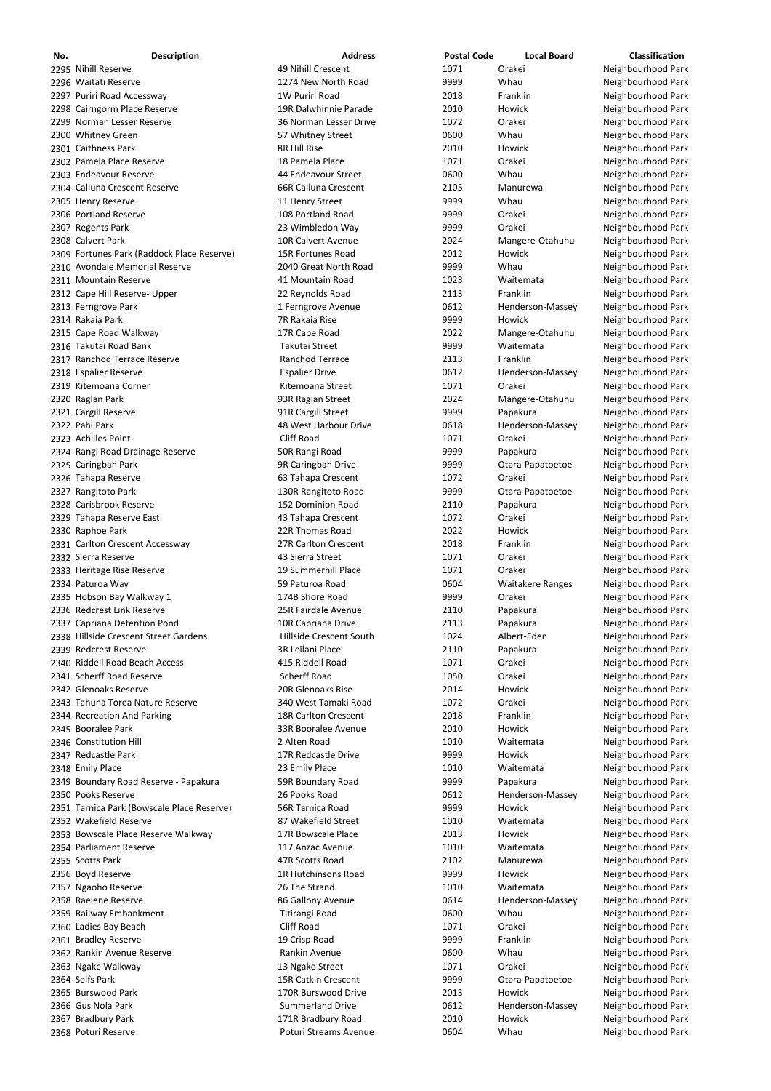| No. | <b>Description</b>                         | <b>Address</b>          | <b>Postal Code</b> | <b>Local Board</b>      | <b>Classification</b> |
|-----|--------------------------------------------|-------------------------|--------------------|-------------------------|-----------------------|
|     | 2295 Nihill Reserve                        | 49 Nihill Crescent      | 1071               | Orakei                  | Neighbourhood Park    |
|     | 2296 Waitati Reserve                       | 1274 New North Road     | 9999               | Whau                    | Neighbourhood Park    |
|     | 2297 Puriri Road Accessway                 | 1W Puriri Road          | 2018               | Franklin                | Neighbourhood Park    |
|     | 2298 Cairngorm Place Reserve               | 19R Dalwhinnie Parade   | 2010               | Howick                  | Neighbourhood Park    |
|     | 2299 Norman Lesser Reserve                 | 36 Norman Lesser Drive  | 1072               | Orakei                  | Neighbourhood Park    |
|     | 2300 Whitney Green                         | 57 Whitney Street       | 0600               | Whau                    | Neighbourhood Park    |
|     | 2301 Caithness Park                        | 8R Hill Rise            | 2010               | Howick                  | Neighbourhood Park    |
|     | 2302 Pamela Place Reserve                  | 18 Pamela Place         | 1071               | Orakei                  | Neighbourhood Park    |
|     | 2303 Endeavour Reserve                     | 44 Endeavour Street     | 0600               | Whau                    | Neighbourhood Park    |
|     | 2304 Calluna Crescent Reserve              | 66R Calluna Crescent    | 2105               | Manurewa                | Neighbourhood Park    |
|     | 2305 Henry Reserve                         | 11 Henry Street         | 9999               | Whau                    | Neighbourhood Park    |
|     | 2306 Portland Reserve                      | 108 Portland Road       | 9999               | Orakei                  | Neighbourhood Park    |
|     | 2307 Regents Park                          | 23 Wimbledon Way        | 9999               | Orakei                  | Neighbourhood Park    |
|     | 2308 Calvert Park                          | 10R Calvert Avenue      | 2024               | Mangere-Otahuhu         | Neighbourhood Park    |
|     | 2309 Fortunes Park (Raddock Place Reserve) | 15R Fortunes Road       | 2012               | Howick                  | Neighbourhood Park    |
|     | 2310 Avondale Memorial Reserve             | 2040 Great North Road   | 9999               | Whau                    | Neighbourhood Park    |
|     | 2311 Mountain Reserve                      | 41 Mountain Road        | 1023               | Waitemata               | Neighbourhood Park    |
|     | 2312 Cape Hill Reserve- Upper              | 22 Reynolds Road        | 2113               | Franklin                | Neighbourhood Park    |
|     | 2313 Ferngrove Park                        | 1 Ferngrove Avenue      | 0612               | Henderson-Massey        | Neighbourhood Park    |
|     | 2314 Rakaia Park                           | 7R Rakaia Rise          | 9999               | Howick                  | Neighbourhood Park    |
|     | 2315 Cape Road Walkway                     | 17R Cape Road           | 2022               | Mangere-Otahuhu         | Neighbourhood Park    |
|     | 2316 Takutai Road Bank                     | Takutai Street          | 9999               | Waitemata               | Neighbourhood Park    |
|     | 2317 Ranchod Terrace Reserve               | Ranchod Terrace         | 2113               | Franklin                | Neighbourhood Park    |
|     | 2318 Espalier Reserve                      | <b>Espalier Drive</b>   | 0612               | Henderson-Massey        | Neighbourhood Park    |
|     | 2319 Kitemoana Corner                      | Kitemoana Street        | 1071               | Orakei                  | Neighbourhood Park    |
|     | 2320 Raglan Park                           | 93R Raglan Street       | 2024               | Mangere-Otahuhu         | Neighbourhood Park    |
|     | 2321 Cargill Reserve                       | 91R Cargill Street      | 9999               | Papakura                | Neighbourhood Park    |
|     | 2322 Pahi Park                             | 48 West Harbour Drive   | 0618               | Henderson-Massey        | Neighbourhood Park    |
|     | 2323 Achilles Point                        | <b>Cliff Road</b>       | 1071               | Orakei                  | Neighbourhood Park    |
|     | 2324 Rangi Road Drainage Reserve           | 50R Rangi Road          | 9999               | Papakura                | Neighbourhood Park    |
|     | 2325 Caringbah Park                        | 9R Caringbah Drive      | 9999               | Otara-Papatoetoe        | Neighbourhood Park    |
|     | 2326 Tahapa Reserve                        | 63 Tahapa Crescent      | 1072               | Orakei                  | Neighbourhood Park    |
|     | 2327 Rangitoto Park                        | 130R Rangitoto Road     | 9999               | Otara-Papatoetoe        | Neighbourhood Park    |
|     | 2328 Carisbrook Reserve                    | 152 Dominion Road       | 2110               | Papakura                | Neighbourhood Park    |
|     | 2329 Tahapa Reserve East                   | 43 Tahapa Crescent      | 1072               | Orakei                  | Neighbourhood Park    |
|     | 2330 Raphoe Park                           | 22R Thomas Road         | 2022               | Howick                  | Neighbourhood Park    |
|     | 2331 Carlton Crescent Accessway            | 27R Carlton Crescent    | 2018               | Franklin                | Neighbourhood Park    |
|     | 2332 Sierra Reserve                        | 43 Sierra Street        | 1071               | Orakei                  | Neighbourhood Park    |
|     | 2333 Heritage Rise Reserve                 | 19 Summerhill Place     | 1071               | Orakei                  | Neighbourhood Park    |
|     | 2334 Paturoa Way                           | 59 Paturoa Road         | 0604               | <b>Waitakere Ranges</b> | Neighbourhood Park    |
|     | 2335 Hobson Bay Walkway 1                  | 174B Shore Road         | 9999               | Orakei                  | Neighbourhood Park    |
|     | 2336 Redcrest Link Reserve                 | 25R Fairdale Avenue     | 2110               | Papakura                | Neighbourhood Park    |
|     | 2337 Capriana Detention Pond               | 10R Capriana Drive      | 2113               | Papakura                | Neighbourhood Park    |
|     | 2338 Hillside Crescent Street Gardens      | Hillside Crescent South | 1024               | Albert-Eden             | Neighbourhood Park    |
|     | 2339 Redcrest Reserve                      | 3R Leilani Place        | 2110               | Papakura                | Neighbourhood Park    |
|     | 2340 Riddell Road Beach Access             | 415 Riddell Road        | 1071               | Orakei                  | Neighbourhood Park    |
|     | 2341 Scherff Road Reserve                  | <b>Scherff Road</b>     | 1050               | Orakei                  | Neighbourhood Park    |
|     | 2342 Glenoaks Reserve                      | 20R Glenoaks Rise       | 2014               | Howick                  | Neighbourhood Park    |
|     | 2343 Tahuna Torea Nature Reserve           | 340 West Tamaki Road    | 1072               | Orakei                  | Neighbourhood Park    |
|     | 2344 Recreation And Parking                | 18R Carlton Crescent    | 2018               | Franklin                | Neighbourhood Park    |
|     | 2345 Booralee Park                         | 33R Booralee Avenue     | 2010               | Howick                  | Neighbourhood Park    |
|     | 2346 Constitution Hill                     | 2 Alten Road            | 1010               | Waitemata               | Neighbourhood Park    |
|     | 2347 Redcastle Park                        | 17R Redcastle Drive     | 9999               | Howick                  | Neighbourhood Park    |
|     | 2348 Emily Place                           | 23 Emily Place          | 1010               | Waitemata               | Neighbourhood Park    |
|     | 2349 Boundary Road Reserve - Papakura      | 59R Boundary Road       | 9999               | Papakura                | Neighbourhood Park    |
|     | 2350 Pooks Reserve                         | 26 Pooks Road           | 0612               | Henderson-Massey        | Neighbourhood Park    |
|     | 2351 Tarnica Park (Bowscale Place Reserve) | 56R Tarnica Road        | 9999               | Howick                  | Neighbourhood Park    |

2353 Bowscale Place Reserve Walkway **17R Bowscale Place** 2013 Howick Howick Neighbourhood Park 2354 Parliament Reserve **117 Anzac Avenue** 1010 Waitemata Neighbourhood Park 2355 Scotts Park **1988 Communist Controller ATA** Scotts Road 2102 Manurewa Meighbourhood Park 2356 Boyd Reserve **1R Hutchinsons Road** 1R Hutchinsons Road 69999 Howick Neighbourhood Park 2357 Ngaoho Reserve 20 1010 1010 Waitemata Neighbourhood Park 2358 Raelene Reserve **86 Sallony Avenue** 86 Gallony Avenue 6614 Henderson-Massey Neighbourhood Park 2359 Railway Embankment **1988 Computer Computer Titirangi Road** 1960 Computer 20600 Whau Neighbourhood Park 2360 Ladies Bay Beach **Cliff Road** Cliff Road Cliff Road 2360 Ladies Bay Beach Neighbourhood Park 2361 Bradley Reserve **19 Crisp Road** 19 Crisp Road 19 Crisp Road 19 Crisp Road 5999 Franklin Neighbourhood Park 2362 Rankin Avenue Reserve **Rankin Avenue** Rankin Avenue **COLO Metalum Reserve Rankin Avenue** Neighbourhood Park 2363 Ngake Walkway **13 Ngake Street** 1071 Orakei Neighbourhood Park 2364 Selfs Park 15R Catkin Crescent 15R Catkin Crescent Crescent Crescent Crescent Crescent Crescent Crescent 2365 Burswood Park **170R Burswood Drive** 2013 Howick Neighbourhood Park 2366 Gus Nola Park Summerland Drive Cost Cost 20612 Henderson-Massey Neighbourhood Park 2367 Bradbury Park **171R Bradbury Road** 2010 Howick Neighbourhood Park 171R Bradbury Road 2010 Howick 2368 Poturi Reserve **Poturi Streams Avenue Poturi Streams Avenue CEO 1604** Whau Neighbourhood Park

2352 Wakefield Reserve **87 Wakefield Street** 1010 Waitemata Neighbourhood Park

| 2013 | Howick    |
|------|-----------|
| 1010 | Waitemata |
| 2102 | Manurewa  |
| 9999 | Howick    |
| 1010 | Waitemata |
| 0614 | Hendersor |
| 0600 | Whau      |
| 1071 | Orakei    |
| 9999 | Franklin  |
| 0600 | Whau      |
| 1071 | Orakei    |
| 9999 | Otara-Pap |
| 2013 | Howick    |
| 0612 | Hendersor |
| 2010 | Howick    |
| 0604 | Whau      |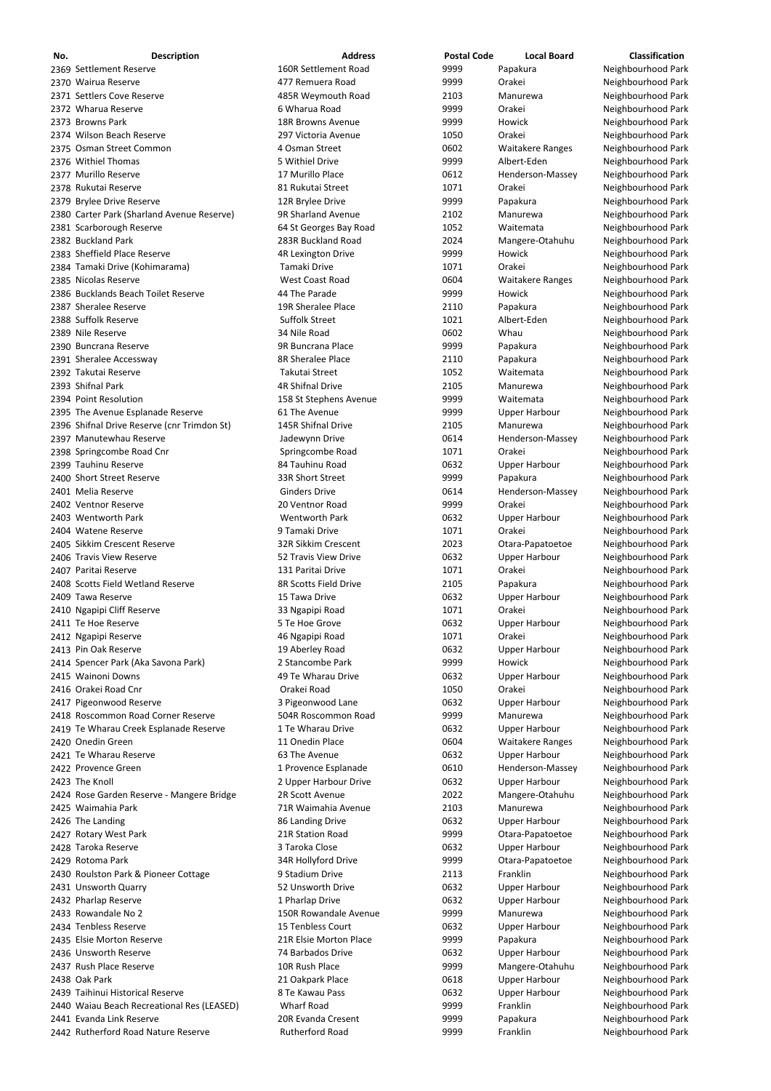| No. | <b>Description</b>                          | <b>Address</b>           | <b>Postal Code</b> | <b>Local Board</b>      | <b>Classification</b> |
|-----|---------------------------------------------|--------------------------|--------------------|-------------------------|-----------------------|
|     | 2369 Settlement Reserve                     | 160R Settlement Road     | 9999               | Papakura                | Neighbourhood Park    |
|     | 2370 Wairua Reserve                         | 477 Remuera Road         | 9999               | Orakei                  | Neighbourhood Park    |
|     | 2371 Settlers Cove Reserve                  | 485R Weymouth Road       | 2103               | Manurewa                | Neighbourhood Park    |
|     | 2372 Wharua Reserve                         | 6 Wharua Road            | 9999               | Orakei                  | Neighbourhood Park    |
|     | 2373 Browns Park                            | <b>18R Browns Avenue</b> | 9999               | Howick                  | Neighbourhood Park    |
|     | 2374 Wilson Beach Reserve                   | 297 Victoria Avenue      | 1050               | Orakei                  | Neighbourhood Park    |
|     | 2375 Osman Street Common                    | 4 Osman Street           | 0602               | <b>Waitakere Ranges</b> | Neighbourhood Park    |
|     | 2376 Withiel Thomas                         | 5 Withiel Drive          | 9999               | Albert-Eden             | Neighbourhood Park    |
|     | 2377 Murillo Reserve                        | 17 Murillo Place         | 0612               | Henderson-Massey        | Neighbourhood Park    |
|     | 2378 Rukutai Reserve                        | 81 Rukutai Street        | 1071               | Orakei                  | Neighbourhood Park    |
|     | 2379 Brylee Drive Reserve                   | 12R Brylee Drive         | 9999               | Papakura                | Neighbourhood Park    |
|     | 2380 Carter Park (Sharland Avenue Reserve)  | 9R Sharland Avenue       | 2102               | Manurewa                | Neighbourhood Park    |
|     | 2381 Scarborough Reserve                    | 64 St Georges Bay Road   | 1052               | Waitemata               | Neighbourhood Park    |
|     | 2382 Buckland Park                          | 283R Buckland Road       | 2024               | Mangere-Otahuhu         | Neighbourhood Park    |
|     | 2383 Sheffield Place Reserve                | 4R Lexington Drive       | 9999               | Howick                  | Neighbourhood Park    |
|     | 2384 Tamaki Drive (Kohimarama)              | Tamaki Drive             | 1071               | Orakei                  | Neighbourhood Park    |
|     | 2385 Nicolas Reserve                        | <b>West Coast Road</b>   | 0604               | <b>Waitakere Ranges</b> | Neighbourhood Park    |
|     | 2386 Bucklands Beach Toilet Reserve         | 44 The Parade            | 9999               | Howick                  | Neighbourhood Park    |
|     | 2387 Sheralee Reserve                       | 19R Sheralee Place       | 2110               | Papakura                | Neighbourhood Park    |
|     | 2388 Suffolk Reserve                        | <b>Suffolk Street</b>    | 1021               | Albert-Eden             | Neighbourhood Park    |
|     | 2389 Nile Reserve                           | 34 Nile Road             | 0602               | Whau                    | Neighbourhood Park    |
|     | 2390 Buncrana Reserve                       | 9R Buncrana Place        | 9999               | Papakura                | Neighbourhood Park    |
|     | 2391 Sheralee Accessway                     | 8R Sheralee Place        | 2110               | Papakura                | Neighbourhood Park    |
|     | 2392 Takutai Reserve                        | Takutai Street           | 1052               | Waitemata               | Neighbourhood Park    |
|     | 2393 Shifnal Park                           | <b>4R Shifnal Drive</b>  | 2105               | Manurewa                | Neighbourhood Park    |
|     | 2394 Point Resolution                       | 158 St Stephens Avenue   | 9999               | Waitemata               | Neighbourhood Park    |
|     | 2395 The Avenue Esplanade Reserve           | 61 The Avenue            | 9999               | <b>Upper Harbour</b>    | Neighbourhood Park    |
|     | 2396 Shifnal Drive Reserve (cnr Trimdon St) | 145R Shifnal Drive       | 2105               | Manurewa                | Neighbourhood Park    |
|     | 2397 Manutewhau Reserve                     | Jadewynn Drive           | 0614               | Henderson-Massey        | Neighbourhood Park    |
|     | 2398 Springcombe Road Cnr                   | Springcombe Road         | 1071               | Orakei                  | Neighbourhood Park    |
|     | 2399 Tauhinu Reserve                        | 84 Tauhinu Road          | 0632               | <b>Upper Harbour</b>    | Neighbourhood Park    |
|     | 2400 Short Street Reserve                   | 33R Short Street         | 9999               | Papakura                | Neighbourhood Park    |
|     | 2401 Melia Reserve                          | <b>Ginders Drive</b>     | 0614               | Henderson-Massey        | Neighbourhood Park    |
|     | 2402 Ventnor Reserve                        | 20 Ventnor Road          | 9999               | Orakei                  | Neighbourhood Park    |
|     | 2403 Wentworth Park                         | Wentworth Park           | 0632               | <b>Upper Harbour</b>    | Neighbourhood Park    |
|     | 2404 Watene Reserve                         | 9 Tamaki Drive           | 1071               | Orakei                  | Neighbourhood Park    |
|     | 2405 Sikkim Crescent Reserve                | 32R Sikkim Crescent      | 2023               | Otara-Papatoetoe        | Neighbourhood Park    |
|     | 2406 Travis View Reserve                    | 52 Travis View Drive     | 0632               | <b>Upper Harbour</b>    | Neighbourhood Park    |
|     | 2407 Paritai Reserve                        | 131 Paritai Drive        | 1071               | Orakei                  | Neighbourhood Park    |
|     | 2408 Scotts Field Wetland Reserve           | 8R Scotts Field Drive    | 2105               | Papakura                | Neighbourhood Park    |
|     | 2409 Tawa Reserve                           | 15 Tawa Drive            | 0632               | <b>Upper Harbour</b>    | Neighbourhood Park    |
|     | 2410 Ngapipi Cliff Reserve                  | 33 Ngapipi Road          | 1071               | Orakei                  | Neighbourhood Park    |
|     | 2411 Te Hoe Reserve                         | 5 Te Hoe Grove           | 0632               | <b>Upper Harbour</b>    | Neighbourhood Park    |
|     | 2412 Ngapipi Reserve                        | 46 Ngapipi Road          | 1071               | Orakei                  | Neighbourhood Park    |
|     | 2413 Pin Oak Reserve                        | 19 Aberley Road          | 0632               | <b>Upper Harbour</b>    | Neighbourhood Park    |
|     | 2414 Spencer Park (Aka Savona Park)         | 2 Stancombe Park         | 9999               | <b>Howick</b>           | Neighbourhood Park    |
|     | 2415 Wainoni Downs                          | 49 Te Wharau Drive       | 0632               | <b>Upper Harbour</b>    | Neighbourhood Park    |
|     | 2416 Orakei Road Cnr                        | Orakei Road              | 1050               | Orakei                  | Neighbourhood Park    |
|     | 2417 Pigeonwood Reserve                     | 3 Pigeonwood Lane        | 0632               | Upper Harbour           | Neighbourhood Park    |
|     | 2418 Roscommon Road Corner Reserve          | 504R Roscommon Road      | 9999               | Manurewa                | Neighbourhood Park    |
|     | 2419 Te Wharau Creek Esplanade Reserve      | 1 Te Wharau Drive        | 0632               | <b>Upper Harbour</b>    | Neighbourhood Park    |
|     | 2420 Onedin Green                           | 11 Onedin Place          | 0604               | <b>Waitakere Ranges</b> | Neighbourhood Park    |
|     | 2421 Te Wharau Reserve                      | 63 The Avenue            | 0632               | <b>Upper Harbour</b>    | Neighbourhood Park    |
|     | 2422 Provence Green                         | 1 Provence Esplanade     | 0610               | Henderson-Massey        | Neighbourhood Park    |
|     | 2423 The Knoll                              | 2 Upper Harbour Drive    | 0632               | <b>Upper Harbour</b>    | Neighbourhood Park    |
|     | 2424 Rose Garden Reserve - Mangere Bridge   | 2R Scott Avenue          | 2022               | Mangere-Otahuhu         | Neighbourhood Park    |
|     | 2425 Waimahia Park                          | 71R Waimahia Avenue      | 2103               | Manurewa                | Neighbourhood Park    |
|     |                                             |                          |                    |                         |                       |

2426 The Landing The Landing State of the Landing Drive Company of the Upper Harbour Neighbourhood Park 2427 Rotary West Park 2001 21R Station Road 21R Station Road 2427 Rotara-Papatoetoe Neighbourhood Park Taroka Reserve 3 Taroka Close 0632 Upper Harbour Neighbourhood Park 2429 Rotoma Park 34 Millyford Drive 9999 Otara-Papatoetoe Neighbourhood Park 2430 Roulston Park & Pioneer Cottage **9 Stadium Drive 1966** 2113 Franklin 2113 Franklin Neighbourhood Park 2431 Unsworth Quarry **1988 12 Example 2431 Unsworth Drive 12 Upper Harbour** Meighbourhood Park 2432 Pharlap Reserve **1 Pharlap Drive 1 Pharlap Drive** 0632 Upper Harbour Neighbourhood Park 2433 Rowandale No 2 150R Rowandale Avenue 19999 Manurewa Neighbourhood Park Tenbless Reserve 15 Tenbless Court 0632 Upper Harbour Neighbourhood Park 2435 Elsie Morton Reserve **21R Elsie Morton Place 121R Elsie Morton Place** 1999 Papakura Neighbourhood Park 2436 Unsworth Reserve **1988 120 States 2436 Upper Harbour** Neighbourhood Park 2437 Rush Place Reserve **10R Rush Place 10R Rush Place** 9999 Mangere-Otahuhu Neighbourhood Park 2438 Oak Park **21 Oakpark Place 21 Oakpark Place** 19618 Upper Harbour Neighbourhood Park 2439 Taihinui Historical Reserve **8 Te Kawau Pass** 1983 1995 Upper Harbour 1995 Neighbourhood Park 2440 Waiau Beach Recreational Res (LEASED) Wharf Road 1999 9999 Franklin Neighbourhood Park 2441 Evanda Link Reserve **200 Example 20R Evanda Cresent** 2999 9999 Papakura Papakura Neighbourhood Park 2442 Rutherford Road Nature Reserve **Rutherford Road** 1999 9999 Franklin Neighbourhood Park

| 9999 | Otara-Pa |
|------|----------|
| 0632 | Upper Ha |
| 9999 | Otara-Pa |
| 2113 | Franklin |
| 0632 | Upper Ha |
| 0632 | Upper Ha |
| 9999 | Manurew  |
| 0632 | Upper Ha |
| 9999 | Papakura |
| 0632 | Upper Ha |
| 9999 | Mangere  |
| 0618 | Upper Ha |
| 0632 | Upper Ha |
| 9999 | Franklin |
| 9999 | Papakura |
| 9999 | Franklin |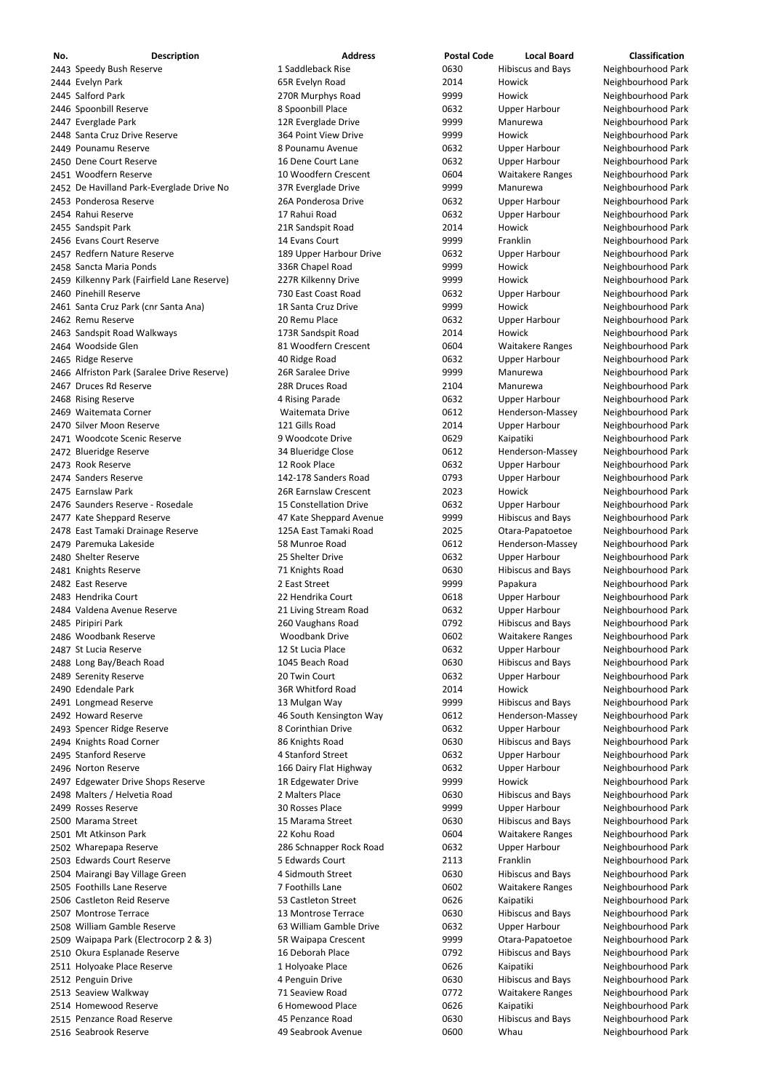| No. | <b>Description</b>                          | <b>Address</b>          | <b>Postal Code</b> | <b>Local Board</b>       | <b>Classification</b> |
|-----|---------------------------------------------|-------------------------|--------------------|--------------------------|-----------------------|
|     | 2443 Speedy Bush Reserve                    | 1 Saddleback Rise       | 0630               | <b>Hibiscus and Bays</b> | Neighbourhood Park    |
|     | 2444 Evelyn Park                            | 65R Evelyn Road         | 2014               | Howick                   | Neighbourhood Park    |
|     | 2445 Salford Park                           | 270R Murphys Road       | 9999               | Howick                   | Neighbourhood Park    |
|     | 2446 Spoonbill Reserve                      | 8 Spoonbill Place       | 0632               | <b>Upper Harbour</b>     | Neighbourhood Park    |
|     | 2447 Everglade Park                         | 12R Everglade Drive     | 9999               | Manurewa                 | Neighbourhood Park    |
|     | 2448 Santa Cruz Drive Reserve               | 364 Point View Drive    | 9999               | Howick                   | Neighbourhood Park    |
|     | 2449 Pounamu Reserve                        | 8 Pounamu Avenue        | 0632               | <b>Upper Harbour</b>     | Neighbourhood Park    |
|     | 2450 Dene Court Reserve                     | 16 Dene Court Lane      | 0632               | <b>Upper Harbour</b>     | Neighbourhood Park    |
|     | 2451 Woodfern Reserve                       | 10 Woodfern Crescent    | 0604               | <b>Waitakere Ranges</b>  | Neighbourhood Park    |
|     | 2452 De Havilland Park-Everglade Drive No   | 37R Everglade Drive     | 9999               | Manurewa                 | Neighbourhood Park    |
|     |                                             | 26A Ponderosa Drive     |                    |                          |                       |
|     | 2453 Ponderosa Reserve                      |                         | 0632               | <b>Upper Harbour</b>     | Neighbourhood Park    |
|     | 2454 Rahui Reserve                          | 17 Rahui Road           | 0632               | <b>Upper Harbour</b>     | Neighbourhood Park    |
|     | 2455 Sandspit Park                          | 21R Sandspit Road       | 2014               | Howick                   | Neighbourhood Park    |
|     | 2456 Evans Court Reserve                    | 14 Evans Court          | 9999               | Franklin                 | Neighbourhood Park    |
|     | 2457 Redfern Nature Reserve                 | 189 Upper Harbour Drive | 0632               | <b>Upper Harbour</b>     | Neighbourhood Park    |
|     | 2458 Sancta Maria Ponds                     | 336R Chapel Road        | 9999               | Howick                   | Neighbourhood Park    |
|     | 2459 Kilkenny Park (Fairfield Lane Reserve) | 227R Kilkenny Drive     | 9999               | Howick                   | Neighbourhood Park    |
|     | 2460 Pinehill Reserve                       | 730 East Coast Road     | 0632               | <b>Upper Harbour</b>     | Neighbourhood Park    |
|     | 2461 Santa Cruz Park (cnr Santa Ana)        | 1R Santa Cruz Drive     | 9999               | Howick                   | Neighbourhood Park    |
|     | 2462 Remu Reserve                           | 20 Remu Place           | 0632               | <b>Upper Harbour</b>     | Neighbourhood Park    |
|     | 2463 Sandspit Road Walkways                 | 173R Sandspit Road      | 2014               | Howick                   | Neighbourhood Park    |
|     | 2464 Woodside Glen                          | 81 Woodfern Crescent    | 0604               | <b>Waitakere Ranges</b>  | Neighbourhood Park    |
|     | 2465 Ridge Reserve                          | 40 Ridge Road           | 0632               | <b>Upper Harbour</b>     | Neighbourhood Park    |
|     |                                             | 26R Saralee Drive       | 9999               | Manurewa                 |                       |
|     | 2466 Alfriston Park (Saralee Drive Reserve) |                         |                    |                          | Neighbourhood Park    |
|     | 2467 Druces Rd Reserve                      | 28R Druces Road         | 2104               | Manurewa                 | Neighbourhood Park    |
|     | 2468 Rising Reserve                         | 4 Rising Parade         | 0632               | <b>Upper Harbour</b>     | Neighbourhood Park    |
|     | 2469 Waitemata Corner                       | Waitemata Drive         | 0612               | Henderson-Massey         | Neighbourhood Park    |
|     | 2470 Silver Moon Reserve                    | 121 Gills Road          | 2014               | <b>Upper Harbour</b>     | Neighbourhood Park    |
|     | 2471 Woodcote Scenic Reserve                | 9 Woodcote Drive        | 0629               | Kaipatiki                | Neighbourhood Park    |
|     | 2472 Blueridge Reserve                      | 34 Blueridge Close      | 0612               | Henderson-Massey         | Neighbourhood Park    |
|     | 2473 Rook Reserve                           | 12 Rook Place           | 0632               | <b>Upper Harbour</b>     | Neighbourhood Park    |
|     | 2474 Sanders Reserve                        | 142-178 Sanders Road    | 0793               | <b>Upper Harbour</b>     | Neighbourhood Park    |
|     | 2475 Earnslaw Park                          | 26R Earnslaw Crescent   | 2023               | Howick                   | Neighbourhood Park    |
|     | 2476 Saunders Reserve - Rosedale            | 15 Constellation Drive  | 0632               | <b>Upper Harbour</b>     | Neighbourhood Park    |
|     | 2477 Kate Sheppard Reserve                  | 47 Kate Sheppard Avenue | 9999               | <b>Hibiscus and Bays</b> | Neighbourhood Park    |
|     | 2478 East Tamaki Drainage Reserve           | 125A East Tamaki Road   | 2025               | Otara-Papatoetoe         | Neighbourhood Park    |
|     |                                             |                         |                    |                          |                       |
|     | 2479 Paremuka Lakeside                      | 58 Munroe Road          | 0612               | Henderson-Massey         | Neighbourhood Park    |
|     | 2480 Shelter Reserve                        | 25 Shelter Drive        | 0632               | <b>Upper Harbour</b>     | Neighbourhood Park    |
|     | 2481 Knights Reserve                        | 71 Knights Road         | 0630               | <b>Hibiscus and Bays</b> | Neighbourhood Park    |
|     | 2482 East Reserve                           | 2 East Street           | 9999               | Papakura                 | Neighbourhood Park    |
|     | 2483 Hendrika Court                         | 22 Hendrika Court       | 0618               | <b>Upper Harbour</b>     | Neighbourhood Park    |
|     | 2484 Valdena Avenue Reserve                 | 21 Living Stream Road   | 0632               | <b>Upper Harbour</b>     | Neighbourhood Park    |
|     | 2485 Piripiri Park                          | 260 Vaughans Road       | 0792               | <b>Hibiscus and Bays</b> | Neighbourhood Park    |
|     | 2486 Woodbank Reserve                       | <b>Woodbank Drive</b>   | 0602               | <b>Waitakere Ranges</b>  | Neighbourhood Park    |
|     | 2487 St Lucia Reserve                       | 12 St Lucia Place       | 0632               | <b>Upper Harbour</b>     | Neighbourhood Park    |
|     | 2488 Long Bay/Beach Road                    | 1045 Beach Road         | 0630               | <b>Hibiscus and Bays</b> | Neighbourhood Park    |
|     | 2489 Serenity Reserve                       | 20 Twin Court           | 0632               | <b>Upper Harbour</b>     | Neighbourhood Park    |
|     | 2490 Edendale Park                          | 36R Whitford Road       | 2014               | Howick                   | Neighbourhood Park    |
|     | 2491 Longmead Reserve                       | 13 Mulgan Way           | 9999               | <b>Hibiscus and Bays</b> | Neighbourhood Park    |
|     | 2492 Howard Reserve                         | 46 South Kensington Way | 0612               | Henderson-Massey         | Neighbourhood Park    |
|     | 2493 Spencer Ridge Reserve                  | 8 Corinthian Drive      | 0632               | <b>Upper Harbour</b>     | Neighbourhood Park    |
|     |                                             |                         | 0630               |                          |                       |
|     | 2494 Knights Road Corner                    | 86 Knights Road         |                    | <b>Hibiscus and Bays</b> | Neighbourhood Park    |
|     | 2495 Stanford Reserve                       | 4 Stanford Street       | 0632               | <b>Upper Harbour</b>     | Neighbourhood Park    |
|     | 2496 Norton Reserve                         | 166 Dairy Flat Highway  | 0632               | <b>Upper Harbour</b>     | Neighbourhood Park    |
|     | 2497 Edgewater Drive Shops Reserve          | 1R Edgewater Drive      | 9999               | Howick                   | Neighbourhood Park    |
|     | 2498 Malters / Helvetia Road                | 2 Malters Place         | 0630               | <b>Hibiscus and Bays</b> | Neighbourhood Park    |
|     | 2499 Rosses Reserve                         | 30 Rosses Place         | 9999               | <b>Upper Harbour</b>     | Neighbourhood Park    |
|     | 2500 Marama Street                          | 15 Marama Street        | 0630               | <b>Hibiscus and Bays</b> | Neighbourhood Park    |
|     | 2501 Mt Atkinson Park                       | 22 Kohu Road            | 0604               | <b>Waitakere Ranges</b>  | Neighbourhood Park    |
|     | 2502 Wharepapa Reserve                      | 286 Schnapper Rock Road | 0632               | <b>Upper Harbour</b>     | Neighbourhood Park    |
|     | 2503 Edwards Court Reserve                  | 5 Edwards Court         | 2113               | Franklin                 | Neighbourhood Park    |
|     | 2504 Mairangi Bay Village Green             | 4 Sidmouth Street       | 0630               | <b>Hibiscus and Bays</b> | Neighbourhood Park    |
|     | 2505 Foothills Lane Reserve                 | 7 Foothills Lane        | 0602               | <b>Waitakere Ranges</b>  | Neighbourhood Park    |
|     | 2506 Castleton Reid Reserve                 | 53 Castleton Street     | 0626               | Kaipatiki                | Neighbourhood Park    |
|     | 2507 Montrose Terrace                       | 13 Montrose Terrace     | 0630               |                          | Neighbourhood Park    |
|     |                                             |                         |                    | <b>Hibiscus and Bays</b> |                       |
|     | 2508 William Gamble Reserve                 | 63 William Gamble Drive | 0632               | <b>Upper Harbour</b>     | Neighbourhood Park    |
|     | 2509 Waipapa Park (Electrocorp 2 & 3)       | 5R Waipapa Crescent     | 9999               | Otara-Papatoetoe         | Neighbourhood Park    |
|     | 2510 Okura Esplanade Reserve                | 16 Deborah Place        | 0792               | <b>Hibiscus and Bays</b> | Neighbourhood Park    |
|     | 2511 Holyoake Place Reserve                 | 1 Holyoake Place        | 0626               | Kaipatiki                | Neighbourhood Park    |
|     | 2512 Penguin Drive                          | 4 Penguin Drive         | 0630               | <b>Hibiscus and Bays</b> | Neighbourhood Park    |
|     | 2513 Seaview Walkway                        | 71 Seaview Road         | 0772               | <b>Waitakere Ranges</b>  | Neighbourhood Park    |
|     | 2514 Homewood Reserve                       | 6 Homewood Place        | 0626               | Kaipatiki                | Neighbourhood Park    |
|     | 2515 Penzance Road Reserve                  | 45 Penzance Road        | 0630               | <b>Hibiscus and Bays</b> | Neighbourhood Park    |
|     | 2516 Seabrook Reserve                       | 49 Seabrook Avenue      | 0600               | Whau                     | Neighbourhood Park    |

Neighbourhood Park Neighbourhood Park Neighbourhood Park Neighbourhood Park Neighbourhood Park Neighbourhood Park Neighbourhood Park Neighbourhood Park Neighbourhood Park Neighbourhood Park Neighbourhood Park Neighbourhood Park Neighbourhood Park Neighbourhood Park Neighbourhood Park Neighbourhood Park Neighbourhood Park Neighbourhood Park Neighbourhood Park Neighbourhood Park Neighbourhood Park Neighbourhood Park Neighbourhood Park Neighbourhood Park Neighbourhood Park Neighbourhood Park Neighbourhood Park Neighbourhood Park Neighbourhood Park Neighbourhood Park Neighbourhood Park Neighbourhood Park Neighbourhood Park Neighbourhood Park Neighbourhood Park Neighbourhood Park Neighbourhood Park Neighbourhood Park Neighbourhood Park Neighbourhood Park Neighbourhood Park Neighbourhood Park Neighbourhood Park Neighbourhood Park Neighbourhood Park Neighbourhood Park Neighbourhood Park Neighbourhood Park Neighbourhood Park Neighbourhood Park Neighbourhood Park Neighbourhood Park Neighbourhood Park Neighbourhood Park Neighbourhood Park Neighbourhood Park Neighbourhood Park Neighbourhood Park Neighbourhood Park Neighbourhood Park Neighbourhood Park Neighbourhood Park Neighbourhood Park Neighbourhood Park Neighbourhood Park Neighbourhood Park Neighbourhood Park Neighbourhood Park Neighbourhood Park Neighbourhood Park Neighbourhood Park Neighbourhood Park Neighbourhood Park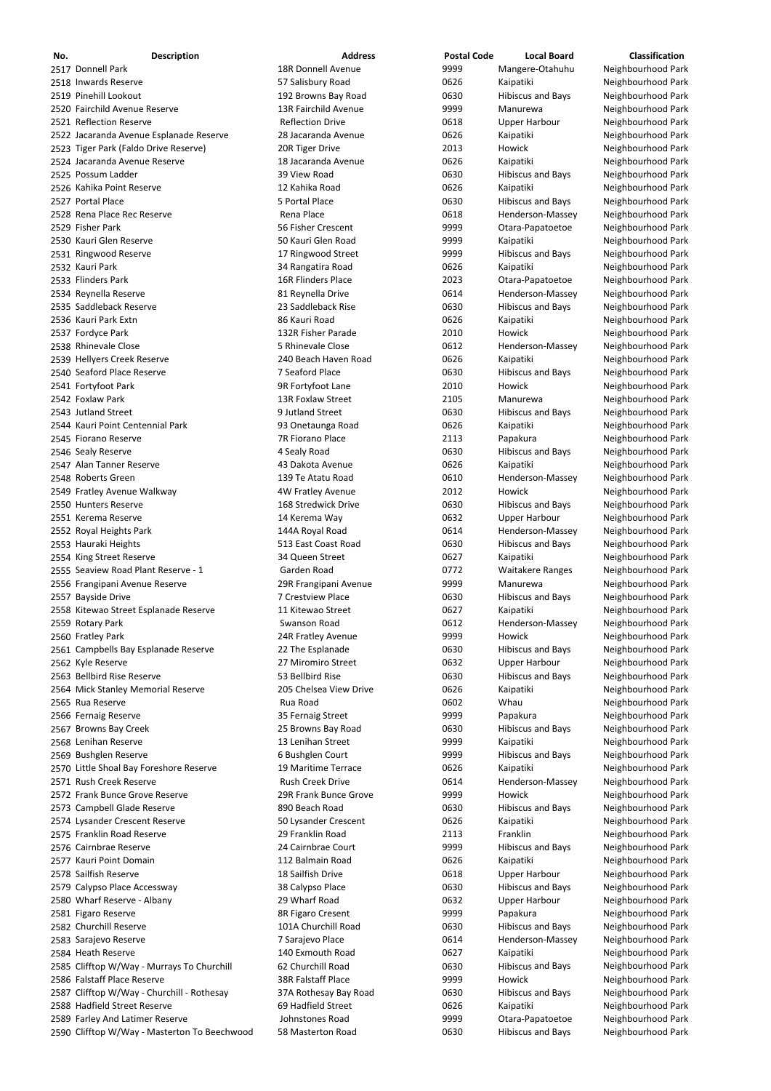| No. | <b>Description</b>                           | <b>Address</b>            | <b>Postal Code</b> | <b>Local Board</b>       | <b>Classification</b> |
|-----|----------------------------------------------|---------------------------|--------------------|--------------------------|-----------------------|
|     | 2517 Donnell Park                            | <b>18R Donnell Avenue</b> | 9999               | Mangere-Otahuhu          | Neighbourhood Park    |
|     | 2518 Inwards Reserve                         | 57 Salisbury Road         | 0626               | Kaipatiki                | Neighbourhood Park    |
|     | 2519 Pinehill Lookout                        | 192 Browns Bay Road       | 0630               | <b>Hibiscus and Bays</b> | Neighbourhood Park    |
|     | 2520 Fairchild Avenue Reserve                | 13R Fairchild Avenue      | 9999               | Manurewa                 | Neighbourhood Park    |
|     | 2521 Reflection Reserve                      | <b>Reflection Drive</b>   | 0618               | <b>Upper Harbour</b>     | Neighbourhood Park    |
|     | 2522 Jacaranda Avenue Esplanade Reserve      | 28 Jacaranda Avenue       | 0626               | Kaipatiki                | Neighbourhood Park    |
|     | 2523 Tiger Park (Faldo Drive Reserve)        | 20R Tiger Drive           | 2013               | Howick                   | Neighbourhood Park    |
|     | 2524 Jacaranda Avenue Reserve                | 18 Jacaranda Avenue       | 0626               | Kaipatiki                | Neighbourhood Park    |
|     | 2525 Possum Ladder                           | 39 View Road              | 0630               | <b>Hibiscus and Bays</b> | Neighbourhood Park    |
|     | 2526 Kahika Point Reserve                    | 12 Kahika Road            | 0626               | Kaipatiki                | Neighbourhood Park    |
|     | 2527 Portal Place                            | 5 Portal Place            | 0630               | <b>Hibiscus and Bays</b> | Neighbourhood Park    |
|     | 2528 Rena Place Rec Reserve                  | Rena Place                | 0618               | Henderson-Massey         | Neighbourhood Park    |
|     | 2529 Fisher Park                             | 56 Fisher Crescent        | 9999               | Otara-Papatoetoe         | Neighbourhood Park    |
|     | 2530 Kauri Glen Reserve                      | 50 Kauri Glen Road        | 9999               | Kaipatiki                | Neighbourhood Park    |
|     | 2531 Ringwood Reserve                        | 17 Ringwood Street        | 9999               | <b>Hibiscus and Bays</b> | Neighbourhood Park    |
|     | 2532 Kauri Park                              | 34 Rangatira Road         | 0626               | Kaipatiki                | Neighbourhood Park    |
|     | 2533 Flinders Park                           | 16R Flinders Place        | 2023               | Otara-Papatoetoe         | Neighbourhood Park    |
|     | 2534 Reynella Reserve                        | 81 Reynella Drive         | 0614               | Henderson-Massey         | Neighbourhood Park    |
|     | 2535 Saddleback Reserve                      | 23 Saddleback Rise        | 0630               | <b>Hibiscus and Bays</b> | Neighbourhood Park    |
|     | 2536 Kauri Park Extn                         | 86 Kauri Road             | 0626               | Kaipatiki                | Neighbourhood Park    |
|     | 2537 Fordyce Park                            | 132R Fisher Parade        | 2010               | Howick                   | Neighbourhood Park    |
|     | 2538 Rhinevale Close                         | 5 Rhinevale Close         | 0612               | Henderson-Massey         | Neighbourhood Park    |
|     | 2539 Hellyers Creek Reserve                  | 240 Beach Haven Road      | 0626               | Kaipatiki                | Neighbourhood Park    |
|     | 2540 Seaford Place Reserve                   | 7 Seaford Place           | 0630               | <b>Hibiscus and Bays</b> | Neighbourhood Park    |
|     | 2541 Fortyfoot Park                          | 9R Fortyfoot Lane         | 2010               | Howick                   | Neighbourhood Park    |
|     | 2542 Foxlaw Park                             | 13R Foxlaw Street         | 2105               | Manurewa                 | Neighbourhood Park    |
|     | 2543 Jutland Street                          | 9 Jutland Street          | 0630               | Hibiscus and Bays        | Neighbourhood Park    |
|     | 2544 Kauri Point Centennial Park             | 93 Onetaunga Road         | 0626               | Kaipatiki                | Neighbourhood Park    |
|     | 2545 Fiorano Reserve                         | 7R Fiorano Place          | 2113               | Papakura                 | Neighbourhood Park    |
|     | 2546 Sealy Reserve                           | 4 Sealy Road              | 0630               | <b>Hibiscus and Bays</b> | Neighbourhood Park    |
|     | 2547 Alan Tanner Reserve                     | 43 Dakota Avenue          | 0626               | Kaipatiki                | Neighbourhood Park    |
|     | 2548 Roberts Green                           | 139 Te Atatu Road         | 0610               | Henderson-Massey         | Neighbourhood Park    |
|     | 2549 Fratley Avenue Walkway                  | 4W Fratley Avenue         | 2012               | Howick                   | Neighbourhood Park    |
|     | 2550 Hunters Reserve                         | 168 Stredwick Drive       | 0630               | <b>Hibiscus and Bays</b> | Neighbourhood Park    |
|     | 2551 Kerema Reserve                          | 14 Kerema Way             | 0632               | <b>Upper Harbour</b>     | Neighbourhood Park    |
|     | 2552 Royal Heights Park                      | 144A Royal Road           | 0614               | Henderson-Massey         | Neighbourhood Park    |
|     | 2553 Hauraki Heights                         | 513 East Coast Road       | 0630               | <b>Hibiscus and Bays</b> | Neighbourhood Park    |
|     | 2554 King Street Reserve                     | 34 Queen Street           | 0627               | Kaipatiki                | Neighbourhood Park    |
|     | 2555 Seaview Road Plant Reserve - 1          | Garden Road               | 0772               | <b>Waitakere Ranges</b>  | Neighbourhood Park    |
|     | 2556 Frangipani Avenue Reserve               | 29R Frangipani Avenue     | 9999               | Manurewa                 | Neighbourhood Park    |
|     | 2557 Bayside Drive                           | 7 Crestview Place         | 0630               | <b>Hibiscus and Bays</b> | Neighbourhood Park    |
|     | 2558 Kitewao Street Esplanade Reserve        | 11 Kitewao Street         | 0627               | Kaipatiki                | Neighbourhood Park    |
|     | 2559 Rotary Park                             | Swanson Road              | 0612               | Henderson-Massey         | Neighbourhood Park    |
|     | 2560 Fratley Park                            | 24R Fratley Avenue        | 9999               | Howick                   | Neighbourhood Park    |
|     | 2561 Campbells Bay Esplanade Reserve         | 22 The Esplanade          | 0630               | Hibiscus and Bays        | Neighbourhood Park    |
|     | 2562 Kyle Reserve                            | 27 Miromiro Street        | 0632               | <b>Upper Harbour</b>     | Neighbourhood Park    |
|     | 2563 Bellbird Rise Reserve                   | 53 Bellbird Rise          | 0630               | <b>Hibiscus and Bays</b> | Neighbourhood Park    |
|     | 2564 Mick Stanley Memorial Reserve           | 205 Chelsea View Drive    | 0626               | Kaipatiki                | Neighbourhood Park    |
|     | 2565 Rua Reserve                             | Rua Road                  | 0602               | Whau                     | Neighbourhood Park    |
|     | 2566 Fernaig Reserve                         | 35 Fernaig Street         | 9999               | Papakura                 | Neighbourhood Park    |
|     | 2567 Browns Bay Creek                        | 25 Browns Bay Road        | 0630               | <b>Hibiscus and Bays</b> | Neighbourhood Park    |
|     | 2568 Lenihan Reserve                         | 13 Lenihan Street         | 9999               | Kaipatiki                | Neighbourhood Park    |
|     | 2569 Bushglen Reserve                        | 6 Bushglen Court          | 9999               | <b>Hibiscus and Bays</b> | Neighbourhood Park    |
|     | 2570 Little Shoal Bay Foreshore Reserve      | 19 Maritime Terrace       | 0626               | Kaipatiki                | Neighbourhood Park    |
|     | 2571 Rush Creek Reserve                      | <b>Rush Creek Drive</b>   | 0614               | Henderson-Massey         | Neighbourhood Park    |
|     | 2572 Frank Bunce Grove Reserve               | 29R Frank Bunce Grove     | 9999               | Howick                   | Neighbourhood Park    |
|     | 2573 Campbell Glade Reserve                  | 890 Beach Road            | 0630               | <b>Hibiscus and Bays</b> | Neighbourhood Park    |
|     | 2574 Lysander Crescent Reserve               | 50 Lysander Crescent      | 0626               | Kaipatiki                | Neighbourhood Park    |
|     | 2575 Franklin Road Reserve                   | 29 Franklin Road          | 2113               | Franklin                 | Neighbourhood Park    |
|     | 2576 Cairnbrae Reserve                       | 24 Cairnbrae Court        | 9999               | Hibiscus and Bays        | Neighbourhood Park    |
|     | 2577 Kauri Point Domain                      | 112 Balmain Road          | 0626               | Kaipatiki                | Neighbourhood Park    |
|     | 2578 Sailfish Reserve                        | 18 Sailfish Drive         | 0618               | <b>Upper Harbour</b>     | Neighbourhood Park    |
|     | 2579 Calypso Place Accessway                 | 38 Calypso Place          | 0630               | <b>Hibiscus and Bays</b> | Neighbourhood Park    |
|     | 2580 Wharf Reserve - Albany                  | 29 Wharf Road             | 0632               | <b>Upper Harbour</b>     | Neighbourhood Park    |
|     | 2581 Figaro Reserve                          | 8R Figaro Cresent         | 9999               | Papakura                 | Neighbourhood Park    |
|     | 2582 Churchill Reserve                       | 101A Churchill Road       | 0630               | <b>Hibiscus and Bays</b> | Neighbourhood Park    |
|     | 2583 Sarajevo Reserve                        | 7 Sarajevo Place          | 0614               | Henderson-Massey         | Neighbourhood Park    |
|     | 2584 Heath Reserve                           | 140 Exmouth Road          | 0627               | Kaipatiki                | Neighbourhood Park    |
|     | 2585 Clifftop W/Way - Murrays To Churchill   | 62 Churchill Road         | 0630               | <b>Hibiscus and Bays</b> | Neighbourhood Park    |
|     | 2586 Falstaff Place Reserve                  | 38R Falstaff Place        | 9999               | <b>Howick</b>            | Neighbourhood Park    |
|     | 2587 Clifftop W/Way - Churchill - Rothesay   | 37A Rothesay Bay Road     | 0630               | <b>Hibiscus and Bays</b> | Neighbourhood Park    |
|     | 2588 Hadfield Street Reserve                 | 69 Hadfield Street        | 0626               | Kaipatiki                | Neighbourhood Park    |
|     | 2589 Farley And Latimer Reserve              | Johnstones Road           | 9999               | Otara-Papatoetoe         | Neighbourhood Park    |
|     | 2590 Clifftop W/Way - Masterton To Beechwood | 58 Masterton Road         | 0630               | <b>Hibiscus and Bays</b> | Neighbourhood Park    |
|     |                                              |                           |                    |                          |                       |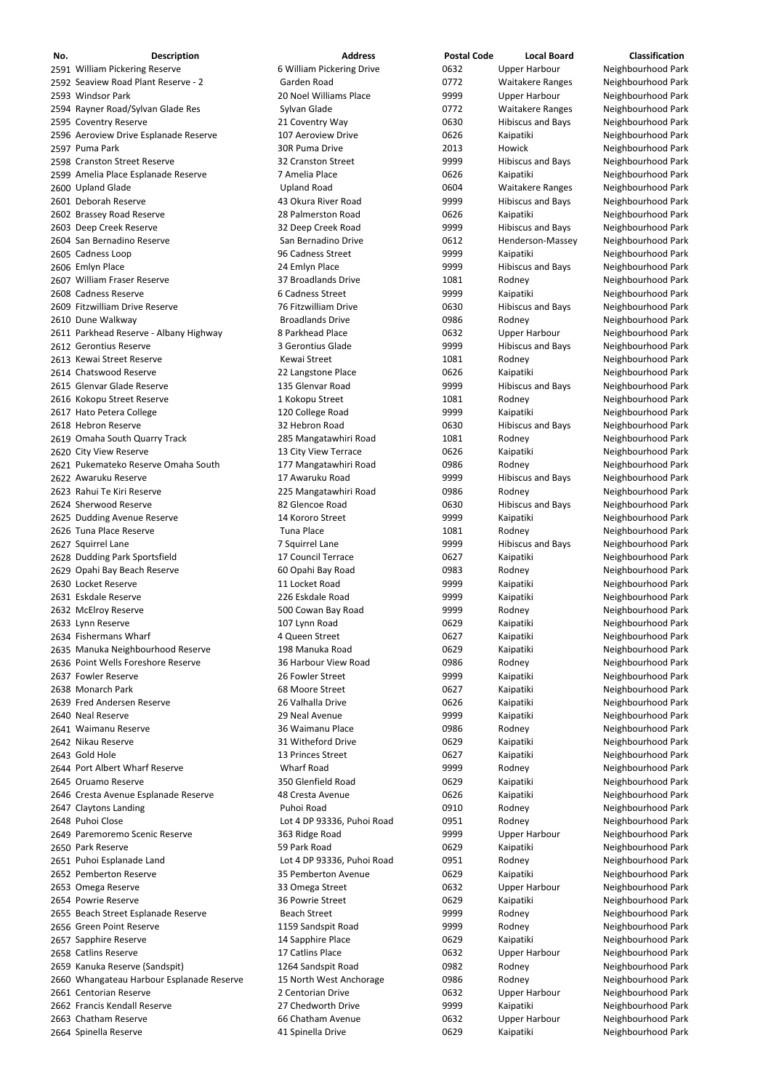| No. | <b>Description</b>                        | <b>Address</b>             | <b>Postal Code</b> | <b>Local Board</b>       | <b>Classification</b> |
|-----|-------------------------------------------|----------------------------|--------------------|--------------------------|-----------------------|
|     | 2591 William Pickering Reserve            | 6 William Pickering Drive  | 0632               | <b>Upper Harbour</b>     | Neighbourhood Park    |
|     | 2592 Seaview Road Plant Reserve - 2       | Garden Road                | 0772               | <b>Waitakere Ranges</b>  | Neighbourhood Park    |
|     | 2593 Windsor Park                         | 20 Noel Williams Place     | 9999               | <b>Upper Harbour</b>     | Neighbourhood Park    |
|     | 2594 Rayner Road/Sylvan Glade Res         | Sylvan Glade               | 0772               | <b>Waitakere Ranges</b>  | Neighbourhood Park    |
|     | 2595 Coventry Reserve                     | 21 Coventry Way            | 0630               | <b>Hibiscus and Bays</b> | Neighbourhood Park    |
|     | 2596 Aeroview Drive Esplanade Reserve     | 107 Aeroview Drive         | 0626               | Kaipatiki                | Neighbourhood Park    |
|     | 2597 Puma Park                            | 30R Puma Drive             | 2013               | <b>Howick</b>            | Neighbourhood Park    |
|     | 2598 Cranston Street Reserve              | 32 Cranston Street         | 9999               | <b>Hibiscus and Bays</b> | Neighbourhood Park    |
|     |                                           |                            |                    |                          |                       |
|     | 2599 Amelia Place Esplanade Reserve       | 7 Amelia Place             | 0626               | Kaipatiki                | Neighbourhood Park    |
|     | 2600 Upland Glade                         | <b>Upland Road</b>         | 0604               | <b>Waitakere Ranges</b>  | Neighbourhood Park    |
|     | 2601 Deborah Reserve                      | 43 Okura River Road        | 9999               | <b>Hibiscus and Bays</b> | Neighbourhood Park    |
|     | 2602 Brassey Road Reserve                 | 28 Palmerston Road         | 0626               | Kaipatiki                | Neighbourhood Park    |
|     | 2603 Deep Creek Reserve                   | 32 Deep Creek Road         | 9999               | <b>Hibiscus and Bays</b> | Neighbourhood Park    |
|     | 2604 San Bernadino Reserve                | San Bernadino Drive        | 0612               | Henderson-Massey         | Neighbourhood Park    |
|     | 2605 Cadness Loop                         | 96 Cadness Street          | 9999               | Kaipatiki                | Neighbourhood Park    |
|     | 2606 Emlyn Place                          | 24 Emlyn Place             | 9999               | <b>Hibiscus and Bays</b> | Neighbourhood Park    |
|     | 2607 William Fraser Reserve               | 37 Broadlands Drive        | 1081               | Rodney                   | Neighbourhood Park    |
|     | 2608 Cadness Reserve                      | 6 Cadness Street           | 9999               | Kaipatiki                | Neighbourhood Park    |
|     | 2609 Fitzwilliam Drive Reserve            | 76 Fitzwilliam Drive       | 0630               | <b>Hibiscus and Bays</b> | Neighbourhood Park    |
|     | 2610 Dune Walkway                         | <b>Broadlands Drive</b>    | 0986               | Rodney                   | Neighbourhood Park    |
|     | 2611 Parkhead Reserve - Albany Highway    | 8 Parkhead Place           | 0632               | <b>Upper Harbour</b>     | Neighbourhood Park    |
|     |                                           |                            |                    |                          |                       |
|     | 2612 Gerontius Reserve                    | 3 Gerontius Glade          | 9999               | <b>Hibiscus and Bays</b> | Neighbourhood Park    |
|     | 2613 Kewai Street Reserve                 | Kewai Street               | 1081               | Rodney                   | Neighbourhood Park    |
|     | 2614 Chatswood Reserve                    | 22 Langstone Place         | 0626               | Kaipatiki                | Neighbourhood Park    |
|     | 2615 Glenvar Glade Reserve                | 135 Glenvar Road           | 9999               | <b>Hibiscus and Bays</b> | Neighbourhood Park    |
|     | 2616 Kokopu Street Reserve                | 1 Kokopu Street            | 1081               | Rodney                   | Neighbourhood Park    |
|     | 2617 Hato Petera College                  | 120 College Road           | 9999               | Kaipatiki                | Neighbourhood Park    |
|     | 2618 Hebron Reserve                       | 32 Hebron Road             | 0630               | <b>Hibiscus and Bays</b> | Neighbourhood Park    |
|     | 2619 Omaha South Quarry Track             | 285 Mangatawhiri Road      | 1081               | Rodney                   | Neighbourhood Park    |
|     | 2620 City View Reserve                    | 13 City View Terrace       | 0626               | Kaipatiki                | Neighbourhood Park    |
|     | 2621 Pukemateko Reserve Omaha South       | 177 Mangatawhiri Road      | 0986               | Rodney                   | Neighbourhood Park    |
|     |                                           |                            |                    |                          |                       |
|     | 2622 Awaruku Reserve                      | 17 Awaruku Road            | 9999               | <b>Hibiscus and Bays</b> | Neighbourhood Park    |
|     | 2623 Rahui Te Kiri Reserve                | 225 Mangatawhiri Road      | 0986               | Rodney                   | Neighbourhood Park    |
|     | 2624 Sherwood Reserve                     | 82 Glencoe Road            | 0630               | <b>Hibiscus and Bays</b> | Neighbourhood Park    |
|     | 2625 Dudding Avenue Reserve               | 14 Kororo Street           | 9999               | Kaipatiki                | Neighbourhood Park    |
|     | 2626 Tuna Place Reserve                   | <b>Tuna Place</b>          | 1081               | Rodney                   | Neighbourhood Park    |
|     | 2627 Squirrel Lane                        | 7 Squirrel Lane            | 9999               | <b>Hibiscus and Bays</b> | Neighbourhood Park    |
|     | 2628 Dudding Park Sportsfield             | 17 Council Terrace         | 0627               | Kaipatiki                | Neighbourhood Park    |
|     | 2629 Opahi Bay Beach Reserve              | 60 Opahi Bay Road          | 0983               | Rodney                   | Neighbourhood Park    |
|     | 2630 Locket Reserve                       | 11 Locket Road             | 9999               | Kaipatiki                | Neighbourhood Park    |
|     | 2631 Eskdale Reserve                      | 226 Eskdale Road           | 9999               | Kaipatiki                | Neighbourhood Park    |
|     | 2632 McElroy Reserve                      | 500 Cowan Bay Road         | 9999               | Rodney                   | Neighbourhood Park    |
|     | 2633 Lynn Reserve                         | 107 Lynn Road              | 0629               | Kaipatiki                | Neighbourhood Park    |
|     | 2634 Fishermans Wharf                     | 4 Queen Street             | 0627               | Kaipatiki                | Neighbourhood Park    |
|     |                                           |                            |                    |                          |                       |
|     | 2635 Manuka Neighbourhood Reserve         | 198 Manuka Road            | 0629               | Kaipatiki                | Neighbourhood Park    |
|     | 2636 Point Wells Foreshore Reserve        | 36 Harbour View Road       | 0986               | Rodney                   | Neighbourhood Park    |
|     | 2637 Fowler Reserve                       | 26 Fowler Street           | 9999               | Kaipatiki                | Neighbourhood Park    |
|     | 2638 Monarch Park                         | 68 Moore Street            | 0627               | Kaipatiki                | Neighbourhood Park    |
|     | 2639 Fred Andersen Reserve                | 26 Valhalla Drive          | 0626               | Kaipatiki                | Neighbourhood Park    |
|     | 2640 Neal Reserve                         | 29 Neal Avenue             | 9999               | Kaipatiki                | Neighbourhood Park    |
|     | 2641 Waimanu Reserve                      | 36 Waimanu Place           | 0986               | Rodney                   | Neighbourhood Park    |
|     | 2642 Nikau Reserve                        | 31 Witheford Drive         | 0629               | Kaipatiki                | Neighbourhood Park    |
|     | 2643 Gold Hole                            | 13 Princes Street          | 0627               | Kaipatiki                | Neighbourhood Park    |
|     | 2644 Port Albert Wharf Reserve            | <b>Wharf Road</b>          | 9999               | Rodney                   | Neighbourhood Park    |
|     | 2645 Oruamo Reserve                       | 350 Glenfield Road         | 0629               | Kaipatiki                | Neighbourhood Park    |
|     | 2646 Cresta Avenue Esplanade Reserve      | 48 Cresta Avenue           | 0626               | Kaipatiki                | Neighbourhood Park    |
|     |                                           |                            |                    |                          |                       |
|     | 2647 Claytons Landing                     | Puhoi Road                 | 0910               | Rodney                   | Neighbourhood Park    |
|     | 2648 Puhoi Close                          | Lot 4 DP 93336, Puhoi Road | 0951               | Rodney                   | Neighbourhood Park    |
|     | 2649 Paremoremo Scenic Reserve            | 363 Ridge Road             | 9999               | <b>Upper Harbour</b>     | Neighbourhood Park    |
|     | 2650 Park Reserve                         | 59 Park Road               | 0629               | Kaipatiki                | Neighbourhood Park    |
|     | 2651 Puhoi Esplanade Land                 | Lot 4 DP 93336, Puhoi Road | 0951               | Rodney                   | Neighbourhood Park    |
|     | 2652 Pemberton Reserve                    | 35 Pemberton Avenue        | 0629               | Kaipatiki                | Neighbourhood Park    |
|     | 2653 Omega Reserve                        | 33 Omega Street            | 0632               | <b>Upper Harbour</b>     | Neighbourhood Park    |
|     | 2654 Powrie Reserve                       | 36 Powrie Street           | 0629               | Kaipatiki                | Neighbourhood Park    |
|     | 2655 Beach Street Esplanade Reserve       | <b>Beach Street</b>        | 9999               | Rodney                   | Neighbourhood Park    |
|     | 2656 Green Point Reserve                  | 1159 Sandspit Road         | 9999               | Rodney                   | Neighbourhood Park    |
|     | 2657 Sapphire Reserve                     | 14 Sapphire Place          | 0629               | Kaipatiki                | Neighbourhood Park    |
|     | 2658 Catlins Reserve                      | 17 Catlins Place           | 0632               |                          | Neighbourhood Park    |
|     |                                           |                            |                    | <b>Upper Harbour</b>     |                       |
|     | 2659 Kanuka Reserve (Sandspit)            | 1264 Sandspit Road         | 0982               | Rodney                   | Neighbourhood Park    |
|     | 2660 Whangateau Harbour Esplanade Reserve | 15 North West Anchorage    | 0986               | Rodney                   | Neighbourhood Park    |
|     | 2661 Centorian Reserve                    | 2 Centorian Drive          | 0632               | <b>Upper Harbour</b>     | Neighbourhood Park    |
|     | 2662 Francis Kendall Reserve              | 27 Chedworth Drive         | 9999               | Kaipatiki                | Neighbourhood Park    |
|     | 2663 Chatham Reserve                      | 66 Chatham Avenue          | 0632               | <b>Upper Harbour</b>     | Neighbourhood Park    |
|     | 2664 Spinella Reserve                     | 41 Spinella Drive          | 0629               | Kaipatiki                | Neighbourhood Park    |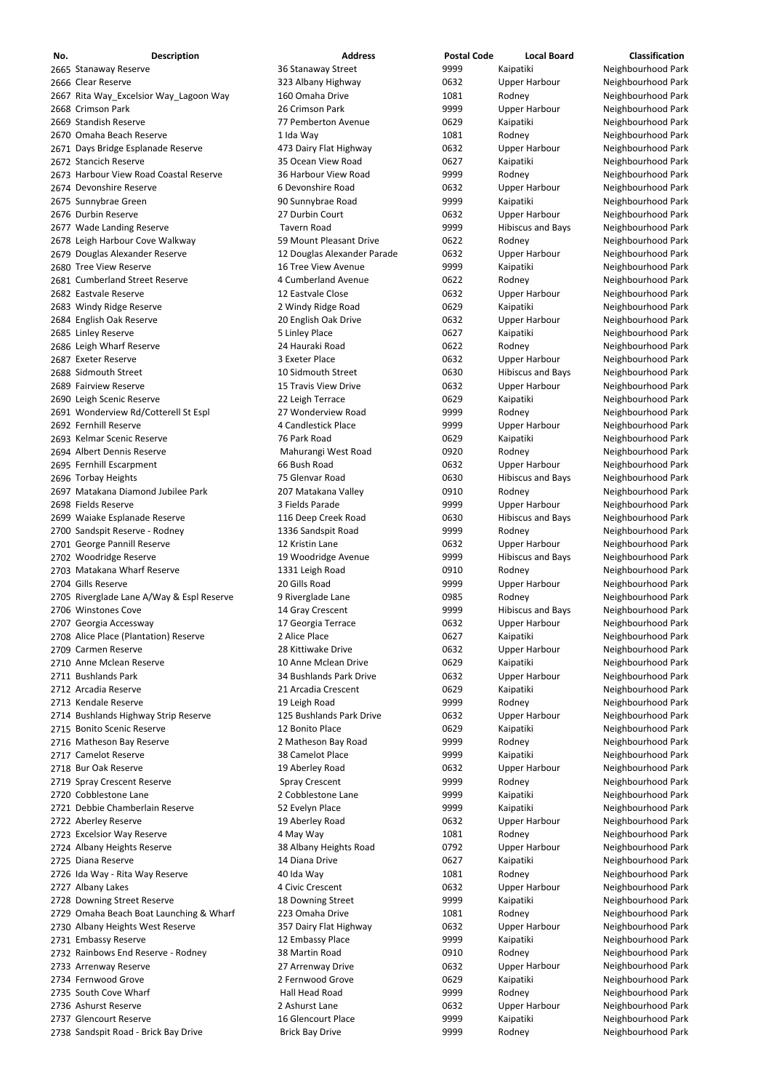| No. | <b>Description</b>                        | <b>Address</b>              | <b>Postal Code</b> | <b>Local Board</b>       | Classification     |
|-----|-------------------------------------------|-----------------------------|--------------------|--------------------------|--------------------|
|     | 2665 Stanaway Reserve                     | 36 Stanaway Street          | 9999               | Kaipatiki                | Neighbourhood Park |
|     | 2666 Clear Reserve                        | 323 Albany Highway          | 0632               | <b>Upper Harbour</b>     | Neighbourhood Park |
|     | 2667 Rita Way_Excelsior Way_Lagoon Way    | 160 Omaha Drive             | 1081               | Rodney                   | Neighbourhood Park |
|     | 2668 Crimson Park                         | 26 Crimson Park             | 9999               | <b>Upper Harbour</b>     | Neighbourhood Park |
|     | 2669 Standish Reserve                     | 77 Pemberton Avenue         | 0629               | Kaipatiki                | Neighbourhood Park |
|     | 2670 Omaha Beach Reserve                  | 1 Ida Way                   | 1081               | Rodney                   | Neighbourhood Park |
|     | 2671 Days Bridge Esplanade Reserve        | 473 Dairy Flat Highway      | 0632               | <b>Upper Harbour</b>     | Neighbourhood Park |
|     | 2672 Stancich Reserve                     | 35 Ocean View Road          | 0627               | Kaipatiki                | Neighbourhood Park |
|     | 2673 Harbour View Road Coastal Reserve    | 36 Harbour View Road        | 9999               | Rodney                   | Neighbourhood Park |
|     | 2674 Devonshire Reserve                   | 6 Devonshire Road           | 0632               | <b>Upper Harbour</b>     | Neighbourhood Park |
|     | 2675 Sunnybrae Green                      | 90 Sunnybrae Road           | 9999               | Kaipatiki                | Neighbourhood Park |
|     | 2676 Durbin Reserve                       | 27 Durbin Court             | 0632               | <b>Upper Harbour</b>     | Neighbourhood Park |
|     | 2677 Wade Landing Reserve                 | <b>Tavern Road</b>          | 9999               | <b>Hibiscus and Bays</b> | Neighbourhood Park |
|     | 2678 Leigh Harbour Cove Walkway           | 59 Mount Pleasant Drive     | 0622               | Rodney                   | Neighbourhood Park |
|     | 2679 Douglas Alexander Reserve            | 12 Douglas Alexander Parade | 0632               | <b>Upper Harbour</b>     | Neighbourhood Park |
|     | 2680 Tree View Reserve                    | 16 Tree View Avenue         | 9999               | Kaipatiki                | Neighbourhood Park |
|     | 2681 Cumberland Street Reserve            | 4 Cumberland Avenue         | 0622               | Rodney                   | Neighbourhood Park |
|     | 2682 Eastvale Reserve                     | 12 Eastvale Close           | 0632               | <b>Upper Harbour</b>     | Neighbourhood Park |
|     | 2683 Windy Ridge Reserve                  | 2 Windy Ridge Road          | 0629               | Kaipatiki                | Neighbourhood Park |
|     | 2684 English Oak Reserve                  | 20 English Oak Drive        | 0632               | <b>Upper Harbour</b>     | Neighbourhood Park |
|     | 2685 Linley Reserve                       | 5 Linley Place              | 0627               | Kaipatiki                | Neighbourhood Park |
|     | 2686 Leigh Wharf Reserve                  | 24 Hauraki Road             | 0622               | Rodney                   | Neighbourhood Park |
|     | 2687 Exeter Reserve                       | 3 Exeter Place              | 0632               | <b>Upper Harbour</b>     | Neighbourhood Park |
|     | 2688 Sidmouth Street                      | 10 Sidmouth Street          | 0630               | <b>Hibiscus and Bays</b> | Neighbourhood Park |
|     | 2689 Fairview Reserve                     | 15 Travis View Drive        | 0632               | <b>Upper Harbour</b>     | Neighbourhood Park |
|     | 2690 Leigh Scenic Reserve                 | 22 Leigh Terrace            | 0629               | Kaipatiki                | Neighbourhood Park |
|     | 2691 Wonderview Rd/Cotterell St Espl      | 27 Wonderview Road          | 9999               | Rodney                   | Neighbourhood Park |
|     | 2692 Fernhill Reserve                     | 4 Candlestick Place         | 9999               | <b>Upper Harbour</b>     | Neighbourhood Park |
|     | 2693 Kelmar Scenic Reserve                | 76 Park Road                | 0629               | Kaipatiki                | Neighbourhood Park |
|     | 2694 Albert Dennis Reserve                | Mahurangi West Road         | 0920               | Rodney                   | Neighbourhood Park |
|     | 2695 Fernhill Escarpment                  | 66 Bush Road                | 0632               | Upper Harbour            | Neighbourhood Park |
|     | 2696 Torbay Heights                       | 75 Glenvar Road             | 0630               | <b>Hibiscus and Bays</b> | Neighbourhood Park |
|     | 2697 Matakana Diamond Jubilee Park        | 207 Matakana Valley         | 0910               | Rodney                   | Neighbourhood Park |
|     | 2698 Fields Reserve                       | 3 Fields Parade             | 9999               | <b>Upper Harbour</b>     | Neighbourhood Park |
|     | 2699 Waiake Esplanade Reserve             | 116 Deep Creek Road         | 0630               | <b>Hibiscus and Bays</b> | Neighbourhood Park |
|     | 2700 Sandspit Reserve - Rodney            | 1336 Sandspit Road          | 9999               | Rodney                   | Neighbourhood Park |
|     | 2701 George Pannill Reserve               | 12 Kristin Lane             | 0632               | <b>Upper Harbour</b>     | Neighbourhood Park |
|     | 2702 Woodridge Reserve                    | 19 Woodridge Avenue         | 9999               | <b>Hibiscus and Bays</b> | Neighbourhood Park |
|     | 2703 Matakana Wharf Reserve               | 1331 Leigh Road             | 0910               | Rodney                   | Neighbourhood Park |
|     | 2704 Gills Reserve                        | 20 Gills Road               | 9999               | Upper Harbour            | Neighbourhood Park |
|     | 2705 Riverglade Lane A/Way & Espl Reserve | 9 Riverglade Lane           | 0985               | Rodney                   | Neighbourhood Park |
|     | 2706 Winstones Cove                       | 14 Gray Crescent            | 9999               | <b>Hibiscus and Bays</b> | Neighbourhood Park |
|     | 2707 Georgia Accessway                    | 17 Georgia Terrace          | 0632               | <b>Upper Harbour</b>     | Neighbourhood Park |
|     | 2708 Alice Place (Plantation) Reserve     | 2 Alice Place               | 0627               | Kaipatiki                | Neighbourhood Park |
|     | 2709 Carmen Reserve                       | 28 Kittiwake Drive          | 0632               | Upper Harbour            | Neighbourhood Park |
|     | 2710 Anne Mclean Reserve                  | 10 Anne Mclean Drive        | 0629               | Kaipatiki                | Neighbourhood Park |
|     | 2711 Bushlands Park                       | 34 Bushlands Park Drive     | 0632               | <b>Upper Harbour</b>     | Neighbourhood Park |
|     | 2712 Arcadia Reserve                      | 21 Arcadia Crescent         | 0629               | Kaipatiki                | Neighbourhood Park |
|     | 2713 Kendale Reserve                      | 19 Leigh Road               | 9999               | Rodney                   | Neighbourhood Park |
|     | 2714 Bushlands Highway Strip Reserve      | 125 Bushlands Park Drive    | 0632               | Upper Harbour            | Neighbourhood Park |
|     | 2715 Bonito Scenic Reserve                | 12 Bonito Place             | 0629               | Kaipatiki                | Neighbourhood Park |
|     | 2716 Matheson Bay Reserve                 | 2 Matheson Bay Road         | 9999               | Rodney                   | Neighbourhood Park |
|     | 2717 Camelot Reserve                      | 38 Camelot Place            | 9999               | Kaipatiki                | Neighbourhood Park |
|     | 2718 Bur Oak Reserve                      | 19 Aberley Road             | 0632               | <b>Upper Harbour</b>     | Neighbourhood Park |
|     | 2719 Spray Crescent Reserve               | <b>Spray Crescent</b>       | 9999               | Rodney                   | Neighbourhood Park |
|     | 2720 Cobblestone Lane                     | 2 Cobblestone Lane          | 9999               | Kaipatiki                | Neighbourhood Park |
|     | 2721 Debbie Chamberlain Reserve           | 52 Evelyn Place             | 9999               | Kaipatiki                | Neighbourhood Park |

 Aberley Reserve 19 Aberley Road 0632 Upper Harbour Neighbourhood Park 2723 Excelsior Way Reserve **1988 Contract Additional Additional May Way** 1081 Allow Rodney Reighbourhood Park 2724 Albany Heights Reserve **1988 Computer Seau and Seau Albany Heights Road** 19792 Upper Harbour Neighbourhood Park 2725 Diana Reserve **14 Diana Drive** 14 Diana Drive 15 0627 Kaipatiki Neighbourhood Park 2726 Ida Way - Rita Way Reserve **10 Access 1081** Access 1081 Access 1081 Access 1081 Access Neighbourhood Park 2727 Albany Lakes **2008** 2727 Albany Lakes **1988** 2727 Albany Lakes **1988** 2727 Albany Lakes 2727 Albany Lakes 2728 Downing Street Reserve **18 Downing Street** 9999 Kaipatiki Neighbourhood Park 2729 Omaha Beach Boat Launching & Wharf 223 Omaha Drive 1081 Rodney Rodney Neighbourhood Park 2730 Albany Heights West Reserve **357 Dairy Flat Highway** 0632 Upper Harbour Neighbourhood Park 2731 Embassy Reserve **12 Embassy Place 12 Embassy Place** 9999 Kaipatiki Neighbourhood Park 2732 Rainbows End Reserve - Rodney 1988 Martin Road 19910 Rodney Rodney Neighbourhood Park 2733 Arrenway Reserve **27 Arrenway Drive** 27 Arrenway Drive **1988** Upper Harbour Neighbourhood Park 2734 Fernwood Grove **2 Fernwood Grove** 2 Fernwood Grove 20629 Kaipatiki Neighbourhood Park 2735 South Cove Wharf **National Accord Hall Head Road National Park** 9999 9999 Rodney Rodney Neighbourhood Park 2736 Ashurst Reserve **2** Ashurst Lane 2 Ashurst Lane 0632 Upper Harbour Neighbourhood Park 2737 Glencourt Reserve **16 Glencourt Place** 16 Glencourt Place 5 Active 9999 Kaipatiki Neighbourhood Park 2738 Sandspit Road - Brick Bay Drive **Brick Bay Drive Brick Bay Drive** 9999 Rodney Rodney Neighbourhood Park

| 1081 | Rodney    |
|------|-----------|
| 0792 | Upper Ha  |
| 0627 | Kaipatiki |
| 1081 | Rodney    |
| 0632 | Upper Ha  |
| 9999 | Kaipatiki |
| 1081 | Rodney    |
| 0632 | Upper Ha  |
| 9999 | Kaipatiki |
| 0910 | Rodney    |
| 0632 | Upper Ha  |
| 0629 | Kaipatiki |
| 9999 | Rodney    |
| 0632 | Upper Ha  |
| 9999 | Kaipatiki |
| 9999 | Rodney    |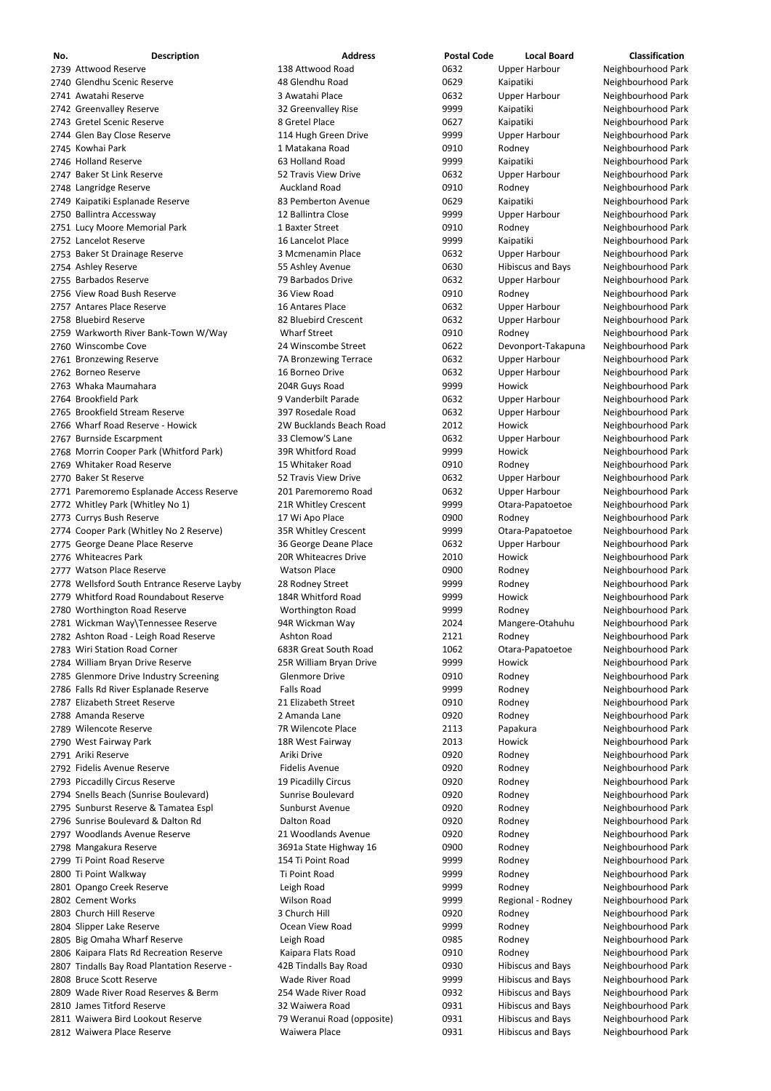| No. | <b>Description</b>                          | <b>Address</b>          | <b>Postal Code</b> | <b>Local Board</b>       | <b>Classification</b> |
|-----|---------------------------------------------|-------------------------|--------------------|--------------------------|-----------------------|
|     | 2739 Attwood Reserve                        | 138 Attwood Road        | 0632               | <b>Upper Harbour</b>     | Neighbourhood Park    |
|     | 2740 Glendhu Scenic Reserve                 | 48 Glendhu Road         | 0629               | Kaipatiki                | Neighbourhood Park    |
|     | 2741 Awatahi Reserve                        | 3 Awatahi Place         | 0632               | <b>Upper Harbour</b>     | Neighbourhood Park    |
|     | 2742 Greenvalley Reserve                    | 32 Greenvalley Rise     | 9999               | Kaipatiki                | Neighbourhood Park    |
|     | 2743 Gretel Scenic Reserve                  | 8 Gretel Place          | 0627               | Kaipatiki                | Neighbourhood Park    |
|     | 2744 Glen Bay Close Reserve                 | 114 Hugh Green Drive    | 9999               | <b>Upper Harbour</b>     | Neighbourhood Park    |
|     | 2745 Kowhai Park                            | 1 Matakana Road         | 0910               | Rodney                   | Neighbourhood Park    |
|     | 2746 Holland Reserve                        | 63 Holland Road         | 9999               | Kaipatiki                | Neighbourhood Park    |
|     | 2747 Baker St Link Reserve                  | 52 Travis View Drive    | 0632               | <b>Upper Harbour</b>     | Neighbourhood Park    |
|     | 2748 Langridge Reserve                      | <b>Auckland Road</b>    | 0910               | Rodney                   | Neighbourhood Park    |
|     | 2749 Kaipatiki Esplanade Reserve            | 83 Pemberton Avenue     | 0629               | Kaipatiki                | Neighbourhood Park    |
|     | 2750 Ballintra Accessway                    | 12 Ballintra Close      | 9999               | <b>Upper Harbour</b>     | Neighbourhood Park    |
|     | 2751 Lucy Moore Memorial Park               | 1 Baxter Street         | 0910               | Rodney                   | Neighbourhood Park    |
|     | 2752 Lancelot Reserve                       | 16 Lancelot Place       | 9999               | Kaipatiki                | Neighbourhood Park    |
|     | 2753 Baker St Drainage Reserve              | 3 Mcmenamin Place       | 0632               | <b>Upper Harbour</b>     | Neighbourhood Park    |
|     | 2754 Ashley Reserve                         | 55 Ashley Avenue        | 0630               | <b>Hibiscus and Bays</b> | Neighbourhood Park    |
|     | 2755 Barbados Reserve                       | 79 Barbados Drive       | 0632               | <b>Upper Harbour</b>     | Neighbourhood Park    |
|     | 2756 View Road Bush Reserve                 | 36 View Road            | 0910               | Rodney                   | Neighbourhood Park    |
|     | 2757 Antares Place Reserve                  | 16 Antares Place        | 0632               | <b>Upper Harbour</b>     | Neighbourhood Park    |
|     | 2758 Bluebird Reserve                       | 82 Bluebird Crescent    | 0632               | <b>Upper Harbour</b>     | Neighbourhood Park    |
|     | 2759 Warkworth River Bank-Town W/Way        | <b>Wharf Street</b>     | 0910               | Rodney                   | Neighbourhood Park    |
|     | 2760 Winscombe Cove                         | 24 Winscombe Street     | 0622               | Devonport-Takapuna       | Neighbourhood Park    |
|     | 2761 Bronzewing Reserve                     | 7A Bronzewing Terrace   | 0632               | <b>Upper Harbour</b>     | Neighbourhood Park    |
|     | 2762 Borneo Reserve                         | 16 Borneo Drive         | 0632               | <b>Upper Harbour</b>     | Neighbourhood Park    |
|     | 2763 Whaka Maumahara                        | 204R Guys Road          | 9999               | Howick                   | Neighbourhood Park    |
|     | 2764 Brookfield Park                        | 9 Vanderbilt Parade     | 0632               | <b>Upper Harbour</b>     | Neighbourhood Park    |
|     | 2765 Brookfield Stream Reserve              | 397 Rosedale Road       | 0632               | <b>Upper Harbour</b>     | Neighbourhood Park    |
|     | 2766 Wharf Road Reserve - Howick            | 2W Bucklands Beach Road | 2012               | Howick                   | Neighbourhood Park    |
|     | 2767 Burnside Escarpment                    | 33 Clemow'S Lane        | 0632               | <b>Upper Harbour</b>     | Neighbourhood Park    |
|     | 2768 Morrin Cooper Park (Whitford Park)     | 39R Whitford Road       | 9999               | Howick                   | Neighbourhood Park    |
|     | 2769 Whitaker Road Reserve                  | 15 Whitaker Road        | 0910               | Rodney                   | Neighbourhood Park    |
|     | 2770 Baker St Reserve                       | 52 Travis View Drive    | 0632               | Upper Harbour            | Neighbourhood Park    |
|     | 2771 Paremoremo Esplanade Access Reserve    | 201 Paremoremo Road     | 0632               | <b>Upper Harbour</b>     | Neighbourhood Park    |
|     | 2772 Whitley Park (Whitley No 1)            | 21R Whitley Crescent    | 9999               | Otara-Papatoetoe         | Neighbourhood Park    |
|     | 2773 Currys Bush Reserve                    | 17 Wi Apo Place         | 0900               | Rodney                   | Neighbourhood Park    |
|     | 2774 Cooper Park (Whitley No 2 Reserve)     | 35R Whitley Crescent    | 9999               | Otara-Papatoetoe         | Neighbourhood Park    |
|     | 2775 George Deane Place Reserve             | 36 George Deane Place   | 0632               | <b>Upper Harbour</b>     | Neighbourhood Park    |
|     | 2776 Whiteacres Park                        | 20R Whiteacres Drive    | 2010               | Howick                   | Neighbourhood Park    |
|     | 2777 Watson Place Reserve                   | <b>Watson Place</b>     | 0900               | Rodney                   | Neighbourhood Park    |
|     | 2778 Wellsford South Entrance Reserve Layby | 28 Rodney Street        | 9999               | Rodney                   | Neighbourhood Park    |
|     | 2779 Whitford Road Roundabout Reserve       | 184R Whitford Road      | 9999               | Howick                   | Neighbourhood Park    |
|     | 2780 Worthington Road Reserve               | Worthington Road        | 9999               | Rodney                   | Neighbourhood Park    |
|     | 2781 Wickman Way\Tennessee Reserve          | 94R Wickman Way         | 2024               | Mangere-Otahuhu          | Neighbourhood Park    |
|     | 2782 Ashton Road - Leigh Road Reserve       | Ashton Road             | 2121               | Rodney                   | Neighbourhood Park    |
|     | 2783 Wiri Station Road Corner               | 683R Great South Road   | 1062               | Otara-Papatoetoe         | Neighbourhood Park    |
|     | 2784 William Bryan Drive Reserve            | 25R William Bryan Drive | 9999               | Howick                   | Neighbourhood Park    |
|     | 2785 Glenmore Drive Industry Screening      | <b>Glenmore Drive</b>   | 0910               | Rodney                   | Neighbourhood Park    |
|     | 2786 Falls Rd River Esplanade Reserve       | <b>Falls Road</b>       | 9999               | Rodney                   | Neighbourhood Park    |
|     | 2787 Elizabeth Street Reserve               | 21 Elizabeth Street     | 0910               | Rodney                   | Neighbourhood Park    |
|     | 2788 Amanda Reserve                         | 2 Amanda Lane           | 0920               | Rodney                   | Neighbourhood Park    |
|     | 2789 Wilencote Reserve                      | 7R Wilencote Place      | 2113               | Papakura                 | Neighbourhood Park    |
|     | 2790 West Fairway Park                      | 18R West Fairway        | 2013               | Howick                   | Neighbourhood Park    |
|     | 2791 Ariki Reserve                          | Ariki Drive             | 0920               | Rodney                   | Neighbourhood Park    |
|     | 2792 Fidelis Avenue Reserve                 | <b>Fidelis Avenue</b>   | 0920               | Rodney                   | Neighbourhood Park    |
|     | 2793 Piccadilly Circus Reserve              | 19 Picadilly Circus     | 0920               | Rodney                   | Neighbourhood Park    |
|     | 2794 Snells Beach (Sunrise Boulevard)       | Sunrise Boulevard       | 0920               | Rodney                   | Neighbourhood Park    |
|     | 2795 Sunburst Reserve & Tamatea Espl        | Sunburst Avenue         | 0920               | Rodney                   | Neighbourhood Park    |

 Sunrise Boulevard & Dalton Rd Dalton Road 0920 Rodney Neighbourhood Park 2797 Woodlands Avenue Reserve **21 Woodlands Avenue 2797 Woodlands Avenue** 0920 Rodney Neighbourhood Park 2798 Mangakura Reserve **2798 Mangakura Reserve** 3691a State Highway 16 **19900** Rodney Rodney Neighbourhood Park 2799 Ti Point Road Reserve **154 Ti Point Road** 154 Ti Point Road 154 Ti Point Road 2799 Rodney Rodney Neighbourhood Park 2800 Ti Point Walkway **Ti Point Road** Ti Point Road 9999 Rodney Roman Neighbourhood Park 2801 Opango Creek Reserve **Exercise State Creek Reserve** Leigh Road Neighbourhood Park 2802 Cement Works **Mullet Accord Wilson Road** Milson Road Mullet Regional - Rodney Neighbourhood Park 2803 Church Hill Reserve **3 Church Hill 19920** Rodney Rodney Neighbourhood Park 2804 Slipper Lake Reserve **COLECT ACCES AND CONTACT CONTROL** POCEAN View Road COLECT 9999 Rodney Neighbourhood Park 2805 Big Omaha Wharf Reserve **Leigh Road** Communication COSS Rodney Neighbourhood Park 2806 Kaipara Flats Rd Recreation Reserve **Kaipara Flats Road** 0910 Rodney Rodney Neighbourhood Park 2807 Tindalls Bay Road Plantation Reserve - 42B Tindalls Bay Road 6930 Hibiscus and Bays Neighbourhood Park 2808 Bruce Scott Reserve **Music Community Constructs Constructs** Wade River Road and 9999 Hibiscus and Bays Neighbourhood Park Wade River Road Reserves & Berm 254 Wade River Road 0932 Hibiscus and Bays Neighbourhood Park 2810 James Titford Reserve **1988 12 Waiwera Road** 19931 19931 Hibiscus and Bays Neighbourhood Park 2811 Waiwera Bird Lookout Reserve **79 Weranui Road (opposite)** 0931 Hibiscus and Bays Neighbourhood Park 2812 Waiwera Place Reserve **Maiwera Place Waiwera Place Communist COSES 12 Hibiscus and Bays** Neighbourhood Park

| 920 | Rodney      |
|-----|-------------|
| 900 | Rodney      |
| 999 | Rodney      |
| 999 | Rodney      |
| 999 | Rodney      |
| 999 | Regional -  |
| 920 | Rodney      |
| 999 | Rodney      |
| 985 | Rodney      |
| 910 | Rodney      |
| 930 | Hibiscus ar |
| 999 | Hibiscus ar |
| 932 | Hibiscus ar |
| 931 | Hibiscus ar |
| 931 | Hibiscus ar |
| 931 | Hibiscus ar |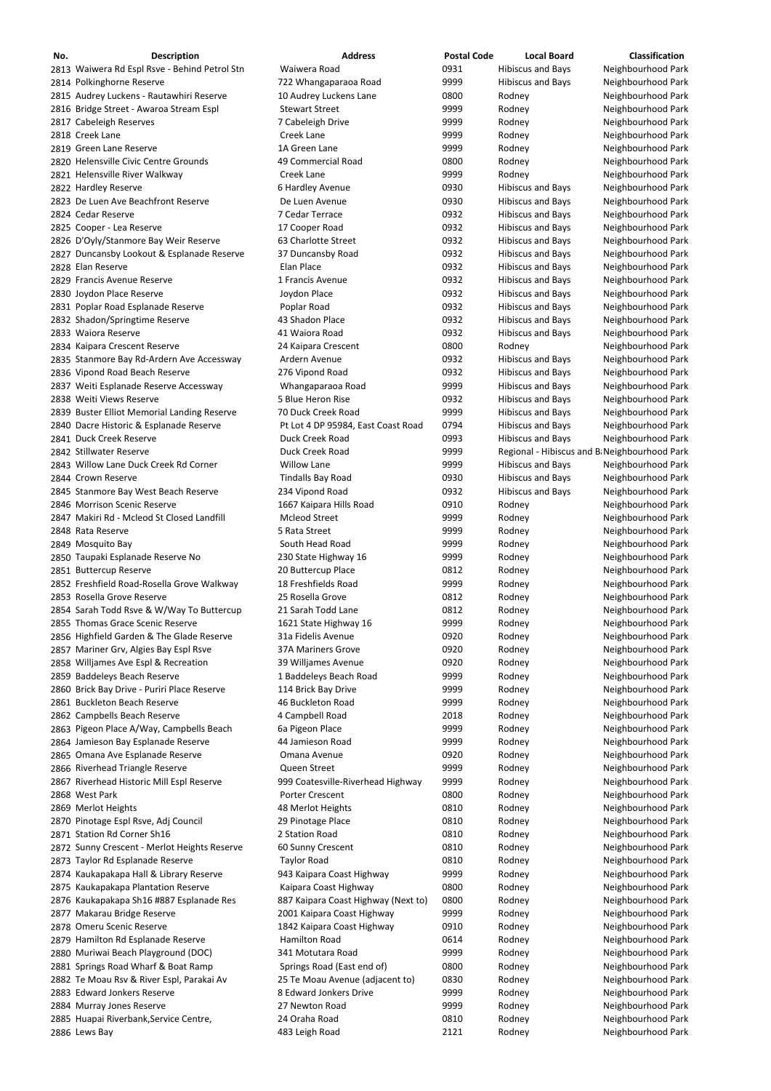| No. | <b>Description</b>                                                               | <b>Address</b>                                                    | <b>Postal Code</b> | <b>Local Board</b>                           | <b>Classification</b>                    |
|-----|----------------------------------------------------------------------------------|-------------------------------------------------------------------|--------------------|----------------------------------------------|------------------------------------------|
|     | 2813 Waiwera Rd Espl Rsve - Behind Petrol Stn                                    | Waiwera Road                                                      | 0931               | <b>Hibiscus and Bays</b>                     | Neighbourhood Park                       |
|     | 2814 Polkinghorne Reserve                                                        | 722 Whangaparaoa Road                                             | 9999               | <b>Hibiscus and Bays</b>                     | Neighbourhood Park                       |
|     | 2815 Audrey Luckens - Rautawhiri Reserve                                         | 10 Audrey Luckens Lane                                            | 0800               | Rodney                                       | Neighbourhood Park                       |
|     | 2816 Bridge Street - Awaroa Stream Espl                                          | <b>Stewart Street</b>                                             | 9999               | Rodney                                       | Neighbourhood Park                       |
|     | 2817 Cabeleigh Reserves                                                          | 7 Cabeleigh Drive                                                 | 9999               | Rodney                                       | Neighbourhood Park                       |
|     | 2818 Creek Lane                                                                  | Creek Lane                                                        | 9999               | Rodney                                       | Neighbourhood Park                       |
|     | 2819 Green Lane Reserve                                                          | 1A Green Lane                                                     | 9999               | Rodney                                       | Neighbourhood Park                       |
|     | 2820 Helensville Civic Centre Grounds                                            | 49 Commercial Road                                                | 0800               | Rodney                                       | Neighbourhood Park                       |
|     | 2821 Helensville River Walkway                                                   | Creek Lane                                                        | 9999               | Rodney                                       | Neighbourhood Park                       |
|     | 2822 Hardley Reserve                                                             | 6 Hardley Avenue                                                  | 0930               | <b>Hibiscus and Bays</b>                     | Neighbourhood Park                       |
|     | 2823 De Luen Ave Beachfront Reserve                                              | De Luen Avenue                                                    | 0930               | <b>Hibiscus and Bays</b>                     | Neighbourhood Park                       |
|     | 2824 Cedar Reserve                                                               | 7 Cedar Terrace                                                   | 0932               | <b>Hibiscus and Bays</b>                     | Neighbourhood Park                       |
|     | 2825 Cooper - Lea Reserve                                                        | 17 Cooper Road                                                    | 0932               | <b>Hibiscus and Bays</b>                     | Neighbourhood Park                       |
|     | 2826 D'Oyly/Stanmore Bay Weir Reserve                                            | 63 Charlotte Street                                               | 0932               | <b>Hibiscus and Bays</b>                     | Neighbourhood Park                       |
|     | 2827 Duncansby Lookout & Esplanade Reserve                                       | 37 Duncansby Road                                                 | 0932               | <b>Hibiscus and Bays</b>                     | Neighbourhood Park                       |
|     | 2828 Elan Reserve                                                                | Elan Place                                                        | 0932               | <b>Hibiscus and Bays</b>                     | Neighbourhood Park                       |
|     | 2829 Francis Avenue Reserve                                                      | 1 Francis Avenue                                                  | 0932               | <b>Hibiscus and Bays</b>                     | Neighbourhood Park                       |
|     | 2830 Joydon Place Reserve                                                        | Joydon Place                                                      | 0932               | <b>Hibiscus and Bays</b>                     | Neighbourhood Park                       |
|     | 2831 Poplar Road Esplanade Reserve                                               | Poplar Road                                                       | 0932               | <b>Hibiscus and Bays</b>                     | Neighbourhood Park                       |
|     | 2832 Shadon/Springtime Reserve                                                   | 43 Shadon Place                                                   | 0932               | <b>Hibiscus and Bays</b>                     | Neighbourhood Park                       |
|     | 2833 Waiora Reserve                                                              | 41 Waiora Road                                                    | 0932               | <b>Hibiscus and Bays</b>                     | Neighbourhood Park                       |
|     | 2834 Kaipara Crescent Reserve                                                    | 24 Kaipara Crescent                                               | 0800               | Rodney                                       | Neighbourhood Park                       |
|     | 2835 Stanmore Bay Rd-Ardern Ave Accessway                                        | Ardern Avenue                                                     | 0932               | <b>Hibiscus and Bays</b>                     | Neighbourhood Park                       |
|     | 2836 Vipond Road Beach Reserve                                                   | 276 Vipond Road                                                   | 0932               | <b>Hibiscus and Bays</b>                     | Neighbourhood Park                       |
|     | 2837 Weiti Esplanade Reserve Accessway                                           | Whangaparaoa Road                                                 | 9999               | <b>Hibiscus and Bays</b>                     | Neighbourhood Park                       |
|     | 2838 Weiti Views Reserve                                                         | 5 Blue Heron Rise                                                 | 0932               | <b>Hibiscus and Bays</b>                     | Neighbourhood Park                       |
|     | 2839 Buster Elliot Memorial Landing Reserve                                      | 70 Duck Creek Road                                                | 9999               | <b>Hibiscus and Bays</b>                     | Neighbourhood Park                       |
|     | 2840 Dacre Historic & Esplanade Reserve                                          | Pt Lot 4 DP 95984, East Coast Road                                | 0794               | <b>Hibiscus and Bays</b>                     | Neighbourhood Park                       |
|     | 2841 Duck Creek Reserve                                                          | Duck Creek Road                                                   | 0993               | <b>Hibiscus and Bays</b>                     | Neighbourhood Park                       |
|     | 2842 Stillwater Reserve                                                          | Duck Creek Road                                                   | 9999               | Regional - Hibiscus and B Neighbourhood Park |                                          |
|     | 2843 Willow Lane Duck Creek Rd Corner                                            | <b>Willow Lane</b>                                                | 9999               | <b>Hibiscus and Bays</b>                     | Neighbourhood Park                       |
|     | 2844 Crown Reserve                                                               | <b>Tindalls Bay Road</b>                                          | 0930               | <b>Hibiscus and Bays</b>                     | Neighbourhood Park                       |
|     | 2845 Stanmore Bay West Beach Reserve                                             | 234 Vipond Road                                                   | 0932               | <b>Hibiscus and Bays</b>                     | Neighbourhood Park                       |
|     | 2846 Morrison Scenic Reserve                                                     | 1667 Kaipara Hills Road                                           | 0910               | Rodney                                       | Neighbourhood Park                       |
|     | 2847 Makiri Rd - Mcleod St Closed Landfill                                       | <b>Mcleod Street</b>                                              | 9999               | Rodney                                       | Neighbourhood Park                       |
|     | 2848 Rata Reserve                                                                | 5 Rata Street                                                     | 9999               | Rodney                                       | Neighbourhood Park                       |
|     | 2849 Mosquito Bay                                                                | South Head Road                                                   | 9999               | Rodney                                       | Neighbourhood Park                       |
|     | 2850 Taupaki Esplanade Reserve No                                                | 230 State Highway 16                                              | 9999               | Rodney                                       | Neighbourhood Park                       |
|     | 2851 Buttercup Reserve                                                           | 20 Buttercup Place                                                | 0812               | Rodney                                       | Neighbourhood Park                       |
|     | 2852 Freshfield Road-Rosella Grove Walkway                                       | 18 Freshfields Road                                               | 9999               | Rodney                                       | Neighbourhood Park                       |
|     | 2853 Rosella Grove Reserve                                                       | 25 Rosella Grove                                                  | 0812               | Rodney                                       | Neighbourhood Park                       |
|     | 2854 Sarah Todd Rsve & W/Way To Buttercup                                        | 21 Sarah Todd Lane                                                | 0812               | Rodney                                       | Neighbourhood Park                       |
|     | 2855 Thomas Grace Scenic Reserve                                                 | 1621 State Highway 16                                             | 9999               | Rodney                                       | Neighbourhood Park                       |
|     | 2856 Highfield Garden & The Glade Reserve                                        | 31a Fidelis Avenue                                                | 0920               | Rodney                                       | Neighbourhood Park                       |
|     | 2857 Mariner Grv, Algies Bay Espl Rsve                                           | <b>37A Mariners Grove</b>                                         | 0920               | Rodney                                       | Neighbourhood Park                       |
|     | 2858 Willjames Ave Espl & Recreation                                             | 39 Willjames Avenue                                               | 0920               | Rodney                                       | Neighbourhood Park                       |
|     | 2859 Baddeleys Beach Reserve                                                     | 1 Baddeleys Beach Road                                            | 9999               | Rodney                                       | Neighbourhood Park                       |
|     | 2860 Brick Bay Drive - Puriri Place Reserve                                      | 114 Brick Bay Drive                                               | 9999               | Rodney                                       | Neighbourhood Park                       |
|     | 2861 Buckleton Beach Reserve                                                     | 46 Buckleton Road                                                 | 9999               | Rodney                                       | Neighbourhood Park                       |
|     | 2862 Campbells Beach Reserve                                                     | 4 Campbell Road                                                   | 2018               | Rodney                                       | Neighbourhood Park                       |
|     | 2863 Pigeon Place A/Way, Campbells Beach                                         | 6a Pigeon Place                                                   | 9999               | Rodney                                       | Neighbourhood Park                       |
|     | 2864 Jamieson Bay Esplanade Reserve                                              | 44 Jamieson Road                                                  | 9999               | Rodney                                       | Neighbourhood Park                       |
|     | 2865 Omana Ave Esplanade Reserve                                                 | Omana Avenue                                                      | 0920               | Rodney                                       | Neighbourhood Park                       |
|     | 2866 Riverhead Triangle Reserve                                                  | Queen Street                                                      | 9999               | Rodney                                       | Neighbourhood Park                       |
|     | 2867 Riverhead Historic Mill Espl Reserve                                        | 999 Coatesville-Riverhead Highway                                 | 9999               | Rodney                                       | Neighbourhood Park                       |
|     | 2868 West Park                                                                   | <b>Porter Crescent</b>                                            | 0800               | Rodney                                       | Neighbourhood Park                       |
|     | 2869 Merlot Heights                                                              | 48 Merlot Heights                                                 | 0810               | Rodney                                       | Neighbourhood Park                       |
|     | 2870 Pinotage Espl Rsve, Adj Council                                             | 29 Pinotage Place                                                 | 0810               | Rodney                                       | Neighbourhood Park                       |
|     | 2871 Station Rd Corner Sh16                                                      | 2 Station Road                                                    | 0810               | Rodney                                       | Neighbourhood Park                       |
|     |                                                                                  |                                                                   | 0810               |                                              | Neighbourhood Park                       |
|     | 2872 Sunny Crescent - Merlot Heights Reserve<br>2873 Taylor Rd Esplanade Reserve | 60 Sunny Crescent<br><b>Taylor Road</b>                           | 0810               | Rodney                                       | Neighbourhood Park                       |
|     |                                                                                  | 943 Kaipara Coast Highway                                         |                    | Rodney                                       | Neighbourhood Park                       |
|     | 2874 Kaukapakapa Hall & Library Reserve<br>2875 Kaukapakapa Plantation Reserve   | Kaipara Coast Highway                                             | 9999<br>0800       | Rodney                                       | Neighbourhood Park                       |
|     | 2876 Kaukapakapa Sh16 #887 Esplanade Res                                         |                                                                   | 0800               | Rodney                                       | Neighbourhood Park                       |
|     | 2877 Makarau Bridge Reserve                                                      | 887 Kaipara Coast Highway (Next to)<br>2001 Kaipara Coast Highway | 9999               | Rodney<br>Rodney                             | Neighbourhood Park                       |
|     | 2878 Omeru Scenic Reserve                                                        | 1842 Kaipara Coast Highway                                        | 0910               |                                              |                                          |
|     | 2879 Hamilton Rd Esplanade Reserve                                               | <b>Hamilton Road</b>                                              |                    | Rodney                                       | Neighbourhood Park<br>Neighbourhood Park |
|     |                                                                                  | 341 Motutara Road                                                 | 0614<br>9999       | Rodney                                       |                                          |
|     | 2880 Muriwai Beach Playground (DOC)<br>2881 Springs Road Wharf & Boat Ramp       | Springs Road (East end of)                                        | 0800               | Rodney                                       | Neighbourhood Park<br>Neighbourhood Park |
|     |                                                                                  |                                                                   | 0830               | Rodney                                       |                                          |
|     | 2882 Te Moau Rsv & River Espl, Parakai Av<br>2883 Edward Jonkers Reserve         | 25 Te Moau Avenue (adjacent to)<br>8 Edward Jonkers Drive         | 9999               | Rodney                                       | Neighbourhood Park                       |
|     | 2884 Murray Jones Reserve                                                        | 27 Newton Road                                                    | 9999               | Rodney<br>Rodney                             | Neighbourhood Park<br>Neighbourhood Park |
|     | 2885 Huapai Riverbank, Service Centre,                                           | 24 Oraha Road                                                     | 0810               | Rodney                                       | Neighbourhood Park                       |
|     | 2886 Lews Bay                                                                    | 483 Leigh Road                                                    | 2121               | Rodney                                       | Neighbourhood Park                       |
|     |                                                                                  |                                                                   |                    |                                              |                                          |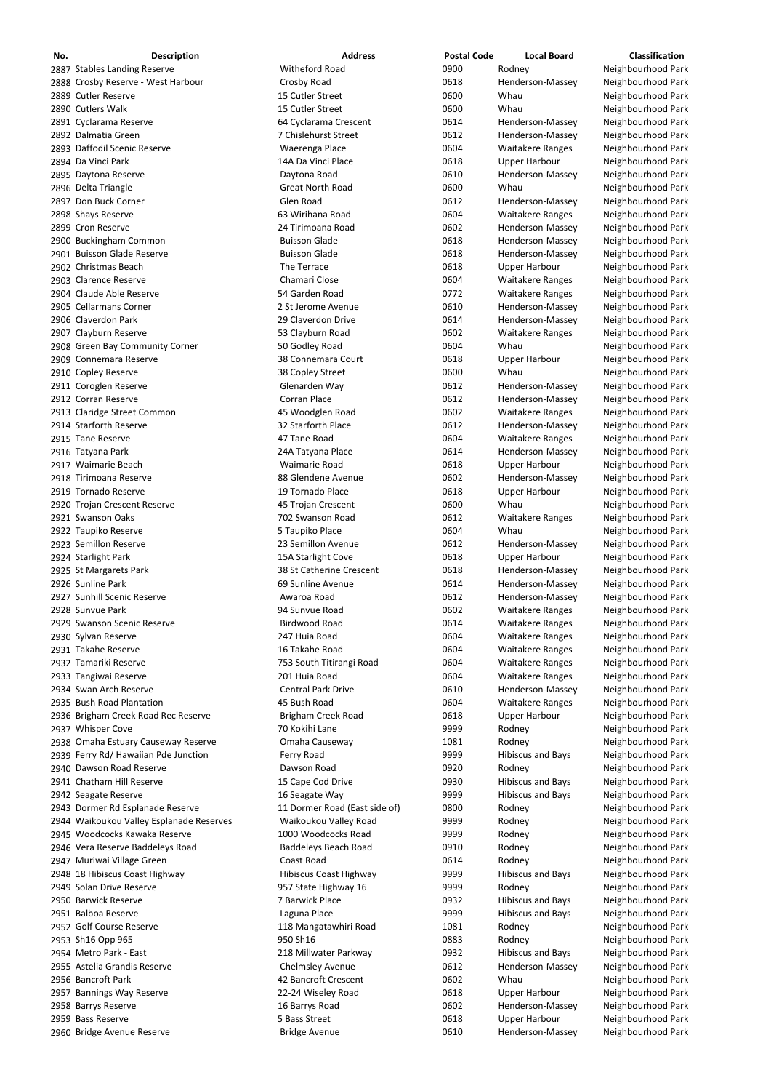| No. | <b>Description</b>                   | <b>Address</b>                | <b>Postal Code</b> | <b>Local Board</b>       | <b>Classification</b> |
|-----|--------------------------------------|-------------------------------|--------------------|--------------------------|-----------------------|
|     | 2887 Stables Landing Reserve         | Witheford Road                | 0900               | Rodney                   | Neighbourhood Park    |
|     | 2888 Crosby Reserve - West Harbour   | Crosby Road                   | 0618               | Henderson-Massey         | Neighbourhood Park    |
|     | 2889 Cutler Reserve                  | 15 Cutler Street              | 0600               | Whau                     | Neighbourhood Park    |
|     | 2890 Cutlers Walk                    | 15 Cutler Street              | 0600               | Whau                     | Neighbourhood Park    |
|     | 2891 Cyclarama Reserve               | 64 Cyclarama Crescent         | 0614               | Henderson-Massey         | Neighbourhood Park    |
|     | 2892 Dalmatia Green                  | 7 Chislehurst Street          | 0612               | Henderson-Massey         | Neighbourhood Park    |
|     | 2893 Daffodil Scenic Reserve         | Waerenga Place                | 0604               | <b>Waitakere Ranges</b>  | Neighbourhood Park    |
|     | 2894 Da Vinci Park                   | 14A Da Vinci Place            | 0618               | <b>Upper Harbour</b>     | Neighbourhood Park    |
|     | 2895 Daytona Reserve                 | Daytona Road                  | 0610               | Henderson-Massey         | Neighbourhood Park    |
|     | 2896 Delta Triangle                  | <b>Great North Road</b>       | 0600               | Whau                     | Neighbourhood Park    |
|     | 2897 Don Buck Corner                 | Glen Road                     | 0612               | Henderson-Massey         | Neighbourhood Park    |
|     | 2898 Shays Reserve                   | 63 Wirihana Road              | 0604               | <b>Waitakere Ranges</b>  | Neighbourhood Park    |
|     | 2899 Cron Reserve                    | 24 Tirimoana Road             | 0602               | Henderson-Massey         | Neighbourhood Park    |
|     | 2900 Buckingham Common               | <b>Buisson Glade</b>          | 0618               | Henderson-Massey         | Neighbourhood Park    |
|     | 2901 Buisson Glade Reserve           | <b>Buisson Glade</b>          | 0618               | Henderson-Massey         | Neighbourhood Park    |
|     | 2902 Christmas Beach                 | The Terrace                   | 0618               | <b>Upper Harbour</b>     | Neighbourhood Park    |
|     | 2903 Clarence Reserve                | <b>Chamari Close</b>          | 0604               | <b>Waitakere Ranges</b>  | Neighbourhood Park    |
|     | 2904 Claude Able Reserve             | 54 Garden Road                | 0772               | <b>Waitakere Ranges</b>  | Neighbourhood Park    |
|     | 2905 Cellarmans Corner               | 2 St Jerome Avenue            | 0610               | Henderson-Massey         | Neighbourhood Park    |
|     | 2906 Claverdon Park                  | 29 Claverdon Drive            | 0614               | Henderson-Massey         | Neighbourhood Park    |
|     | 2907 Clayburn Reserve                | 53 Clayburn Road              | 0602               | <b>Waitakere Ranges</b>  | Neighbourhood Park    |
|     | 2908 Green Bay Community Corner      | 50 Godley Road                | 0604               | Whau                     | Neighbourhood Park    |
|     | 2909 Connemara Reserve               | 38 Connemara Court            | 0618               | <b>Upper Harbour</b>     | Neighbourhood Park    |
|     | 2910 Copley Reserve                  | 38 Copley Street              | 0600               | Whau                     | Neighbourhood Park    |
|     | 2911 Coroglen Reserve                | Glenarden Way                 | 0612               | Henderson-Massey         | Neighbourhood Park    |
|     | 2912 Corran Reserve                  | Corran Place                  | 0612               | Henderson-Massey         | Neighbourhood Park    |
|     | 2913 Claridge Street Common          | 45 Woodglen Road              | 0602               | <b>Waitakere Ranges</b>  | Neighbourhood Park    |
|     | 2914 Starforth Reserve               | 32 Starforth Place            | 0612               | Henderson-Massey         | Neighbourhood Park    |
|     | 2915 Tane Reserve                    | 47 Tane Road                  | 0604               | <b>Waitakere Ranges</b>  | Neighbourhood Park    |
|     | 2916 Tatyana Park                    | 24A Tatyana Place             | 0614               | Henderson-Massey         | Neighbourhood Park    |
|     | 2917 Waimarie Beach                  | Waimarie Road                 | 0618               | <b>Upper Harbour</b>     | Neighbourhood Park    |
|     | 2918 Tirimoana Reserve               | 88 Glendene Avenue            | 0602               | Henderson-Massey         | Neighbourhood Park    |
|     | 2919 Tornado Reserve                 | 19 Tornado Place              | 0618               | <b>Upper Harbour</b>     | Neighbourhood Park    |
|     | 2920 Trojan Crescent Reserve         | 45 Trojan Crescent            | 0600               | Whau                     | Neighbourhood Park    |
|     | 2921 Swanson Oaks                    | 702 Swanson Road              | 0612               | <b>Waitakere Ranges</b>  | Neighbourhood Park    |
|     | 2922 Taupiko Reserve                 | 5 Taupiko Place               | 0604               | Whau                     | Neighbourhood Park    |
|     | 2923 Semillon Reserve                | 23 Semillon Avenue            | 0612               | Henderson-Massey         | Neighbourhood Park    |
|     | 2924 Starlight Park                  | 15A Starlight Cove            | 0618               | Upper Harbour            | Neighbourhood Park    |
|     | 2925 St Margarets Park               | 38 St Catherine Crescent      | 0618               | Henderson-Massey         | Neighbourhood Park    |
|     | 2926 Sunline Park                    | 69 Sunline Avenue             | 0614               | Henderson-Massey         | Neighbourhood Park    |
|     | 2927 Sunhill Scenic Reserve          | Awaroa Road                   | 0612               | Henderson-Massey         | Neighbourhood Park    |
|     | 2928 Sunvue Park                     | 94 Sunvue Road                | 0602               | <b>Waitakere Ranges</b>  | Neighbourhood Park    |
|     | 2929 Swanson Scenic Reserve          | <b>Birdwood Road</b>          | 0614               | <b>Waitakere Ranges</b>  | Neighbourhood Park    |
|     | 2930 Sylvan Reserve                  | 247 Huia Road                 | 0604               | <b>Waitakere Ranges</b>  | Neighbourhood Park    |
|     | 2931 Takahe Reserve                  | 16 Takahe Road                | 0604               | <b>Waitakere Ranges</b>  | Neighbourhood Park    |
|     | 2932 Tamariki Reserve                | 753 South Titirangi Road      | 0604               | <b>Waitakere Ranges</b>  | Neighbourhood Park    |
|     | 2933 Tangiwai Reserve                | 201 Huia Road                 | 0604               | <b>Waitakere Ranges</b>  | Neighbourhood Park    |
|     | 2934 Swan Arch Reserve               | <b>Central Park Drive</b>     | 0610               | Henderson-Massey         | Neighbourhood Park    |
|     | 2935 Bush Road Plantation            | 45 Bush Road                  | 0604               | <b>Waitakere Ranges</b>  | Neighbourhood Park    |
|     | 2936 Brigham Creek Road Rec Reserve  | <b>Brigham Creek Road</b>     | 0618               | <b>Upper Harbour</b>     | Neighbourhood Park    |
|     | 2937 Whisper Cove                    | 70 Kokihi Lane                | 9999               | Rodney                   | Neighbourhood Park    |
|     | 2938 Omaha Estuary Causeway Reserve  | Omaha Causeway                | 1081               | Rodney                   | Neighbourhood Park    |
|     | 2939 Ferry Rd/ Hawaiian Pde Junction | Ferry Road                    | 9999               | <b>Hibiscus and Bays</b> | Neighbourhood Park    |
|     | 2940 Dawson Road Reserve             | Dawson Road                   | 0920               | Rodney                   | Neighbourhood Park    |
|     | 2941 Chatham Hill Reserve            | 15 Cape Cod Drive             | 0930               | <b>Hibiscus and Bays</b> | Neighbourhood Park    |
|     | 2942 Seagate Reserve                 | 16 Seagate Way                | 9999               | <b>Hibiscus and Bays</b> | Neighbourhood Park    |
|     | 2943 Dormer Rd Esplanade Reserve     | 11 Dormer Road (East side of) | 0800               | Rodney                   | Neighbourhood Park    |
|     |                                      |                               |                    |                          |                       |

2945 Woodcocks Kawaka Reserve **1000 Woodcocks Road** 1999 9999 Rodney Rodney Neighbourhood Park 2946 Vera Reserve Baddeleys Road **Baddeleys Beach Road** 0910 Rodney Neighbourhood Park 2947 Muriwai Village Green **Coast Road** Coast Road Coast Road Coast Road Coast Road Coast 20614 Rodney Neighbourhood Park 2948 18 Hibiscus Coast Highway **Hibiscus Coast Highway** 9999 Hibiscus and Bays Neighbourhood Park 2949 Solan Drive Reserve **1963** State Highway 16 19999 Rodney Rodney Neighbourhood Park 2950 Barwick Reserve **1988 Construct Automobile 2012** Albert 20032 Mibiscus and Bays Neighbourhood Park 2951 Balboa Reserve **Laguna Place Laguna Place Communist Additional Access of Access** Albiscus and Bays Meighbourhood Park 2952 Golf Course Reserve **118 Mangatawhiri Road** 1081 Rodney Neighbourhood Park 2953 Sh16 Opp 965 **2008** 950 Sh16 950 Sh16 0883 Rodney Neighbourhood Park 2954 Metro Park - East **218 Millwater Parkway 218 Millwater Parkway** 0932 Hibiscus and Bays Neighbourhood Park 2955 Astelia Grandis Reserve **Chelmsley Avenue** Chelmsley Avenue 0612 Henderson-Massey Neighbourhood Park 2956 Bancroft Park **1988** Meighbourhood Park 42 Bancroft Crescent 19602 Whau Neighbourhood Park 2957 Bannings Way Reserve 2010 22-24 Wiseley Road Communication 0618 Upper Harbour Neighbourhood Park 2958 Barrys Reserve **16 Barrys Road** 16 Barrys Road 16 Barrys Road 16 Barrys Road 20602 Henderson-Massey Neighbourhood Park 2959 Bass Reserve **18 Contract Exercise Seass Street** 5 Bass Street 1600 0618 Upper Harbour Neighbourhood Park 2960 Bridge Avenue Reserve **Bridge Avenue** Bridge Avenue by D610 Henderson-Massey Neighbourhood Park

Waikoukou Valley Esplanade Reserves Waikoukou Valley Road 9999 Rodney Neighbourhood Park

| 9999 | Rodney     |
|------|------------|
| )910 | Rodney     |
| 0614 | Rodney     |
| 9999 | Hibiscus a |
| 9999 | Rodney     |
| )932 | Hibiscus a |
| 9999 | Hibiscus a |
| 1081 | Rodney     |
| 0883 | Rodney     |
| )932 | Hibiscus a |
| 0612 | Henderso   |
| 0602 | Whau       |
| 0618 | Upper Ha   |
| 0602 | Henderso   |
| 0618 | Upper Ha   |
| 0610 | Henderso   |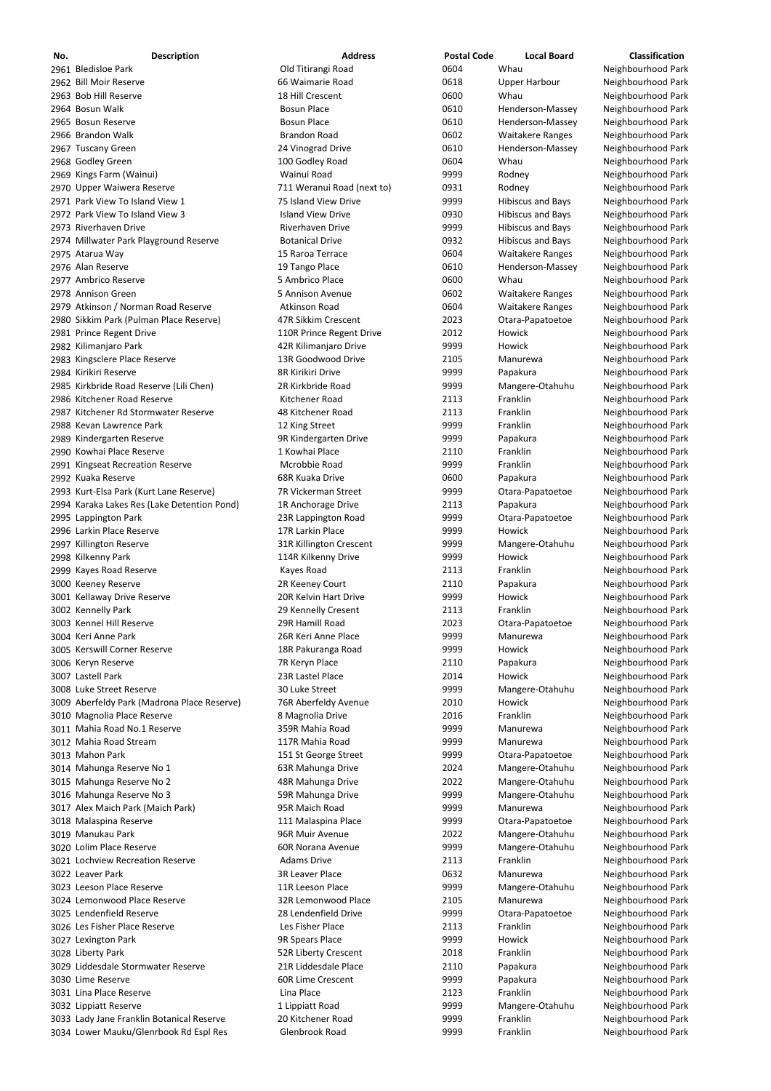| No. | <b>Description</b>                          | <b>Address</b>             | <b>Postal Code</b> | <b>Local Board</b>       | <b>Classification</b> |
|-----|---------------------------------------------|----------------------------|--------------------|--------------------------|-----------------------|
|     | 2961 Bledisloe Park                         | Old Titirangi Road         | 0604               | Whau                     | Neighbourhood Park    |
|     | 2962 Bill Moir Reserve                      | 66 Waimarie Road           | 0618               | <b>Upper Harbour</b>     | Neighbourhood Park    |
|     | 2963 Bob Hill Reserve                       | 18 Hill Crescent           | 0600               | Whau                     | Neighbourhood Park    |
|     | 2964 Bosun Walk                             | <b>Bosun Place</b>         | 0610               | Henderson-Massey         | Neighbourhood Park    |
|     | 2965 Bosun Reserve                          | <b>Bosun Place</b>         | 0610               | Henderson-Massey         | Neighbourhood Park    |
|     | 2966 Brandon Walk                           | <b>Brandon Road</b>        | 0602               | <b>Waitakere Ranges</b>  | Neighbourhood Park    |
|     | 2967 Tuscany Green                          | 24 Vinograd Drive          | 0610               | Henderson-Massey         | Neighbourhood Park    |
|     | 2968 Godley Green                           | 100 Godley Road            | 0604               | Whau                     | Neighbourhood Park    |
|     | 2969 Kings Farm (Wainui)                    | Wainui Road                | 9999               | Rodney                   | Neighbourhood Park    |
|     | 2970 Upper Waiwera Reserve                  | 711 Weranui Road (next to) | 0931               | Rodney                   | Neighbourhood Park    |
|     | 2971 Park View To Island View 1             | 75 Island View Drive       | 9999               | <b>Hibiscus and Bays</b> | Neighbourhood Park    |
|     | 2972 Park View To Island View 3             | <b>Island View Drive</b>   | 0930               | <b>Hibiscus and Bays</b> | Neighbourhood Park    |
|     | 2973 Riverhaven Drive                       | Riverhaven Drive           | 9999               | <b>Hibiscus and Bays</b> | Neighbourhood Park    |
|     | 2974 Millwater Park Playground Reserve      | <b>Botanical Drive</b>     | 0932               | <b>Hibiscus and Bays</b> | Neighbourhood Park    |
|     | 2975 Atarua Way                             | 15 Raroa Terrace           | 0604               | <b>Waitakere Ranges</b>  | Neighbourhood Park    |
|     | 2976 Alan Reserve                           | 19 Tango Place             | 0610               | Henderson-Massey         | Neighbourhood Park    |
|     | 2977 Ambrico Reserve                        | 5 Ambrico Place            | 0600               | Whau                     | Neighbourhood Park    |
|     | 2978 Annison Green                          | 5 Annison Avenue           | 0602               | <b>Waitakere Ranges</b>  | Neighbourhood Park    |
|     | 2979 Atkinson / Norman Road Reserve         | Atkinson Road              | 0604               | <b>Waitakere Ranges</b>  | Neighbourhood Park    |
|     | 2980 Sikkim Park (Pulman Place Reserve)     | 47R Sikkim Crescent        | 2023               | Otara-Papatoetoe         | Neighbourhood Park    |
|     | 2981 Prince Regent Drive                    | 110R Prince Regent Drive   | 2012               | Howick                   | Neighbourhood Park    |
|     | 2982 Kilimanjaro Park                       | 42R Kilimanjaro Drive      | 9999               | Howick                   | Neighbourhood Park    |
|     | 2983 Kingsclere Place Reserve               | 13R Goodwood Drive         | 2105               | Manurewa                 | Neighbourhood Park    |
|     | 2984 Kirikiri Reserve                       | 8R Kirikiri Drive          | 9999               | Papakura                 | Neighbourhood Park    |
|     | 2985 Kirkbride Road Reserve (Lili Chen)     | 2R Kirkbride Road          | 9999               | Mangere-Otahuhu          | Neighbourhood Park    |
|     | 2986 Kitchener Road Reserve                 | Kitchener Road             | 2113               | Franklin                 | Neighbourhood Park    |
|     | 2987 Kitchener Rd Stormwater Reserve        | 48 Kitchener Road          | 2113               | Franklin                 | Neighbourhood Park    |
|     | 2988 Kevan Lawrence Park                    | 12 King Street             | 9999               | Franklin                 | Neighbourhood Park    |
|     | 2989 Kindergarten Reserve                   | 9R Kindergarten Drive      | 9999               | Papakura                 | Neighbourhood Park    |
|     | 2990 Kowhai Place Reserve                   | 1 Kowhai Place             | 2110               | Franklin                 | Neighbourhood Park    |
|     | 2991 Kingseat Recreation Reserve            | Mcrobbie Road              | 9999               | Franklin                 | Neighbourhood Park    |
|     | 2992 Kuaka Reserve                          | 68R Kuaka Drive            | 0600               | Papakura                 | Neighbourhood Park    |
|     | 2993 Kurt-Elsa Park (Kurt Lane Reserve)     | 7R Vickerman Street        | 9999               | Otara-Papatoetoe         | Neighbourhood Park    |
|     | 2994 Karaka Lakes Res (Lake Detention Pond) | 1R Anchorage Drive         | 2113               | Papakura                 | Neighbourhood Park    |
|     | 2995 Lappington Park                        | 23R Lappington Road        | 9999               | Otara-Papatoetoe         | Neighbourhood Park    |
|     | 2996 Larkin Place Reserve                   | 17R Larkin Place           | 9999               | Howick                   | Neighbourhood Park    |
|     | 2997 Killington Reserve                     | 31R Killington Crescent    | 9999               | Mangere-Otahuhu          | Neighbourhood Park    |
|     | 2998 Kilkenny Park                          | 114R Kilkenny Drive        | 9999               | Howick                   | Neighbourhood Park    |
|     | 2999 Kayes Road Reserve                     | Kayes Road                 | 2113               | Franklin                 | Neighbourhood Park    |
|     | 3000 Keeney Reserve                         | 2R Keeney Court            | 2110               | Papakura                 | Neighbourhood Park    |
|     | 3001 Kellaway Drive Reserve                 | 20R Kelvin Hart Drive      | 9999               | Howick                   | Neighbourhood Park    |
|     | 3002 Kennelly Park                          | 29 Kennelly Cresent        | 2113               | Franklin                 | Neighbourhood Park    |
|     | 3003 Kennel Hill Reserve                    | 29R Hamill Road            | 2023               | Otara-Papatoetoe         | Neighbourhood Park    |
|     | 3004 Keri Anne Park                         | 26R Keri Anne Place        | 9999               | Manurewa                 | Neighbourhood Park    |
|     | 3005 Kerswill Corner Reserve                | 18R Pakuranga Road         | 9999               | Howick                   | Neighbourhood Park    |
|     | 3006 Keryn Reserve                          | 7R Keryn Place             | 2110               | Papakura                 | Neighbourhood Park    |
|     | 3007 Lastell Park                           | 23R Lastel Place           | 2014               | Howick                   | Neighbourhood Park    |
|     | 3008 Luke Street Reserve                    | 30 Luke Street             | 9999               | Mangere-Otahuhu          | Neighbourhood Park    |
|     | 3009 Aberfeldy Park (Madrona Place Reserve) | 76R Aberfeldy Avenue       | 2010               | Howick                   | Neighbourhood Park    |
|     | 3010 Magnolia Place Reserve                 | 8 Magnolia Drive           | 2016               | Franklin                 | Neighbourhood Park    |
|     | 3011 Mahia Road No.1 Reserve                | 359R Mahia Road            | 9999               | Manurewa                 | Neighbourhood Park    |
|     | 3012 Mahia Road Stream                      | 117R Mahia Road            | 9999               | Manurewa                 | Neighbourhood Park    |
|     | 3013 Mahon Park                             | 151 St George Street       | 9999               | Otara-Papatoetoe         | Neighbourhood Park    |
|     | 3014 Mahunga Reserve No 1                   | 63R Mahunga Drive          | 2024               | Mangere-Otahuhu          | Neighbourhood Park    |
|     | 3015 Mahunga Reserve No 2                   | 48R Mahunga Drive          | 2022               | Mangere-Otahuhu          | Neighbourhood Park    |
|     | 3016 Mahunga Reserve No 3                   | 59R Mahunga Drive          | 9999               | Mangere-Otahuhu          | Neighbourhood Park    |
|     | 3017 Alex Maich Park (Maich Park)           | 95R Maich Road             | 9999               | Manurewa                 | Neighbourhood Park    |

3018 Malaspina Reserve **111 Malaspina Place** 111 Malaspina Place **1999** Otara-Papatoetoe Neighbourhood Park 3019 Manukau Park **1988 Muir Avenue** 196R Muir Avenue 2022 Mangere-Otahuhu Neighbourhood Park 3020 Lolim Place Reserve **608 COR Norana Avenue** 69999 Mangere-Otahuhu Neighbourhood Park 3021 Lochview Recreation Reserve **Adams Drive** Adams Drive 2113 Franklin Neighbourhood Park 3022 Leaver Park **3R Leaver Place** 3R Leaver Place 6632 Manurewa Neighbourhood Park 3023 Leeson Place Reserve **11R Leeson Place** 11R Leeson Place 9999 Mangere-Otahuhu Neighbourhood Park Lemonwood Place Reserve 32R Lemonwood Place 2105 Manurewa Neighbourhood Park 3025 Lendenfield Reserve **28 Lendenfield Drive 28 Lendenfield Drive** 9999 Otara-Papatoetoe Neighbourhood Park Les Fisher Place Reserve Les Fisher Place 2113 Franklin Neighbourhood Park 3027 Lexington Park **1988 1998 Spears Place** 1988 Spears Place 1999 1999 Howick 1999 Neighbourhood Park Liberty Park 52R Liberty Crescent 2018 Franklin Neighbourhood Park Liddesdale Stormwater Reserve 21R Liddesdale Place 2110 Papakura Neighbourhood Park 3030 Lime Reserve **120 COR Lime Crescent** 19999 Papakura Papakura Neighbourhood Park Lina Place Reserve Lina Place 2123 Franklin Neighbourhood Park 3032 Lippiatt Reserve **1** Lippiatt Road 1 Dippiatt Road 9999 Mangere-Otahuhu Neighbourhood Park 3033 Lady Jane Franklin Botanical Reserve **20 Kitchener Road** 9999 9999 Franklin Neighbourhood Park 3034 Lower Mauku/Glenrbook Rd Espl Res Franklin States and States and States and States and States and States A

| 2022 | Mangere-Ot  |
|------|-------------|
| 9999 | Mangere-Ot  |
| 2113 | Franklin    |
| 0632 | Manurewa    |
| 9999 | Mangere-Ot  |
| 2105 | Manurewa    |
| 9999 | Otara-Papat |
| 2113 | Franklin    |
| 9999 | Howick      |
| 2018 | Franklin    |
| 2110 | Papakura    |
| 9999 | Papakura    |
| 2123 | Franklin    |
| 9999 | Mangere-Ot  |
| 9999 | Franklin    |
| 9999 | Franklin    |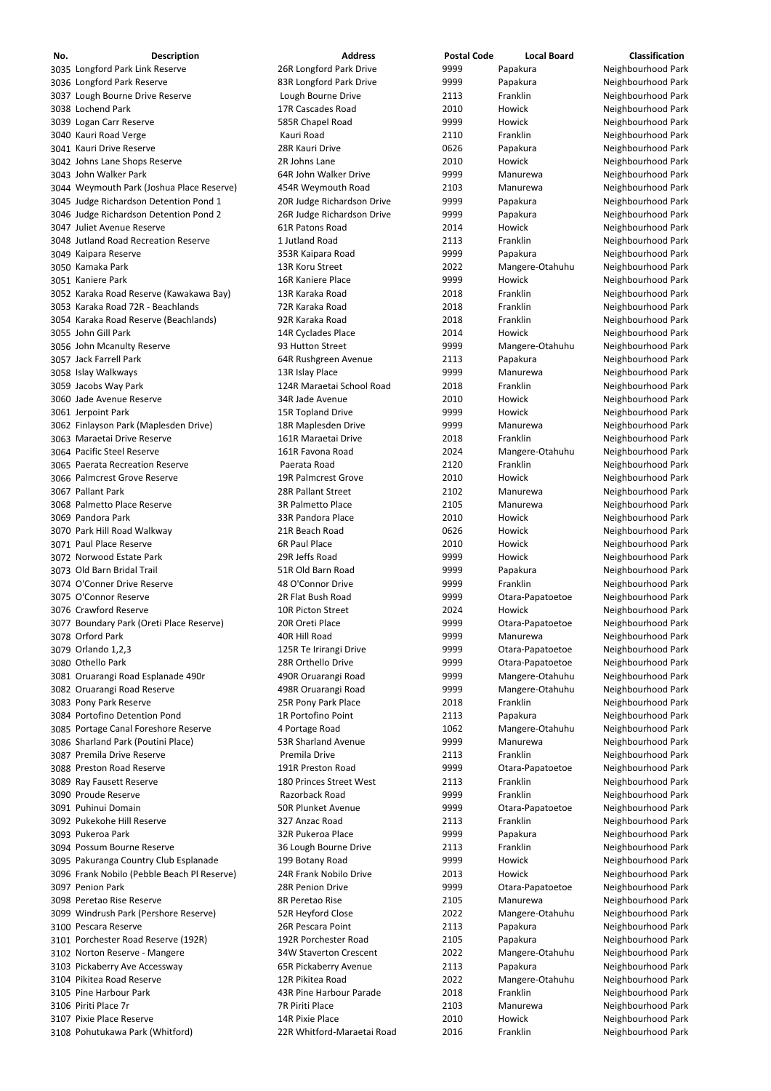| No. | <b>Description</b>                          | <b>Address</b>                | <b>Postal Code</b> | <b>Local Board</b> | <b>Classification</b> |
|-----|---------------------------------------------|-------------------------------|--------------------|--------------------|-----------------------|
|     | 3035 Longford Park Link Reserve             | 26R Longford Park Drive       | 9999               | Papakura           | Neighbourhood Park    |
|     | 3036 Longford Park Reserve                  | 83R Longford Park Drive       | 9999               | Papakura           | Neighbourhood Park    |
|     | 3037 Lough Bourne Drive Reserve             | Lough Bourne Drive            | 2113               | Franklin           | Neighbourhood Park    |
|     | 3038 Lochend Park                           | 17R Cascades Road             | 2010               | Howick             | Neighbourhood Park    |
|     | 3039 Logan Carr Reserve                     | 585R Chapel Road              | 9999               | Howick             | Neighbourhood Park    |
|     | 3040 Kauri Road Verge                       | Kauri Road                    | 2110               | Franklin           | Neighbourhood Park    |
|     | 3041 Kauri Drive Reserve                    | 28R Kauri Drive               | 0626               | Papakura           | Neighbourhood Park    |
|     | 3042 Johns Lane Shops Reserve               | 2R Johns Lane                 | 2010               | Howick             | Neighbourhood Park    |
|     | 3043 John Walker Park                       | 64R John Walker Drive         | 9999               | Manurewa           | Neighbourhood Park    |
|     | 3044 Weymouth Park (Joshua Place Reserve)   | 454R Weymouth Road            | 2103               | Manurewa           | Neighbourhood Park    |
|     | 3045 Judge Richardson Detention Pond 1      | 20R Judge Richardson Drive    | 9999               | Papakura           | Neighbourhood Park    |
|     | 3046 Judge Richardson Detention Pond 2      | 26R Judge Richardson Drive    | 9999               | Papakura           | Neighbourhood Park    |
|     | 3047 Juliet Avenue Reserve                  | 61R Patons Road               | 2014               | Howick             | Neighbourhood Park    |
|     | 3048 Jutland Road Recreation Reserve        | 1 Jutland Road                | 2113               | Franklin           | Neighbourhood Park    |
|     | 3049 Kaipara Reserve                        | 353R Kaipara Road             | 9999               | Papakura           | Neighbourhood Park    |
|     | 3050 Kamaka Park                            | 13R Koru Street               | 2022               | Mangere-Otahuhu    | Neighbourhood Park    |
|     | 3051 Kaniere Park                           | 16R Kaniere Place             | 9999               | Howick             | Neighbourhood Park    |
|     | 3052 Karaka Road Reserve (Kawakawa Bay)     | 13R Karaka Road               | 2018               | Franklin           | Neighbourhood Park    |
|     | 3053 Karaka Road 72R - Beachlands           | 72R Karaka Road               | 2018               | Franklin           | Neighbourhood Park    |
|     | 3054 Karaka Road Reserve (Beachlands)       | 92R Karaka Road               | 2018               | Franklin           | Neighbourhood Park    |
|     | 3055 John Gill Park                         | 14R Cyclades Place            | 2014               | Howick             | Neighbourhood Park    |
|     | 3056 John Mcanulty Reserve                  | 93 Hutton Street              | 9999               | Mangere-Otahuhu    | Neighbourhood Park    |
|     | 3057 Jack Farrell Park                      | 64R Rushgreen Avenue          | 2113               | Papakura           | Neighbourhood Park    |
|     | 3058 Islay Walkways                         | 13R Islay Place               | 9999               | Manurewa           | Neighbourhood Park    |
|     | 3059 Jacobs Way Park                        | 124R Maraetai School Road     | 2018               | Franklin           | Neighbourhood Park    |
|     | 3060 Jade Avenue Reserve                    | 34R Jade Avenue               | 2010               | Howick             | Neighbourhood Park    |
|     | 3061 Jerpoint Park                          | 15R Topland Drive             | 9999               | Howick             | Neighbourhood Park    |
|     | 3062 Finlayson Park (Maplesden Drive)       | 18R Maplesden Drive           | 9999               | Manurewa           | Neighbourhood Park    |
|     | 3063 Maraetai Drive Reserve                 | 161R Maraetai Drive           | 2018               | Franklin           | Neighbourhood Park    |
|     | 3064 Pacific Steel Reserve                  | 161R Favona Road              | 2024               | Mangere-Otahuhu    | Neighbourhood Park    |
|     | 3065 Paerata Recreation Reserve             | Paerata Road                  | 2120               | Franklin           | Neighbourhood Park    |
|     | 3066 Palmcrest Grove Reserve                | 19R Palmcrest Grove           | 2010               | Howick             | Neighbourhood Park    |
|     | 3067 Pallant Park                           | 28R Pallant Street            | 2102               | Manurewa           | Neighbourhood Park    |
|     | 3068 Palmetto Place Reserve                 | <b>3R Palmetto Place</b>      | 2105               | Manurewa           | Neighbourhood Park    |
|     | 3069 Pandora Park                           | 33R Pandora Place             | 2010               | Howick             | Neighbourhood Park    |
|     | 3070 Park Hill Road Walkway                 | 21R Beach Road                | 0626               | Howick             | Neighbourhood Park    |
|     | 3071 Paul Place Reserve                     | <b>6R Paul Place</b>          | 2010               | Howick             | Neighbourhood Park    |
|     | 3072 Norwood Estate Park                    | 29R Jeffs Road                | 9999               | Howick             | Neighbourhood Park    |
|     | 3073 Old Barn Bridal Trail                  | 51R Old Barn Road             | 9999               | Papakura           | Neighbourhood Park    |
|     | 3074 O'Conner Drive Reserve                 | 48 O'Connor Drive             | 9999               | Franklin           | Neighbourhood Park    |
|     | 3075 O'Connor Reserve                       | 2R Flat Bush Road             | 9999               | Otara-Papatoetoe   | Neighbourhood Park    |
|     | 3076 Crawford Reserve                       | 10R Picton Street             | 2024               | Howick             | Neighbourhood Park    |
|     | 3077 Boundary Park (Oreti Place Reserve)    | 20R Oreti Place               | 9999               | Otara-Papatoetoe   | Neighbourhood Park    |
|     | 3078 Orford Park                            | 40R Hill Road                 | 9999               | Manurewa           | Neighbourhood Park    |
|     | 3079 Orlando 1,2,3                          | 125R Te Irirangi Drive        | 9999               | Otara-Papatoetoe   | Neighbourhood Park    |
|     | 3080 Othello Park                           | 28R Orthello Drive            | 9999               | Otara-Papatoetoe   | Neighbourhood Park    |
|     | 3081 Oruarangi Road Esplanade 490r          | 490R Oruarangi Road           | 9999               | Mangere-Otahuhu    | Neighbourhood Park    |
|     | 3082 Oruarangi Road Reserve                 | 498R Oruarangi Road           | 9999               | Mangere-Otahuhu    | Neighbourhood Park    |
|     | 3083 Pony Park Reserve                      | 25R Pony Park Place           | 2018               | Franklin           | Neighbourhood Park    |
|     | 3084 Portofino Detention Pond               | 1R Portofino Point            | 2113               | Papakura           | Neighbourhood Park    |
|     | 3085 Portage Canal Foreshore Reserve        | 4 Portage Road                | 1062               | Mangere-Otahuhu    | Neighbourhood Park    |
|     | 3086 Sharland Park (Poutini Place)          | 53R Sharland Avenue           | 9999               | Manurewa           | Neighbourhood Park    |
|     | 3087 Premila Drive Reserve                  | Premila Drive                 | 2113               | Franklin           | Neighbourhood Park    |
|     | 3088 Preston Road Reserve                   | 191R Preston Road             | 9999               | Otara-Papatoetoe   | Neighbourhood Park    |
|     | 3089 Ray Fausett Reserve                    | 180 Princes Street West       | 2113               | Franklin           | Neighbourhood Park    |
|     | 3090 Proude Reserve                         | Razorback Road                | 9999               | Franklin           | Neighbourhood Park    |
|     | 3091 Puhinui Domain                         | <b>50R Plunket Avenue</b>     | 9999               | Otara-Papatoetoe   | Neighbourhood Park    |
|     | 3092 Pukekohe Hill Reserve                  | 327 Anzac Road                | 2113               | Franklin           | Neighbourhood Park    |
|     | 3093 Pukeroa Park                           | 32R Pukeroa Place             | 9999               | Papakura           | Neighbourhood Park    |
|     | 3094 Possum Bourne Reserve                  | 36 Lough Bourne Drive         | 2113               | Franklin           | Neighbourhood Park    |
|     | 3095 Pakuranga Country Club Esplanade       | 199 Botany Road               | 9999               | Howick             | Neighbourhood Park    |
|     | 3096 Frank Nobilo (Pebble Beach Pl Reserve) | 24R Frank Nobilo Drive        | 2013               | Howick             | Neighbourhood Park    |
|     | 3097 Penion Park                            | 28R Penion Drive              | 9999               | Otara-Papatoetoe   | Neighbourhood Park    |
|     | 3098 Peretao Rise Reserve                   | 8R Peretao Rise               | 2105               | Manurewa           | Neighbourhood Park    |
|     | 3099 Windrush Park (Pershore Reserve)       | 52R Heyford Close             | 2022               | Mangere-Otahuhu    | Neighbourhood Park    |
|     | 3100 Pescara Reserve                        | 26R Pescara Point             | 2113               | Papakura           | Neighbourhood Park    |
|     | 3101 Porchester Road Reserve (192R)         | 192R Porchester Road          | 2105               | Papakura           | Neighbourhood Park    |
|     | 3102 Norton Reserve - Mangere               | <b>34W Staverton Crescent</b> | 2022               | Mangere-Otahuhu    | Neighbourhood Park    |
|     | 3103 Pickaberry Ave Accessway               | 65R Pickaberry Avenue         | 2113               | Papakura           | Neighbourhood Park    |
|     | 3104 Pikitea Road Reserve                   | 12R Pikitea Road              | 2022               | Mangere-Otahuhu    | Neighbourhood Park    |
|     | 3105 Pine Harbour Park                      | 43R Pine Harbour Parade       | 2018               | Franklin           | Neighbourhood Park    |
|     | 3106 Piriti Place 7r                        | 7R Piriti Place               | 2103               | Manurewa           | Neighbourhood Park    |
|     | 3107 Pixie Place Reserve                    | 14R Pixie Place               | 2010               | Howick             | Neighbourhood Park    |
|     | 3108 Pohutukawa Park (Whitford)             | 22R Whitford-Maraetai Road    | 2016               | Franklin           | Neighbourhood Park    |
|     |                                             |                               |                    |                    |                       |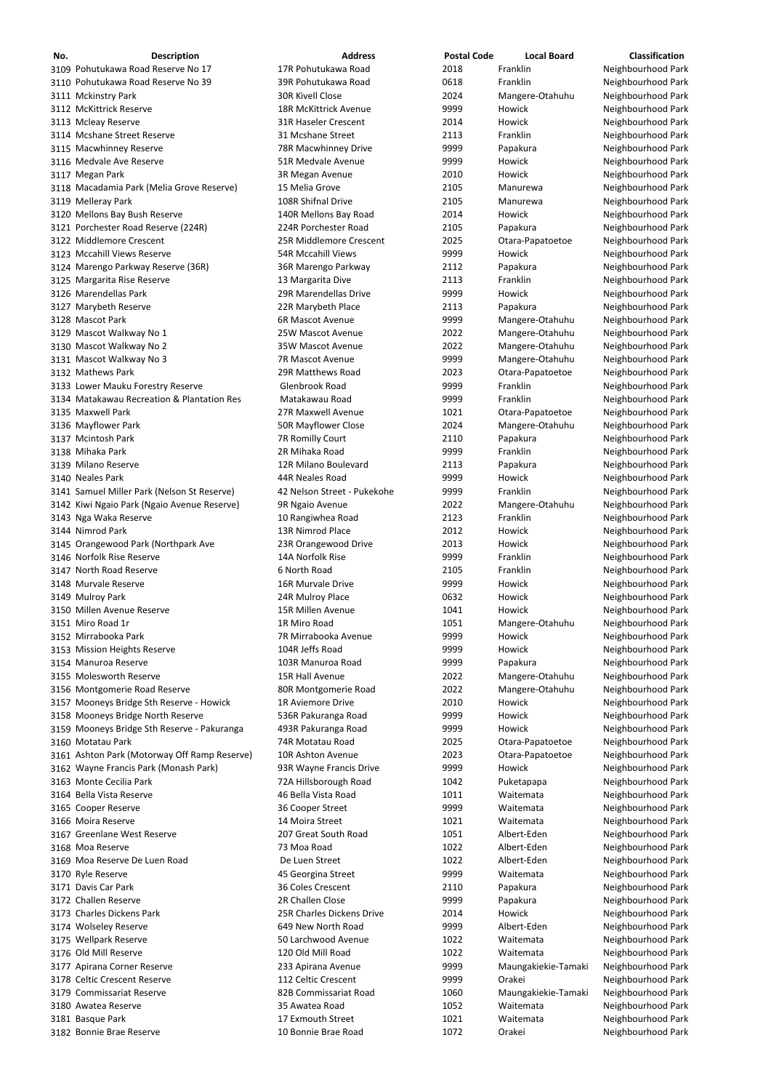| No. | <b>Description</b>                           | <b>Address</b>               | <b>Postal Code</b> | <b>Local Board</b>  | Classification     |
|-----|----------------------------------------------|------------------------------|--------------------|---------------------|--------------------|
|     | 3109 Pohutukawa Road Reserve No 17           | 17R Pohutukawa Road          | 2018               | Franklin            | Neighbourhood Park |
|     | 3110 Pohutukawa Road Reserve No 39           | 39R Pohutukawa Road          | 0618               | Franklin            | Neighbourhood Park |
|     | 3111 Mckinstry Park                          | <b>30R Kivell Close</b>      | 2024               | Mangere-Otahuhu     | Neighbourhood Park |
|     | 3112 McKittrick Reserve                      | <b>18R McKittrick Avenue</b> | 9999               | Howick              | Neighbourhood Park |
|     | 3113 Mcleay Reserve                          | 31R Haseler Crescent         | 2014               | Howick              | Neighbourhood Park |
|     | 3114 Mcshane Street Reserve                  | 31 Mcshane Street            | 2113               | Franklin            | Neighbourhood Park |
|     | 3115 Macwhinney Reserve                      | 78R Macwhinney Drive         | 9999               | Papakura            | Neighbourhood Park |
|     | 3116 Medvale Ave Reserve                     | 51R Medvale Avenue           | 9999               | Howick              | Neighbourhood Park |
|     | 3117 Megan Park                              | 3R Megan Avenue              | 2010               | Howick              | Neighbourhood Park |
|     | 3118 Macadamia Park (Melia Grove Reserve)    | 15 Melia Grove               | 2105               | Manurewa            | Neighbourhood Park |
|     | 3119 Melleray Park                           | 108R Shifnal Drive           | 2105               | Manurewa            | Neighbourhood Park |
|     | 3120 Mellons Bay Bush Reserve                | 140R Mellons Bay Road        | 2014               | Howick              | Neighbourhood Park |
|     | 3121 Porchester Road Reserve (224R)          | 224R Porchester Road         | 2105               | Papakura            | Neighbourhood Park |
|     | 3122 Middlemore Crescent                     | 25R Middlemore Crescent      | 2025               | Otara-Papatoetoe    | Neighbourhood Park |
|     | 3123 Mccahill Views Reserve                  | <b>54R Mccahill Views</b>    | 9999               | Howick              | Neighbourhood Park |
|     | 3124 Marengo Parkway Reserve (36R)           | 36R Marengo Parkway          | 2112               | Papakura            | Neighbourhood Park |
|     | 3125 Margarita Rise Reserve                  | 13 Margarita Dive            | 2113               | Franklin            | Neighbourhood Park |
|     | 3126 Marendellas Park                        | 29R Marendellas Drive        | 9999               | Howick              | Neighbourhood Park |
|     | 3127 Marybeth Reserve                        | 22R Marybeth Place           | 2113               | Papakura            | Neighbourhood Park |
|     | 3128 Mascot Park                             | 6R Mascot Avenue             | 9999               | Mangere-Otahuhu     | Neighbourhood Park |
|     | 3129 Mascot Walkway No 1                     | 25W Mascot Avenue            | 2022               | Mangere-Otahuhu     | Neighbourhood Park |
|     | 3130 Mascot Walkway No 2                     | 35W Mascot Avenue            | 2022               | Mangere-Otahuhu     | Neighbourhood Park |
|     | 3131 Mascot Walkway No 3                     | 7R Mascot Avenue             | 9999               | Mangere-Otahuhu     | Neighbourhood Park |
|     | 3132 Mathews Park                            | 29R Matthews Road            | 2023               | Otara-Papatoetoe    | Neighbourhood Park |
|     | 3133 Lower Mauku Forestry Reserve            | Glenbrook Road               | 9999               | Franklin            | Neighbourhood Park |
|     | 3134 Matakawau Recreation & Plantation Res   | Matakawau Road               | 9999               | Franklin            | Neighbourhood Park |
|     | 3135 Maxwell Park                            | 27R Maxwell Avenue           | 1021               | Otara-Papatoetoe    | Neighbourhood Park |
|     | 3136 Mayflower Park                          | 50R Mayflower Close          | 2024               | Mangere-Otahuhu     | Neighbourhood Park |
|     | 3137 Mcintosh Park                           | 7R Romilly Court             | 2110               | Papakura            | Neighbourhood Park |
|     | 3138 Mihaka Park                             | 2R Mihaka Road               | 9999               | Franklin            | Neighbourhood Park |
|     | 3139 Milano Reserve                          | 12R Milano Boulevard         | 2113               | Papakura            | Neighbourhood Park |
|     | 3140 Neales Park                             | 44R Neales Road              | 9999               | Howick              | Neighbourhood Park |
|     | 3141 Samuel Miller Park (Nelson St Reserve)  | 42 Nelson Street - Pukekohe  | 9999               | Franklin            | Neighbourhood Park |
|     | 3142 Kiwi Ngaio Park (Ngaio Avenue Reserve)  | 9R Ngaio Avenue              | 2022               | Mangere-Otahuhu     | Neighbourhood Park |
|     | 3143 Nga Waka Reserve                        | 10 Rangiwhea Road            | 2123               | Franklin            | Neighbourhood Park |
|     | 3144 Nimrod Park                             | 13R Nimrod Place             | 2012               | Howick              | Neighbourhood Park |
|     | 3145 Orangewood Park (Northpark Ave          | 23R Orangewood Drive         | 2013               | Howick              | Neighbourhood Park |
|     | 3146 Norfolk Rise Reserve                    | 14A Norfolk Rise             | 9999               | Franklin            | Neighbourhood Park |
|     | 3147 North Road Reserve                      | 6 North Road                 | 2105               | Franklin            | Neighbourhood Park |
|     | 3148 Murvale Reserve                         | 16R Murvale Drive            | 9999               | Howick              | Neighbourhood Park |
|     | 3149 Mulroy Park                             | 24R Mulroy Place             | 0632               | Howick              | Neighbourhood Park |
|     | 3150 Millen Avenue Reserve                   | 15R Millen Avenue            | 1041               | Howick              | Neighbourhood Park |
|     | 3151 Miro Road 1r                            | 1R Miro Road                 | 1051               | Mangere-Otahuhu     | Neighbourhood Park |
|     | 3152 Mirrabooka Park                         | 7R Mirrabooka Avenue         | 9999               | Howick              | Neighbourhood Park |
|     | 3153 Mission Heights Reserve                 | 104R Jeffs Road              | 9999               | Howick              | Neighbourhood Park |
|     | 3154 Manuroa Reserve                         | 103R Manuroa Road            | 9999               | Papakura            | Neighbourhood Park |
|     | 3155 Molesworth Reserve                      | 15R Hall Avenue              | 2022               | Mangere-Otahuhu     | Neighbourhood Park |
|     | 3156 Montgomerie Road Reserve                | 80R Montgomerie Road         | 2022               | Mangere-Otahuhu     | Neighbourhood Park |
|     | 3157 Mooneys Bridge Sth Reserve - Howick     | 1R Aviemore Drive            | 2010               | Howick              | Neighbourhood Park |
|     | 3158 Mooneys Bridge North Reserve            | 536R Pakuranga Road          | 9999               | Howick              | Neighbourhood Park |
|     | 3159 Mooneys Bridge Sth Reserve - Pakuranga  | 493R Pakuranga Road          | 9999               | Howick              | Neighbourhood Park |
|     | 3160 Motatau Park                            | 74R Motatau Road             | 2025               | Otara-Papatoetoe    | Neighbourhood Park |
|     | 3161 Ashton Park (Motorway Off Ramp Reserve) | 10R Ashton Avenue            | 2023               | Otara-Papatoetoe    | Neighbourhood Park |
|     | 3162 Wayne Francis Park (Monash Park)        | 93R Wayne Francis Drive      | 9999               | Howick              | Neighbourhood Park |
|     | 3163 Monte Cecilia Park                      | 72A Hillsborough Road        | 1042               | Puketapapa          | Neighbourhood Park |
|     | 3164 Bella Vista Reserve                     | 46 Bella Vista Road          | 1011               | Waitemata           | Neighbourhood Park |
|     | 3165 Cooper Reserve                          | 36 Cooper Street             | 9999               | Waitemata           | Neighbourhood Park |
|     | 3166 Moira Reserve                           | 14 Moira Street              | 1021               | Waitemata           | Neighbourhood Park |
|     | 3167 Greenlane West Reserve                  | 207 Great South Road         | 1051               | Albert-Eden         | Neighbourhood Park |
|     | 3168 Moa Reserve                             | 73 Moa Road                  | 1022               | Albert-Eden         | Neighbourhood Park |
|     | 3169 Moa Reserve De Luen Road                | De Luen Street               | 1022               | Albert-Eden         | Neighbourhood Park |
|     | 3170 Ryle Reserve                            | 45 Georgina Street           | 9999               | Waitemata           | Neighbourhood Park |
|     | 3171 Davis Car Park                          | 36 Coles Crescent            | 2110               | Papakura            | Neighbourhood Park |
|     | 3172 Challen Reserve                         | 2R Challen Close             | 9999               | Papakura            | Neighbourhood Park |
|     | 3173 Charles Dickens Park                    | 25R Charles Dickens Drive    | 2014               | Howick              | Neighbourhood Park |
|     | 3174 Wolseley Reserve                        | 649 New North Road           | 9999               | Albert-Eden         | Neighbourhood Park |
|     | 3175 Wellpark Reserve                        | 50 Larchwood Avenue          | 1022               | Waitemata           | Neighbourhood Park |
|     | 3176 Old Mill Reserve                        | 120 Old Mill Road            | 1022               | Waitemata           | Neighbourhood Park |
|     | 3177 Apirana Corner Reserve                  | 233 Apirana Avenue           | 9999               | Maungakiekie-Tamaki | Neighbourhood Park |
|     | 3178 Celtic Crescent Reserve                 | 112 Celtic Crescent          | 9999               | Orakei              | Neighbourhood Park |
|     | 3179 Commissariat Reserve                    | 82B Commissariat Road        | 1060               | Maungakiekie-Tamaki | Neighbourhood Park |
|     | 3180 Awatea Reserve                          | 35 Awatea Road               | 1052               | Waitemata           | Neighbourhood Park |
|     | 3181 Basque Park                             | 17 Exmouth Street            | 1021               | Waitemata           | Neighbourhood Park |
|     | 3182 Bonnie Brae Reserve                     | 10 Bonnie Brae Road          | 1072               | Orakei              | Neighbourhood Park |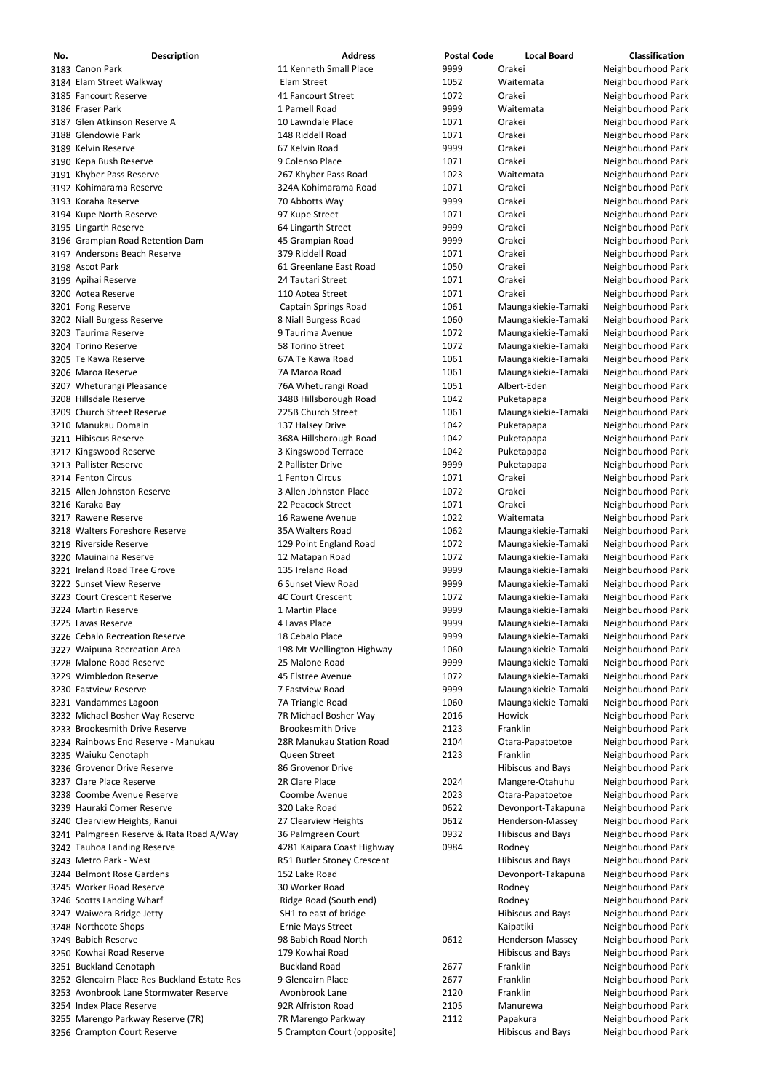| No. | <b>Description</b>                                       | <b>Address</b>                            | <b>Postal Code</b> | <b>Local Board</b>                         | Classification                           |
|-----|----------------------------------------------------------|-------------------------------------------|--------------------|--------------------------------------------|------------------------------------------|
|     | 3183 Canon Park                                          | 11 Kenneth Small Place                    | 9999               | Orakei                                     | Neighbourhood Park                       |
|     | 3184 Elam Street Walkway                                 | Elam Street                               | 1052               | Waitemata                                  | Neighbourhood Park                       |
|     | 3185 Fancourt Reserve                                    | 41 Fancourt Street                        | 1072               | Orakei                                     | Neighbourhood Park                       |
|     | 3186 Fraser Park                                         | 1 Parnell Road                            | 9999               | Waitemata                                  | Neighbourhood Park                       |
|     | 3187 Glen Atkinson Reserve A<br>3188 Glendowie Park      | 10 Lawndale Place<br>148 Riddell Road     | 1071<br>1071       | Orakei<br>Orakei                           | Neighbourhood Park                       |
|     | 3189 Kelvin Reserve                                      | 67 Kelvin Road                            | 9999               | Orakei                                     | Neighbourhood Park<br>Neighbourhood Park |
|     | 3190 Kepa Bush Reserve                                   | 9 Colenso Place                           | 1071               | Orakei                                     | Neighbourhood Park                       |
|     | 3191 Khyber Pass Reserve                                 | 267 Khyber Pass Road                      | 1023               | Waitemata                                  | Neighbourhood Park                       |
|     | 3192 Kohimarama Reserve                                  | 324A Kohimarama Road                      | 1071               | Orakei                                     | Neighbourhood Park                       |
|     | 3193 Koraha Reserve                                      | 70 Abbotts Way                            | 9999               | Orakei                                     | Neighbourhood Park                       |
|     | 3194 Kupe North Reserve                                  | 97 Kupe Street                            | 1071               | Orakei                                     | Neighbourhood Park                       |
|     | 3195 Lingarth Reserve                                    | 64 Lingarth Street                        | 9999               | Orakei                                     | Neighbourhood Park                       |
|     | 3196 Grampian Road Retention Dam                         | 45 Grampian Road                          | 9999               | Orakei                                     | Neighbourhood Park                       |
|     | 3197 Andersons Beach Reserve                             | 379 Riddell Road                          | 1071               | Orakei                                     | Neighbourhood Park                       |
|     | 3198 Ascot Park                                          | 61 Greenlane East Road                    | 1050               | Orakei                                     | Neighbourhood Park                       |
|     | 3199 Apihai Reserve                                      | 24 Tautari Street                         | 1071               | Orakei                                     | Neighbourhood Park                       |
|     | 3200 Aotea Reserve                                       | 110 Aotea Street                          | 1071               | Orakei                                     | Neighbourhood Park                       |
|     | 3201 Fong Reserve                                        | <b>Captain Springs Road</b>               | 1061<br>1060       | Maungakiekie-Tamaki                        | Neighbourhood Park                       |
|     | 3202 Niall Burgess Reserve<br>3203 Taurima Reserve       | 8 Niall Burgess Road<br>9 Taurima Avenue  | 1072               | Maungakiekie-Tamaki<br>Maungakiekie-Tamaki | Neighbourhood Park<br>Neighbourhood Park |
|     | 3204 Torino Reserve                                      | 58 Torino Street                          | 1072               | Maungakiekie-Tamaki                        | Neighbourhood Park                       |
|     | 3205 Te Kawa Reserve                                     | 67A Te Kawa Road                          | 1061               | Maungakiekie-Tamaki                        | Neighbourhood Park                       |
|     | 3206 Maroa Reserve                                       | 7A Maroa Road                             | 1061               | Maungakiekie-Tamaki                        | Neighbourhood Park                       |
|     | 3207 Wheturangi Pleasance                                | 76A Wheturangi Road                       | 1051               | Albert-Eden                                | Neighbourhood Park                       |
|     | 3208 Hillsdale Reserve                                   | 348B Hillsborough Road                    | 1042               | Puketapapa                                 | Neighbourhood Park                       |
|     | 3209 Church Street Reserve                               | 225B Church Street                        | 1061               | Maungakiekie-Tamaki                        | Neighbourhood Park                       |
|     | 3210 Manukau Domain                                      | 137 Halsey Drive                          | 1042               | Puketapapa                                 | Neighbourhood Park                       |
|     | 3211 Hibiscus Reserve                                    | 368A Hillsborough Road                    | 1042               | Puketapapa                                 | Neighbourhood Park                       |
|     | 3212 Kingswood Reserve                                   | 3 Kingswood Terrace                       | 1042               | Puketapapa                                 | Neighbourhood Park                       |
|     | 3213 Pallister Reserve                                   | 2 Pallister Drive                         | 9999               | Puketapapa                                 | Neighbourhood Park                       |
|     | 3214 Fenton Circus                                       | 1 Fenton Circus                           | 1071               | Orakei                                     | Neighbourhood Park                       |
|     | 3215 Allen Johnston Reserve                              | 3 Allen Johnston Place                    | 1072               | Orakei                                     | Neighbourhood Park                       |
|     | 3216 Karaka Bay                                          | 22 Peacock Street                         | 1071               | Orakei                                     | Neighbourhood Park                       |
|     | 3217 Rawene Reserve<br>3218 Walters Foreshore Reserve    | 16 Rawene Avenue<br>35A Walters Road      | 1022<br>1062       | Waitemata<br>Maungakiekie-Tamaki           | Neighbourhood Park<br>Neighbourhood Park |
|     | 3219 Riverside Reserve                                   | 129 Point England Road                    | 1072               | Maungakiekie-Tamaki                        | Neighbourhood Park                       |
|     | 3220 Mauinaina Reserve                                   | 12 Matapan Road                           | 1072               | Maungakiekie-Tamaki                        | Neighbourhood Park                       |
|     | 3221 Ireland Road Tree Grove                             | 135 Ireland Road                          | 9999               | Maungakiekie-Tamaki                        | Neighbourhood Park                       |
|     | 3222 Sunset View Reserve                                 | 6 Sunset View Road                        | 9999               | Maungakiekie-Tamaki                        | Neighbourhood Park                       |
|     | 3223 Court Crescent Reserve                              | <b>4C Court Crescent</b>                  | 1072               | Maungakiekie-Tamaki                        | Neighbourhood Park                       |
|     | 3224 Martin Reserve                                      | 1 Martin Place                            | 9999               | Maungakiekie-Tamaki                        | Neighbourhood Park                       |
|     | 3225 Lavas Reserve                                       | 4 Lavas Place                             | 9999               | Maungakiekie-Tamaki                        | Neighbourhood Park                       |
|     | 3226 Cebalo Recreation Reserve                           | 18 Cebalo Place                           | 9999               | Maungakiekie-Tamaki                        | Neighbourhood Park                       |
|     | 3227 Waipuna Recreation Area                             | 198 Mt Wellington Highway                 | 1060               | Maungakiekie-Tamaki                        | Neighbourhood Park                       |
|     | 3228 Malone Road Reserve                                 | 25 Malone Road                            | 9999               | Maungakiekie-Tamaki                        | Neighbourhood Park                       |
|     | 3229 Wimbledon Reserve                                   | 45 Elstree Avenue                         | 1072               | Maungakiekie-Tamaki                        | Neighbourhood Park                       |
|     | 3230 Eastview Reserve                                    | 7 Eastview Road                           | 9999               | Maungakiekie-Tamaki                        | Neighbourhood Park                       |
|     | 3231 Vandammes Lagoon<br>3232 Michael Bosher Way Reserve | 7A Triangle Road<br>7R Michael Bosher Way | 1060<br>2016       | Maungakiekie-Tamaki<br>Howick              | Neighbourhood Park<br>Neighbourhood Park |
|     | 3233 Brookesmith Drive Reserve                           | <b>Brookesmith Drive</b>                  | 2123               | Franklin                                   | Neighbourhood Park                       |
|     | 3234 Rainbows End Reserve - Manukau                      | 28R Manukau Station Road                  | 2104               | Otara-Papatoetoe                           | Neighbourhood Park                       |
|     | 3235 Waiuku Cenotaph                                     | Queen Street                              | 2123               | Franklin                                   | Neighbourhood Park                       |
|     | 3236 Grovenor Drive Reserve                              | 86 Grovenor Drive                         |                    | <b>Hibiscus and Bays</b>                   | Neighbourhood Park                       |
|     | 3237 Clare Place Reserve                                 | 2R Clare Place                            | 2024               | Mangere-Otahuhu                            | Neighbourhood Park                       |
|     | 3238 Coombe Avenue Reserve                               | Coombe Avenue                             | 2023               | Otara-Papatoetoe                           | Neighbourhood Park                       |
|     | 3239 Hauraki Corner Reserve                              | 320 Lake Road                             | 0622               | Devonport-Takapuna                         | Neighbourhood Park                       |
|     | 3240 Clearview Heights, Ranui                            | 27 Clearview Heights                      | 0612               | Henderson-Massey                           | Neighbourhood Park                       |
|     | 3241 Palmgreen Reserve & Rata Road A/Way                 | 36 Palmgreen Court                        | 0932               | <b>Hibiscus and Bays</b>                   | Neighbourhood Park                       |
|     | 3242 Tauhoa Landing Reserve                              | 4281 Kaipara Coast Highway                | 0984               | Rodney                                     | Neighbourhood Park                       |
|     | 3243 Metro Park - West                                   | R51 Butler Stoney Crescent                |                    | <b>Hibiscus and Bays</b>                   | Neighbourhood Park                       |
|     | 3244 Belmont Rose Gardens<br>3245 Worker Road Reserve    | 152 Lake Road<br>30 Worker Road           |                    | Devonport-Takapuna<br>Rodney               | Neighbourhood Park<br>Neighbourhood Park |
|     | 3246 Scotts Landing Wharf                                | Ridge Road (South end)                    |                    | Rodney                                     | Neighbourhood Park                       |
|     | 3247 Waiwera Bridge Jetty                                | SH1 to east of bridge                     |                    | <b>Hibiscus and Bays</b>                   | Neighbourhood Park                       |
|     | 3248 Northcote Shops                                     | <b>Ernie Mays Street</b>                  |                    | Kaipatiki                                  | Neighbourhood Park                       |
|     | 3249 Babich Reserve                                      | 98 Babich Road North                      | 0612               | Henderson-Massey                           | Neighbourhood Park                       |
|     | 3250 Kowhai Road Reserve                                 | 179 Kowhai Road                           |                    | <b>Hibiscus and Bays</b>                   | Neighbourhood Park                       |
|     | 3251 Buckland Cenotaph                                   | <b>Buckland Road</b>                      | 2677               | Franklin                                   | Neighbourhood Park                       |
|     | 3252 Glencairn Place Res-Buckland Estate Res             | 9 Glencairn Place                         | 2677               | Franklin                                   | Neighbourhood Park                       |
|     | 3253 Avonbrook Lane Stormwater Reserve                   | Avonbrook Lane                            | 2120               | Franklin                                   | Neighbourhood Park                       |
|     | 3254 Index Place Reserve                                 | 92R Alfriston Road                        | 2105               | Manurewa                                   | Neighbourhood Park                       |
|     | 3255 Marengo Parkway Reserve (7R)                        | 7R Marengo Parkway                        | 2112               | Papakura                                   | Neighbourhood Park                       |
|     | 3256 Crampton Court Reserve                              | 5 Crampton Court (opposite)               |                    | <b>Hibiscus and Bays</b>                   | Neighbourhood Park                       |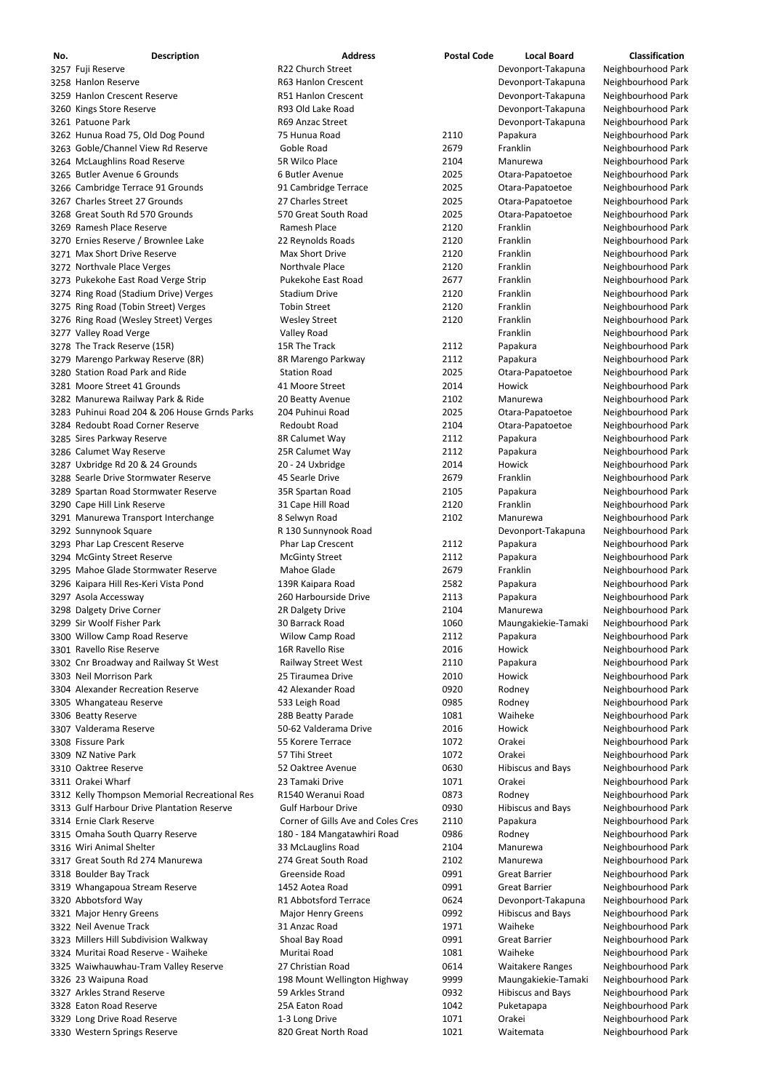| No. | <b>Description</b>                            | <b>Address</b>                     | <b>Postal Code</b> | <b>Local Board</b>       | <b>Classification</b> |
|-----|-----------------------------------------------|------------------------------------|--------------------|--------------------------|-----------------------|
|     | 3257 Fuji Reserve                             | R22 Church Street                  |                    | Devonport-Takapuna       | Neighbourhood Park    |
|     | 3258 Hanlon Reserve                           | R63 Hanlon Crescent                |                    | Devonport-Takapuna       | Neighbourhood Park    |
|     | 3259 Hanlon Crescent Reserve                  | R51 Hanlon Crescent                |                    | Devonport-Takapuna       | Neighbourhood Park    |
|     | 3260 Kings Store Reserve                      | R93 Old Lake Road                  |                    | Devonport-Takapuna       | Neighbourhood Park    |
|     | 3261 Patuone Park                             | R69 Anzac Street                   |                    | Devonport-Takapuna       | Neighbourhood Park    |
|     | 3262 Hunua Road 75, Old Dog Pound             | 75 Hunua Road                      | 2110               | Papakura                 | Neighbourhood Park    |
|     | 3263 Goble/Channel View Rd Reserve            | Goble Road                         | 2679               | Franklin                 | Neighbourhood Park    |
|     | 3264 McLaughlins Road Reserve                 | 5R Wilco Place                     | 2104               | Manurewa                 | Neighbourhood Park    |
|     | 3265 Butler Avenue 6 Grounds                  | 6 Butler Avenue                    | 2025               | Otara-Papatoetoe         | Neighbourhood Park    |
|     | 3266 Cambridge Terrace 91 Grounds             | 91 Cambridge Terrace               | 2025               | Otara-Papatoetoe         | Neighbourhood Park    |
|     | 3267 Charles Street 27 Grounds                | 27 Charles Street                  | 2025               | Otara-Papatoetoe         | Neighbourhood Park    |
|     | 3268 Great South Rd 570 Grounds               | 570 Great South Road               | 2025               | Otara-Papatoetoe         | Neighbourhood Park    |
|     | 3269 Ramesh Place Reserve                     | Ramesh Place                       | 2120               | Franklin                 | Neighbourhood Park    |
|     | 3270 Ernies Reserve / Brownlee Lake           | 22 Reynolds Roads                  | 2120               | Franklin                 | Neighbourhood Park    |
|     | 3271 Max Short Drive Reserve                  | Max Short Drive                    | 2120               | Franklin                 | Neighbourhood Park    |
|     | 3272 Northvale Place Verges                   | Northvale Place                    | 2120               | Franklin                 | Neighbourhood Park    |
|     |                                               | Pukekohe East Road                 | 2677               | Franklin                 | Neighbourhood Park    |
|     | 3273 Pukekohe East Road Verge Strip           |                                    |                    | Franklin                 |                       |
|     | 3274 Ring Road (Stadium Drive) Verges         | <b>Stadium Drive</b>               | 2120               |                          | Neighbourhood Park    |
|     | 3275 Ring Road (Tobin Street) Verges          | <b>Tobin Street</b>                | 2120               | Franklin                 | Neighbourhood Park    |
|     | 3276 Ring Road (Wesley Street) Verges         | <b>Wesley Street</b>               | 2120               | Franklin                 | Neighbourhood Park    |
|     | 3277 Valley Road Verge                        | Valley Road                        |                    | Franklin                 | Neighbourhood Park    |
|     | 3278 The Track Reserve (15R)                  | 15R The Track                      | 2112               | Papakura                 | Neighbourhood Park    |
|     | 3279 Marengo Parkway Reserve (8R)             | 8R Marengo Parkway                 | 2112               | Papakura                 | Neighbourhood Park    |
|     | 3280 Station Road Park and Ride               | <b>Station Road</b>                | 2025               | Otara-Papatoetoe         | Neighbourhood Park    |
|     | 3281 Moore Street 41 Grounds                  | 41 Moore Street                    | 2014               | <b>Howick</b>            | Neighbourhood Park    |
|     | 3282 Manurewa Railway Park & Ride             | 20 Beatty Avenue                   | 2102               | Manurewa                 | Neighbourhood Park    |
|     | 3283 Puhinui Road 204 & 206 House Grnds Parks | 204 Puhinui Road                   | 2025               | Otara-Papatoetoe         | Neighbourhood Park    |
|     | 3284 Redoubt Road Corner Reserve              | <b>Redoubt Road</b>                | 2104               | Otara-Papatoetoe         | Neighbourhood Park    |
|     | 3285 Sires Parkway Reserve                    | 8R Calumet Way                     | 2112               | Papakura                 | Neighbourhood Park    |
|     | 3286 Calumet Way Reserve                      | 25R Calumet Way                    | 2112               | Papakura                 | Neighbourhood Park    |
|     | 3287 Uxbridge Rd 20 & 24 Grounds              | 20 - 24 Uxbridge                   | 2014               | Howick                   | Neighbourhood Park    |
|     | 3288 Searle Drive Stormwater Reserve          | 45 Searle Drive                    | 2679               | Franklin                 | Neighbourhood Park    |
|     | 3289 Spartan Road Stormwater Reserve          | 35R Spartan Road                   | 2105               | Papakura                 | Neighbourhood Park    |
|     | 3290 Cape Hill Link Reserve                   | 31 Cape Hill Road                  | 2120               | Franklin                 | Neighbourhood Park    |
|     | 3291 Manurewa Transport Interchange           | 8 Selwyn Road                      | 2102               | Manurewa                 | Neighbourhood Park    |
|     | 3292 Sunnynook Square                         | R 130 Sunnynook Road               |                    | Devonport-Takapuna       | Neighbourhood Park    |
|     | 3293 Phar Lap Crescent Reserve                | Phar Lap Crescent                  | 2112               | Papakura                 | Neighbourhood Park    |
|     |                                               | <b>McGinty Street</b>              | 2112               |                          | Neighbourhood Park    |
|     | 3294 McGinty Street Reserve                   |                                    |                    | Papakura                 |                       |
|     | 3295 Mahoe Glade Stormwater Reserve           | Mahoe Glade                        | 2679               | Franklin                 | Neighbourhood Park    |
|     | 3296 Kaipara Hill Res-Keri Vista Pond         | 139R Kaipara Road                  | 2582               | Papakura                 | Neighbourhood Park    |
|     | 3297 Asola Accessway                          | 260 Harbourside Drive              | 2113               | Papakura                 | Neighbourhood Park    |
|     | 3298 Dalgety Drive Corner                     | 2R Dalgety Drive                   | 2104               | Manurewa                 | Neighbourhood Park    |
|     | 3299 Sir Woolf Fisher Park                    | 30 Barrack Road                    | 1060               | Maungakiekie-Tamaki      | Neighbourhood Park    |
|     | 3300 Willow Camp Road Reserve                 | Wilow Camp Road                    | 2112               | Papakura                 | Neighbourhood Park    |
|     | 3301 Ravello Rise Reserve                     | 16R Ravello Rise                   | 2016               | Howick                   | Neighbourhood Park    |
|     | 3302 Cnr Broadway and Railway St West         | Railway Street West                | 2110               | Papakura                 | Neighbourhood Park    |
|     | 3303 Neil Morrison Park                       | 25 Tiraumea Drive                  | 2010               | Howick                   | Neighbourhood Park    |
|     | 3304 Alexander Recreation Reserve             | 42 Alexander Road                  | 0920               | Rodney                   | Neighbourhood Park    |
|     | 3305 Whangateau Reserve                       | 533 Leigh Road                     | 0985               | Rodney                   | Neighbourhood Park    |
|     | 3306 Beatty Reserve                           | 28B Beatty Parade                  | 1081               | Waiheke                  | Neighbourhood Park    |
|     | 3307 Valderama Reserve                        | 50-62 Valderama Drive              | 2016               | Howick                   | Neighbourhood Park    |
|     | 3308 Fissure Park                             | 55 Korere Terrace                  | 1072               | Orakei                   | Neighbourhood Park    |
|     | 3309 NZ Native Park                           | 57 Tihi Street                     | 1072               | Orakei                   | Neighbourhood Park    |
|     | 3310 Oaktree Reserve                          | 52 Oaktree Avenue                  | 0630               | <b>Hibiscus and Bays</b> | Neighbourhood Park    |
|     | 3311 Orakei Wharf                             | 23 Tamaki Drive                    | 1071               | Orakei                   | Neighbourhood Park    |
|     | 3312 Kelly Thompson Memorial Recreational Res | R1540 Weranui Road                 | 0873               | Rodney                   | Neighbourhood Park    |
|     | 3313 Gulf Harbour Drive Plantation Reserve    | <b>Gulf Harbour Drive</b>          | 0930               | <b>Hibiscus and Bays</b> | Neighbourhood Park    |
|     | 3314 Ernie Clark Reserve                      | Corner of Gills Ave and Coles Cres | 2110               | Papakura                 | Neighbourhood Park    |
|     |                                               |                                    |                    |                          |                       |
|     | 3315 Omaha South Quarry Reserve               | 180 - 184 Mangatawhiri Road        | 0986               | Rodney                   | Neighbourhood Park    |
|     | 3316 Wiri Animal Shelter                      | 33 McLauglins Road                 | 2104               | Manurewa                 | Neighbourhood Park    |
|     | 3317 Great South Rd 274 Manurewa              | 274 Great South Road               | 2102               | Manurewa                 | Neighbourhood Park    |
|     | 3318 Boulder Bay Track                        | Greenside Road                     | 0991               | Great Barrier            | Neighbourhood Park    |
|     | 3319 Whangapoua Stream Reserve                | 1452 Aotea Road                    | 0991               | <b>Great Barrier</b>     | Neighbourhood Park    |
|     | 3320 Abbotsford Way                           | R1 Abbotsford Terrace              | 0624               | Devonport-Takapuna       | Neighbourhood Park    |
|     | 3321 Major Henry Greens                       | <b>Major Henry Greens</b>          | 0992               | <b>Hibiscus and Bays</b> | Neighbourhood Park    |
|     | 3322 Neil Avenue Track                        | 31 Anzac Road                      | 1971               | Waiheke                  | Neighbourhood Park    |
|     | 3323 Millers Hill Subdivision Walkway         | Shoal Bay Road                     | 0991               | <b>Great Barrier</b>     | Neighbourhood Park    |
|     | 3324 Muritai Road Reserve - Waiheke           | Muritai Road                       | 1081               | Waiheke                  | Neighbourhood Park    |
|     | 3325 Waiwhauwhau-Tram Valley Reserve          | 27 Christian Road                  | 0614               | <b>Waitakere Ranges</b>  | Neighbourhood Park    |
|     | 3326 23 Waipuna Road                          | 198 Mount Wellington Highway       | 9999               | Maungakiekie-Tamaki      | Neighbourhood Park    |
|     | 3327 Arkles Strand Reserve                    | 59 Arkles Strand                   | 0932               | <b>Hibiscus and Bays</b> | Neighbourhood Park    |
|     | 3328 Eaton Road Reserve                       | 25A Eaton Road                     | 1042               | Puketapapa               | Neighbourhood Park    |
|     | 3329 Long Drive Road Reserve                  | 1-3 Long Drive                     | 1071               | Orakei                   | Neighbourhood Park    |
|     | 3330 Western Springs Reserve                  | 820 Great North Road               | 1021               | Waitemata                | Neighbourhood Park    |
|     |                                               |                                    |                    |                          |                       |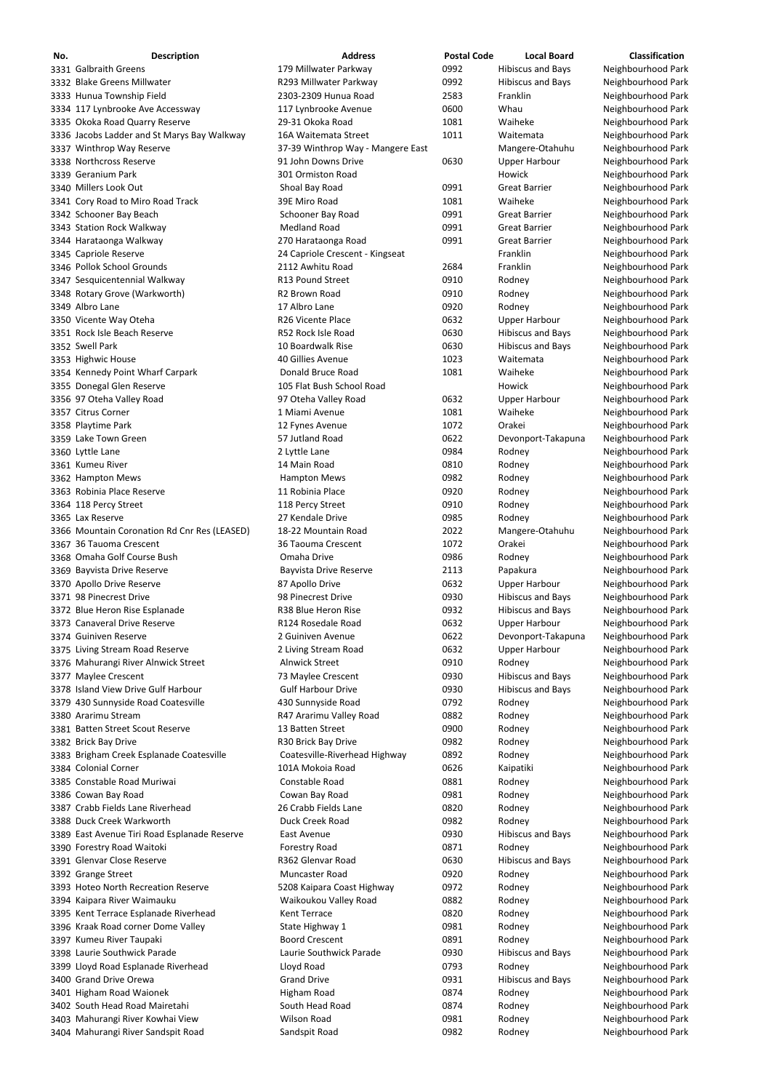| No. | <b>Description</b>                                                     | <b>Address</b>                                           | <b>Postal Code</b> | <b>Local Board</b>                                   | <b>Classification</b>                    |
|-----|------------------------------------------------------------------------|----------------------------------------------------------|--------------------|------------------------------------------------------|------------------------------------------|
|     | 3331 Galbraith Greens                                                  | 179 Millwater Parkway                                    | 0992               | <b>Hibiscus and Bays</b>                             | Neighbourhood Park                       |
|     | 3332 Blake Greens Millwater                                            | R293 Millwater Parkway                                   | 0992               | <b>Hibiscus and Bays</b>                             | Neighbourhood Park                       |
|     | 3333 Hunua Township Field                                              | 2303-2309 Hunua Road                                     | 2583               | Franklin                                             | Neighbourhood Park                       |
|     | 3334 117 Lynbrooke Ave Accessway                                       | 117 Lynbrooke Avenue                                     | 0600               | Whau                                                 | Neighbourhood Park                       |
|     | 3335 Okoka Road Quarry Reserve                                         | 29-31 Okoka Road                                         | 1081               | Waiheke                                              | Neighbourhood Park                       |
|     | 3336 Jacobs Ladder and St Marys Bay Walkway                            | 16A Waitemata Street                                     | 1011               | Waitemata                                            | Neighbourhood Park                       |
|     | 3337 Winthrop Way Reserve<br>3338 Northcross Reserve                   | 37-39 Winthrop Way - Mangere East<br>91 John Downs Drive | 0630               | Mangere-Otahuhu                                      | Neighbourhood Park                       |
|     | 3339 Geranium Park                                                     | 301 Ormiston Road                                        |                    | <b>Upper Harbour</b><br>Howick                       | Neighbourhood Park<br>Neighbourhood Park |
|     | 3340 Millers Look Out                                                  | Shoal Bay Road                                           | 0991               | <b>Great Barrier</b>                                 | Neighbourhood Park                       |
|     | 3341 Cory Road to Miro Road Track                                      | 39E Miro Road                                            | 1081               | Waiheke                                              | Neighbourhood Park                       |
|     | 3342 Schooner Bay Beach                                                | Schooner Bay Road                                        | 0991               | <b>Great Barrier</b>                                 | Neighbourhood Park                       |
|     | 3343 Station Rock Walkway                                              | <b>Medland Road</b>                                      | 0991               | <b>Great Barrier</b>                                 | Neighbourhood Park                       |
|     | 3344 Harataonga Walkway                                                | 270 Harataonga Road                                      | 0991               | <b>Great Barrier</b>                                 | Neighbourhood Park                       |
|     | 3345 Capriole Reserve                                                  | 24 Capriole Crescent - Kingseat                          |                    | Franklin                                             | Neighbourhood Park                       |
|     | 3346 Pollok School Grounds                                             | 2112 Awhitu Road                                         | 2684               | Franklin                                             | Neighbourhood Park                       |
|     | 3347 Sesquicentennial Walkway                                          | R13 Pound Street                                         | 0910               | Rodney                                               | Neighbourhood Park                       |
|     | 3348 Rotary Grove (Warkworth)                                          | R2 Brown Road                                            | 0910               | Rodney                                               | Neighbourhood Park                       |
|     | 3349 Albro Lane                                                        | 17 Albro Lane                                            | 0920               | Rodney                                               | Neighbourhood Park                       |
|     | 3350 Vicente Way Oteha                                                 | R26 Vicente Place<br>R52 Rock Isle Road                  | 0632               | <b>Upper Harbour</b>                                 | Neighbourhood Park                       |
|     | 3351 Rock Isle Beach Reserve<br>3352 Swell Park                        | 10 Boardwalk Rise                                        | 0630<br>0630       | <b>Hibiscus and Bays</b><br><b>Hibiscus and Bays</b> | Neighbourhood Park<br>Neighbourhood Park |
|     | 3353 Highwic House                                                     | 40 Gillies Avenue                                        | 1023               | Waitemata                                            | Neighbourhood Park                       |
|     | 3354 Kennedy Point Wharf Carpark                                       | Donald Bruce Road                                        | 1081               | Waiheke                                              | Neighbourhood Park                       |
|     | 3355 Donegal Glen Reserve                                              | 105 Flat Bush School Road                                |                    | Howick                                               | Neighbourhood Park                       |
|     | 3356 97 Oteha Valley Road                                              | 97 Oteha Valley Road                                     | 0632               | <b>Upper Harbour</b>                                 | Neighbourhood Park                       |
|     | 3357 Citrus Corner                                                     | 1 Miami Avenue                                           | 1081               | Waiheke                                              | Neighbourhood Park                       |
|     | 3358 Playtime Park                                                     | 12 Fynes Avenue                                          | 1072               | Orakei                                               | Neighbourhood Park                       |
|     | 3359 Lake Town Green                                                   | 57 Jutland Road                                          | 0622               | Devonport-Takapuna                                   | Neighbourhood Park                       |
|     | 3360 Lyttle Lane                                                       | 2 Lyttle Lane                                            | 0984               | Rodney                                               | Neighbourhood Park                       |
|     | 3361 Kumeu River                                                       | 14 Main Road                                             | 0810               | Rodney                                               | Neighbourhood Park                       |
|     | 3362 Hampton Mews                                                      | <b>Hampton Mews</b>                                      | 0982               | Rodney                                               | Neighbourhood Park                       |
|     | 3363 Robinia Place Reserve                                             | 11 Robinia Place                                         | 0920               | Rodney                                               | Neighbourhood Park                       |
|     | 3364 118 Percy Street                                                  | 118 Percy Street                                         | 0910               | Rodney                                               | Neighbourhood Park                       |
|     | 3365 Lax Reserve<br>3366 Mountain Coronation Rd Cnr Res (LEASED)       | 27 Kendale Drive<br>18-22 Mountain Road                  | 0985<br>2022       | Rodney<br>Mangere-Otahuhu                            | Neighbourhood Park<br>Neighbourhood Park |
|     | 3367 36 Tauoma Crescent                                                | 36 Taouma Crescent                                       | 1072               | Orakei                                               | Neighbourhood Park                       |
|     | 3368 Omaha Golf Course Bush                                            | Omaha Drive                                              | 0986               | Rodney                                               | Neighbourhood Park                       |
|     | 3369 Bayvista Drive Reserve                                            | <b>Bayvista Drive Reserve</b>                            | 2113               | Papakura                                             | Neighbourhood Park                       |
|     | 3370 Apollo Drive Reserve                                              | 87 Apollo Drive                                          | 0632               | <b>Upper Harbour</b>                                 | Neighbourhood Park                       |
|     | 3371 98 Pinecrest Drive                                                | 98 Pinecrest Drive                                       | 0930               | <b>Hibiscus and Bays</b>                             | Neighbourhood Park                       |
|     | 3372 Blue Heron Rise Esplanade                                         | R38 Blue Heron Rise                                      | 0932               | <b>Hibiscus and Bays</b>                             | Neighbourhood Park                       |
|     | 3373 Canaveral Drive Reserve                                           | R124 Rosedale Road                                       | 0632               | <b>Upper Harbour</b>                                 | Neighbourhood Park                       |
|     | 3374 Guiniven Reserve                                                  | 2 Guiniven Avenue                                        | 0622               | Devonport-Takapuna                                   | Neighbourhood Park                       |
|     | 3375 Living Stream Road Reserve                                        | 2 Living Stream Road                                     | 0632               | <b>Upper Harbour</b>                                 | Neighbourhood Park                       |
|     | 3376 Mahurangi River Alnwick Street                                    | <b>Alnwick Street</b>                                    | 0910               | Rodney                                               | Neighbourhood Park                       |
|     | 3377 Maylee Crescent<br>3378 Island View Drive Gulf Harbour            | 73 Maylee Crescent<br><b>Gulf Harbour Drive</b>          | 0930<br>0930       | <b>Hibiscus and Bays</b>                             | Neighbourhood Park                       |
|     | 3379 430 Sunnyside Road Coatesville                                    | 430 Sunnyside Road                                       | 0792               | <b>Hibiscus and Bays</b><br>Rodney                   | Neighbourhood Park<br>Neighbourhood Park |
|     | 3380 Ararimu Stream                                                    | R47 Ararimu Valley Road                                  | 0882               | Rodney                                               | Neighbourhood Park                       |
|     | 3381 Batten Street Scout Reserve                                       | 13 Batten Street                                         | 0900               | Rodney                                               | Neighbourhood Park                       |
|     | 3382 Brick Bay Drive                                                   | R30 Brick Bay Drive                                      | 0982               | Rodney                                               | Neighbourhood Park                       |
|     | 3383 Brigham Creek Esplanade Coatesville                               | Coatesville-Riverhead Highway                            | 0892               | Rodney                                               | Neighbourhood Park                       |
|     | 3384 Colonial Corner                                                   | 101A Mokoia Road                                         | 0626               | Kaipatiki                                            | Neighbourhood Park                       |
|     | 3385 Constable Road Muriwai                                            | Constable Road                                           | 0881               | Rodney                                               | Neighbourhood Park                       |
|     | 3386 Cowan Bay Road                                                    | Cowan Bay Road                                           | 0981               | Rodney                                               | Neighbourhood Park                       |
|     | 3387 Crabb Fields Lane Riverhead                                       | 26 Crabb Fields Lane                                     | 0820               | Rodney                                               | Neighbourhood Park                       |
|     | 3388 Duck Creek Warkworth                                              | Duck Creek Road                                          | 0982               | Rodney                                               | Neighbourhood Park                       |
|     | 3389 East Avenue Tiri Road Esplanade Reserve                           | East Avenue                                              | 0930               | <b>Hibiscus and Bays</b>                             | Neighbourhood Park                       |
|     | 3390 Forestry Road Waitoki<br>3391 Glenvar Close Reserve               | <b>Forestry Road</b><br>R362 Glenvar Road                | 0871<br>0630       | Rodney<br><b>Hibiscus and Bays</b>                   | Neighbourhood Park<br>Neighbourhood Park |
|     | 3392 Grange Street                                                     | Muncaster Road                                           | 0920               | Rodney                                               | Neighbourhood Park                       |
|     | 3393 Hoteo North Recreation Reserve                                    | 5208 Kaipara Coast Highway                               | 0972               | Rodney                                               | Neighbourhood Park                       |
|     | 3394 Kaipara River Waimauku                                            | Waikoukou Valley Road                                    | 0882               | Rodney                                               | Neighbourhood Park                       |
|     | 3395 Kent Terrace Esplanade Riverhead                                  | Kent Terrace                                             | 0820               | Rodney                                               | Neighbourhood Park                       |
|     | 3396 Kraak Road corner Dome Valley                                     | State Highway 1                                          | 0981               | Rodney                                               | Neighbourhood Park                       |
|     | 3397 Kumeu River Taupaki                                               | <b>Boord Crescent</b>                                    | 0891               | Rodney                                               | Neighbourhood Park                       |
|     | 3398 Laurie Southwick Parade                                           | Laurie Southwick Parade                                  | 0930               | <b>Hibiscus and Bays</b>                             | Neighbourhood Park                       |
|     | 3399 Lloyd Road Esplanade Riverhead                                    | Lloyd Road                                               | 0793               | Rodney                                               | Neighbourhood Park                       |
|     | 3400 Grand Drive Orewa                                                 | <b>Grand Drive</b>                                       | 0931               | <b>Hibiscus and Bays</b>                             | Neighbourhood Park                       |
|     | 3401 Higham Road Waionek                                               | Higham Road                                              | 0874               | Rodney                                               | Neighbourhood Park                       |
|     | 3402 South Head Road Mairetahi                                         | South Head Road                                          | 0874               | Rodney                                               | Neighbourhood Park                       |
|     | 3403 Mahurangi River Kowhai View<br>3404 Mahurangi River Sandspit Road | <b>Wilson Road</b><br>Sandspit Road                      | 0981<br>0982       | Rodney<br>Rodney                                     | Neighbourhood Park<br>Neighbourhood Park |
|     |                                                                        |                                                          |                    |                                                      |                                          |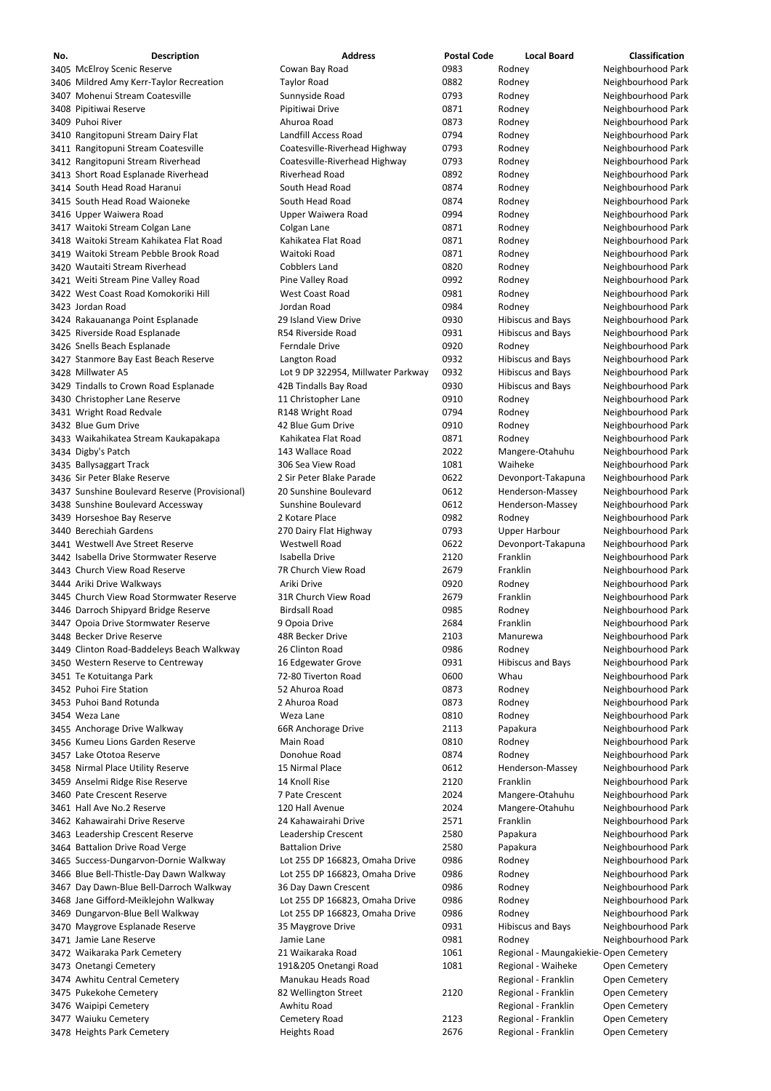| No. | <b>Description</b>                            | <b>Address</b>                     | <b>Postal Code</b> | <b>Local Board</b>       | <b>Classification</b> |
|-----|-----------------------------------------------|------------------------------------|--------------------|--------------------------|-----------------------|
|     | 3405 McElroy Scenic Reserve                   | Cowan Bay Road                     | 0983               | Rodney                   | Neighbourhood Park    |
|     | 3406 Mildred Amy Kerr-Taylor Recreation       | <b>Taylor Road</b>                 | 0882               | Rodney                   | Neighbourhood Park    |
|     | 3407 Mohenui Stream Coatesville               | Sunnyside Road                     | 0793               | Rodney                   | Neighbourhood Park    |
|     | 3408 Pipitiwai Reserve                        | Pipitiwai Drive                    | 0871               | Rodney                   | Neighbourhood Park    |
|     | 3409 Puhoi River                              | Ahuroa Road                        | 0873               | Rodney                   | Neighbourhood Park    |
|     | 3410 Rangitopuni Stream Dairy Flat            | Landfill Access Road               | 0794               | Rodney                   | Neighbourhood Park    |
|     | 3411 Rangitopuni Stream Coatesville           | Coatesville-Riverhead Highway      | 0793               | Rodney                   | Neighbourhood Park    |
|     | 3412 Rangitopuni Stream Riverhead             | Coatesville-Riverhead Highway      | 0793               | Rodney                   | Neighbourhood Park    |
|     | 3413 Short Road Esplanade Riverhead           | Riverhead Road                     | 0892               | Rodney                   | Neighbourhood Park    |
|     | 3414 South Head Road Haranui                  | South Head Road                    | 0874               | Rodney                   | Neighbourhood Park    |
|     | 3415 South Head Road Waioneke                 | South Head Road                    | 0874               | Rodney                   | Neighbourhood Park    |
|     | 3416 Upper Waiwera Road                       | Upper Waiwera Road                 | 0994               | Rodney                   | Neighbourhood Park    |
|     | 3417 Waitoki Stream Colgan Lane               | Colgan Lane                        | 0871               | Rodney                   | Neighbourhood Park    |
|     | 3418 Waitoki Stream Kahikatea Flat Road       | Kahikatea Flat Road                | 0871               | Rodney                   | Neighbourhood Park    |
|     | 3419 Waitoki Stream Pebble Brook Road         | Waitoki Road                       | 0871               | Rodney                   | Neighbourhood Park    |
|     | 3420 Wautaiti Stream Riverhead                | <b>Cobblers Land</b>               | 0820               | Rodney                   | Neighbourhood Park    |
|     | 3421 Weiti Stream Pine Valley Road            | Pine Valley Road                   | 0992               | Rodney                   | Neighbourhood Park    |
|     | 3422 West Coast Road Komokoriki Hill          | West Coast Road                    | 0981               | Rodney                   | Neighbourhood Park    |
|     |                                               |                                    |                    |                          |                       |
|     | 3423 Jordan Road                              | Jordan Road                        | 0984               | Rodney                   | Neighbourhood Park    |
|     | 3424 Rakauananga Point Esplanade              | 29 Island View Drive               | 0930               | <b>Hibiscus and Bays</b> | Neighbourhood Park    |
|     | 3425 Riverside Road Esplanade                 | R54 Riverside Road                 | 0931               | <b>Hibiscus and Bays</b> | Neighbourhood Park    |
|     | 3426 Snells Beach Esplanade                   | Ferndale Drive                     | 0920               | Rodney                   | Neighbourhood Park    |
|     | 3427 Stanmore Bay East Beach Reserve          | Langton Road                       | 0932               | <b>Hibiscus and Bays</b> | Neighbourhood Park    |
|     | 3428 Millwater A5                             | Lot 9 DP 322954, Millwater Parkway | 0932               | <b>Hibiscus and Bays</b> | Neighbourhood Park    |
|     | 3429 Tindalls to Crown Road Esplanade         | 42B Tindalls Bay Road              | 0930               | <b>Hibiscus and Bays</b> | Neighbourhood Park    |
|     | 3430 Christopher Lane Reserve                 | 11 Christopher Lane                | 0910               | Rodney                   | Neighbourhood Park    |
|     | 3431 Wright Road Redvale                      | R148 Wright Road                   | 0794               | Rodney                   | Neighbourhood Park    |
|     | 3432 Blue Gum Drive                           | 42 Blue Gum Drive                  | 0910               | Rodney                   | Neighbourhood Park    |
|     | 3433 Waikahikatea Stream Kaukapakapa          | Kahikatea Flat Road                | 0871               | Rodney                   | Neighbourhood Park    |
|     | 3434 Digby's Patch                            | 143 Wallace Road                   | 2022               | Mangere-Otahuhu          | Neighbourhood Park    |
|     | 3435 Ballysaggart Track                       | 306 Sea View Road                  | 1081               | Waiheke                  | Neighbourhood Park    |
|     | 3436 Sir Peter Blake Reserve                  | 2 Sir Peter Blake Parade           | 0622               | Devonport-Takapuna       | Neighbourhood Park    |
|     | 3437 Sunshine Boulevard Reserve (Provisional) | 20 Sunshine Boulevard              | 0612               | Henderson-Massey         | Neighbourhood Park    |
|     | 3438 Sunshine Boulevard Accessway             | Sunshine Boulevard                 | 0612               | Henderson-Massey         | Neighbourhood Park    |
|     | 3439 Horseshoe Bay Reserve                    | 2 Kotare Place                     | 0982               | Rodney                   | Neighbourhood Park    |
|     | 3440 Berechiah Gardens                        | 270 Dairy Flat Highway             | 0793               | <b>Upper Harbour</b>     | Neighbourhood Park    |
|     | 3441 Westwell Ave Street Reserve              | <b>Westwell Road</b>               | 0622               | Devonport-Takapuna       | Neighbourhood Park    |
|     | 3442 Isabella Drive Stormwater Reserve        | Isabella Drive                     | 2120               | Franklin                 | Neighbourhood Park    |
|     | 3443 Church View Road Reserve                 | 7R Church View Road                | 2679               | Franklin                 | Neighbourhood Park    |
|     | 3444 Ariki Drive Walkways                     | Ariki Drive                        | 0920               | Rodney                   | Neighbourhood Park    |
|     | 3445 Church View Road Stormwater Reserve      | 31R Church View Road               | 2679               | Franklin                 | Neighbourhood Park    |
|     | 3446 Darroch Shipyard Bridge Reserve          | <b>Birdsall Road</b>               | 0985               | Rodney                   | Neighbourhood Park    |
|     | 3447 Opoia Drive Stormwater Reserve           | 9 Opoia Drive                      | 2684               | Franklin                 | Neighbourhood Park    |
|     | 3448 Becker Drive Reserve                     | 48R Becker Drive                   | 2103               | Manurewa                 |                       |
|     |                                               |                                    | 0986               |                          | Neighbourhood Park    |
|     | 3449 Clinton Road-Baddeleys Beach Walkway     | 26 Clinton Road                    |                    | Rodney                   | Neighbourhood Park    |
|     | 3450 Western Reserve to Centreway             | 16 Edgewater Grove                 | 0931               | <b>Hibiscus and Bays</b> | Neighbourhood Park    |
|     | 3451 Te Kotuitanga Park                       | 72-80 Tiverton Road                | 0600               | Whau                     | Neighbourhood Park    |
|     | 3452 Puhoi Fire Station                       | 52 Ahuroa Road                     | 0873               | Rodney                   | Neighbourhood Park    |
|     | 3453 Puhoi Band Rotunda                       | 2 Ahuroa Road                      | 0873               | Rodney                   | Neighbourhood Park    |
|     | 3454 Weza Lane                                | Weza Lane                          | 0810               | Rodney                   | Neighbourhood Park    |
|     | 3455 Anchorage Drive Walkway                  | 66R Anchorage Drive                | 2113               | Papakura                 | Neighbourhood Park    |
|     | 3456 Kumeu Lions Garden Reserve               | Main Road                          | 0810               | Rodney                   | Neighbourhood Park    |
|     | 3457 Lake Ototoa Reserve                      | Donohue Road                       | 0874               | Rodney                   | Neighbourhood Park    |
|     | 3458 Nirmal Place Utility Reserve             | 15 Nirmal Place                    | 0612               | Henderson-Massey         | Neighbourhood Park    |
|     | 3459 Anselmi Ridge Rise Reserve               | 14 Knoll Rise                      | 2120               | Franklin                 | Neighbourhood Park    |
|     | 3460 Pate Crescent Reserve                    | 7 Pate Crescent                    | 2024               | Mangere-Otahuhu          | Neighbourhood Park    |
|     | 3461 Hall Ave No.2 Reserve                    | 120 Hall Avenue                    | 2024               | Mangere-Otahuhu          | Neighbourhood Park    |
|     | 3462 Kahawairahi Drive Reserve                | 24 Kahawairahi Drive               | 2571               | Franklin                 | Neighbourhood Park    |

 Leadership Crescent Reserve Leadership Crescent 2580 Papakura Neighbourhood Park 3464 Battalion Drive Road Verge **Battalion Drive Battalion Drive** 2580 Papakura Neighbourhood Park 3465 Success-Dungarvon-Dornie Walkway Lot 255 DP 166823, Omaha Drive 0986 Rodney Neighbourhood Park 3466 Blue Bell-Thistle-Day Dawn Walkway Lot 255 DP 166823, Omaha Drive 0986 Rodney Neighbourhood Park 3467 Day Dawn-Blue Bell-Darroch Walkway 36 Day Dawn Crescent 60986 Rodney Rodney Neighbourhood Park 3468 Jane Gifford-Meiklejohn Walkway Lot 255 DP 166823, Omaha Drive 0986 Rodney Neighbourhood Park 3469 Dungarvon-Blue Bell Walkway **Lot 255 DP 166823, Omaha Drive** 0986 Rodney Neighbourhood Park 3470 Maygrove Esplanade Reserve **35 Maygrove Drive 39 Maygrove Drive 1931** Hibiscus and Bays Neighbourhood Park Jamie Lane Reserve Jamie Lane 0981 Rodney Neighbourhood Park 3472 Waikaraka Park Cemetery 21 Waikaraka Road 1061 Regional - Maungakiekie-Open Cemetery 3473 Onetangi Cemetery 191&205 Onetangi Road 1081 Regional - Waiheke Open Cemetery 3474 Awhitu Central Cemetery **Manukau Heads Road** Regional - Franklin Open Cemetery 3475 Pukekohe Cemetery **82 Wellington Street** 2120 Regional - Franklin Open Cemetery 3476 Waipipi Cemetery **Awhitu Road** Awhitu Road Regional - Franklin Open Cemetery 3477 Waiuku Cemetery North Cemetery Road 2123 Regional - Franklin Open Cemetery 3478 Heights Park Cemetery **Mateur Computer State Cenetical Heights Road** 2676 Regional - Franklin Open Cemetery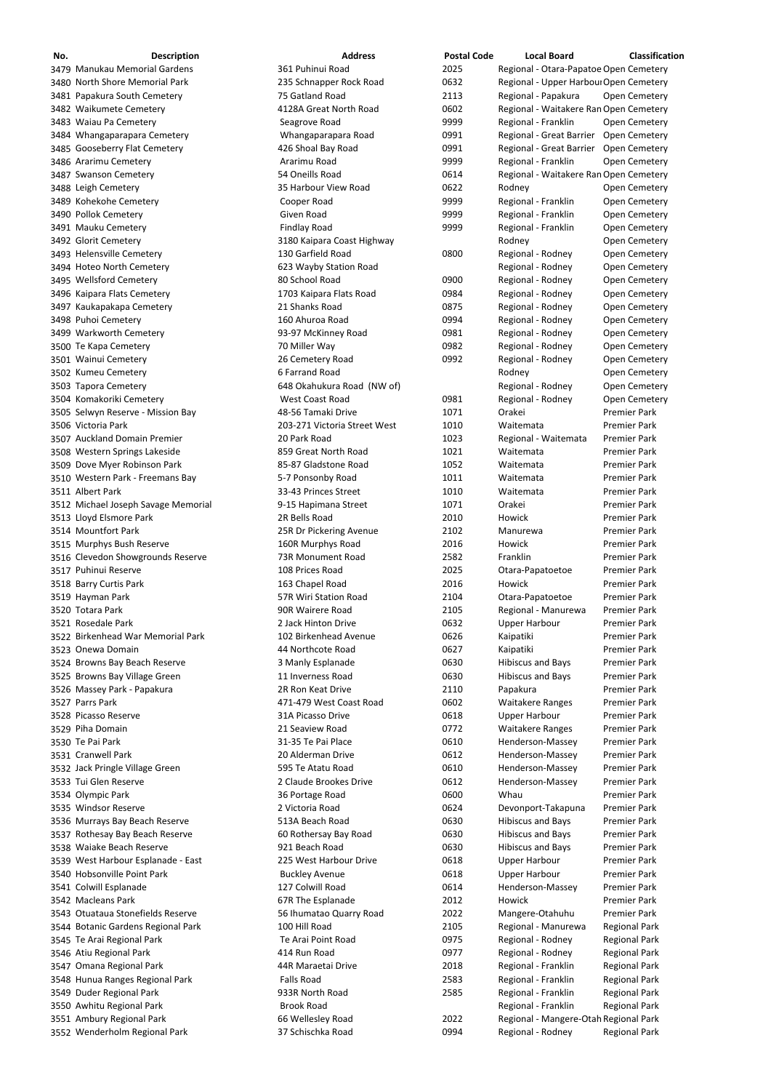| No. | <b>Description</b>                  | <b>Address</b>               | <b>Postal Code</b> | <b>Local Board</b>                     | Classification       |
|-----|-------------------------------------|------------------------------|--------------------|----------------------------------------|----------------------|
|     | 3479 Manukau Memorial Gardens       | 361 Puhinui Road             | 2025               | Regional - Otara-Papatoe Open Cemetery |                      |
|     | 3480 North Shore Memorial Park      | 235 Schnapper Rock Road      | 0632               | Regional - Upper Harboul Open Cemetery |                      |
|     | 3481 Papakura South Cemetery        | 75 Gatland Road              | 2113               | Regional - Papakura                    | Open Cemetery        |
|     | 3482 Waikumete Cemetery             | 4128A Great North Road       | 0602               | Regional - Waitakere Ran Open Cemetery |                      |
|     | 3483 Waiau Pa Cemetery              | Seagrove Road                | 9999               | Regional - Franklin                    | Open Cemetery        |
|     |                                     |                              | 0991               |                                        |                      |
|     | 3484 Whangaparapara Cemetery        | Whangaparapara Road          |                    | Regional - Great Barrier               | <b>Open Cemetery</b> |
|     | 3485 Gooseberry Flat Cemetery       | 426 Shoal Bay Road           | 0991               | Regional - Great Barrier               | <b>Open Cemetery</b> |
|     | 3486 Ararimu Cemetery               | Ararimu Road                 | 9999               | Regional - Franklin                    | Open Cemetery        |
|     | 3487 Swanson Cemetery               | 54 Oneills Road              | 0614               | Regional - Waitakere Ran Open Cemetery |                      |
|     | 3488 Leigh Cemetery                 | 35 Harbour View Road         | 0622               | Rodney                                 | Open Cemetery        |
|     | 3489 Kohekohe Cemetery              | Cooper Road                  | 9999               | Regional - Franklin                    | Open Cemetery        |
|     | 3490 Pollok Cemetery                | Given Road                   | 9999               | Regional - Franklin                    | Open Cemetery        |
|     | 3491 Mauku Cemetery                 | <b>Findlay Road</b>          | 9999               | Regional - Franklin                    | Open Cemetery        |
|     |                                     |                              |                    |                                        |                      |
|     | 3492 Glorit Cemetery                | 3180 Kaipara Coast Highway   |                    | Rodney                                 | Open Cemetery        |
|     | 3493 Helensville Cemetery           | 130 Garfield Road            | 0800               | Regional - Rodney                      | Open Cemetery        |
|     | 3494 Hoteo North Cemetery           | 623 Wayby Station Road       |                    | Regional - Rodney                      | Open Cemetery        |
|     | 3495 Wellsford Cemetery             | 80 School Road               | 0900               | Regional - Rodney                      | Open Cemetery        |
|     | 3496 Kaipara Flats Cemetery         | 1703 Kaipara Flats Road      | 0984               | Regional - Rodney                      | Open Cemetery        |
|     | 3497 Kaukapakapa Cemetery           | 21 Shanks Road               | 0875               | Regional - Rodney                      | Open Cemetery        |
|     | 3498 Puhoi Cemetery                 | 160 Ahuroa Road              | 0994               | Regional - Rodney                      | Open Cemetery        |
|     |                                     |                              |                    |                                        |                      |
|     | 3499 Warkworth Cemetery             | 93-97 McKinney Road          | 0981               | Regional - Rodney                      | Open Cemetery        |
|     | 3500 Te Kapa Cemetery               | 70 Miller Way                | 0982               | Regional - Rodney                      | Open Cemetery        |
|     | 3501 Wainui Cemetery                | 26 Cemetery Road             | 0992               | Regional - Rodney                      | Open Cemetery        |
|     | 3502 Kumeu Cemetery                 | 6 Farrand Road               |                    | Rodney                                 | Open Cemetery        |
|     | 3503 Tapora Cemetery                | 648 Okahukura Road (NW of)   |                    | Regional - Rodney                      | Open Cemetery        |
|     | 3504 Komakoriki Cemetery            | West Coast Road              | 0981               | Regional - Rodney                      | Open Cemetery        |
|     | 3505 Selwyn Reserve - Mission Bay   | 48-56 Tamaki Drive           | 1071               | Orakei                                 | <b>Premier Park</b>  |
|     | 3506 Victoria Park                  | 203-271 Victoria Street West | 1010               | Waitemata                              | <b>Premier Park</b>  |
|     |                                     |                              |                    |                                        |                      |
|     | 3507 Auckland Domain Premier        | 20 Park Road                 | 1023               | Regional - Waitemata                   | <b>Premier Park</b>  |
|     | 3508 Western Springs Lakeside       | 859 Great North Road         | 1021               | Waitemata                              | <b>Premier Park</b>  |
|     | 3509 Dove Myer Robinson Park        | 85-87 Gladstone Road         | 1052               | Waitemata                              | <b>Premier Park</b>  |
|     | 3510 Western Park - Freemans Bay    | 5-7 Ponsonby Road            | 1011               | Waitemata                              | <b>Premier Park</b>  |
|     | 3511 Albert Park                    | 33-43 Princes Street         | 1010               | Waitemata                              | <b>Premier Park</b>  |
|     | 3512 Michael Joseph Savage Memorial | 9-15 Hapimana Street         | 1071               | Orakei                                 | <b>Premier Park</b>  |
|     |                                     | 2R Bells Road                | 2010               | Howick                                 | <b>Premier Park</b>  |
|     | 3513 Lloyd Elsmore Park             |                              |                    |                                        |                      |
|     | 3514 Mountfort Park                 | 25R Dr Pickering Avenue      | 2102               | Manurewa                               | <b>Premier Park</b>  |
|     | 3515 Murphys Bush Reserve           | 160R Murphys Road            | 2016               | Howick                                 | <b>Premier Park</b>  |
|     | 3516 Clevedon Showgrounds Reserve   | 73R Monument Road            | 2582               | Franklin                               | <b>Premier Park</b>  |
|     | 3517 Puhinui Reserve                | 108 Prices Road              | 2025               | Otara-Papatoetoe                       | <b>Premier Park</b>  |
|     | 3518 Barry Curtis Park              | 163 Chapel Road              | 2016               | Howick                                 | <b>Premier Park</b>  |
|     | 3519 Hayman Park                    | 57R Wiri Station Road        | 2104               | Otara-Papatoetoe                       | <b>Premier Park</b>  |
|     | 3520 Totara Park                    | 90R Wairere Road             | 2105               | Regional - Manurewa                    | <b>Premier Park</b>  |
|     |                                     |                              |                    |                                        |                      |
|     | 3521 Rosedale Park                  | 2 Jack Hinton Drive          | 0632               | <b>Upper Harbour</b>                   | <b>Premier Park</b>  |
|     | 3522 Birkenhead War Memorial Park   | 102 Birkenhead Avenue        | 0626               | Kaipatiki                              | <b>Premier Park</b>  |
|     | 3523 Onewa Domain                   | 44 Northcote Road            | 0627               | Kaipatiki                              | <b>Premier Park</b>  |
|     | 3524 Browns Bay Beach Reserve       | 3 Manly Esplanade            | 0630               | <b>Hibiscus and Bays</b>               | <b>Premier Park</b>  |
|     | 3525 Browns Bay Village Green       | 11 Inverness Road            | 0630               | <b>Hibiscus and Bays</b>               | <b>Premier Park</b>  |
|     | 3526 Massey Park - Papakura         | 2R Ron Keat Drive            | 2110               | Papakura                               | <b>Premier Park</b>  |
|     | 3527 Parrs Park                     | 471-479 West Coast Road      | 0602               | <b>Waitakere Ranges</b>                | <b>Premier Park</b>  |
|     | 3528 Picasso Reserve                | 31A Picasso Drive            | 0618               | <b>Upper Harbour</b>                   | <b>Premier Park</b>  |
|     |                                     |                              |                    |                                        |                      |
|     | 3529 Piha Domain                    | 21 Seaview Road              | 0772               | <b>Waitakere Ranges</b>                | <b>Premier Park</b>  |
|     | 3530 Te Pai Park                    | 31-35 Te Pai Place           | 0610               | Henderson-Massey                       | <b>Premier Park</b>  |
|     | 3531 Cranwell Park                  | 20 Alderman Drive            | 0612               | Henderson-Massey                       | <b>Premier Park</b>  |
|     | 3532 Jack Pringle Village Green     | 595 Te Atatu Road            | 0610               | Henderson-Massey                       | <b>Premier Park</b>  |
|     | 3533 Tui Glen Reserve               | 2 Claude Brookes Drive       | 0612               | Henderson-Massey                       | <b>Premier Park</b>  |
|     | 3534 Olympic Park                   | 36 Portage Road              | 0600               | Whau                                   | <b>Premier Park</b>  |
|     | 3535 Windsor Reserve                | 2 Victoria Road              | 0624               | Devonport-Takapuna                     | <b>Premier Park</b>  |
|     |                                     | 513A Beach Road              | 0630               | <b>Hibiscus and Bays</b>               | <b>Premier Park</b>  |
|     | 3536 Murrays Bay Beach Reserve      |                              |                    |                                        |                      |
|     | 3537 Rothesay Bay Beach Reserve     | 60 Rothersay Bay Road        | 0630               | <b>Hibiscus and Bays</b>               | <b>Premier Park</b>  |
|     | 3538 Waiake Beach Reserve           | 921 Beach Road               | 0630               | <b>Hibiscus and Bays</b>               | <b>Premier Park</b>  |
|     | 3539 West Harbour Esplanade - East  | 225 West Harbour Drive       | 0618               | <b>Upper Harbour</b>                   | <b>Premier Park</b>  |
|     | 3540 Hobsonville Point Park         | <b>Buckley Avenue</b>        | 0618               | <b>Upper Harbour</b>                   | <b>Premier Park</b>  |
|     | 3541 Colwill Esplanade              | 127 Colwill Road             | 0614               | Henderson-Massey                       | <b>Premier Park</b>  |
|     | 3542 Macleans Park                  | 67R The Esplanade            | 2012               | Howick                                 | <b>Premier Park</b>  |
|     | 3543 Otuataua Stonefields Reserve   | 56 Ihumatao Quarry Road      | 2022               | Mangere-Otahuhu                        | <b>Premier Park</b>  |
|     |                                     |                              |                    |                                        |                      |
|     | 3544 Botanic Gardens Regional Park  | 100 Hill Road                | 2105               | Regional - Manurewa                    | <b>Regional Park</b> |
|     | 3545 Te Arai Regional Park          | Te Arai Point Road           | 0975               | Regional - Rodney                      | <b>Regional Park</b> |
|     | 3546 Atiu Regional Park             | 414 Run Road                 | 0977               | Regional - Rodney                      | <b>Regional Park</b> |
|     | 3547 Omana Regional Park            | 44R Maraetai Drive           | 2018               | Regional - Franklin                    | <b>Regional Park</b> |
|     | 3548 Hunua Ranges Regional Park     | Falls Road                   | 2583               | Regional - Franklin                    | <b>Regional Park</b> |
|     | 3549 Duder Regional Park            | 933R North Road              | 2585               | Regional - Franklin                    | <b>Regional Park</b> |
|     | 3550 Awhitu Regional Park           | <b>Brook Road</b>            |                    | Regional - Franklin                    | <b>Regional Park</b> |
|     |                                     |                              |                    |                                        |                      |
|     | 3551 Ambury Regional Park           | 66 Wellesley Road            | 2022               | Regional - Mangere-Otah Regional Park  |                      |
|     | 3552 Wenderholm Regional Park       | 37 Schischka Road            | 0994               | Regional - Rodney                      | <b>Regional Park</b> |
|     |                                     |                              |                    |                                        |                      |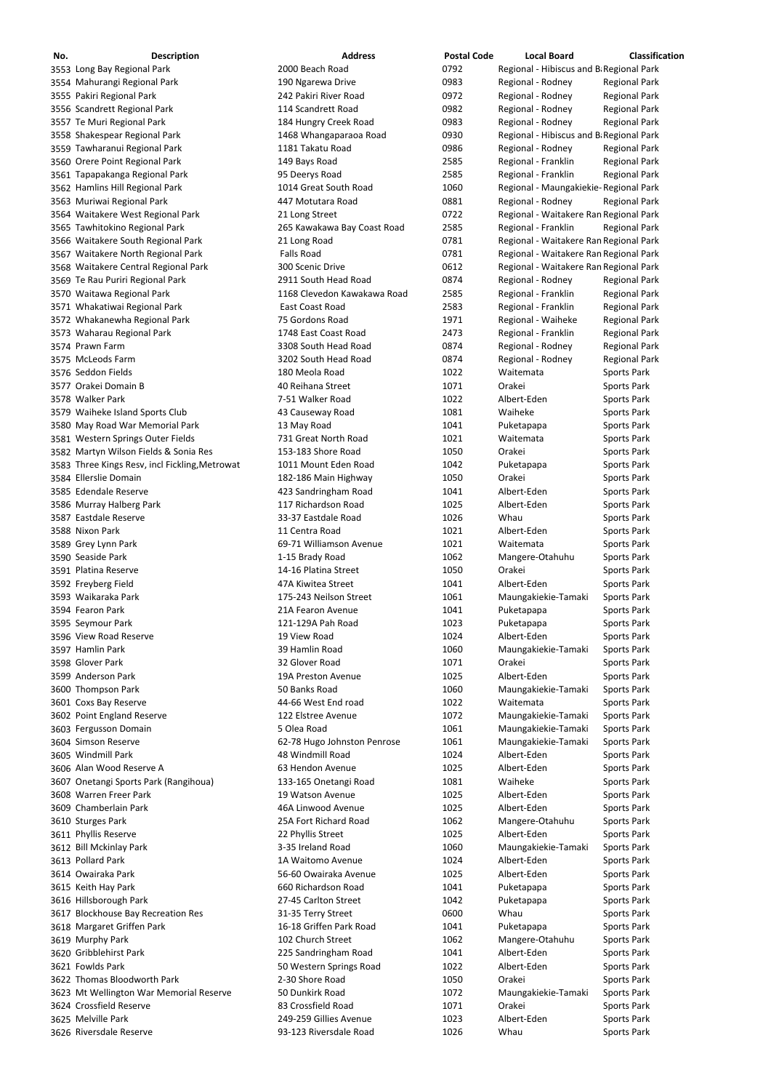| No. | <b>Description</b>                             | <b>Address</b>              | <b>Postal Code</b> | <b>Local Board</b>                      | <b>Classification</b> |
|-----|------------------------------------------------|-----------------------------|--------------------|-----------------------------------------|-----------------------|
|     | 3553 Long Bay Regional Park                    | 2000 Beach Road             | 0792               | Regional - Hibiscus and B Regional Park |                       |
|     | 3554 Mahurangi Regional Park                   | 190 Ngarewa Drive           | 0983               | Regional - Rodney                       | <b>Regional Park</b>  |
|     | 3555 Pakiri Regional Park                      | 242 Pakiri River Road       | 0972               | Regional - Rodney                       | <b>Regional Park</b>  |
|     |                                                |                             |                    |                                         |                       |
|     | 3556 Scandrett Regional Park                   | 114 Scandrett Road          | 0982               | Regional - Rodney                       | <b>Regional Park</b>  |
|     | 3557 Te Muri Regional Park                     | 184 Hungry Creek Road       | 0983               | Regional - Rodney                       | <b>Regional Park</b>  |
|     | 3558 Shakespear Regional Park                  | 1468 Whangaparaoa Road      | 0930               | Regional - Hibiscus and B Regional Park |                       |
|     | 3559 Tawharanui Regional Park                  | 1181 Takatu Road            | 0986               | Regional - Rodney                       | <b>Regional Park</b>  |
|     | 3560 Orere Point Regional Park                 | 149 Bays Road               | 2585               | Regional - Franklin                     | <b>Regional Park</b>  |
|     | 3561 Tapapakanga Regional Park                 | 95 Deerys Road              | 2585               | Regional - Franklin                     | <b>Regional Park</b>  |
|     | 3562 Hamlins Hill Regional Park                | 1014 Great South Road       | 1060               | Regional - Maungakiekie- Regional Park  |                       |
|     |                                                |                             | 0881               |                                         |                       |
|     | 3563 Muriwai Regional Park                     | 447 Motutara Road           |                    | Regional - Rodney                       | <b>Regional Park</b>  |
|     | 3564 Waitakere West Regional Park              | 21 Long Street              | 0722               | Regional - Waitakere Ran Regional Park  |                       |
|     | 3565 Tawhitokino Regional Park                 | 265 Kawakawa Bay Coast Road | 2585               | Regional - Franklin                     | <b>Regional Park</b>  |
|     | 3566 Waitakere South Regional Park             | 21 Long Road                | 0781               | Regional - Waitakere Ran Regional Park  |                       |
|     | 3567 Waitakere North Regional Park             | <b>Falls Road</b>           | 0781               | Regional - Waitakere Ran Regional Park  |                       |
|     | 3568 Waitakere Central Regional Park           | 300 Scenic Drive            | 0612               | Regional - Waitakere Ran Regional Park  |                       |
|     | 3569 Te Rau Puriri Regional Park               | 2911 South Head Road        | 0874               | Regional - Rodney                       | <b>Regional Park</b>  |
|     | 3570 Waitawa Regional Park                     | 1168 Clevedon Kawakawa Road | 2585               | Regional - Franklin                     | <b>Regional Park</b>  |
|     | 3571 Whakatiwai Regional Park                  | East Coast Road             | 2583               | Regional - Franklin                     | <b>Regional Park</b>  |
|     |                                                | 75 Gordons Road             |                    |                                         |                       |
|     | 3572 Whakanewha Regional Park                  |                             | 1971               | Regional - Waiheke                      | <b>Regional Park</b>  |
|     | 3573 Waharau Regional Park                     | 1748 East Coast Road        | 2473               | Regional - Franklin                     | <b>Regional Park</b>  |
|     | 3574 Prawn Farm                                | 3308 South Head Road        | 0874               | Regional - Rodney                       | <b>Regional Park</b>  |
|     | 3575 McLeods Farm                              | 3202 South Head Road        | 0874               | Regional - Rodney                       | <b>Regional Park</b>  |
|     | 3576 Seddon Fields                             | 180 Meola Road              | 1022               | Waitemata                               | <b>Sports Park</b>    |
|     | 3577 Orakei Domain B                           | 40 Reihana Street           | 1071               | Orakei                                  | Sports Park           |
|     | 3578 Walker Park                               | 7-51 Walker Road            | 1022               | Albert-Eden                             | Sports Park           |
|     | 3579 Waiheke Island Sports Club                | 43 Causeway Road            | 1081               | Waiheke                                 | <b>Sports Park</b>    |
|     |                                                |                             |                    |                                         |                       |
|     | 3580 May Road War Memorial Park                | 13 May Road                 | 1041               | Puketapapa                              | Sports Park           |
|     | 3581 Western Springs Outer Fields              | 731 Great North Road        | 1021               | Waitemata                               | <b>Sports Park</b>    |
|     | 3582 Martyn Wilson Fields & Sonia Res          | 153-183 Shore Road          | 1050               | Orakei                                  | <b>Sports Park</b>    |
|     | 3583 Three Kings Resv, incl Fickling, Metrowat | 1011 Mount Eden Road        | 1042               | Puketapapa                              | <b>Sports Park</b>    |
|     | 3584 Ellerslie Domain                          | 182-186 Main Highway        | 1050               | Orakei                                  | <b>Sports Park</b>    |
|     | 3585 Edendale Reserve                          | 423 Sandringham Road        | 1041               | Albert-Eden                             | Sports Park           |
|     | 3586 Murray Halberg Park                       | 117 Richardson Road         | 1025               | Albert-Eden                             | Sports Park           |
|     | 3587 Eastdale Reserve                          | 33-37 Eastdale Road         | 1026               | Whau                                    | Sports Park           |
|     | 3588 Nixon Park                                | 11 Centra Road              | 1021               | Albert-Eden                             | Sports Park           |
|     |                                                |                             |                    |                                         |                       |
|     | 3589 Grey Lynn Park                            | 69-71 Williamson Avenue     | 1021               | Waitemata                               | Sports Park           |
|     | 3590 Seaside Park                              | 1-15 Brady Road             | 1062               | Mangere-Otahuhu                         | Sports Park           |
|     | 3591 Platina Reserve                           | 14-16 Platina Street        | 1050               | Orakei                                  | Sports Park           |
|     | 3592 Freyberg Field                            | 47A Kiwitea Street          | 1041               | Albert-Eden                             | Sports Park           |
|     | 3593 Waikaraka Park                            | 175-243 Neilson Street      | 1061               | Maungakiekie-Tamaki                     | Sports Park           |
|     | 3594 Fearon Park                               | 21A Fearon Avenue           | 1041               | Puketapapa                              | Sports Park           |
|     | 3595 Seymour Park                              | 121-129A Pah Road           | 1023               | Puketapapa                              | Sports Park           |
|     | 3596 View Road Reserve                         | 19 View Road                | 1024               | Albert-Eden                             | <b>Sports Park</b>    |
|     | 3597 Hamlin Park                               | 39 Hamlin Road              | 1060               | Maungakiekie-Tamaki                     |                       |
|     |                                                |                             |                    |                                         | Sports Park           |
|     | 3598 Glover Park                               | 32 Glover Road              | 1071               | Orakei                                  | Sports Park           |
|     | 3599 Anderson Park                             | 19A Preston Avenue          | 1025               | Albert-Eden                             | <b>Sports Park</b>    |
|     | 3600 Thompson Park                             | 50 Banks Road               | 1060               | Maungakiekie-Tamaki                     | Sports Park           |
|     | 3601 Coxs Bay Reserve                          | 44-66 West End road         | 1022               | Waitemata                               | Sports Park           |
|     | 3602 Point England Reserve                     | 122 Elstree Avenue          | 1072               | Maungakiekie-Tamaki                     | <b>Sports Park</b>    |
|     | 3603 Fergusson Domain                          | 5 Olea Road                 | 1061               | Maungakiekie-Tamaki                     | Sports Park           |
|     | 3604 Simson Reserve                            | 62-78 Hugo Johnston Penrose | 1061               | Maungakiekie-Tamaki                     | Sports Park           |
|     | 3605 Windmill Park                             | 48 Windmill Road            | 1024               | Albert-Eden                             | Sports Park           |
|     | 3606 Alan Wood Reserve A                       | 63 Hendon Avenue            | 1025               | Albert-Eden                             | Sports Park           |
|     |                                                |                             |                    |                                         |                       |
|     | 3607 Onetangi Sports Park (Rangihoua)          | 133-165 Onetangi Road       | 1081               | Waiheke                                 | Sports Park           |
|     | 3608 Warren Freer Park                         | 19 Watson Avenue            | 1025               | Albert-Eden                             | Sports Park           |
|     | 3609 Chamberlain Park                          | 46A Linwood Avenue          | 1025               | Albert-Eden                             | Sports Park           |
|     | 3610 Sturges Park                              | 25A Fort Richard Road       | 1062               | Mangere-Otahuhu                         | Sports Park           |
|     | 3611 Phyllis Reserve                           | 22 Phyllis Street           | 1025               | Albert-Eden                             | <b>Sports Park</b>    |
|     | 3612 Bill Mckinlay Park                        | 3-35 Ireland Road           | 1060               | Maungakiekie-Tamaki                     | <b>Sports Park</b>    |
|     | 3613 Pollard Park                              | 1A Waitomo Avenue           | 1024               | Albert-Eden                             | <b>Sports Park</b>    |
|     | 3614 Owairaka Park                             | 56-60 Owairaka Avenue       | 1025               | Albert-Eden                             | <b>Sports Park</b>    |
|     |                                                | 660 Richardson Road         | 1041               |                                         |                       |
|     | 3615 Keith Hay Park                            |                             |                    | Puketapapa                              | <b>Sports Park</b>    |
|     | 3616 Hillsborough Park                         | 27-45 Carlton Street        | 1042               | Puketapapa                              | Sports Park           |
|     | 3617 Blockhouse Bay Recreation Res             | 31-35 Terry Street          | 0600               | Whau                                    | Sports Park           |
|     | 3618 Margaret Griffen Park                     | 16-18 Griffen Park Road     | 1041               | Puketapapa                              | Sports Park           |
|     | 3619 Murphy Park                               | 102 Church Street           | 1062               | Mangere-Otahuhu                         | Sports Park           |
|     | 3620 Gribblehirst Park                         | 225 Sandringham Road        | 1041               | Albert-Eden                             | Sports Park           |
|     | 3621 Fowlds Park                               | 50 Western Springs Road     | 1022               | Albert-Eden                             | Sports Park           |
|     | 3622 Thomas Bloodworth Park                    | 2-30 Shore Road             | 1050               | Orakei                                  | <b>Sports Park</b>    |
|     | 3623 Mt Wellington War Memorial Reserve        | 50 Dunkirk Road             | 1072               | Maungakiekie-Tamaki                     | Sports Park           |
|     | 3624 Crossfield Reserve                        | 83 Crossfield Road          | 1071               | Orakei                                  |                       |
|     |                                                |                             |                    |                                         | <b>Sports Park</b>    |
|     | 3625 Melville Park                             | 249-259 Gillies Avenue      | 1023               | Albert-Eden                             | Sports Park           |
|     | 3626 Riversdale Reserve                        | 93-123 Riversdale Road      | 1026               | Whau                                    | Sports Park           |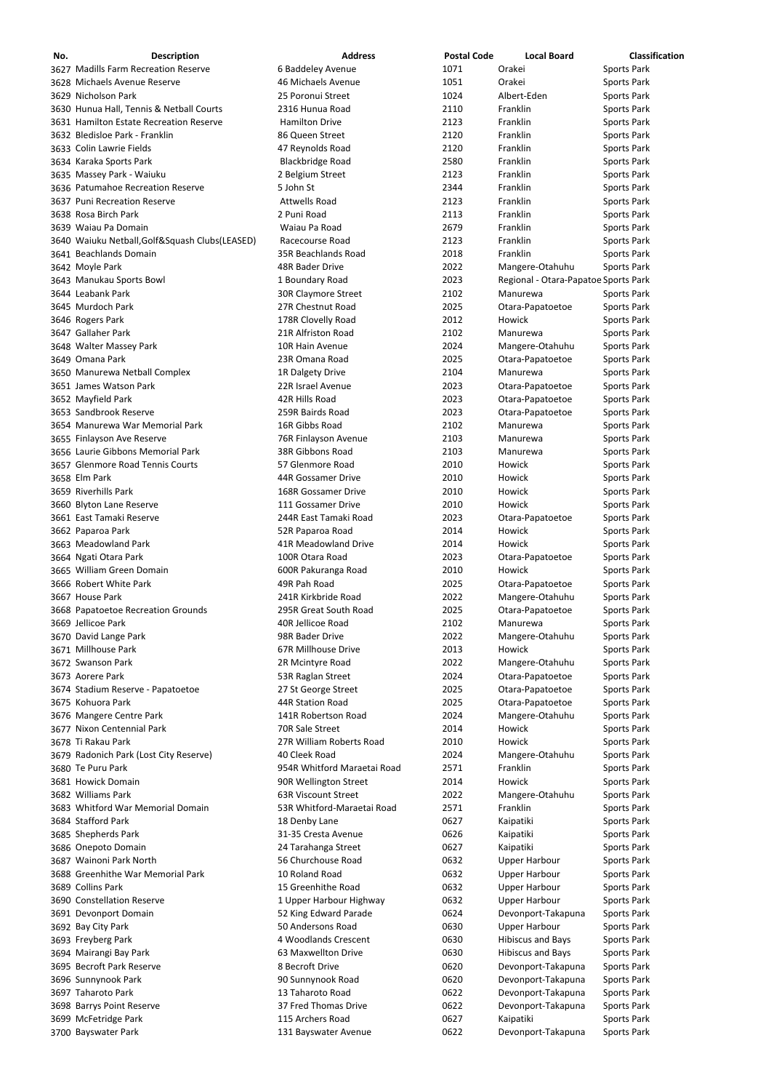| No. | <b>Description</b>                              | <b>Address</b>              | <b>Postal Code</b> | <b>Local Board</b>                   | <b>Classification</b> |
|-----|-------------------------------------------------|-----------------------------|--------------------|--------------------------------------|-----------------------|
|     | 3627 Madills Farm Recreation Reserve            | 6 Baddeley Avenue           | 1071               | Orakei                               | <b>Sports Park</b>    |
|     | 3628 Michaels Avenue Reserve                    | 46 Michaels Avenue          | 1051               | Orakei                               | <b>Sports Park</b>    |
|     | 3629 Nicholson Park                             | 25 Poronui Street           | 1024               | Albert-Eden                          | Sports Park           |
|     | 3630 Hunua Hall, Tennis & Netball Courts        | 2316 Hunua Road             | 2110               | Franklin                             | Sports Park           |
|     |                                                 |                             |                    |                                      |                       |
|     | 3631 Hamilton Estate Recreation Reserve         | <b>Hamilton Drive</b>       | 2123               | Franklin                             | Sports Park           |
|     | 3632 Bledisloe Park - Franklin                  | 86 Queen Street             | 2120               | Franklin                             | Sports Park           |
|     | 3633 Colin Lawrie Fields                        | 47 Reynolds Road            | 2120               | Franklin                             | <b>Sports Park</b>    |
|     | 3634 Karaka Sports Park                         | <b>Blackbridge Road</b>     | 2580               | Franklin                             | Sports Park           |
|     | 3635 Massey Park - Waiuku                       | 2 Belgium Street            | 2123               | Franklin                             | Sports Park           |
|     | 3636 Patumahoe Recreation Reserve               | 5 John St                   | 2344               | Franklin                             | Sports Park           |
|     | 3637 Puni Recreation Reserve                    | <b>Attwells Road</b>        | 2123               | Franklin                             | <b>Sports Park</b>    |
|     | 3638 Rosa Birch Park                            | 2 Puni Road                 | 2113               | Franklin                             | Sports Park           |
|     |                                                 |                             |                    |                                      |                       |
|     | 3639 Waiau Pa Domain                            | Waiau Pa Road               | 2679               | Franklin                             | Sports Park           |
|     | 3640 Waiuku Netball, Golf&Squash Clubs (LEASED) | Racecourse Road             | 2123               | Franklin                             | Sports Park           |
|     | 3641 Beachlands Domain                          | <b>35R Beachlands Road</b>  | 2018               | Franklin                             | Sports Park           |
|     | 3642 Moyle Park                                 | 48R Bader Drive             | 2022               | Mangere-Otahuhu                      | Sports Park           |
|     | 3643 Manukau Sports Bowl                        | 1 Boundary Road             | 2023               | Regional - Otara-Papatoe Sports Park |                       |
|     | 3644 Leabank Park                               | 30R Claymore Street         | 2102               | Manurewa                             | Sports Park           |
|     | 3645 Murdoch Park                               | 27R Chestnut Road           | 2025               | Otara-Papatoetoe                     | Sports Park           |
|     | 3646 Rogers Park                                | 178R Clovelly Road          | 2012               | Howick                               | Sports Park           |
|     |                                                 |                             |                    |                                      |                       |
|     | 3647 Gallaher Park                              | 21R Alfriston Road          | 2102               | Manurewa                             | <b>Sports Park</b>    |
|     | 3648 Walter Massey Park                         | 10R Hain Avenue             | 2024               | Mangere-Otahuhu                      | Sports Park           |
|     | 3649 Omana Park                                 | 23R Omana Road              | 2025               | Otara-Papatoetoe                     | Sports Park           |
|     | 3650 Manurewa Netball Complex                   | 1R Dalgety Drive            | 2104               | Manurewa                             | Sports Park           |
|     | 3651 James Watson Park                          | 22R Israel Avenue           | 2023               | Otara-Papatoetoe                     | Sports Park           |
|     | 3652 Mayfield Park                              | 42R Hills Road              | 2023               | Otara-Papatoetoe                     | <b>Sports Park</b>    |
|     | 3653 Sandbrook Reserve                          | 259R Bairds Road            | 2023               | Otara-Papatoetoe                     | Sports Park           |
|     |                                                 |                             |                    |                                      |                       |
|     | 3654 Manurewa War Memorial Park                 | 16R Gibbs Road              | 2102               | Manurewa                             | Sports Park           |
|     | 3655 Finlayson Ave Reserve                      | 76R Finlayson Avenue        | 2103               | Manurewa                             | <b>Sports Park</b>    |
|     | 3656 Laurie Gibbons Memorial Park               | 38R Gibbons Road            | 2103               | Manurewa                             | <b>Sports Park</b>    |
|     | 3657 Glenmore Road Tennis Courts                | 57 Glenmore Road            | 2010               | Howick                               | <b>Sports Park</b>    |
|     | 3658 Elm Park                                   | 44R Gossamer Drive          | 2010               | Howick                               | <b>Sports Park</b>    |
|     | 3659 Riverhills Park                            | 168R Gossamer Drive         | 2010               | Howick                               | Sports Park           |
|     | 3660 Blyton Lane Reserve                        | 111 Gossamer Drive          | 2010               | Howick                               | Sports Park           |
|     |                                                 | 244R East Tamaki Road       |                    |                                      |                       |
|     | 3661 East Tamaki Reserve                        |                             | 2023               | Otara-Papatoetoe                     | Sports Park           |
|     | 3662 Paparoa Park                               | 52R Paparoa Road            | 2014               | Howick                               | Sports Park           |
|     | 3663 Meadowland Park                            | 41R Meadowland Drive        | 2014               | Howick                               | Sports Park           |
|     | 3664 Ngati Otara Park                           | 100R Otara Road             | 2023               | Otara-Papatoetoe                     | Sports Park           |
|     | 3665 William Green Domain                       | 600R Pakuranga Road         | 2010               | Howick                               | Sports Park           |
|     | 3666 Robert White Park                          | 49R Pah Road                | 2025               | Otara-Papatoetoe                     | Sports Park           |
|     | 3667 House Park                                 | 241R Kirkbride Road         | 2022               | Mangere-Otahuhu                      | Sports Park           |
|     | 3668 Papatoetoe Recreation Grounds              | 295R Great South Road       | 2025               | Otara-Papatoetoe                     | Sports Park           |
|     |                                                 |                             |                    |                                      |                       |
|     | 3669 Jellicoe Park                              | 40R Jellicoe Road           | 2102               | Manurewa                             | Sports Park           |
|     | 3670 David Lange Park                           | 98R Bader Drive             | 2022               | Mangere-Otahuhu                      | Sports Park           |
|     | 3671 Millhouse Park                             | 67R Millhouse Drive         | 2013               | Howick                               | Sports Park           |
|     | 3672 Swanson Park                               | 2R Mcintyre Road            | 2022               | Mangere-Otahuhu                      | Sports Park           |
|     | 3673 Aorere Park                                | 53R Raglan Street           | 2024               | Otara-Papatoetoe                     | Sports Park           |
|     | 3674 Stadium Reserve - Papatoetoe               | 27 St George Street         | 2025               | Otara-Papatoetoe                     | Sports Park           |
|     | 3675 Kohuora Park                               | 44R Station Road            | 2025               | Otara-Papatoetoe                     | Sports Park           |
|     |                                                 |                             |                    |                                      |                       |
|     | 3676 Mangere Centre Park                        | 141R Robertson Road         | 2024               | Mangere-Otahuhu                      | Sports Park           |
|     | 3677 Nixon Centennial Park                      | 70R Sale Street             | 2014               | Howick                               | Sports Park           |
|     | 3678 Ti Rakau Park                              | 27R William Roberts Road    | 2010               | Howick                               | Sports Park           |
|     | 3679 Radonich Park (Lost City Reserve)          | 40 Cleek Road               | 2024               | Mangere-Otahuhu                      | Sports Park           |
|     | 3680 Te Puru Park                               | 954R Whitford Maraetai Road | 2571               | Franklin                             | Sports Park           |
|     | 3681 Howick Domain                              | 90R Wellington Street       | 2014               | Howick                               | Sports Park           |
|     | 3682 Williams Park                              | <b>63R Viscount Street</b>  | 2022               | Mangere-Otahuhu                      | Sports Park           |
|     | 3683 Whitford War Memorial Domain               | 53R Whitford-Maraetai Road  | 2571               | Franklin                             | Sports Park           |
|     | 3684 Stafford Park                              | 18 Denby Lane               | 0627               |                                      |                       |
|     |                                                 |                             |                    | Kaipatiki                            | Sports Park           |
|     | 3685 Shepherds Park                             | 31-35 Cresta Avenue         | 0626               | Kaipatiki                            | Sports Park           |
|     | 3686 Onepoto Domain                             | 24 Tarahanga Street         | 0627               | Kaipatiki                            | <b>Sports Park</b>    |
|     | 3687 Wainoni Park North                         | 56 Churchouse Road          | 0632               | <b>Upper Harbour</b>                 | <b>Sports Park</b>    |
|     | 3688 Greenhithe War Memorial Park               | 10 Roland Road              | 0632               | <b>Upper Harbour</b>                 | <b>Sports Park</b>    |
|     | 3689 Collins Park                               | 15 Greenhithe Road          | 0632               | <b>Upper Harbour</b>                 | Sports Park           |
|     | 3690 Constellation Reserve                      | 1 Upper Harbour Highway     | 0632               | <b>Upper Harbour</b>                 | Sports Park           |
|     | 3691 Devonport Domain                           | 52 King Edward Parade       | 0624               | Devonport-Takapuna                   | Sports Park           |
|     |                                                 |                             |                    |                                      |                       |
|     | 3692 Bay City Park                              | 50 Andersons Road           | 0630               | <b>Upper Harbour</b>                 | Sports Park           |
|     | 3693 Freyberg Park                              | 4 Woodlands Crescent        | 0630               | <b>Hibiscus and Bays</b>             | Sports Park           |
|     | 3694 Mairangi Bay Park                          | 63 Maxwellton Drive         | 0630               | <b>Hibiscus and Bays</b>             | Sports Park           |
|     | 3695 Becroft Park Reserve                       | 8 Becroft Drive             | 0620               | Devonport-Takapuna                   | Sports Park           |
|     | 3696 Sunnynook Park                             | 90 Sunnynook Road           | 0620               | Devonport-Takapuna                   | Sports Park           |
|     | 3697 Taharoto Park                              | 13 Taharoto Road            | 0622               | Devonport-Takapuna                   | Sports Park           |
|     | 3698 Barrys Point Reserve                       | 37 Fred Thomas Drive        | 0622               | Devonport-Takapuna                   | Sports Park           |
|     |                                                 |                             |                    |                                      |                       |
|     | 3699 McFetridge Park                            | 115 Archers Road            | 0627               | Kaipatiki                            | Sports Park           |
|     | 3700 Bayswater Park                             | 131 Bayswater Avenue        | 0622               | Devonport-Takapuna                   | Sports Park           |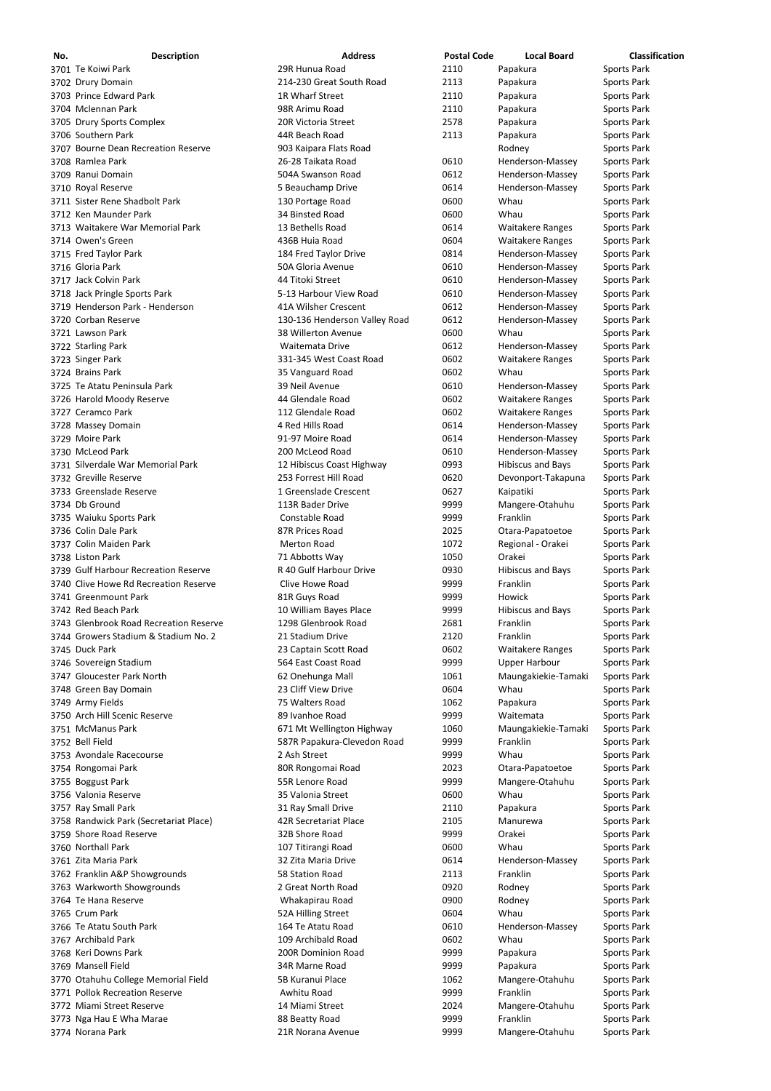| No. | <b>Description</b>                     | <b>Address</b>                | <b>Postal Code</b> | <b>Local Board</b>       | <b>Classification</b> |
|-----|----------------------------------------|-------------------------------|--------------------|--------------------------|-----------------------|
|     | 3701 Te Koiwi Park                     | 29R Hunua Road                | 2110               | Papakura                 | <b>Sports Park</b>    |
|     | 3702 Drury Domain                      | 214-230 Great South Road      | 2113               | Papakura                 | <b>Sports Park</b>    |
|     | 3703 Prince Edward Park                | 1R Wharf Street               | 2110               | Papakura                 | <b>Sports Park</b>    |
|     | 3704 Mclennan Park                     | 98R Arimu Road                | 2110               | Papakura                 | <b>Sports Park</b>    |
|     | 3705 Drury Sports Complex              | 20R Victoria Street           | 2578               | Papakura                 | <b>Sports Park</b>    |
|     | 3706 Southern Park                     | 44R Beach Road                | 2113               | Papakura                 | <b>Sports Park</b>    |
|     | 3707 Bourne Dean Recreation Reserve    | 903 Kaipara Flats Road        |                    | Rodney                   | <b>Sports Park</b>    |
|     | 3708 Ramlea Park                       | 26-28 Taikata Road            | 0610               | Henderson-Massey         | <b>Sports Park</b>    |
|     | 3709 Ranui Domain                      | 504A Swanson Road             | 0612               | Henderson-Massey         | <b>Sports Park</b>    |
|     | 3710 Royal Reserve                     | 5 Beauchamp Drive             | 0614               | Henderson-Massey         | <b>Sports Park</b>    |
|     | 3711 Sister Rene Shadbolt Park         | 130 Portage Road              | 0600               | Whau                     | <b>Sports Park</b>    |
|     | 3712 Ken Maunder Park                  | 34 Binsted Road               | 0600               | Whau                     | <b>Sports Park</b>    |
|     | 3713 Waitakere War Memorial Park       | 13 Bethells Road              | 0614               | <b>Waitakere Ranges</b>  | <b>Sports Park</b>    |
|     | 3714 Owen's Green                      | 436B Huia Road                | 0604               | <b>Waitakere Ranges</b>  | <b>Sports Park</b>    |
|     | 3715 Fred Taylor Park                  | 184 Fred Taylor Drive         | 0814               | Henderson-Massey         | <b>Sports Park</b>    |
|     | 3716 Gloria Park                       | 50A Gloria Avenue             | 0610               | Henderson-Massey         | <b>Sports Park</b>    |
|     | 3717 Jack Colvin Park                  | 44 Titoki Street              | 0610               | Henderson-Massey         | <b>Sports Park</b>    |
|     | 3718 Jack Pringle Sports Park          | 5-13 Harbour View Road        | 0610               | Henderson-Massey         | <b>Sports Park</b>    |
|     | 3719 Henderson Park - Henderson        | 41A Wilsher Crescent          | 0612               | Henderson-Massey         | <b>Sports Park</b>    |
|     | 3720 Corban Reserve                    | 130-136 Henderson Valley Road | 0612               | Henderson-Massey         | <b>Sports Park</b>    |
|     | 3721 Lawson Park                       | 38 Willerton Avenue           | 0600               | Whau                     |                       |
|     |                                        |                               |                    |                          | <b>Sports Park</b>    |
|     | 3722 Starling Park                     | Waitemata Drive               | 0612               | Henderson-Massey         | <b>Sports Park</b>    |
|     | 3723 Singer Park                       | 331-345 West Coast Road       | 0602               | <b>Waitakere Ranges</b>  | <b>Sports Park</b>    |
|     | 3724 Brains Park                       | 35 Vanguard Road              | 0602               | Whau                     | <b>Sports Park</b>    |
|     | 3725 Te Atatu Peninsula Park           | 39 Neil Avenue                | 0610               | Henderson-Massey         | <b>Sports Park</b>    |
|     | 3726 Harold Moody Reserve              | 44 Glendale Road              | 0602               | <b>Waitakere Ranges</b>  | <b>Sports Park</b>    |
|     | 3727 Ceramco Park                      | 112 Glendale Road             | 0602               | <b>Waitakere Ranges</b>  | <b>Sports Park</b>    |
|     | 3728 Massey Domain                     | 4 Red Hills Road              | 0614               | Henderson-Massey         | <b>Sports Park</b>    |
|     | 3729 Moire Park                        | 91-97 Moire Road              | 0614               | Henderson-Massey         | <b>Sports Park</b>    |
|     | 3730 McLeod Park                       | 200 McLeod Road               | 0610               | Henderson-Massey         | <b>Sports Park</b>    |
|     | 3731 Silverdale War Memorial Park      | 12 Hibiscus Coast Highway     | 0993               | <b>Hibiscus and Bays</b> | <b>Sports Park</b>    |
|     | 3732 Greville Reserve                  | 253 Forrest Hill Road         | 0620               | Devonport-Takapuna       | <b>Sports Park</b>    |
|     | 3733 Greenslade Reserve                | 1 Greenslade Crescent         | 0627               | Kaipatiki                | <b>Sports Park</b>    |
|     | 3734 Db Ground                         | 113R Bader Drive              | 9999               | Mangere-Otahuhu          | <b>Sports Park</b>    |
|     | 3735 Waiuku Sports Park                | Constable Road                | 9999               | Franklin                 | <b>Sports Park</b>    |
|     | 3736 Colin Dale Park                   | 87R Prices Road               | 2025               | Otara-Papatoetoe         | <b>Sports Park</b>    |
|     | 3737 Colin Maiden Park                 | <b>Merton Road</b>            | 1072               | Regional - Orakei        | <b>Sports Park</b>    |
|     | 3738 Liston Park                       | 71 Abbotts Way                | 1050               | Orakei                   | <b>Sports Park</b>    |
|     | 3739 Gulf Harbour Recreation Reserve   | R 40 Gulf Harbour Drive       | 0930               | <b>Hibiscus and Bays</b> | <b>Sports Park</b>    |
|     | 3740 Clive Howe Rd Recreation Reserve  | Clive Howe Road               | 9999               | Franklin                 | <b>Sports Park</b>    |
|     | 3741 Greenmount Park                   | 81R Guys Road                 | 9999               | Howick                   | <b>Sports Park</b>    |
|     | 3742 Red Beach Park                    | 10 William Bayes Place        | 9999               | <b>Hibiscus and Bays</b> | <b>Sports Park</b>    |
|     | 3743 Glenbrook Road Recreation Reserve | 1298 Glenbrook Road           | 2681               | Franklin                 | <b>Sports Park</b>    |
|     | 3744 Growers Stadium & Stadium No. 2   | 21 Stadium Drive              | 2120               | Franklin                 | Sports Park           |
|     | 3745 Duck Park                         | 23 Captain Scott Road         | 0602               | <b>Waitakere Ranges</b>  | <b>Sports Park</b>    |
|     | 3746 Sovereign Stadium                 | 564 East Coast Road           | 9999               | <b>Upper Harbour</b>     | Sports Park           |
|     | 3747 Gloucester Park North             | 62 Onehunga Mall              | 1061               | Maungakiekie-Tamaki      | Sports Park           |
|     | 3748 Green Bay Domain                  | 23 Cliff View Drive           | 0604               | Whau                     | Sports Park           |
|     | 3749 Army Fields                       | 75 Walters Road               | 1062               | Papakura                 | Sports Park           |
|     | 3750 Arch Hill Scenic Reserve          | 89 Ivanhoe Road               | 9999               | Waitemata                | <b>Sports Park</b>    |
|     | 3751 McManus Park                      | 671 Mt Wellington Highway     | 1060               | Maungakiekie-Tamaki      | Sports Park           |
|     | 3752 Bell Field                        | 587R Papakura-Clevedon Road   | 9999               | Franklin                 | Sports Park           |
|     | 3753 Avondale Racecourse               | 2 Ash Street                  | 9999               | Whau                     | Sports Park           |
|     | 3754 Rongomai Park                     | 80R Rongomai Road             | 2023               | Otara-Papatoetoe         | Sports Park           |
|     | 3755 Boggust Park                      | 55R Lenore Road               | 9999               | Mangere-Otahuhu          | <b>Sports Park</b>    |
|     | 3756 Valonia Reserve                   | 35 Valonia Street             | 0600               | Whau                     | Sports Park           |
|     | 3757 Ray Small Park                    | 31 Ray Small Drive            | 2110               | Papakura                 | <b>Sports Park</b>    |
|     | 3758 Randwick Park (Secretariat Place) | 42R Secretariat Place         | 2105               | Manurewa                 | <b>Sports Park</b>    |
|     | 3759 Shore Road Reserve                | 32B Shore Road                | 9999               | Orakei                   | Sports Park           |
|     | 3760 Northall Park                     | 107 Titirangi Road            | 0600               | Whau                     | <b>Sports Park</b>    |
|     | 3761 Zita Maria Park                   | 32 Zita Maria Drive           | 0614               | Henderson-Massey         | <b>Sports Park</b>    |
|     |                                        | 58 Station Road               | 2113               | Franklin                 |                       |
|     | 3762 Franklin A&P Showgrounds          |                               |                    |                          | Sports Park           |
|     | 3763 Warkworth Showgrounds             | 2 Great North Road            | 0920               | Rodney                   | Sports Park           |
|     | 3764 Te Hana Reserve                   | Whakapirau Road               | 0900               | Rodney                   | <b>Sports Park</b>    |
|     | 3765 Crum Park                         | 52A Hilling Street            | 0604               | Whau                     | <b>Sports Park</b>    |
|     | 3766 Te Atatu South Park               | 164 Te Atatu Road             | 0610               | Henderson-Massey         | <b>Sports Park</b>    |
|     | 3767 Archibald Park                    | 109 Archibald Road            | 0602               | Whau                     | <b>Sports Park</b>    |
|     | 3768 Keri Downs Park                   | 200R Dominion Road            | 9999               | Papakura                 | <b>Sports Park</b>    |
|     | 3769 Mansell Field                     | 34R Marne Road                | 9999               | Papakura                 | <b>Sports Park</b>    |
|     | 3770 Otahuhu College Memorial Field    | 5B Kuranui Place              | 1062               | Mangere-Otahuhu          | <b>Sports Park</b>    |
|     | 3771 Pollok Recreation Reserve         | Awhitu Road                   | 9999               | Franklin                 | <b>Sports Park</b>    |
|     | 3772 Miami Street Reserve              | 14 Miami Street               | 2024               | Mangere-Otahuhu          | <b>Sports Park</b>    |
|     | 3773 Nga Hau E Wha Marae               | 88 Beatty Road                | 9999               | Franklin                 | <b>Sports Park</b>    |
|     | 3774 Norana Park                       | 21R Norana Avenue             | 9999               | Mangere-Otahuhu          | Sports Park           |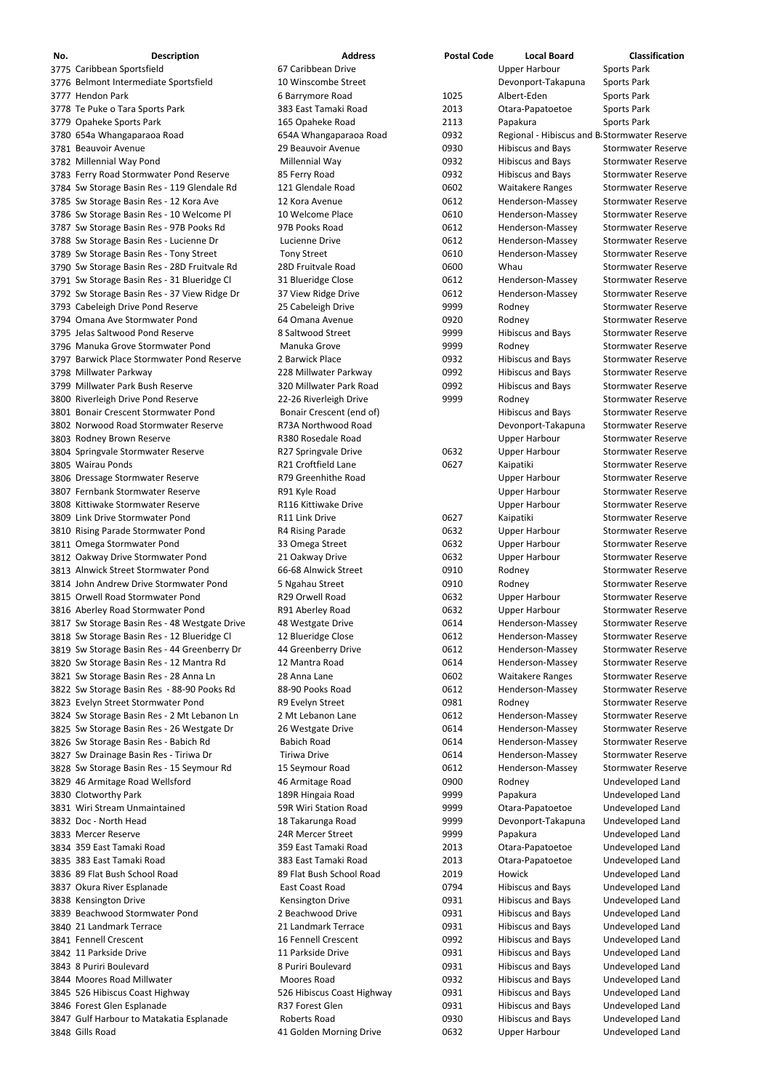| No. | <b>Description</b>                            | <b>Address</b>           | <b>Postal Code</b> | <b>Local Board</b>                           | <b>Classification</b>     |
|-----|-----------------------------------------------|--------------------------|--------------------|----------------------------------------------|---------------------------|
|     | 3775 Caribbean Sportsfield                    | 67 Caribbean Drive       |                    | <b>Upper Harbour</b>                         | Sports Park               |
|     | 3776 Belmont Intermediate Sportsfield         | 10 Winscombe Street      |                    | Devonport-Takapuna                           | Sports Park               |
|     | 3777 Hendon Park                              | 6 Barrymore Road         | 1025               | Albert-Eden                                  | Sports Park               |
|     | 3778 Te Puke o Tara Sports Park               | 383 East Tamaki Road     | 2013               | Otara-Papatoetoe                             | Sports Park               |
|     | 3779 Opaheke Sports Park                      | 165 Opaheke Road         | 2113               | Papakura                                     | Sports Park               |
|     | 3780 654a Whangaparaoa Road                   | 654A Whangaparaoa Road   | 0932               | Regional - Hibiscus and B Stormwater Reserve |                           |
|     | 3781 Beauvoir Avenue                          | 29 Beauvoir Avenue       | 0930               | <b>Hibiscus and Bays</b>                     | <b>Stormwater Reserve</b> |
|     | 3782 Millennial Way Pond                      | Millennial Way           | 0932               | <b>Hibiscus and Bays</b>                     | <b>Stormwater Reserve</b> |
|     | 3783 Ferry Road Stormwater Pond Reserve       | 85 Ferry Road            | 0932               | <b>Hibiscus and Bays</b>                     | <b>Stormwater Reserve</b> |
|     | 3784 Sw Storage Basin Res - 119 Glendale Rd   | 121 Glendale Road        | 0602               | <b>Waitakere Ranges</b>                      | <b>Stormwater Reserve</b> |
|     | 3785 Sw Storage Basin Res - 12 Kora Ave       | 12 Kora Avenue           | 0612               | Henderson-Massey                             | <b>Stormwater Reserve</b> |
|     | 3786 Sw Storage Basin Res - 10 Welcome Pl     | 10 Welcome Place         | 0610               | Henderson-Massey                             | <b>Stormwater Reserve</b> |
|     | 3787 Sw Storage Basin Res - 97B Pooks Rd      | 97B Pooks Road           | 0612               | Henderson-Massey                             | <b>Stormwater Reserve</b> |
|     | 3788 Sw Storage Basin Res - Lucienne Dr       | Lucienne Drive           | 0612               | Henderson-Massey                             | <b>Stormwater Reserve</b> |
|     | 3789 Sw Storage Basin Res - Tony Street       | <b>Tony Street</b>       | 0610               | Henderson-Massey                             | <b>Stormwater Reserve</b> |
|     | 3790 Sw Storage Basin Res - 28D Fruitvale Rd  | 28D Fruitvale Road       | 0600               | Whau                                         | <b>Stormwater Reserve</b> |
|     | 3791 Sw Storage Basin Res - 31 Blueridge Cl   | 31 Blueridge Close       | 0612               | Henderson-Massey                             | <b>Stormwater Reserve</b> |
|     | 3792 Sw Storage Basin Res - 37 View Ridge Dr  | 37 View Ridge Drive      | 0612               | Henderson-Massey                             | <b>Stormwater Reserve</b> |
|     | 3793 Cabeleigh Drive Pond Reserve             | 25 Cabeleigh Drive       | 9999               | Rodney                                       | <b>Stormwater Reserve</b> |
|     | 3794 Omana Ave Stormwater Pond                | 64 Omana Avenue          | 0920               | Rodney                                       | <b>Stormwater Reserve</b> |
|     | 3795 Jelas Saltwood Pond Reserve              | 8 Saltwood Street        | 9999               | <b>Hibiscus and Bays</b>                     | <b>Stormwater Reserve</b> |
|     | 3796 Manuka Grove Stormwater Pond             | Manuka Grove             | 9999               | Rodney                                       | <b>Stormwater Reserve</b> |
|     | 3797 Barwick Place Stormwater Pond Reserve    | 2 Barwick Place          | 0932               | <b>Hibiscus and Bays</b>                     | <b>Stormwater Reserve</b> |
|     | 3798 Millwater Parkway                        | 228 Millwater Parkway    | 0992               | <b>Hibiscus and Bays</b>                     | <b>Stormwater Reserve</b> |
|     | 3799 Millwater Park Bush Reserve              | 320 Millwater Park Road  | 0992               | <b>Hibiscus and Bays</b>                     | <b>Stormwater Reserve</b> |
|     | 3800 Riverleigh Drive Pond Reserve            | 22-26 Riverleigh Drive   | 9999               | Rodney                                       | <b>Stormwater Reserve</b> |
|     | 3801 Bonair Crescent Stormwater Pond          | Bonair Crescent (end of) |                    | <b>Hibiscus and Bays</b>                     | <b>Stormwater Reserve</b> |
|     | 3802 Norwood Road Stormwater Reserve          | R73A Northwood Road      |                    | Devonport-Takapuna                           | <b>Stormwater Reserve</b> |
|     | 3803 Rodney Brown Reserve                     | R380 Rosedale Road       |                    | <b>Upper Harbour</b>                         | <b>Stormwater Reserve</b> |
|     | 3804 Springvale Stormwater Reserve            | R27 Springvale Drive     | 0632               | <b>Upper Harbour</b>                         | <b>Stormwater Reserve</b> |
|     | 3805 Wairau Ponds                             | R21 Croftfield Lane      | 0627               | Kaipatiki                                    | <b>Stormwater Reserve</b> |
|     | 3806 Dressage Stormwater Reserve              | R79 Greenhithe Road      |                    | <b>Upper Harbour</b>                         | <b>Stormwater Reserve</b> |
|     | 3807 Fernbank Stormwater Reserve              | R91 Kyle Road            |                    | <b>Upper Harbour</b>                         | <b>Stormwater Reserve</b> |
|     | 3808 Kittiwake Stormwater Reserve             | R116 Kittiwake Drive     |                    | <b>Upper Harbour</b>                         | <b>Stormwater Reserve</b> |
|     | 3809 Link Drive Stormwater Pond               | R11 Link Drive           | 0627               | Kaipatiki                                    | <b>Stormwater Reserve</b> |
|     | 3810 Rising Parade Stormwater Pond            | R4 Rising Parade         | 0632               | <b>Upper Harbour</b>                         | <b>Stormwater Reserve</b> |
|     | 3811 Omega Stormwater Pond                    | 33 Omega Street          | 0632               | <b>Upper Harbour</b>                         | <b>Stormwater Reserve</b> |
|     | 3812 Oakway Drive Stormwater Pond             | 21 Oakway Drive          | 0632               | <b>Upper Harbour</b>                         | <b>Stormwater Reserve</b> |
|     | 3813 Alnwick Street Stormwater Pond           | 66-68 Alnwick Street     | 0910               | Rodney                                       | <b>Stormwater Reserve</b> |
|     | 3814 John Andrew Drive Stormwater Pond        | 5 Ngahau Street          | 0910               | Rodney                                       | <b>Stormwater Reserve</b> |
|     | 3815 Orwell Road Stormwater Pond              | R29 Orwell Road          | 0632               | <b>Upper Harbour</b>                         | <b>Stormwater Reserve</b> |
|     | 3816 Aberley Road Stormwater Pond             | R91 Aberley Road         | 0632               | <b>Upper Harbour</b>                         | <b>Stormwater Reserve</b> |
|     | 3817 Sw Storage Basin Res - 48 Westgate Drive | 48 Westgate Drive        | 0614               | Henderson-Massey                             | <b>Stormwater Reserve</b> |
|     | 3818 Sw Storage Basin Res - 12 Blueridge Cl   | 12 Blueridge Close       | 0612               | Henderson-Massey                             | <b>Stormwater Reserve</b> |
|     | 3819 Sw Storage Basin Res - 44 Greenberry Dr  | 44 Greenberry Drive      | 0612               | Henderson-Massey                             | <b>Stormwater Reserve</b> |
|     | 3820 Sw Storage Basin Res - 12 Mantra Rd      | 12 Mantra Road           | 0614               | Henderson-Massey                             | <b>Stormwater Reserve</b> |
|     | 3821 Sw Storage Basin Res - 28 Anna Ln        | 28 Anna Lane             | 0602               | <b>Waitakere Ranges</b>                      | <b>Stormwater Reserve</b> |
|     | 3822 Sw Storage Basin Res - 88-90 Pooks Rd    | 88-90 Pooks Road         | 0612               | Henderson-Massey                             | <b>Stormwater Reserve</b> |
|     | 3823 Evelyn Street Stormwater Pond            | R9 Evelyn Street         | 0981               | Rodney                                       | <b>Stormwater Reserve</b> |
|     | 3824 Sw Storage Basin Res - 2 Mt Lebanon Ln   | 2 Mt Lebanon Lane        | 0612               | Henderson-Massey                             | <b>Stormwater Reserve</b> |
|     | 3825 Sw Storage Basin Res - 26 Westgate Dr    | 26 Westgate Drive        | 0614               | Henderson-Massey                             | <b>Stormwater Reserve</b> |
|     | 3826 Sw Storage Basin Res - Babich Rd         | <b>Babich Road</b>       | 0614               | Henderson-Massey                             | <b>Stormwater Reserve</b> |
|     | 3827 Sw Drainage Basin Res - Tiriwa Dr        | <b>Tiriwa Drive</b>      | 0614               | Henderson-Massey                             | <b>Stormwater Reserve</b> |
|     | 3828 Sw Storage Basin Res - 15 Seymour Rd     | 15 Seymour Road          | 0612               | Henderson-Massey                             | <b>Stormwater Reserve</b> |
|     | 3829 46 Armitage Road Wellsford               | 46 Armitage Road         | 0900               | Rodney                                       | Undeveloped Land          |
|     | 3830 Clotworthy Park                          | 189R Hingaia Road        | 9999               | Papakura                                     | Undeveloped Land          |
|     | 3831 Wiri Stream Unmaintained                 | 59R Wiri Station Road    | 9999               | Otara-Papatoetoe                             | Undeveloped Land          |
|     | 3832 Doc - North Head                         | 18 Takarunga Road        | 9999               | Devonport-Takapuna                           | Undeveloped Land          |

 Mercer Reserve 24R Mercer Street 9999 Papakura Undeveloped Land 3834 359 East Tamaki Road 359 East Tamaki Road 359 East Tamaki Road 2013 Otara-Papatoetoe Undeveloped Land 383 East Tamaki Road 383 East Tamaki Road 2013 Otara‐Papatoetoe Undeveloped Land 89 Flat Bush School Road 89 Flat Bush School Road 2019 Howick Undeveloped Land 3837 Okura River Esplanade **East Coast Road** East Coast Road COST 0794 Hibiscus and Bays Undeveloped Land 3838 Kensington Drive **Kensington Drive** Kensington Drive **COLOGIC 1984** Hibiscus and Bays Undeveloped Land 3839 Beachwood Stormwater Pond 2 Beachwood Drive 19931 Hibiscus and Bays Undeveloped Land 21 Landmark Terrace 21 Landmark Terrace 0931 Hibiscus and Bays Undeveloped Land Fennell Crescent 16 Fennell Crescent 0992 Hibiscus and Bays Undeveloped Land 3842 11 Parkside Drive **11 Parkside Drive** 11 Parkside Drive **11 Parkside Drive 0931** Hibiscus and Bays Undeveloped Land 8 Puriri Boulevard 8 Puriri Boulevard 0931 Hibiscus and Bays Undeveloped Land 3844 Moores Road Millwater **Moores Road** Moores Road 6932 Hibiscus and Bays Undeveloped Land 3845 526 Hibiscus Coast Highway **526 Hibiscus Coast Highway** 0931 Hibiscus and Bays Undeveloped Land 3846 Forest Glen Esplanade **R37 Forest Glen** 19931 Hibiscus and Bays Undeveloped Land 3847 Gulf Harbour to Matakatia Esplanade **Roberts Road** 19930 Hibiscus and Bays Undeveloped Land Gills Road 41 Golden Morning Drive 0632 Upper Harbour Undeveloped Land

| 99 | Papakura    |
|----|-------------|
| 13 | Otara-Papa  |
| 13 | Otara-Papa  |
| 19 | Howick      |
| 94 | Hibiscus ar |
| 31 | Hibiscus ar |
| 31 | Hibiscus ar |
| 31 | Hibiscus ar |
| 92 | Hibiscus ar |
| 31 | Hibiscus ar |
| 31 | Hibiscus ar |
| 32 | Hibiscus an |
| 31 | Hibiscus ar |
| 31 | Hibiscus ar |
| 30 | Hibiscus ar |
| 32 | Upper Harl  |